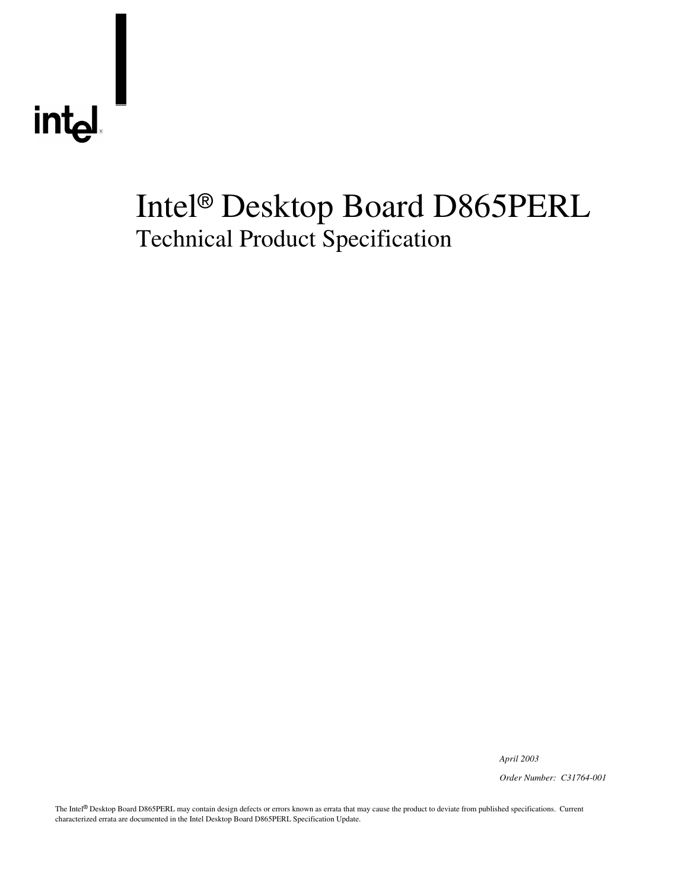

# Intel® Desktop Board D865PERL Technical Product Specification

*April 2003* 

*Order Number: C31764-001*

The Intel® Desktop Board D865PERL may contain design defects or errors known as errata that may cause the product to deviate from published specifications. Current characterized errata are documented in the Intel Desktop Board D865PERL Specification Update.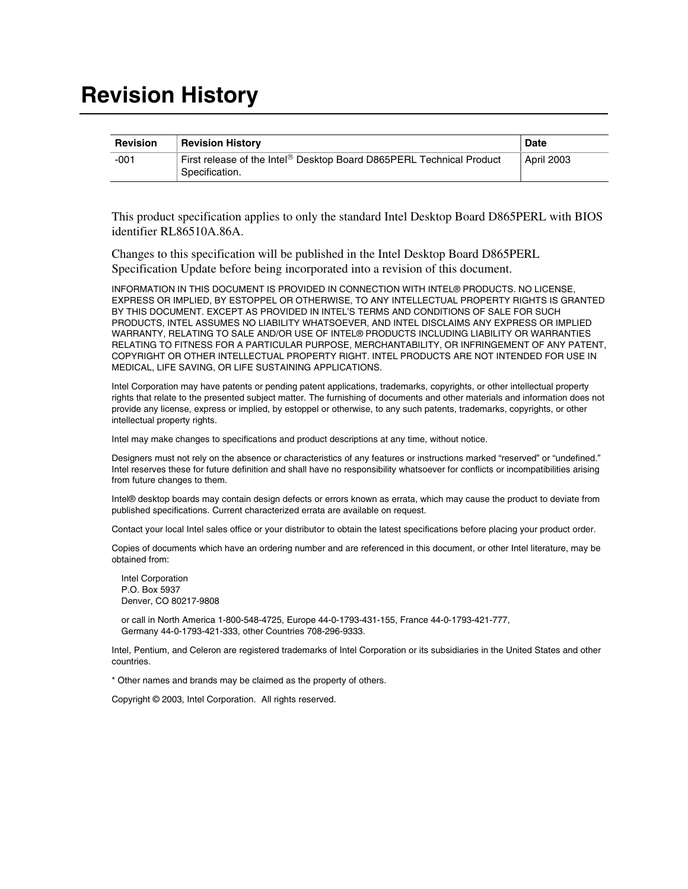## **Revision History**

| <b>Revision</b> | <b>Revision History</b>                                                                | <b>Date</b>       |
|-----------------|----------------------------------------------------------------------------------------|-------------------|
| $-001$          | First release of the Intel® Desktop Board D865PERL Technical Product<br>Specification. | <b>April 2003</b> |

This product specification applies to only the standard Intel Desktop Board D865PERL with BIOS identifier RL86510A.86A.

Changes to this specification will be published in the Intel Desktop Board D865PERL Specification Update before being incorporated into a revision of this document.

INFORMATION IN THIS DOCUMENT IS PROVIDED IN CONNECTION WITH INTEL® PRODUCTS. NO LICENSE, EXPRESS OR IMPLIED, BY ESTOPPEL OR OTHERWISE, TO ANY INTELLECTUAL PROPERTY RIGHTS IS GRANTED BY THIS DOCUMENT. EXCEPT AS PROVIDED IN INTEL'S TERMS AND CONDITIONS OF SALE FOR SUCH PRODUCTS, INTEL ASSUMES NO LIABILITY WHATSOEVER, AND INTEL DISCLAIMS ANY EXPRESS OR IMPLIED WARRANTY, RELATING TO SALE AND/OR USE OF INTEL® PRODUCTS INCLUDING LIABILITY OR WARRANTIES RELATING TO FITNESS FOR A PARTICULAR PURPOSE, MERCHANTABILITY, OR INFRINGEMENT OF ANY PATENT, COPYRIGHT OR OTHER INTELLECTUAL PROPERTY RIGHT. INTEL PRODUCTS ARE NOT INTENDED FOR USE IN MEDICAL, LIFE SAVING, OR LIFE SUSTAINING APPLICATIONS.

Intel Corporation may have patents or pending patent applications, trademarks, copyrights, or other intellectual property rights that relate to the presented subject matter. The furnishing of documents and other materials and information does not provide any license, express or implied, by estoppel or otherwise, to any such patents, trademarks, copyrights, or other intellectual property rights.

Intel may make changes to specifications and product descriptions at any time, without notice.

Designers must not rely on the absence or characteristics of any features or instructions marked "reserved" or "undefined." Intel reserves these for future definition and shall have no responsibility whatsoever for conflicts or incompatibilities arising from future changes to them.

Intel® desktop boards may contain design defects or errors known as errata, which may cause the product to deviate from published specifications. Current characterized errata are available on request.

Contact your local Intel sales office or your distributor to obtain the latest specifications before placing your product order.

Copies of documents which have an ordering number and are referenced in this document, or other Intel literature, may be obtained from:

 Intel Corporation P.O. Box 5937 Denver, CO 80217-9808

 or call in North America 1-800-548-4725, Europe 44-0-1793-431-155, France 44-0-1793-421-777, Germany 44-0-1793-421-333, other Countries 708-296-9333.

Intel, Pentium, and Celeron are registered trademarks of Intel Corporation or its subsidiaries in the United States and other countries.

\* Other names and brands may be claimed as the property of others.

Copyright © 2003, Intel Corporation. All rights reserved.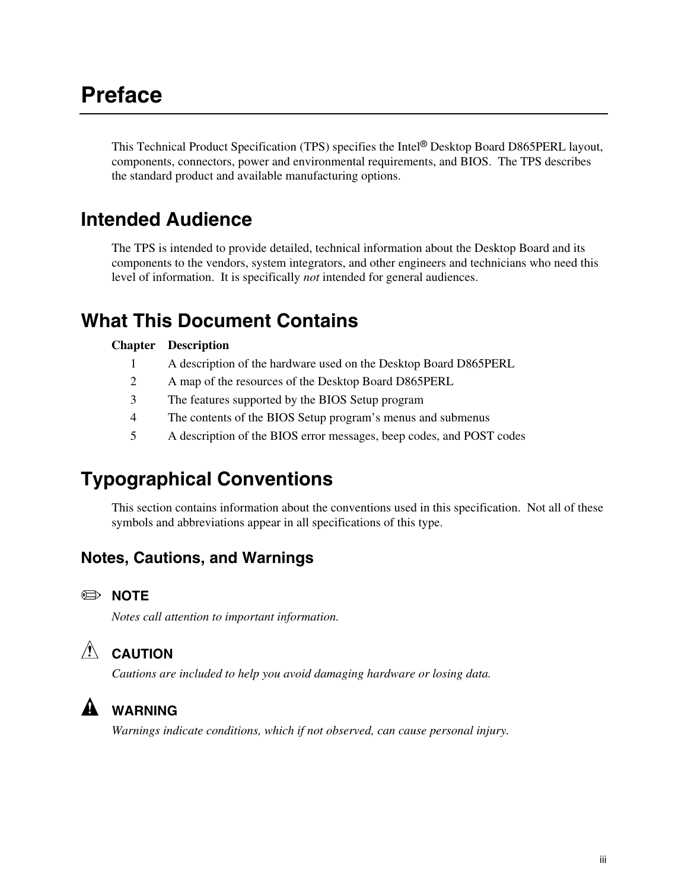## **Preface**

This Technical Product Specification (TPS) specifies the Intel® Desktop Board D865PERL layout, components, connectors, power and environmental requirements, and BIOS. The TPS describes the standard product and available manufacturing options.

## **Intended Audience**

The TPS is intended to provide detailed, technical information about the Desktop Board and its components to the vendors, system integrators, and other engineers and technicians who need this level of information. It is specifically *not* intended for general audiences.

## **What This Document Contains**

#### **Chapter Description**

- 1 A description of the hardware used on the Desktop Board D865PERL
- 2 A map of the resources of the Desktop Board D865PERL
- 3 The features supported by the BIOS Setup program
- 4 The contents of the BIOS Setup program's menus and submenus
- 5 A description of the BIOS error messages, beep codes, and POST codes

## **Typographical Conventions**

This section contains information about the conventions used in this specification. Not all of these symbols and abbreviations appear in all specifications of this type.

### **Notes, Cautions, and Warnings**

#### ✏ **NOTE**

*Notes call attention to important information.* 



## $\hat{I}$  CAUTION

*Cautions are included to help you avoid damaging hardware or losing data.* 



## **WARNING**

*Warnings indicate conditions, which if not observed, can cause personal injury.*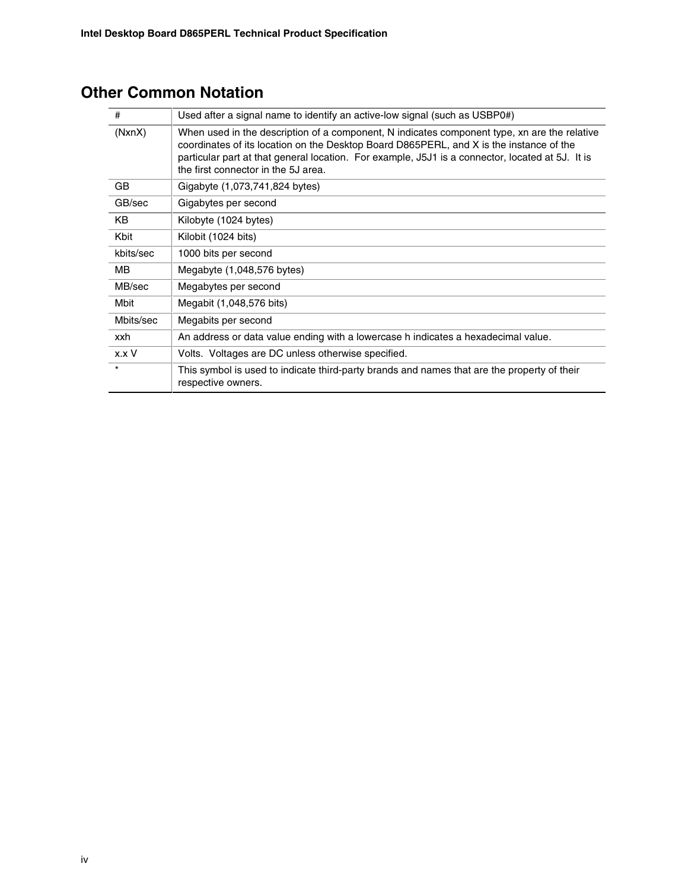| #         | Used after a signal name to identify an active-low signal (such as USBP0#)                                                                                                                                                                                                                                                         |
|-----------|------------------------------------------------------------------------------------------------------------------------------------------------------------------------------------------------------------------------------------------------------------------------------------------------------------------------------------|
| (NxnX)    | When used in the description of a component, N indicates component type, xn are the relative<br>coordinates of its location on the Desktop Board D865PERL, and X is the instance of the<br>particular part at that general location. For example, J5J1 is a connector, located at 5J. It is<br>the first connector in the 5J area. |
| GB        | Gigabyte (1,073,741,824 bytes)                                                                                                                                                                                                                                                                                                     |
| GB/sec    | Gigabytes per second                                                                                                                                                                                                                                                                                                               |
| KB.       | Kilobyte (1024 bytes)                                                                                                                                                                                                                                                                                                              |
| Kbit      | Kilobit (1024 bits)                                                                                                                                                                                                                                                                                                                |
| kbits/sec | 1000 bits per second                                                                                                                                                                                                                                                                                                               |
| MВ        | Megabyte $(1,048,576$ bytes)                                                                                                                                                                                                                                                                                                       |
| MB/sec    | Megabytes per second                                                                                                                                                                                                                                                                                                               |
| Mbit      | Megabit (1,048,576 bits)                                                                                                                                                                                                                                                                                                           |
| Mbits/sec | Megabits per second                                                                                                                                                                                                                                                                                                                |
| xxh       | An address or data value ending with a lowercase h indicates a hexadecimal value.                                                                                                                                                                                                                                                  |
| x.x V     | Volts. Voltages are DC unless otherwise specified.                                                                                                                                                                                                                                                                                 |
| $\star$   | This symbol is used to indicate third-party brands and names that are the property of their<br>respective owners.                                                                                                                                                                                                                  |

## **Other Common Notation**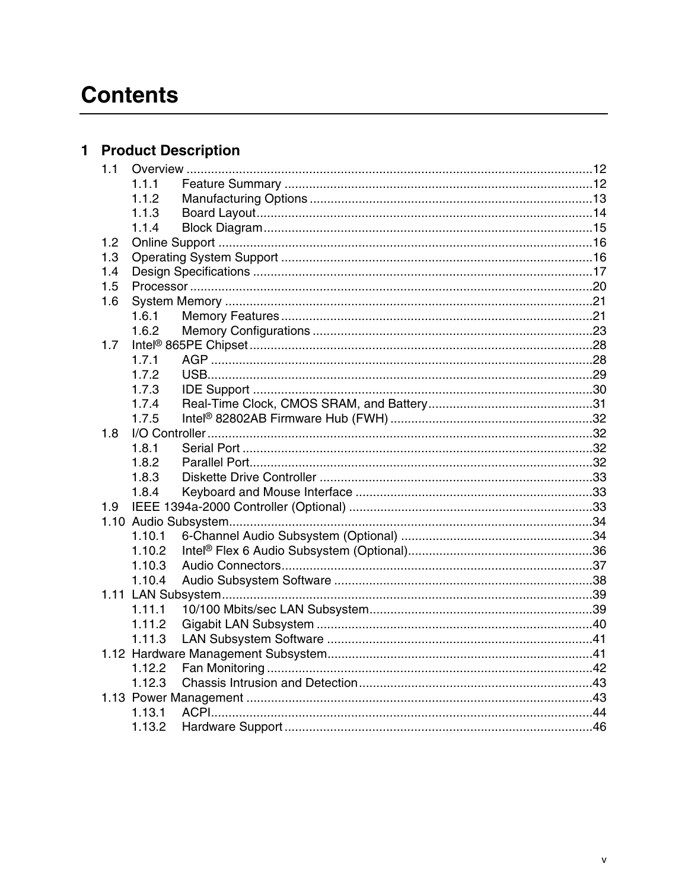## 1 Product Description

| 1.1 |        |  |
|-----|--------|--|
|     | 1.1.1  |  |
|     | 1.1.2  |  |
|     | 1.1.3  |  |
|     | 1.1.4  |  |
| 1.2 |        |  |
| 1.3 |        |  |
| 1.4 |        |  |
| 1.5 |        |  |
| 1.6 |        |  |
|     | 1.6.1  |  |
|     | 1.6.2  |  |
| 1.7 |        |  |
|     | 1.7.1  |  |
|     | 1.7.2  |  |
|     | 1.7.3  |  |
|     | 1.7.4  |  |
|     | 1.7.5  |  |
| 1.8 |        |  |
|     | 1.8.1  |  |
|     | 1.8.2  |  |
|     | 1.8.3  |  |
|     | 1.8.4  |  |
| 1.9 |        |  |
|     |        |  |
|     | 1.10.1 |  |
|     | 1.10.2 |  |
|     | 1.10.3 |  |
|     | 1.10.4 |  |
|     |        |  |
|     | 1.11.1 |  |
|     | 1.11.2 |  |
|     | 1.11.3 |  |
|     |        |  |
|     | 1.12.2 |  |
|     | 1.12.3 |  |
|     |        |  |
|     | 1.13.1 |  |
|     | 1.13.2 |  |
|     |        |  |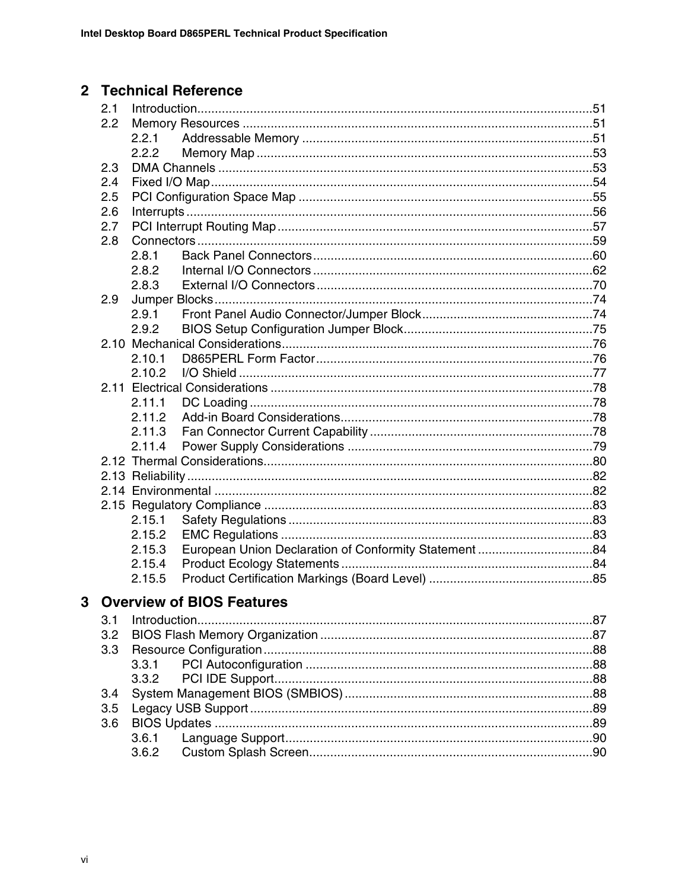## 2 Technical Reference

|   | 2.1 |        |                                  |  |
|---|-----|--------|----------------------------------|--|
|   | 2.2 |        |                                  |  |
|   |     | 2.2.1  |                                  |  |
|   |     | 2.2.2  |                                  |  |
|   | 2.3 |        |                                  |  |
|   | 2.4 |        |                                  |  |
|   | 2.5 |        |                                  |  |
|   | 2.6 |        |                                  |  |
|   | 2.7 |        |                                  |  |
|   | 2.8 |        |                                  |  |
|   |     | 2.8.1  |                                  |  |
|   |     | 2.8.2  |                                  |  |
|   |     | 2.8.3  |                                  |  |
|   | 2.9 |        |                                  |  |
|   |     | 2.9.1  |                                  |  |
|   |     | 2.9.2  |                                  |  |
|   |     |        |                                  |  |
|   |     | 2.10.1 |                                  |  |
|   |     | 2.10.2 |                                  |  |
|   |     |        |                                  |  |
|   |     | 2.11.1 |                                  |  |
|   |     | 2.11.2 |                                  |  |
|   |     | 2.11.3 |                                  |  |
|   |     | 2.11.4 |                                  |  |
|   |     |        |                                  |  |
|   |     |        |                                  |  |
|   |     |        |                                  |  |
|   |     |        |                                  |  |
|   |     | 2.15.1 |                                  |  |
|   |     | 2.15.2 |                                  |  |
|   |     | 2.15.3 |                                  |  |
|   |     | 2.15.4 |                                  |  |
|   |     | 2.15.5 |                                  |  |
| 3 |     |        | <b>Overview of BIOS Features</b> |  |
|   | 3.1 |        |                                  |  |
|   | 3.2 |        |                                  |  |
|   |     |        |                                  |  |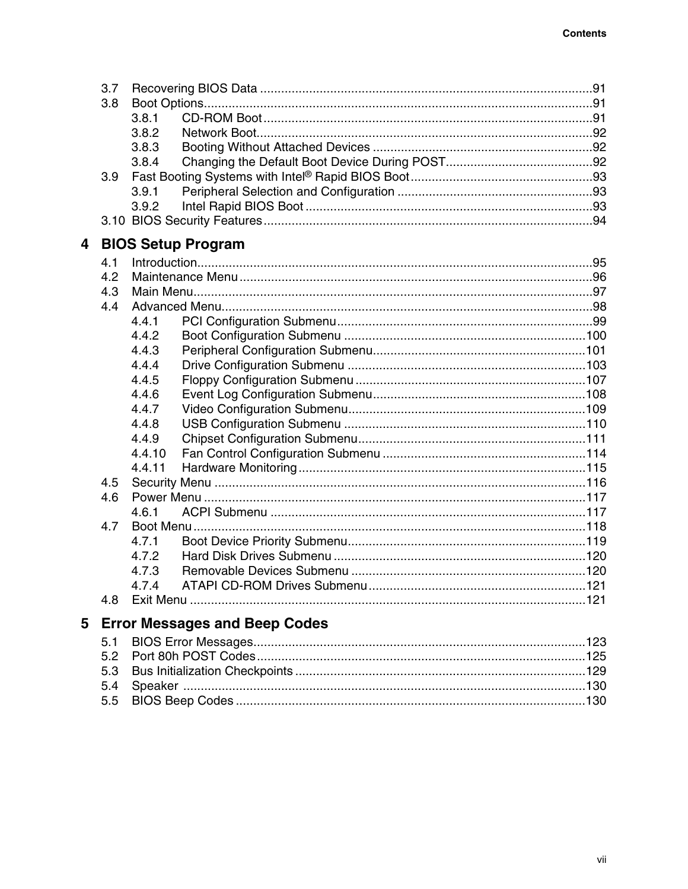|   | 3.7 |                 |                                      |  |
|---|-----|-----------------|--------------------------------------|--|
|   | 3.8 |                 |                                      |  |
|   |     | 3.8.1<br>3.8.2  |                                      |  |
|   |     | 3.8.3           |                                      |  |
|   |     | 3.8.4           |                                      |  |
|   | 3.9 |                 |                                      |  |
|   |     | 3.9.1           |                                      |  |
|   |     | 3.9.2           |                                      |  |
|   |     |                 |                                      |  |
|   |     |                 |                                      |  |
| 4 |     |                 | <b>BIOS Setup Program</b>            |  |
|   | 4.1 |                 |                                      |  |
|   | 4.2 |                 |                                      |  |
|   | 4.3 |                 |                                      |  |
|   | 4.4 |                 |                                      |  |
|   |     | 4.4.1           |                                      |  |
|   |     | 4.4.2           |                                      |  |
|   |     | 4.4.3           |                                      |  |
|   |     | 4.4.4           |                                      |  |
|   |     | 4.4.5           |                                      |  |
|   |     | 4.4.6           |                                      |  |
|   |     | 4.4.7<br>4.4.8  |                                      |  |
|   |     |                 |                                      |  |
|   |     | 4.4.9<br>4.4.10 |                                      |  |
|   |     | 4.4.11          |                                      |  |
|   | 4.5 |                 |                                      |  |
|   | 4.6 |                 |                                      |  |
|   |     | 4.6.1           |                                      |  |
|   | 4.7 |                 |                                      |  |
|   |     | 4.7.1           |                                      |  |
|   |     | 4.7.2           |                                      |  |
|   |     | 4.7.3           |                                      |  |
|   |     | 4.7.4           |                                      |  |
|   | 4.8 |                 |                                      |  |
|   |     |                 |                                      |  |
| 5 |     |                 | <b>Error Messages and Beep Codes</b> |  |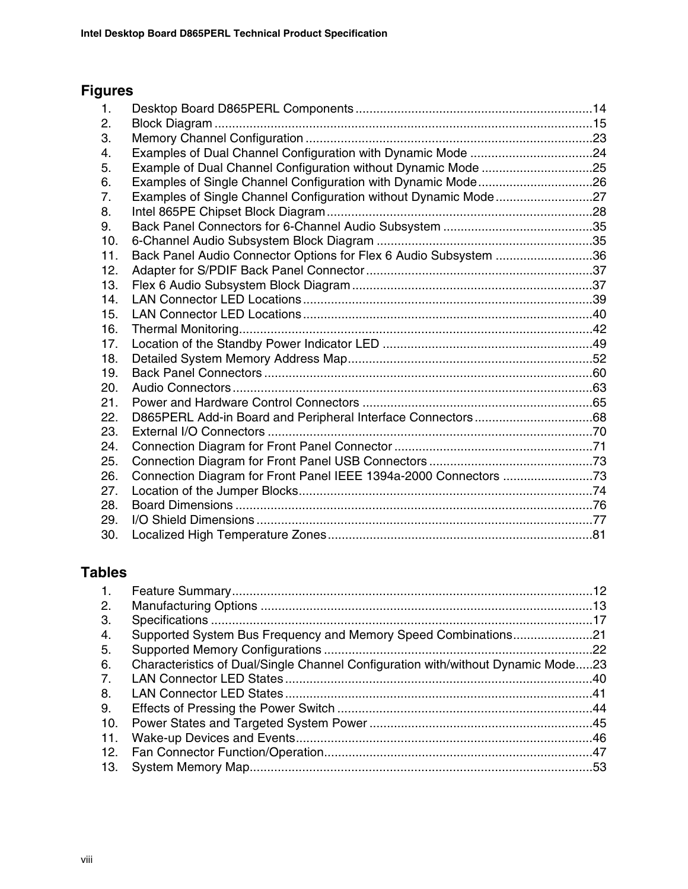### **Figures**

| 1.  |                                                                  |  |
|-----|------------------------------------------------------------------|--|
| 2.  |                                                                  |  |
| 3.  |                                                                  |  |
| 4.  | Examples of Dual Channel Configuration with Dynamic Mode 24      |  |
| 5.  | Example of Dual Channel Configuration without Dynamic Mode 25    |  |
| 6.  | Examples of Single Channel Configuration with Dynamic Mode26     |  |
| 7.  | Examples of Single Channel Configuration without Dynamic Mode27  |  |
| 8.  |                                                                  |  |
| 9.  |                                                                  |  |
| 10. |                                                                  |  |
| 11. | Back Panel Audio Connector Options for Flex 6 Audio Subsystem 36 |  |
| 12. |                                                                  |  |
| 13. |                                                                  |  |
| 14. |                                                                  |  |
| 15. |                                                                  |  |
| 16. |                                                                  |  |
| 17. |                                                                  |  |
| 18. |                                                                  |  |
| 19. |                                                                  |  |
| 20. |                                                                  |  |
| 21. |                                                                  |  |
| 22. |                                                                  |  |
| 23. |                                                                  |  |
| 24. |                                                                  |  |
| 25. |                                                                  |  |
| 26. | Connection Diagram for Front Panel IEEE 1394a-2000 Connectors 73 |  |
| 27. |                                                                  |  |
| 28. |                                                                  |  |
| 29. |                                                                  |  |
| 30. |                                                                  |  |

### **Tables**

| 1.   |                                                                                  |  |
|------|----------------------------------------------------------------------------------|--|
| 2.   |                                                                                  |  |
| З.   |                                                                                  |  |
| 4.   | Supported System Bus Frequency and Memory Speed Combinations21                   |  |
| 5.   |                                                                                  |  |
| 6.   | Characteristics of Dual/Single Channel Configuration with/without Dynamic Mode23 |  |
| 7.   |                                                                                  |  |
| 8.   |                                                                                  |  |
| 9.   |                                                                                  |  |
| 10.  |                                                                                  |  |
| 11.  |                                                                                  |  |
| -12. |                                                                                  |  |
| 13.  |                                                                                  |  |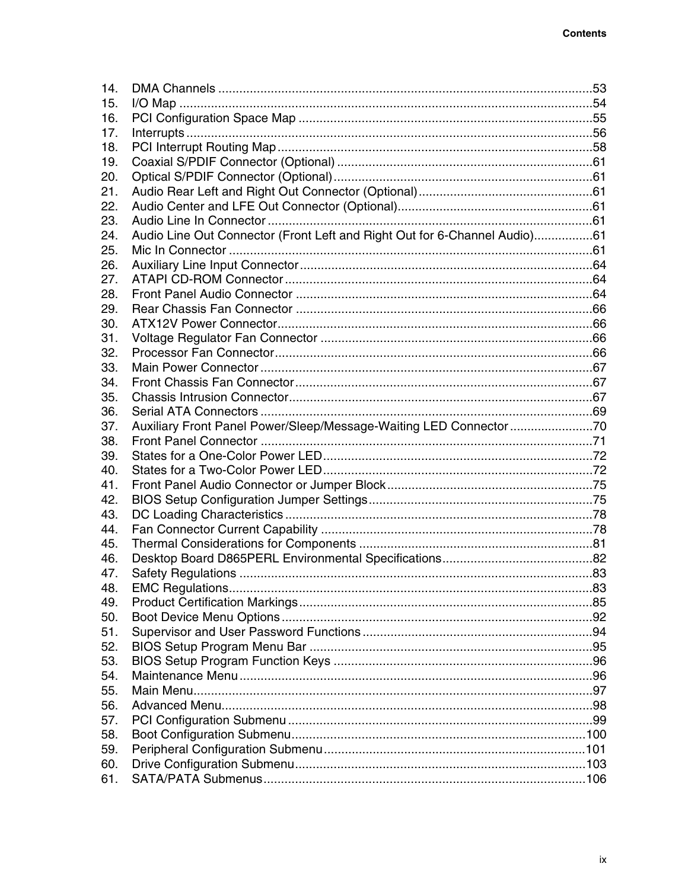| 14. |                                                                           |  |
|-----|---------------------------------------------------------------------------|--|
| 15. |                                                                           |  |
| 16. |                                                                           |  |
| 17. |                                                                           |  |
| 18. |                                                                           |  |
| 19. |                                                                           |  |
| 20. |                                                                           |  |
| 21. |                                                                           |  |
| 22. |                                                                           |  |
| 23. |                                                                           |  |
| 24. | Audio Line Out Connector (Front Left and Right Out for 6-Channel Audio)61 |  |
| 25. |                                                                           |  |
| 26. |                                                                           |  |
| 27. |                                                                           |  |
| 28. |                                                                           |  |
| 29. |                                                                           |  |
| 30. |                                                                           |  |
| 31. |                                                                           |  |
| 32. |                                                                           |  |
| 33. |                                                                           |  |
| 34. |                                                                           |  |
| 35. |                                                                           |  |
| 36. |                                                                           |  |
| 37. | Auxiliary Front Panel Power/Sleep/Message-Waiting LED Connector 70        |  |
| 38. |                                                                           |  |
| 39. |                                                                           |  |
| 40. |                                                                           |  |
| 41. |                                                                           |  |
| 42. |                                                                           |  |
| 43. |                                                                           |  |
| 44. |                                                                           |  |
| 45. |                                                                           |  |
| 46. |                                                                           |  |
| 47. |                                                                           |  |
| 48. |                                                                           |  |
| 49. |                                                                           |  |
| 50. |                                                                           |  |
| 51. |                                                                           |  |
| 52. |                                                                           |  |
| 53. |                                                                           |  |
| 54. |                                                                           |  |
| 55. |                                                                           |  |
| 56. |                                                                           |  |
|     |                                                                           |  |
| 57. |                                                                           |  |
| 58. |                                                                           |  |
| 59. |                                                                           |  |
| 60. |                                                                           |  |
| 61. |                                                                           |  |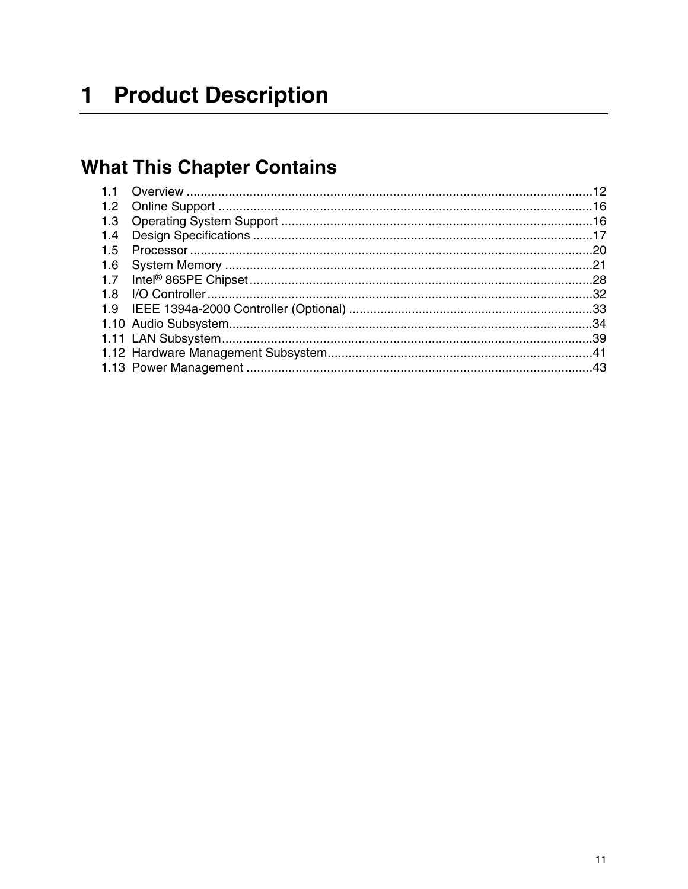## **What This Chapter Contains**

| 1.3 |  |
|-----|--|
| 1.4 |  |
| 1.5 |  |
| 1.6 |  |
| 1.7 |  |
| 1.8 |  |
|     |  |
|     |  |
|     |  |
|     |  |
|     |  |
|     |  |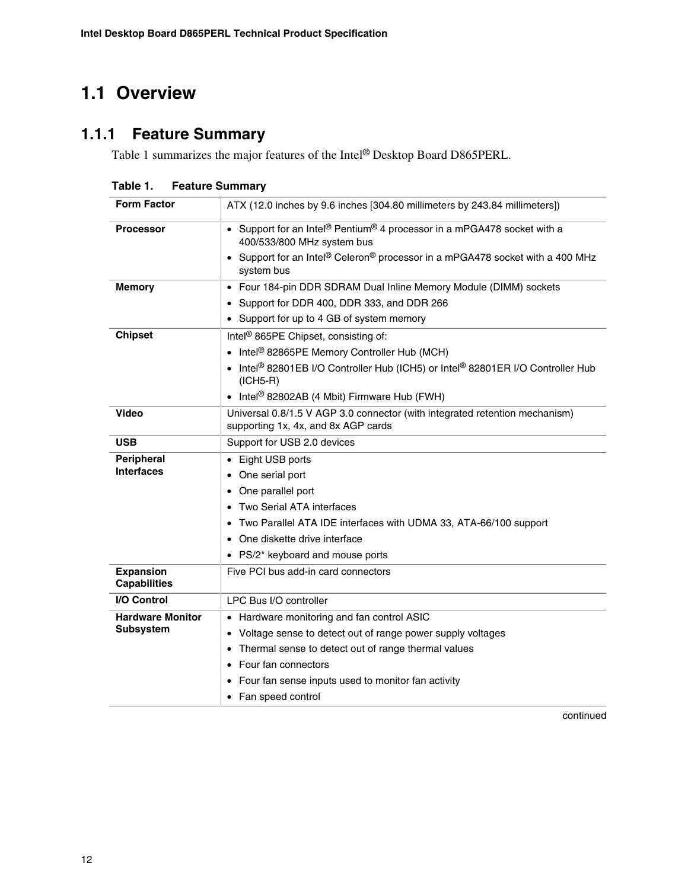## **1.1 Overview**

### **1.1.1 Feature Summary**

Table 1 summarizes the major features of the Intel® Desktop Board D865PERL.

| <b>Form Factor</b>                      | ATX (12.0 inches by 9.6 inches [304.80 millimeters by 243.84 millimeters])                                                    |  |  |
|-----------------------------------------|-------------------------------------------------------------------------------------------------------------------------------|--|--|
| <b>Processor</b>                        | • Support for an Intel <sup>®</sup> Pentium <sup>®</sup> 4 processor in a mPGA478 socket with a<br>400/533/800 MHz system bus |  |  |
|                                         | • Support for an Intel® Celeron® processor in a mPGA478 socket with a 400 MHz<br>system bus                                   |  |  |
| <b>Memory</b>                           | • Four 184-pin DDR SDRAM Dual Inline Memory Module (DIMM) sockets                                                             |  |  |
|                                         | • Support for DDR 400, DDR 333, and DDR 266                                                                                   |  |  |
|                                         | • Support for up to 4 GB of system memory                                                                                     |  |  |
| <b>Chipset</b>                          | Intel <sup>®</sup> 865PE Chipset, consisting of:                                                                              |  |  |
|                                         | • Intel <sup>®</sup> 82865PE Memory Controller Hub (MCH)                                                                      |  |  |
|                                         | • Intel <sup>®</sup> 82801EB I/O Controller Hub (ICH5) or Intel <sup>®</sup> 82801ER I/O Controller Hub<br>$(ICH5-R)$         |  |  |
|                                         | • Intel <sup>®</sup> 82802AB (4 Mbit) Firmware Hub (FWH)                                                                      |  |  |
| <b>Video</b>                            | Universal 0.8/1.5 V AGP 3.0 connector (with integrated retention mechanism)<br>supporting 1x, 4x, and 8x AGP cards            |  |  |
| <b>USB</b>                              | Support for USB 2.0 devices                                                                                                   |  |  |
| Peripheral                              | • Eight USB ports                                                                                                             |  |  |
| <b>Interfaces</b>                       | • One serial port                                                                                                             |  |  |
|                                         | • One parallel port                                                                                                           |  |  |
|                                         | Two Serial ATA interfaces                                                                                                     |  |  |
|                                         | • Two Parallel ATA IDE interfaces with UDMA 33, ATA-66/100 support                                                            |  |  |
|                                         | • One diskette drive interface                                                                                                |  |  |
|                                         | • PS/2* keyboard and mouse ports                                                                                              |  |  |
| <b>Expansion</b><br><b>Capabilities</b> | Five PCI bus add-in card connectors                                                                                           |  |  |
| I/O Control                             | LPC Bus I/O controller                                                                                                        |  |  |
| <b>Hardware Monitor</b>                 | • Hardware monitoring and fan control ASIC                                                                                    |  |  |
| Subsystem                               | • Voltage sense to detect out of range power supply voltages                                                                  |  |  |
|                                         | • Thermal sense to detect out of range thermal values                                                                         |  |  |
|                                         | Four fan connectors                                                                                                           |  |  |
|                                         | • Four fan sense inputs used to monitor fan activity                                                                          |  |  |
|                                         | • Fan speed control                                                                                                           |  |  |

**Table 1. Feature Summary** 

continued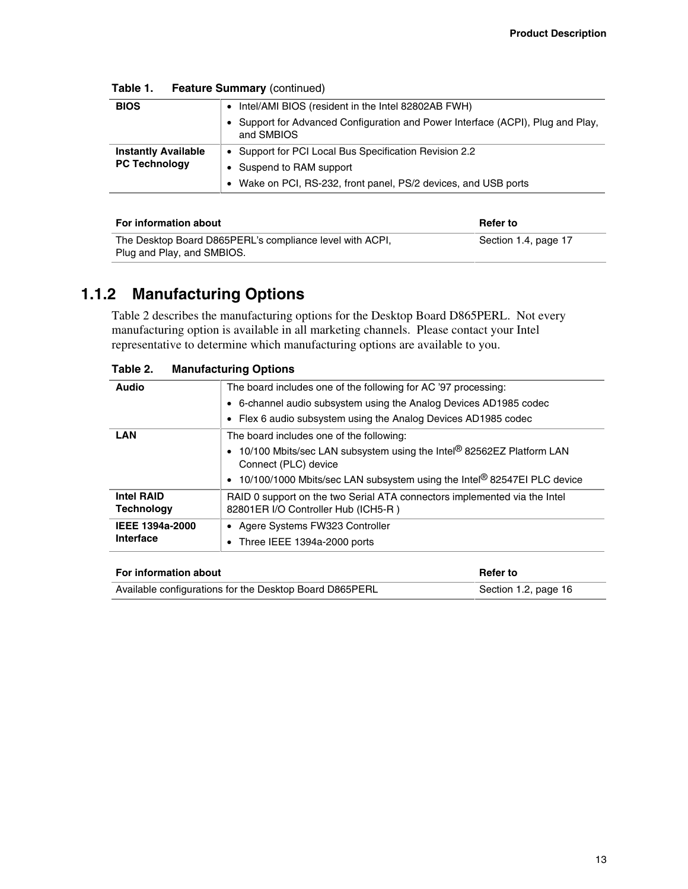| <b>BIOS</b>                | • Intel/AMI BIOS (resident in the Intel 82802AB FWH)                                          |
|----------------------------|-----------------------------------------------------------------------------------------------|
|                            | • Support for Advanced Configuration and Power Interface (ACPI), Plug and Play,<br>and SMBIOS |
| <b>Instantly Available</b> | • Support for PCI Local Bus Specification Revision 2.2                                        |
| <b>PC Technology</b>       | Suspend to RAM support                                                                        |
|                            | • Wake on PCI, RS-232, front panel, PS/2 devices, and USB ports                               |

| Table 1. |  |  | <b>Feature Summary (continued)</b> |
|----------|--|--|------------------------------------|
|----------|--|--|------------------------------------|

| <b>For information about</b>                             | <b>Refer to</b>      |
|----------------------------------------------------------|----------------------|
| The Desktop Board D865PERL's compliance level with ACPI, | Section 1.4, page 17 |
| Plug and Play, and SMBIOS.                               |                      |

### **1.1.2 Manufacturing Options**

Table 2 describes the manufacturing options for the Desktop Board D865PERL. Not every manufacturing option is available in all marketing channels. Please contact your Intel representative to determine which manufacturing options are available to you.

| Interface                              | • Three IEEE 1394a-2000 ports                                                                                    |
|----------------------------------------|------------------------------------------------------------------------------------------------------------------|
| IEEE 1394a-2000                        | • Agere Systems FW323 Controller                                                                                 |
| <b>Intel RAID</b><br><b>Technology</b> | RAID 0 support on the two Serial ATA connectors implemented via the Intel<br>82801ER I/O Controller Hub (ICH5-R) |
|                                        | • 10/100/1000 Mbits/sec LAN subsystem using the Intel <sup>®</sup> 82547EI PLC device                            |
|                                        | • 10/100 Mbits/sec LAN subsystem using the Intel <sup>®</sup> 82562EZ Platform LAN<br>Connect (PLC) device       |
| <b>LAN</b>                             | The board includes one of the following:                                                                         |
|                                        | • Flex 6 audio subsystem using the Analog Devices AD1985 codec                                                   |
|                                        | • 6-channel audio subsystem using the Analog Devices AD1985 codec                                                |
| Audio                                  | The board includes one of the following for AC '97 processing:                                                   |

**Table 2. Manufacturing Options** 

| <b>For information about</b>                            | <b>Refer to</b>      |
|---------------------------------------------------------|----------------------|
| Available configurations for the Desktop Board D865PERL | Section 1.2, page 16 |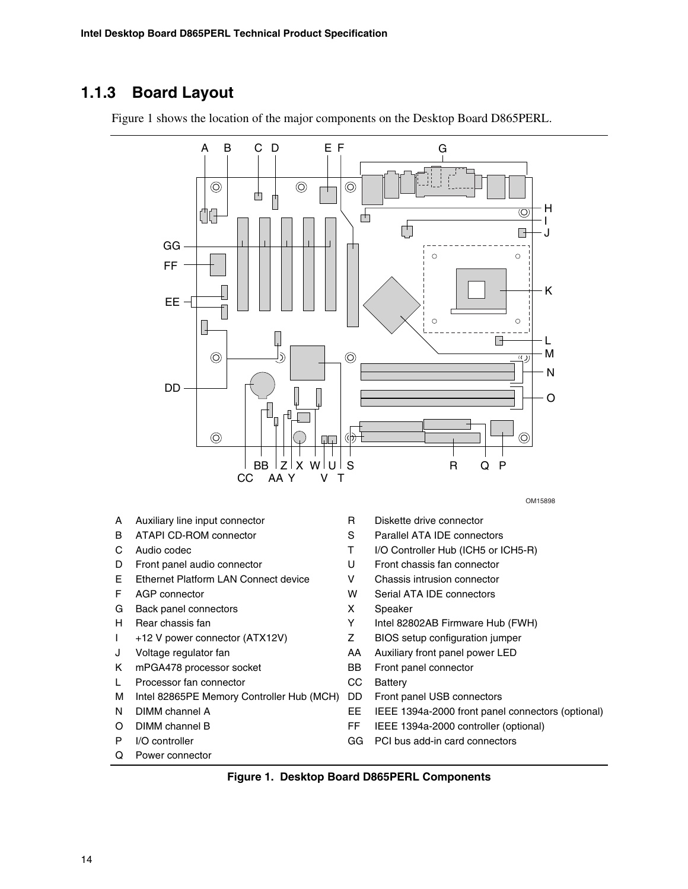### **1.1.3 Board Layout**



Figure 1 shows the location of the major components on the Desktop Board D865PERL.

- 
- G Back panel connectors **Example 2018** X Speaker
- 
- I +12 V power connector (ATX12V) Z BIOS setup configuration jumper
- 
- K mPGA478 processor socket BB Front panel connector
- L Processor fan connector CC Battery
- M Intel 82865PE Memory Controller Hub (MCH) DD Front panel USB connectors
- 
- 
- 
- Q Power connector
- 
- 
- H Rear chassis fan Y Intel 82802AB Firmware Hub (FWH)
	-
- J Voltage regulator fan AA Auxiliary front panel power LED
	-
	-
	-
- N DIMM channel A EE IEEE 1394a-2000 front panel connectors (optional)
- O DIMM channel B FF IEEE 1394a-2000 controller (optional)
- P I/O controller Controller GG PCI bus add-in card connectors
-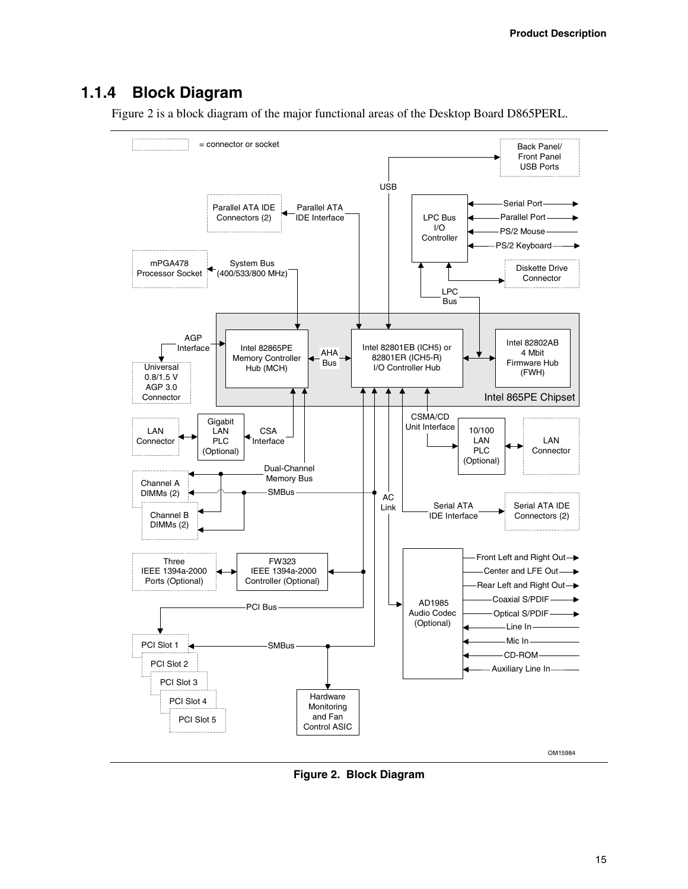### **1.1.4 Block Diagram**

Figure 2 is a block diagram of the major functional areas of the Desktop Board D865PERL.



**Figure 2. Block Diagram**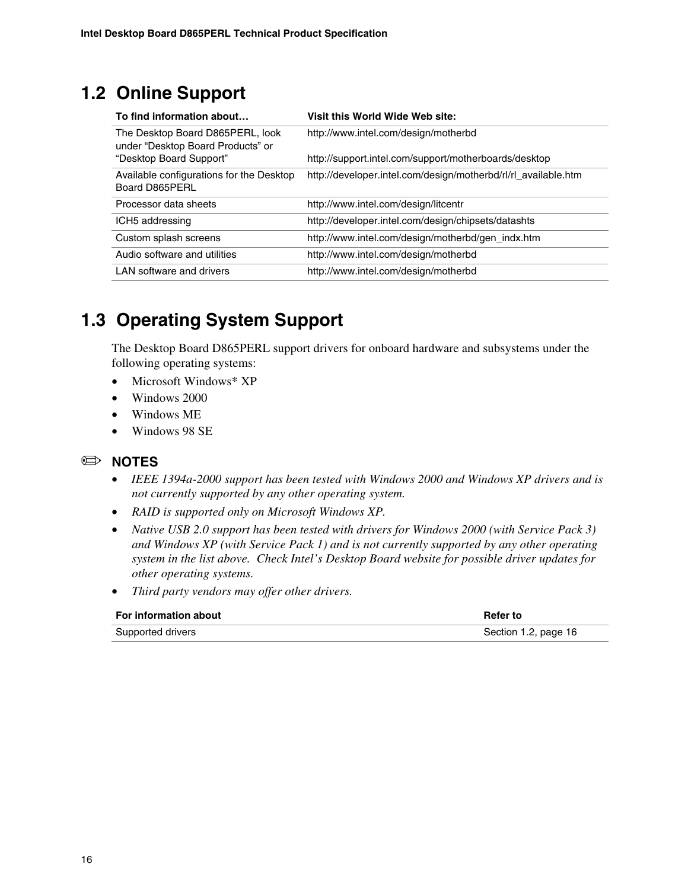## **1.2 Online Support**

| To find information about                                             | Visit this World Wide Web site:                                |
|-----------------------------------------------------------------------|----------------------------------------------------------------|
| The Desktop Board D865PERL, look<br>under "Desktop Board Products" or | http://www.intel.com/design/motherbd                           |
| "Desktop Board Support"                                               | http://support.intel.com/support/motherboards/desktop          |
| Available configurations for the Desktop<br>Board D865PERL            | http://developer.intel.com/design/motherbd/rl/rl_available.htm |
| Processor data sheets                                                 | http://www.intel.com/design/litcentr                           |
| ICH5 addressing                                                       | http://developer.intel.com/design/chipsets/datashts            |
| Custom splash screens                                                 | http://www.intel.com/design/motherbd/gen_indx.htm              |
| Audio software and utilities                                          | http://www.intel.com/design/motherbd                           |
| LAN software and drivers                                              | http://www.intel.com/design/motherbd                           |

## **1.3 Operating System Support**

The Desktop Board D865PERL support drivers for onboard hardware and subsystems under the following operating systems:

- Microsoft Windows\* XP
- Windows 2000
- Windows ME
- Windows 98 SE

#### ✏ **NOTES**

- *IEEE 1394a-2000 support has been tested with Windows 2000 and Windows XP drivers and is not currently supported by any other operating system.*
- *RAID is supported only on Microsoft Windows XP.*
- *Native USB 2.0 support has been tested with drivers for Windows 2000 (with Service Pack 3) and Windows XP (with Service Pack 1) and is not currently supported by any other operating system in the list above. Check Intel's Desktop Board website for possible driver updates for other operating systems.*
- *Third party vendors may offer other drivers.*

| <b>For information about</b> | <b>Refer to</b>      |
|------------------------------|----------------------|
| Supported drivers            | Section 1.2, page 16 |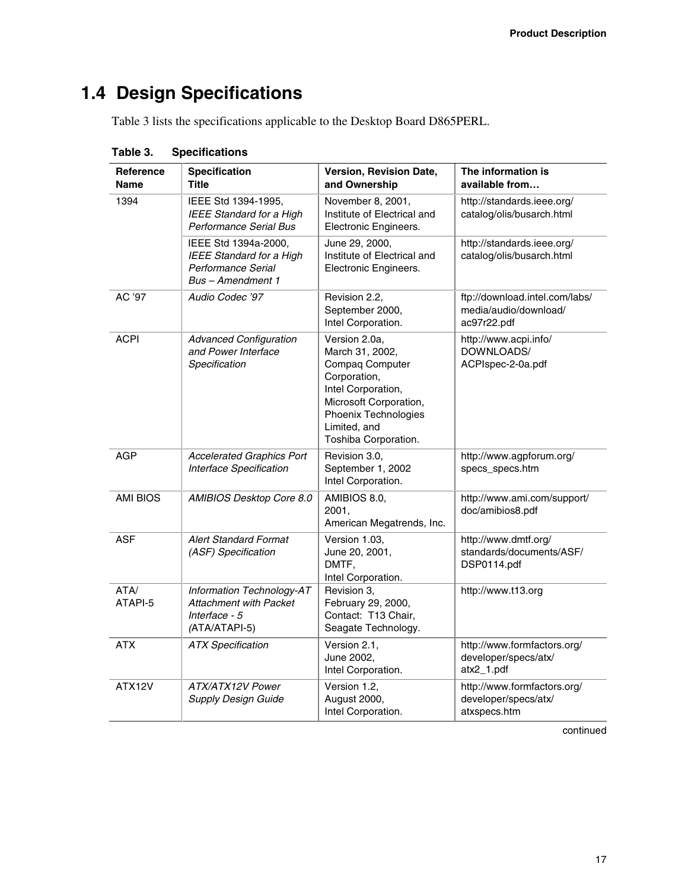## **1.4 Design Specifications**

Table 3 lists the specifications applicable to the Desktop Board D865PERL.

| Reference<br>Name | <b>Specification</b><br><b>Title</b>                                                               | Version, Revision Date,<br>and Ownership                                                                                                                                            | The information is<br>available from                                   |  |
|-------------------|----------------------------------------------------------------------------------------------------|-------------------------------------------------------------------------------------------------------------------------------------------------------------------------------------|------------------------------------------------------------------------|--|
| 1394              | IEEE Std 1394-1995,<br><b>IEEE Standard for a High</b><br><b>Performance Serial Bus</b>            | November 8, 2001,<br>Institute of Electrical and<br>Electronic Engineers.                                                                                                           | http://standards.ieee.org/<br>catalog/olis/busarch.html                |  |
|                   | IEEE Std 1394a-2000,<br><b>IEEE Standard for a High</b><br>Performance Serial<br>Bus - Amendment 1 | June 29, 2000,<br>Institute of Electrical and<br>Electronic Engineers.                                                                                                              | http://standards.ieee.org/<br>catalog/olis/busarch.html                |  |
| AC '97            | Audio Codec '97                                                                                    | Revision 2.2,<br>September 2000,<br>Intel Corporation.                                                                                                                              | ftp://download.intel.com/labs/<br>media/audio/download/<br>ac97r22.pdf |  |
| <b>ACPI</b>       | <b>Advanced Configuration</b><br>and Power Interface<br>Specification                              | Version 2.0a,<br>March 31, 2002,<br>Compaq Computer<br>Corporation,<br>Intel Corporation,<br>Microsoft Corporation,<br>Phoenix Technologies<br>Limited, and<br>Toshiba Corporation. | http://www.acpi.info/<br>DOWNLOADS/<br>ACPIspec-2-0a.pdf               |  |
| AGP               | <b>Accelerated Graphics Port</b><br>Interface Specification                                        | Revision 3.0,<br>September 1, 2002<br>Intel Corporation.                                                                                                                            | http://www.agpforum.org/<br>specs_specs.htm                            |  |
| <b>AMI BIOS</b>   | AMIBIOS Desktop Core 8.0                                                                           | AMIBIOS 8.0,<br>2001,<br>American Megatrends, Inc.                                                                                                                                  | http://www.ami.com/support/<br>doc/amibios8.pdf                        |  |
| <b>ASF</b>        | <b>Alert Standard Format</b><br>(ASF) Specification                                                | Version 1.03,<br>June 20, 2001,<br>DMTF,<br>Intel Corporation.                                                                                                                      | http://www.dmtf.org/<br>standards/documents/ASF/<br>DSP0114.pdf        |  |
| ATA/<br>ATAPI-5   | Information Technology-AT<br><b>Attachment with Packet</b><br>Interface - 5<br>(ATA/ATAPI-5)       | Revision 3.<br>February 29, 2000,<br>Contact: T13 Chair,<br>Seagate Technology.                                                                                                     | http://www.t13.org                                                     |  |
| ATX               | <b>ATX Specification</b>                                                                           | Version 2.1,<br>June 2002,<br>Intel Corporation.                                                                                                                                    | http://www.formfactors.org/<br>developer/specs/atx/<br>atx2_1.pdf      |  |
| ATX12V            | <b>ATX/ATX12V Power</b><br><b>Supply Design Guide</b>                                              | Version 1.2,<br>August 2000,<br>Intel Corporation.                                                                                                                                  | http://www.formfactors.org/<br>developer/specs/atx/<br>atxspecs.htm    |  |

**Table 3. Specifications** 

continued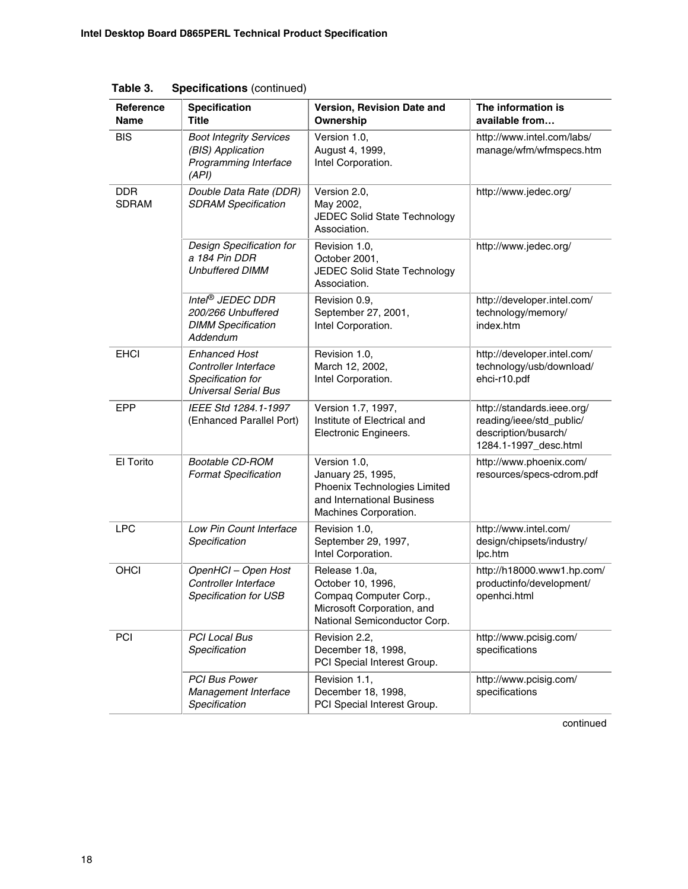| Reference<br>Name          | <b>Specification</b><br>Title                                                                    | Version, Revision Date and<br>Ownership                                                                                   | The information is<br>available from                                                                    |
|----------------------------|--------------------------------------------------------------------------------------------------|---------------------------------------------------------------------------------------------------------------------------|---------------------------------------------------------------------------------------------------------|
| <b>BIS</b>                 | <b>Boot Integrity Services</b><br>(BIS) Application<br>Programming Interface<br>(API)            | Version 1.0,<br>August 4, 1999,<br>Intel Corporation.                                                                     | http://www.intel.com/labs/<br>manage/wfm/wfmspecs.htm                                                   |
| <b>DDR</b><br><b>SDRAM</b> | Double Data Rate (DDR)<br><b>SDRAM Specification</b>                                             | Version 2.0,<br>May 2002,<br>JEDEC Solid State Technology<br>Association.                                                 | http://www.jedec.org/                                                                                   |
|                            | Design Specification for<br>a 184 Pin DDR<br><b>Unbuffered DIMM</b>                              | Revision 1.0,<br>October 2001,<br>JEDEC Solid State Technology<br>Association.                                            | http://www.jedec.org/                                                                                   |
|                            | Intel <sup>®</sup> JEDEC DDR<br>200/266 Unbuffered<br><b>DIMM Specification</b><br>Addendum      | Revision 0.9,<br>September 27, 2001,<br>Intel Corporation.                                                                | http://developer.intel.com/<br>technology/memory/<br>index.htm                                          |
| <b>EHCI</b>                | <b>Enhanced Host</b><br>Controller Interface<br>Specification for<br><b>Universal Serial Bus</b> | Revision 1.0,<br>March 12, 2002,<br>Intel Corporation.                                                                    | http://developer.intel.com/<br>technology/usb/download/<br>ehci-r10.pdf                                 |
| EPP                        | IEEE Std 1284.1-1997<br>(Enhanced Parallel Port)                                                 | Version 1.7, 1997,<br>Institute of Electrical and<br>Electronic Engineers.                                                | http://standards.ieee.org/<br>reading/ieee/std_public/<br>description/busarch/<br>1284.1-1997_desc.html |
| El Torito                  | <b>Bootable CD-ROM</b><br><b>Format Specification</b>                                            | Version 1.0,<br>January 25, 1995,<br>Phoenix Technologies Limited<br>and International Business<br>Machines Corporation.  | http://www.phoenix.com/<br>resources/specs-cdrom.pdf                                                    |
| <b>LPC</b>                 | Low Pin Count Interface<br>Specification                                                         | Revision 1.0,<br>September 29, 1997,<br>Intel Corporation.                                                                | http://www.intel.com/<br>design/chipsets/industry/<br>lpc.htm                                           |
| OHCI                       | OpenHCl - Open Host<br>Controller Interface<br>Specification for USB                             | Release 1.0a,<br>October 10, 1996,<br>Compaq Computer Corp.<br>Microsoft Corporation, and<br>National Semiconductor Corp. | http://h18000.www1.hp.com/<br>productinfo/development/<br>openhci.html                                  |
| PCI                        | <b>PCI Local Bus</b><br>Specification                                                            | Revision 2.2,<br>December 18, 1998,<br>PCI Special Interest Group.                                                        | http://www.pcisig.com/<br>specifications                                                                |
|                            | PCI Bus Power<br>Management Interface<br>Specification                                           | Revision 1.1,<br>December 18, 1998,<br>PCI Special Interest Group.                                                        | http://www.pcisig.com/<br>specifications                                                                |

**Table 3. Specifications** (continued)

continued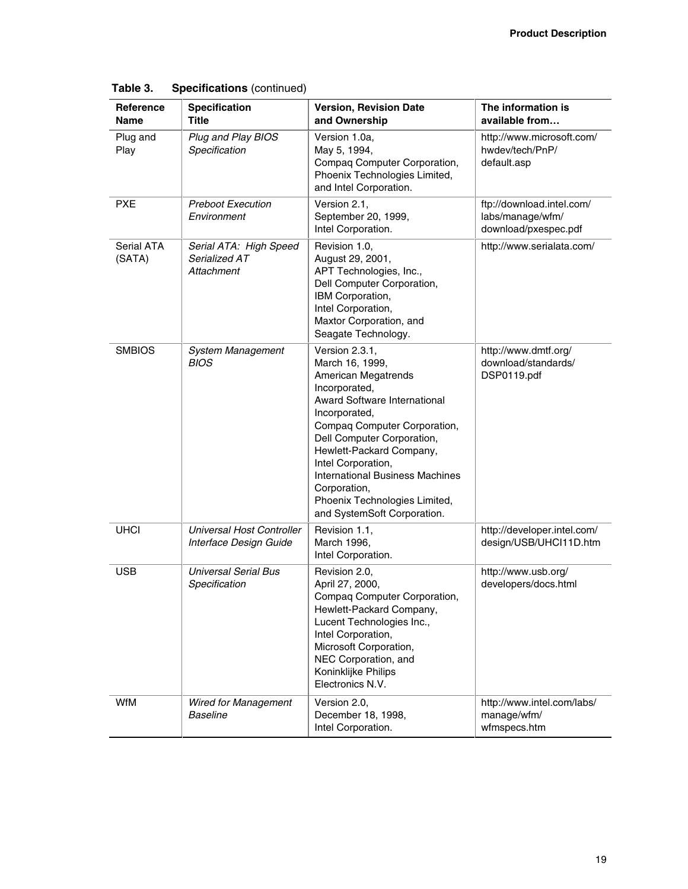| Reference<br><b>Name</b> | <b>Specification</b><br>Title                         | <b>Version, Revision Date</b><br>and Ownership                                                                                                                                                                                                                                                                                                                              | The information is<br>available from                                  |
|--------------------------|-------------------------------------------------------|-----------------------------------------------------------------------------------------------------------------------------------------------------------------------------------------------------------------------------------------------------------------------------------------------------------------------------------------------------------------------------|-----------------------------------------------------------------------|
| Plug and<br>Play         | Plug and Play BIOS<br>Specification                   | Version 1.0a,<br>May 5, 1994,<br>Compaq Computer Corporation,<br>Phoenix Technologies Limited,<br>and Intel Corporation.                                                                                                                                                                                                                                                    | http://www.microsoft.com/<br>hwdev/tech/PnP/<br>default.asp           |
| <b>PXE</b>               | <b>Preboot Execution</b><br>Environment               | Version 2.1,<br>September 20, 1999,<br>Intel Corporation.                                                                                                                                                                                                                                                                                                                   | ftp://download.intel.com/<br>labs/manage/wfm/<br>download/pxespec.pdf |
| Serial ATA<br>(SATA)     | Serial ATA: High Speed<br>Serialized AT<br>Attachment | Revision 1.0,<br>August 29, 2001,<br>APT Technologies, Inc.,<br>Dell Computer Corporation,<br>IBM Corporation,<br>Intel Corporation,<br>Maxtor Corporation, and<br>Seagate Technology.                                                                                                                                                                                      | http://www.serialata.com/                                             |
| <b>SMBIOS</b>            | <b>System Management</b><br><b>BIOS</b>               | Version 2.3.1,<br>March 16, 1999,<br>American Megatrends<br>Incorporated,<br><b>Award Software International</b><br>Incorporated,<br>Compaq Computer Corporation,<br>Dell Computer Corporation,<br>Hewlett-Packard Company,<br>Intel Corporation,<br><b>International Business Machines</b><br>Corporation,<br>Phoenix Technologies Limited,<br>and SystemSoft Corporation. | http://www.dmtf.org/<br>download/standards/<br>DSP0119.pdf            |
| <b>UHCI</b>              | Universal Host Controller<br>Interface Design Guide   | Revision 1.1,<br>March 1996,<br>Intel Corporation.                                                                                                                                                                                                                                                                                                                          | http://developer.intel.com/<br>design/USB/UHCl11D.htm                 |
| <b>USB</b>               | <b>Universal Serial Bus</b><br>Specification          | Revision 2.0,<br>April 27, 2000,<br>Compaq Computer Corporation,<br>Hewlett-Packard Company,<br>Lucent Technologies Inc.,<br>Intel Corporation,<br>Microsoft Corporation,<br>NEC Corporation, and<br>Koninklijke Philips<br>Electronics N.V.                                                                                                                                | http://www.usb.org/<br>developers/docs.html                           |
| WfM                      | Wired for Management<br><b>Baseline</b>               | Version 2.0,<br>December 18, 1998,<br>Intel Corporation.                                                                                                                                                                                                                                                                                                                    | http://www.intel.com/labs/<br>manage/wfm/<br>wfmspecs.htm             |

**Table 3. Specifications** (continued)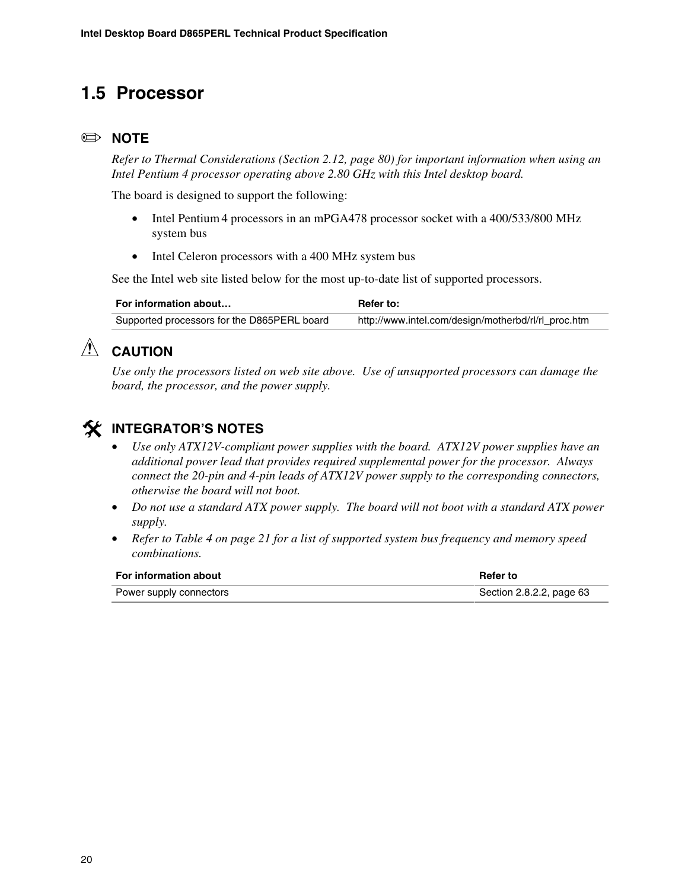## **1.5 Processor**

#### ✏ **NOTE**

*Refer to Thermal Considerations (Section 2.12, page 80) for important information when using an Intel Pentium 4 processor operating above 2.80 GHz with this Intel desktop board.* 

The board is designed to support the following:

- Intel Pentium 4 processors in an mPGA478 processor socket with a 400/533/800 MHz system bus
- Intel Celeron processors with a 400 MHz system bus

See the Intel web site listed below for the most up-to-date list of supported processors.

| For information about                       | Refer to:                                           |
|---------------------------------------------|-----------------------------------------------------|
| Supported processors for the D865PERL board | http://www.intel.com/design/motherbd/rl/rl_proc.htm |

## $\hat{A}$  **CAUTION**

*Use only the processors listed on web site above. Use of unsupported processors can damage the board, the processor, and the power supply.* 

### **X** INTEGRATOR'S NOTES

- *Use only ATX12V-compliant power supplies with the board. ATX12V power supplies have an additional power lead that provides required supplemental power for the processor. Always connect the 20-pin and 4-pin leads of ATX12V power supply to the corresponding connectors, otherwise the board will not boot.*
- *Do not use a standard ATX power supply. The board will not boot with a standard ATX power supply.*
- *Refer to Table 4 on page 21 for a list of supported system bus frequency and memory speed combinations.*

| <b>For information about</b> | Refer to                 |
|------------------------------|--------------------------|
| Power supply connectors      | Section 2.8.2.2, page 63 |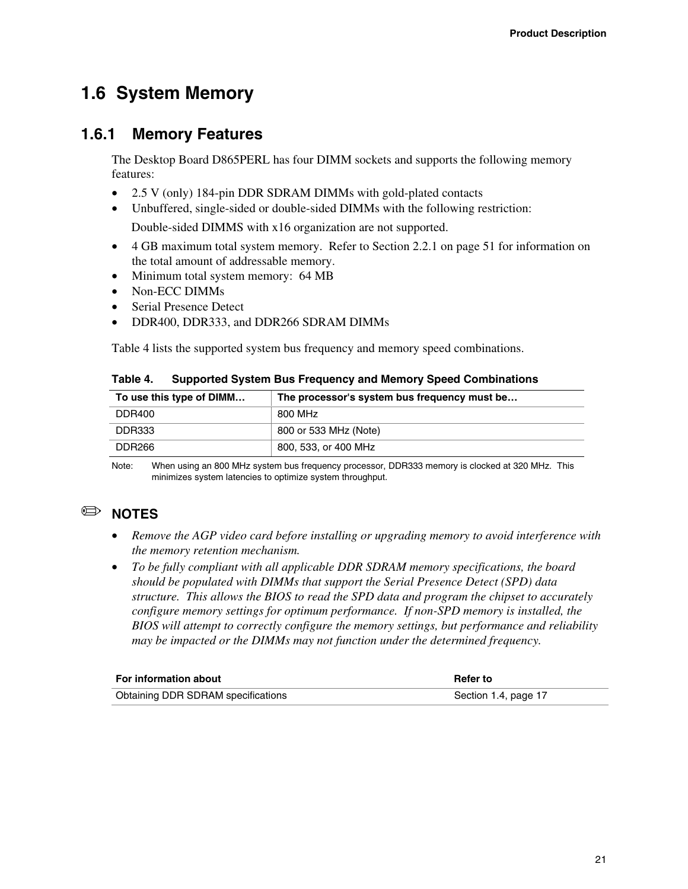## **1.6 System Memory**

### **1.6.1 Memory Features**

The Desktop Board D865PERL has four DIMM sockets and supports the following memory features:

- 2.5 V (only) 184-pin DDR SDRAM DIMMs with gold-plated contacts
- Unbuffered, single-sided or double-sided DIMMs with the following restriction:

Double-sided DIMMS with x16 organization are not supported.

- 4 GB maximum total system memory. Refer to Section 2.2.1 on page 51 for information on the total amount of addressable memory.
- Minimum total system memory: 64 MB
- Non-ECC DIMMs
- Serial Presence Detect
- DDR400, DDR333, and DDR266 SDRAM DIMMs

Table 4 lists the supported system bus frequency and memory speed combinations.

| To use this type of DIMM | The processor's system bus frequency must be |
|--------------------------|----------------------------------------------|
| DDR400                   | 800 MHz                                      |
| DDR333                   | 800 or 533 MHz (Note)                        |
| DDR <sub>266</sub>       | 800, 533, or 400 MHz                         |

**Table 4. Supported System Bus Frequency and Memory Speed Combinations** 

Note: When using an 800 MHz system bus frequency processor, DDR333 memory is clocked at 320 MHz. This minimizes system latencies to optimize system throughput.

## ✏ **NOTES**

- *Remove the AGP video card before installing or upgrading memory to avoid interference with the memory retention mechanism.*
- *To be fully compliant with all applicable DDR SDRAM memory specifications, the board should be populated with DIMMs that support the Serial Presence Detect (SPD) data structure. This allows the BIOS to read the SPD data and program the chipset to accurately configure memory settings for optimum performance. If non-SPD memory is installed, the BIOS will attempt to correctly configure the memory settings, but performance and reliability may be impacted or the DIMMs may not function under the determined frequency.*

| For information about              | <b>Refer to</b>      |
|------------------------------------|----------------------|
| Obtaining DDR SDRAM specifications | Section 1.4, page 17 |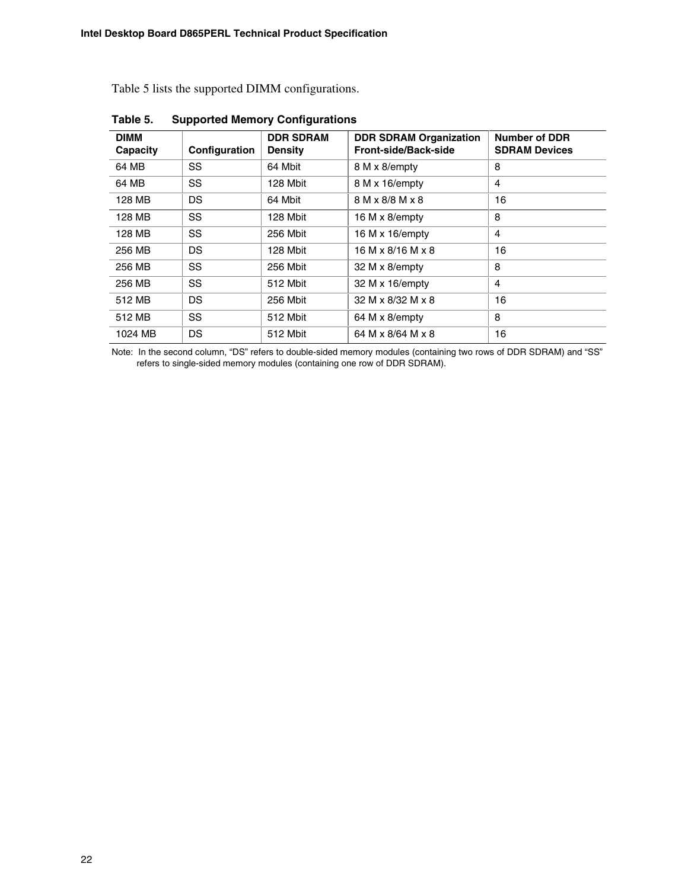Table 5 lists the supported DIMM configurations.

| <b>DIMM</b><br>Capacity | Configuration | <b>DDR SDRAM</b><br><b>Density</b> | <b>DDR SDRAM Organization</b><br><b>Front-side/Back-side</b> | <b>Number of DDR</b><br><b>SDRAM Devices</b> |
|-------------------------|---------------|------------------------------------|--------------------------------------------------------------|----------------------------------------------|
| 64 MB                   | SS            | 64 Mbit                            | 8 M x 8/empty                                                | 8                                            |
| 64 MB                   | <b>SS</b>     | 128 Mbit                           | 8 M x 16/empty                                               | 4                                            |
| 128 MB                  | <b>DS</b>     | 64 Mbit                            | $8$ M x $8/8$ M x $8$                                        | 16                                           |
| 128 MB                  | SS            | 128 Mbit                           | 16 M x 8/empty                                               | 8                                            |
| 128 MB                  | SS            | 256 Mbit                           | 16 M $\times$ 16/empty                                       | $\overline{4}$                               |
| 256 MB                  | <b>DS</b>     | 128 Mbit                           | $16$ M x 8/16 M x 8                                          | 16                                           |
| 256 MB                  | <b>SS</b>     | 256 Mbit                           | 32 M x 8/empty                                               | 8                                            |
| 256 MB                  | <b>SS</b>     | 512 Mbit                           | 32 M x 16/empty                                              | $\overline{4}$                               |
| 512 MB                  | <b>DS</b>     | 256 Mbit                           | 32 M x 8/32 M x 8                                            | 16                                           |
| 512 MB                  | <b>SS</b>     | 512 Mbit                           | 64 M x 8/empty                                               | 8                                            |
| 1024 MB                 | DS            | 512 Mbit                           | 64 M x 8/64 M x 8                                            | 16                                           |

**Table 5. Supported Memory Configurations** 

Note: In the second column, "DS" refers to double-sided memory modules (containing two rows of DDR SDRAM) and "SS" refers to single-sided memory modules (containing one row of DDR SDRAM).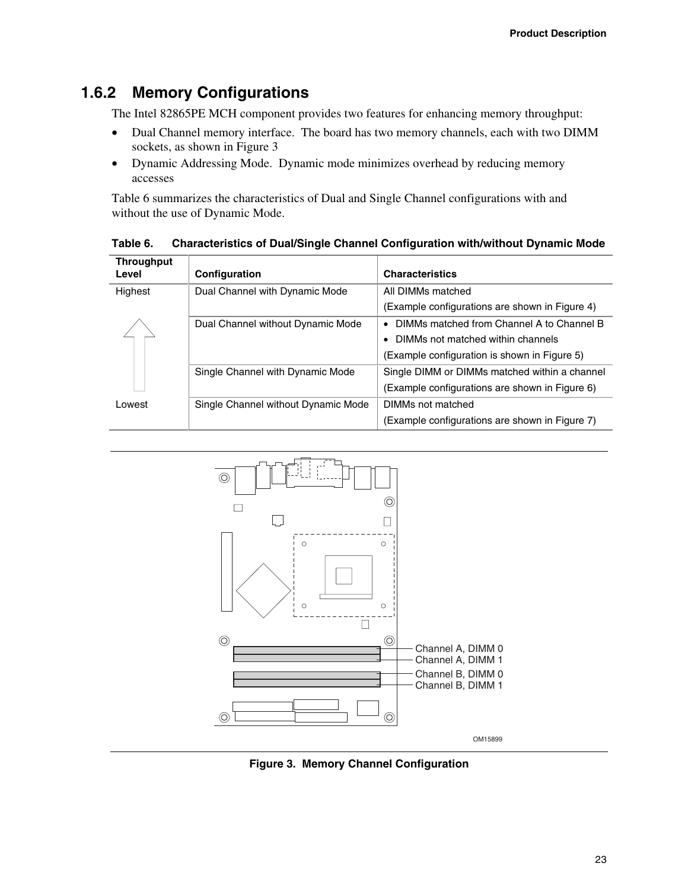### **1.6.2 Memory Configurations**

The Intel 82865PE MCH component provides two features for enhancing memory throughput:

- Dual Channel memory interface. The board has two memory channels, each with two DIMM sockets, as shown in Figure 3
- Dynamic Addressing Mode. Dynamic mode minimizes overhead by reducing memory accesses

Table 6 summarizes the characteristics of Dual and Single Channel configurations with and without the use of Dynamic Mode.

| <b>Throughput</b><br>Level | Configuration                       | <b>Characteristics</b>                         |
|----------------------------|-------------------------------------|------------------------------------------------|
| Highest                    | Dual Channel with Dynamic Mode      | All DIMMs matched                              |
|                            |                                     | (Example configurations are shown in Figure 4) |
|                            | Dual Channel without Dynamic Mode   | DIMMs matched from Channel A to Channel B      |
|                            |                                     | DIMMs not matched within channels              |
|                            |                                     | (Example configuration is shown in Figure 5)   |
|                            | Single Channel with Dynamic Mode    | Single DIMM or DIMMs matched within a channel  |
|                            |                                     | (Example configurations are shown in Figure 6) |
| Lowest                     | Single Channel without Dynamic Mode | DIMMs not matched                              |
|                            |                                     | (Example configurations are shown in Figure 7) |

**Table 6. Characteristics of Dual/Single Channel Configuration with/without Dynamic Mode** 



**Figure 3. Memory Channel Configuration**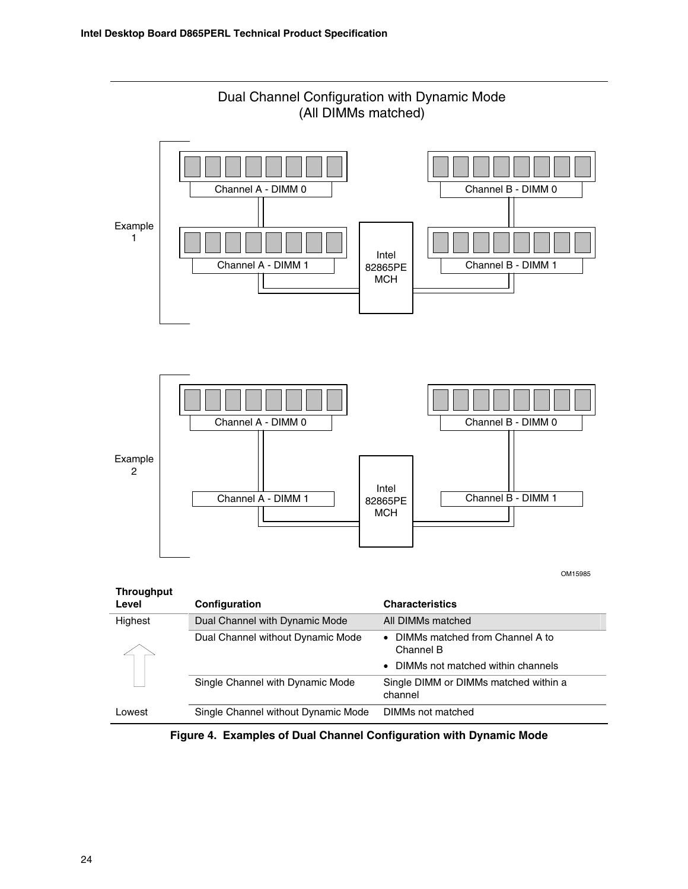

Dual Channel Configuration with Dynamic Mode

**Figure 4. Examples of Dual Channel Configuration with Dynamic Mode**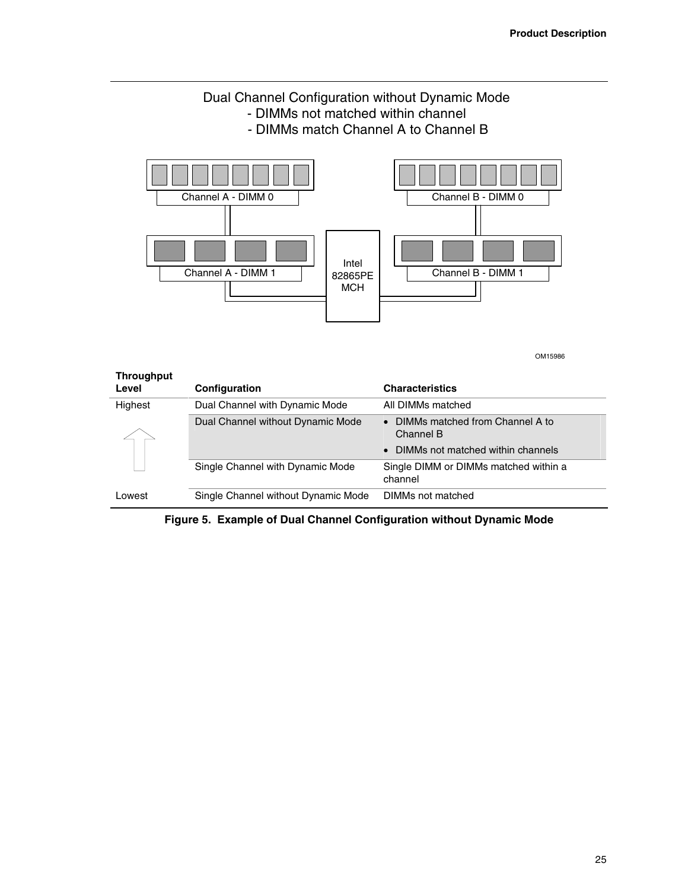#### Dual Channel Configuration without Dynamic Mode - DIMMs not matched within channel

- DIMMs match Channel A to Channel B



OM15986

| <b>Throughput</b><br>Level | <b>Configuration</b>                | <b>Characteristics</b>                           |
|----------------------------|-------------------------------------|--------------------------------------------------|
| Highest                    | Dual Channel with Dynamic Mode      | All DIMMs matched                                |
|                            | Dual Channel without Dynamic Mode   | • DIMMs matched from Channel A to<br>Channel B   |
|                            |                                     | • DIMMs not matched within channels              |
|                            | Single Channel with Dynamic Mode    | Single DIMM or DIMMs matched within a<br>channel |
| Lowest                     | Single Channel without Dynamic Mode | DIMMs not matched                                |

**Figure 5. Example of Dual Channel Configuration without Dynamic Mode**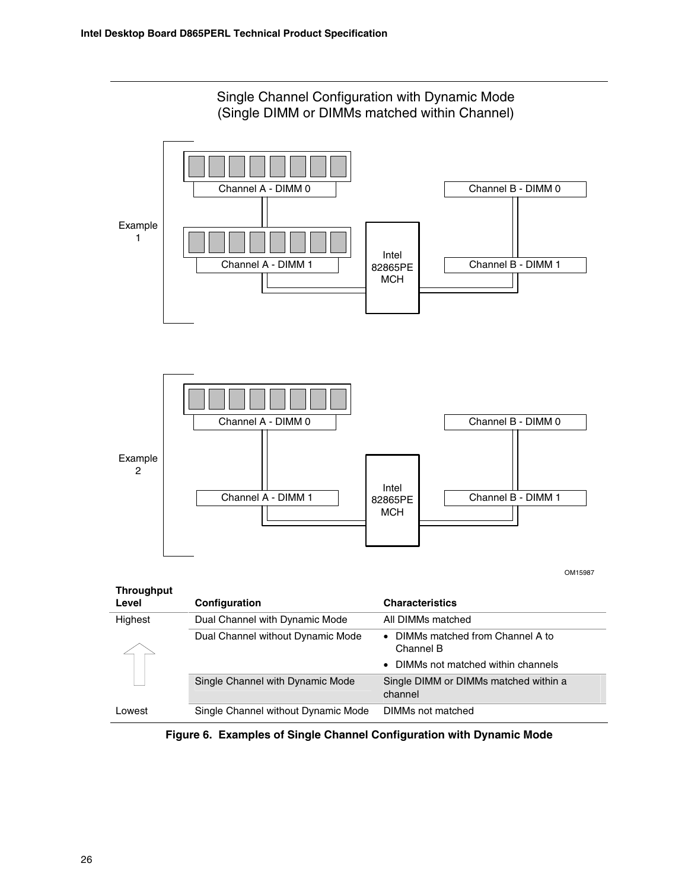Single Channel Configuration with Dynamic Mode (Single DIMM or DIMMs matched within Channel)



**Figure 6. Examples of Single Channel Configuration with Dynamic Mode**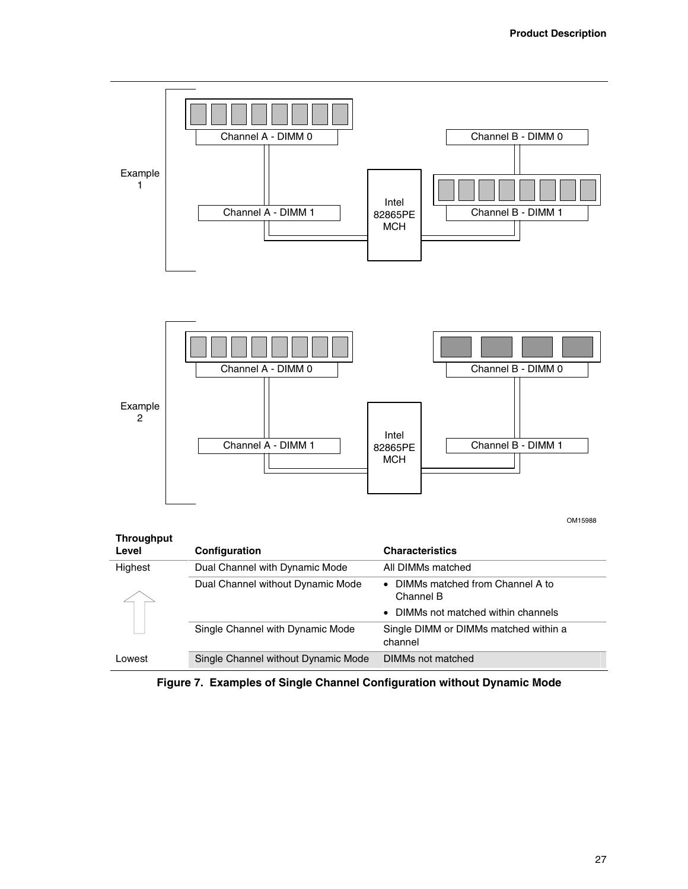

| .<br>Level | Configuration                       | <b>Characteristics</b>                           |
|------------|-------------------------------------|--------------------------------------------------|
| Highest    | Dual Channel with Dynamic Mode      | All DIMMs matched                                |
|            | Dual Channel without Dynamic Mode   | • DIMMs matched from Channel A to<br>Channel B   |
|            |                                     | • DIMMs not matched within channels              |
|            | Single Channel with Dynamic Mode    | Single DIMM or DIMMs matched within a<br>channel |
| Lowest     | Single Channel without Dynamic Mode | DIMMs not matched                                |

**Figure 7. Examples of Single Channel Configuration without Dynamic Mode**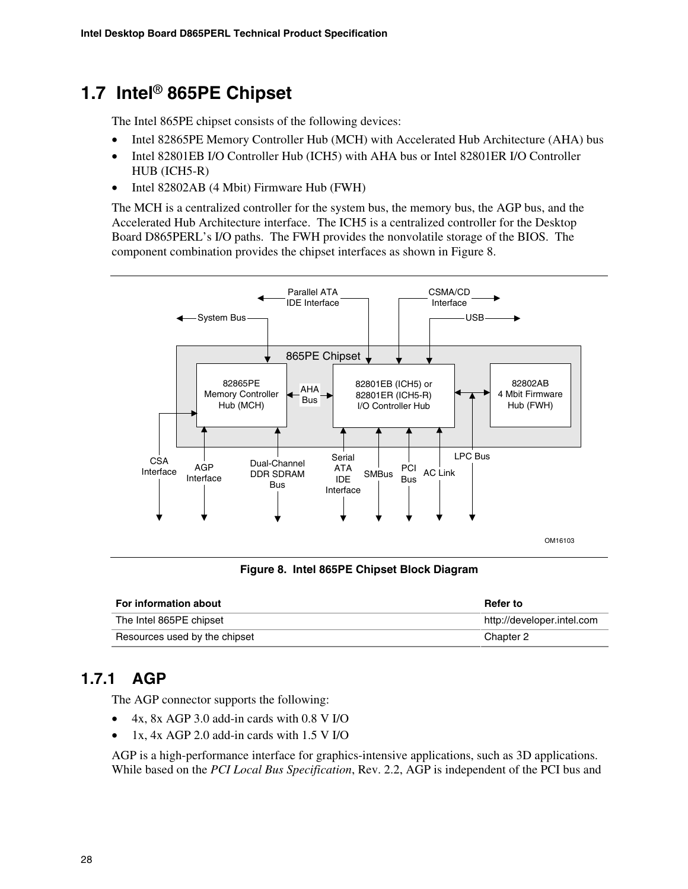## **1.7 Intel**® **865PE Chipset**

The Intel 865PE chipset consists of the following devices:

- Intel 82865PE Memory Controller Hub (MCH) with Accelerated Hub Architecture (AHA) bus
- Intel 82801EB I/O Controller Hub (ICH5) with AHA bus or Intel 82801ER I/O Controller HUB (ICH5-R)
- Intel 82802AB (4 Mbit) Firmware Hub (FWH)

The MCH is a centralized controller for the system bus, the memory bus, the AGP bus, and the Accelerated Hub Architecture interface. The ICH5 is a centralized controller for the Desktop Board D865PERL's I/O paths. The FWH provides the nonvolatile storage of the BIOS. The component combination provides the chipset interfaces as shown in Figure 8.



**Figure 8. Intel 865PE Chipset Block Diagram** 

| <b>For information about</b>  | <b>Refer to</b>            |
|-------------------------------|----------------------------|
| The Intel 865PE chipset       | http://developer.intel.com |
| Resources used by the chipset | Chapter 2                  |

### **1.7.1 AGP**

The AGP connector supports the following:

- $4x$ ,  $8x$  AGP 3.0 add-in cards with 0.8 V I/O
- 1x,  $4x$  AGP 2.0 add-in cards with 1.5 V I/O

AGP is a high-performance interface for graphics-intensive applications, such as 3D applications. While based on the *PCI Local Bus Specification*, Rev. 2.2, AGP is independent of the PCI bus and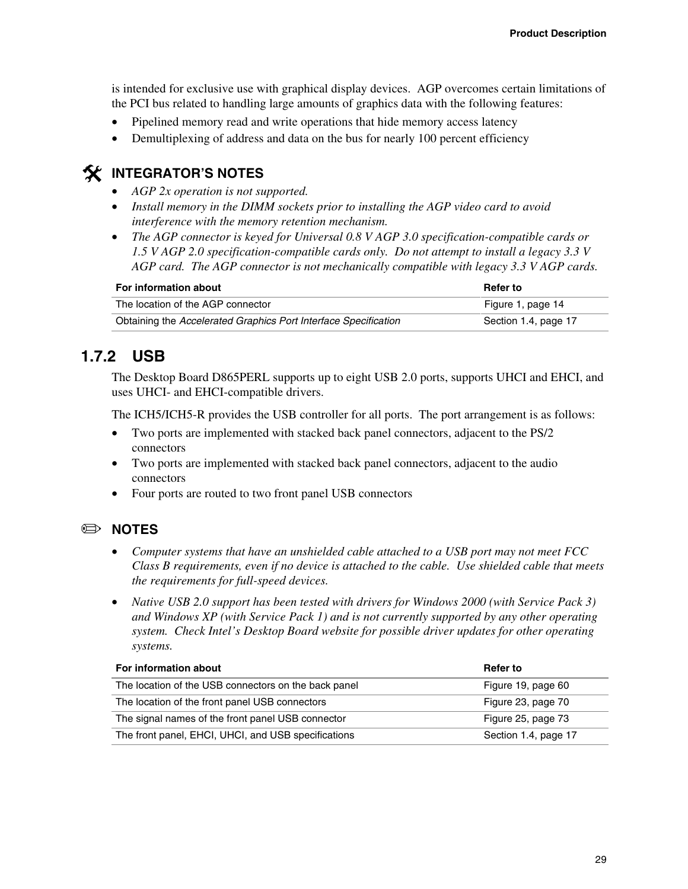is intended for exclusive use with graphical display devices. AGP overcomes certain limitations of the PCI bus related to handling large amounts of graphics data with the following features:

- Pipelined memory read and write operations that hide memory access latency
- Demultiplexing of address and data on the bus for nearly 100 percent efficiency

### **X** INTEGRATOR'S NOTES

- *AGP 2x operation is not supported.*
- *Install memory in the DIMM sockets prior to installing the AGP video card to avoid interference with the memory retention mechanism.*
- *The AGP connector is keyed for Universal 0.8 V AGP 3.0 specification-compatible cards or 1.5 V AGP 2.0 specification-compatible cards only. Do not attempt to install a legacy 3.3 V AGP card. The AGP connector is not mechanically compatible with legacy 3.3 V AGP cards.*

| <b>For information about</b>                                    | Refer to             |
|-----------------------------------------------------------------|----------------------|
| The location of the AGP connector                               | Figure 1, page 14    |
| Obtaining the Accelerated Graphics Port Interface Specification | Section 1.4, page 17 |

## **1.7.2 USB**

The Desktop Board D865PERL supports up to eight USB 2.0 ports, supports UHCI and EHCI, and uses UHCI- and EHCI-compatible drivers.

The ICH5/ICH5-R provides the USB controller for all ports. The port arrangement is as follows:

- Two ports are implemented with stacked back panel connectors, adjacent to the PS/2 connectors
- Two ports are implemented with stacked back panel connectors, adjacent to the audio connectors
- Four ports are routed to two front panel USB connectors

#### ✏ **NOTES**

- *Computer systems that have an unshielded cable attached to a USB port may not meet FCC Class B requirements, even if no device is attached to the cable. Use shielded cable that meets the requirements for full-speed devices.*
- *Native USB 2.0 support has been tested with drivers for Windows 2000 (with Service Pack 3) and Windows XP (with Service Pack 1) and is not currently supported by any other operating system. Check Intel's Desktop Board website for possible driver updates for other operating systems.*

| For information about                                | Refer to             |
|------------------------------------------------------|----------------------|
| The location of the USB connectors on the back panel | Figure 19, page 60   |
| The location of the front panel USB connectors       | Figure 23, page 70   |
| The signal names of the front panel USB connector    | Figure 25, page 73   |
| The front panel, EHCI, UHCI, and USB specifications  | Section 1.4, page 17 |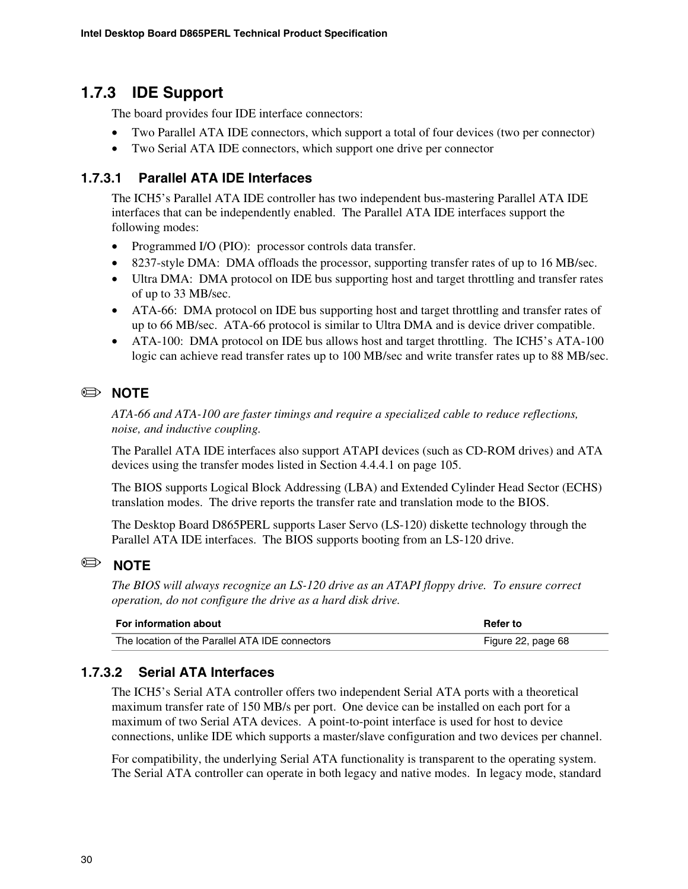### **1.7.3 IDE Support**

The board provides four IDE interface connectors:

- Two Parallel ATA IDE connectors, which support a total of four devices (two per connector)
- Two Serial ATA IDE connectors, which support one drive per connector

#### **1.7.3.1 Parallel ATA IDE Interfaces**

The ICH5's Parallel ATA IDE controller has two independent bus-mastering Parallel ATA IDE interfaces that can be independently enabled. The Parallel ATA IDE interfaces support the following modes:

- Programmed I/O (PIO): processor controls data transfer.
- 8237-style DMA: DMA offloads the processor, supporting transfer rates of up to 16 MB/sec.
- Ultra DMA: DMA protocol on IDE bus supporting host and target throttling and transfer rates of up to 33 MB/sec.
- ATA-66: DMA protocol on IDE bus supporting host and target throttling and transfer rates of up to 66 MB/sec. ATA-66 protocol is similar to Ultra DMA and is device driver compatible.
- ATA-100: DMA protocol on IDE bus allows host and target throttling. The ICH5's ATA-100 logic can achieve read transfer rates up to 100 MB/sec and write transfer rates up to 88 MB/sec.

#### ✏ **NOTE**

*ATA-66 and ATA-100 are faster timings and require a specialized cable to reduce reflections, noise, and inductive coupling.* 

The Parallel ATA IDE interfaces also support ATAPI devices (such as CD-ROM drives) and ATA devices using the transfer modes listed in Section 4.4.4.1 on page 105.

The BIOS supports Logical Block Addressing (LBA) and Extended Cylinder Head Sector (ECHS) translation modes. The drive reports the transfer rate and translation mode to the BIOS.

The Desktop Board D865PERL supports Laser Servo (LS-120) diskette technology through the Parallel ATA IDE interfaces. The BIOS supports booting from an LS-120 drive.

### ✏ **NOTE**

*The BIOS will always recognize an LS-120 drive as an ATAPI floppy drive. To ensure correct operation, do not configure the drive as a hard disk drive.* 

| <b>For information about</b>                    | Refer to           |
|-------------------------------------------------|--------------------|
| The location of the Parallel ATA IDE connectors | Figure 22, page 68 |

### **1.7.3.2 Serial ATA Interfaces**

The ICH5's Serial ATA controller offers two independent Serial ATA ports with a theoretical maximum transfer rate of 150 MB/s per port. One device can be installed on each port for a maximum of two Serial ATA devices. A point-to-point interface is used for host to device connections, unlike IDE which supports a master/slave configuration and two devices per channel.

For compatibility, the underlying Serial ATA functionality is transparent to the operating system. The Serial ATA controller can operate in both legacy and native modes. In legacy mode, standard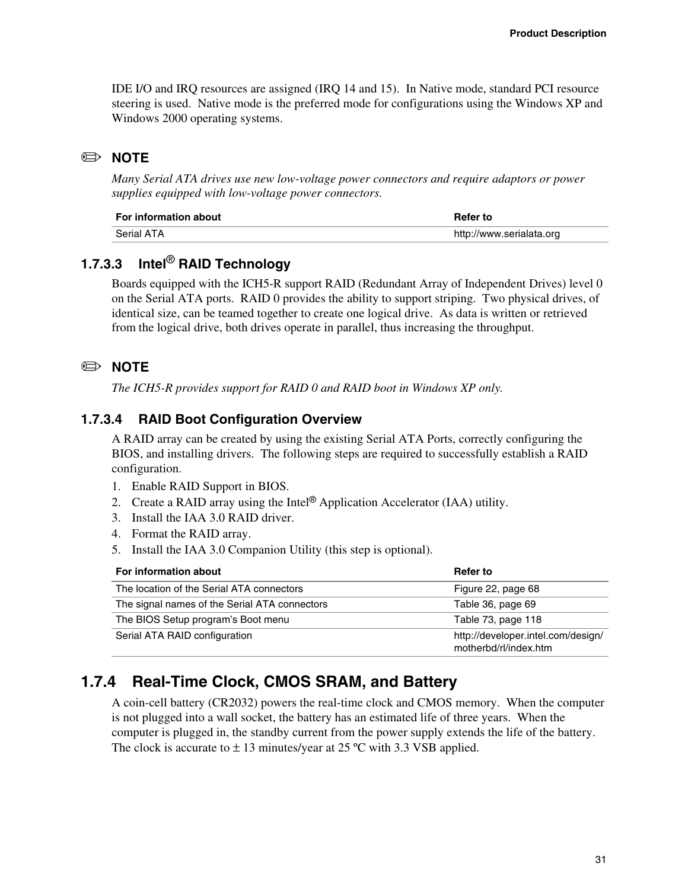IDE I/O and IRQ resources are assigned (IRQ 14 and 15). In Native mode, standard PCI resource steering is used. Native mode is the preferred mode for configurations using the Windows XP and Windows 2000 operating systems.

#### ✏ **NOTE**

*Many Serial ATA drives use new low-voltage power connectors and require adaptors or power supplies equipped with low-voltage power connectors.* 

| For information about | Refer to                 |
|-----------------------|--------------------------|
| Serial ATA            | http://www.serialata.org |

## **1.7.3.3 Intel**® **RAID Technology**

Boards equipped with the ICH5-R support RAID (Redundant Array of Independent Drives) level 0 on the Serial ATA ports. RAID 0 provides the ability to support striping. Two physical drives, of identical size, can be teamed together to create one logical drive. As data is written or retrieved from the logical drive, both drives operate in parallel, thus increasing the throughput.

#### ✏ **NOTE**

*The ICH5-R provides support for RAID 0 and RAID boot in Windows XP only.* 

#### **1.7.3.4 RAID Boot Configuration Overview**

A RAID array can be created by using the existing Serial ATA Ports, correctly configuring the BIOS, and installing drivers. The following steps are required to successfully establish a RAID configuration.

- 1. Enable RAID Support in BIOS.
- 2. Create a RAID array using the Intel® Application Accelerator (IAA) utility.
- 3. Install the IAA 3.0 RAID driver.
- 4. Format the RAID array.
- 5. Install the IAA 3.0 Companion Utility (this step is optional).

| For information about                         | Refer to                                                    |
|-----------------------------------------------|-------------------------------------------------------------|
| The location of the Serial ATA connectors     | Figure 22, page 68                                          |
| The signal names of the Serial ATA connectors | Table 36, page 69                                           |
| The BIOS Setup program's Boot menu            | Table 73, page 118                                          |
| Serial ATA RAID configuration                 | http://developer.intel.com/design/<br>motherbd/rl/index.htm |

## **1.7.4 Real-Time Clock, CMOS SRAM, and Battery**

A coin-cell battery (CR2032) powers the real-time clock and CMOS memory. When the computer is not plugged into a wall socket, the battery has an estimated life of three years. When the computer is plugged in, the standby current from the power supply extends the life of the battery. The clock is accurate to  $\pm$  13 minutes/year at 25 °C with 3.3 VSB applied.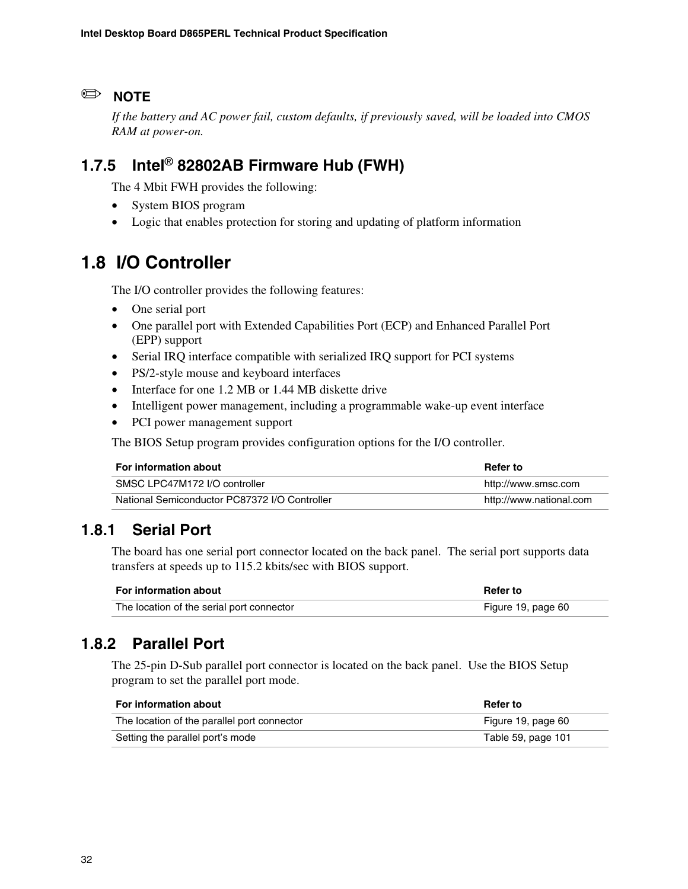### ✏ **NOTE**

*If the battery and AC power fail, custom defaults, if previously saved, will be loaded into CMOS RAM at power-on.* 

## **1.7.5 Intel**® **82802AB Firmware Hub (FWH)**

The 4 Mbit FWH provides the following:

- System BIOS program
- Logic that enables protection for storing and updating of platform information

## **1.8 I/O Controller**

The I/O controller provides the following features:

- One serial port
- One parallel port with Extended Capabilities Port (ECP) and Enhanced Parallel Port (EPP) support
- Serial IRQ interface compatible with serialized IRQ support for PCI systems
- PS/2-style mouse and keyboard interfaces
- Interface for one 1.2 MB or 1.44 MB diskette drive
- Intelligent power management, including a programmable wake-up event interface
- PCI power management support

The BIOS Setup program provides configuration options for the I/O controller.

| <b>For information about</b>                  | Refer to                |
|-----------------------------------------------|-------------------------|
| SMSC LPC47M172 I/O controller                 | http://www.smsc.com     |
| National Semiconductor PC87372 I/O Controller | http://www.national.com |

### **1.8.1 Serial Port**

The board has one serial port connector located on the back panel. The serial port supports data transfers at speeds up to 115.2 kbits/sec with BIOS support.

| <b>For information about</b>              | Refer to           |
|-------------------------------------------|--------------------|
| The location of the serial port connector | Figure 19, page 60 |

### **1.8.2 Parallel Port**

The 25-pin D-Sub parallel port connector is located on the back panel. Use the BIOS Setup program to set the parallel port mode.

| For information about                       | Refer to           |
|---------------------------------------------|--------------------|
| The location of the parallel port connector | Figure 19, page 60 |
| Setting the parallel port's mode            | Table 59, page 101 |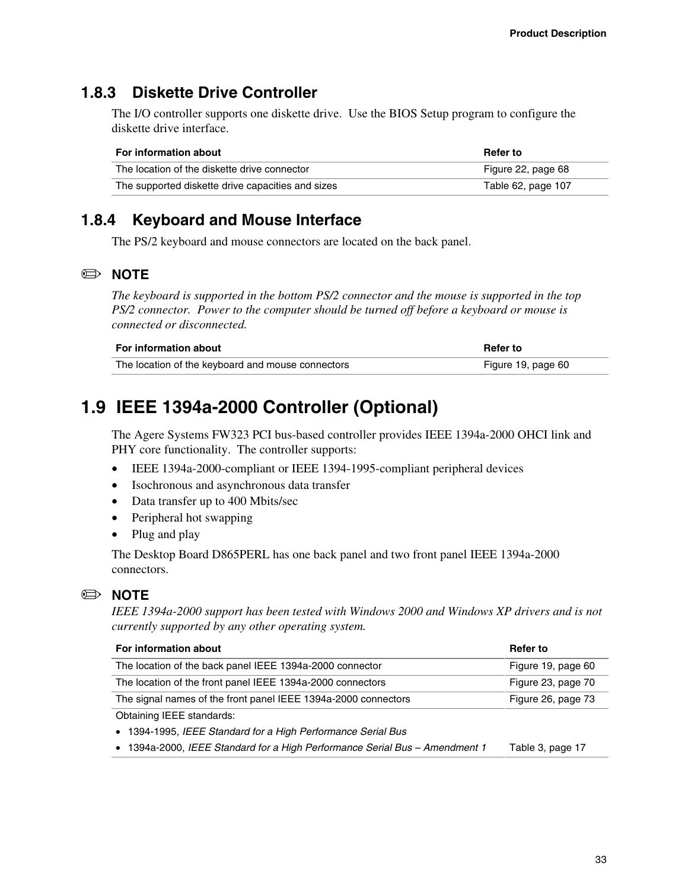### **1.8.3 Diskette Drive Controller**

The I/O controller supports one diskette drive. Use the BIOS Setup program to configure the diskette drive interface.

| For information about                             | <b>Refer to</b>    |
|---------------------------------------------------|--------------------|
| The location of the diskette drive connector      | Figure 22, page 68 |
| The supported diskette drive capacities and sizes | Table 62, page 107 |

### **1.8.4 Keyboard and Mouse Interface**

The PS/2 keyboard and mouse connectors are located on the back panel.

#### ✏ **NOTE**

*The keyboard is supported in the bottom PS/2 connector and the mouse is supported in the top PS/2 connector. Power to the computer should be turned off before a keyboard or mouse is connected or disconnected.* 

| For information about                             | <b>Refer to</b>    |
|---------------------------------------------------|--------------------|
| The location of the keyboard and mouse connectors | Figure 19, page 60 |

## **1.9 IEEE 1394a-2000 Controller (Optional)**

The Agere Systems FW323 PCI bus-based controller provides IEEE 1394a-2000 OHCI link and PHY core functionality. The controller supports:

- IEEE 1394a-2000-compliant or IEEE 1394-1995-compliant peripheral devices
- Isochronous and asynchronous data transfer
- Data transfer up to 400 Mbits/sec
- Peripheral hot swapping
- Plug and play

The Desktop Board D865PERL has one back panel and two front panel IEEE 1394a-2000 connectors.

#### ✏ **NOTE**

*IEEE 1394a-2000 support has been tested with Windows 2000 and Windows XP drivers and is not currently supported by any other operating system.* 

| For information about                                                                                                                                                                                                                                         |  | <b>Refer to</b>    |  |
|---------------------------------------------------------------------------------------------------------------------------------------------------------------------------------------------------------------------------------------------------------------|--|--------------------|--|
| The location of the back panel IEEE 1394a-2000 connector                                                                                                                                                                                                      |  | Figure 19, page 60 |  |
| The location of the front panel IEEE 1394a-2000 connectors                                                                                                                                                                                                    |  | Figure 23, page 70 |  |
| The signal names of the front panel IEEE 1394a-2000 connectors                                                                                                                                                                                                |  | Figure 26, page 73 |  |
| Obtaining IEEE standards:                                                                                                                                                                                                                                     |  |                    |  |
| • 1394-1995, IEEE Standard for a High Performance Serial Bus                                                                                                                                                                                                  |  |                    |  |
| $1004 - 0000$ $IFFF$ $Q_{1}$ $H_{2}$ $H_{3}$ $I_{4}$ $I_{5}$ $I_{6}$ $I_{7}$ $I_{8}$ $I_{1}$ $I_{2}$ $I_{3}$ $I_{4}$ $I_{5}$ $I_{7}$ $I_{8}$ $I_{9}$ $I_{10}$ $I_{11}$ $I_{10}$ $I_{11}$ $I_{10}$ $I_{11}$ $I_{10}$ $I_{11}$ $I_{10}$ $I_{11}$ $I_{10}$ $I_{$ |  |                    |  |

• 1394a-2000, *IEEE Standard for a High Performance Serial Bus – Amendment 1* Table 3, page 17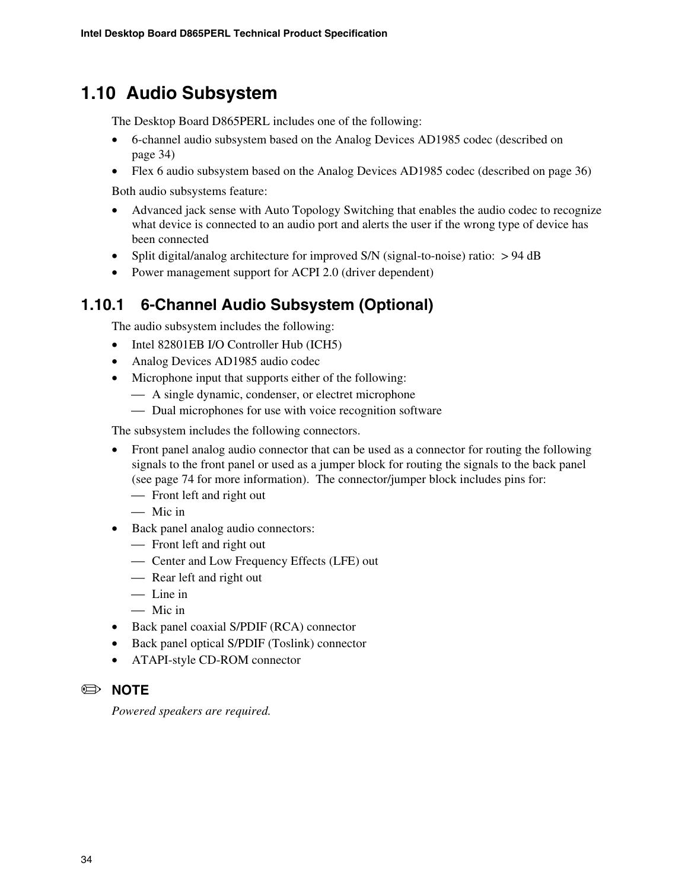## **1.10 Audio Subsystem**

The Desktop Board D865PERL includes one of the following:

- 6-channel audio subsystem based on the Analog Devices AD1985 codec (described on page 34)
- Flex 6 audio subsystem based on the Analog Devices AD1985 codec (described on page 36)

Both audio subsystems feature:

- Advanced jack sense with Auto Topology Switching that enables the audio codec to recognize what device is connected to an audio port and alerts the user if the wrong type of device has been connected
- Split digital/analog architecture for improved S/N (signal-to-noise) ratio:> 94 dB
- Power management support for ACPI 2.0 (driver dependent)

### **1.10.1 6-Channel Audio Subsystem (Optional)**

The audio subsystem includes the following:

- Intel 82801EB I/O Controller Hub (ICH5)
- Analog Devices AD1985 audio codec
- Microphone input that supports either of the following:
	- A single dynamic, condenser, or electret microphone
	- Dual microphones for use with voice recognition software

The subsystem includes the following connectors.

- Front panel analog audio connector that can be used as a connector for routing the following signals to the front panel or used as a jumper block for routing the signals to the back panel (see page 74 for more information). The connector/jumper block includes pins for:
	- Front left and right out
	- Mic in
- Back panel analog audio connectors:
	- Front left and right out
	- Center and Low Frequency Effects (LFE) out
	- Rear left and right out
	- $\overline{\phantom{a}}$  Line in
	- Mic in
- Back panel coaxial S/PDIF (RCA) connector
- Back panel optical S/PDIF (Toslink) connector
- ATAPI-style CD-ROM connector

✏ **NOTE** 

*Powered speakers are required.*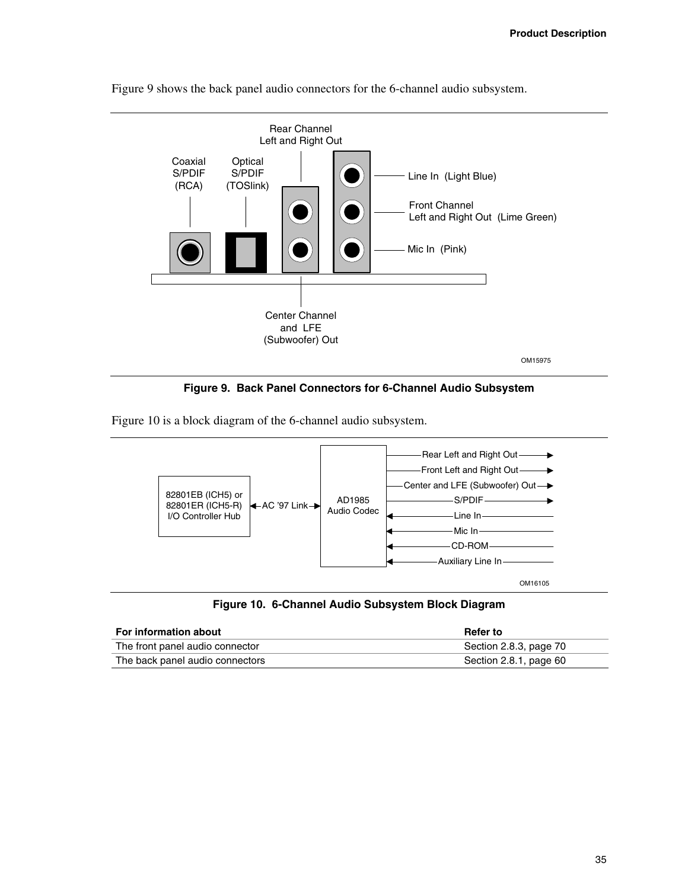

Figure 9 shows the back panel audio connectors for the 6-channel audio subsystem.



Figure 10 is a block diagram of the 6-channel audio subsystem.



**Figure 10. 6-Channel Audio Subsystem Block Diagram** 

| <b>For information about</b>    | Refer to               |
|---------------------------------|------------------------|
| The front panel audio connector | Section 2.8.3, page 70 |
| The back panel audio connectors | Section 2.8.1, page 60 |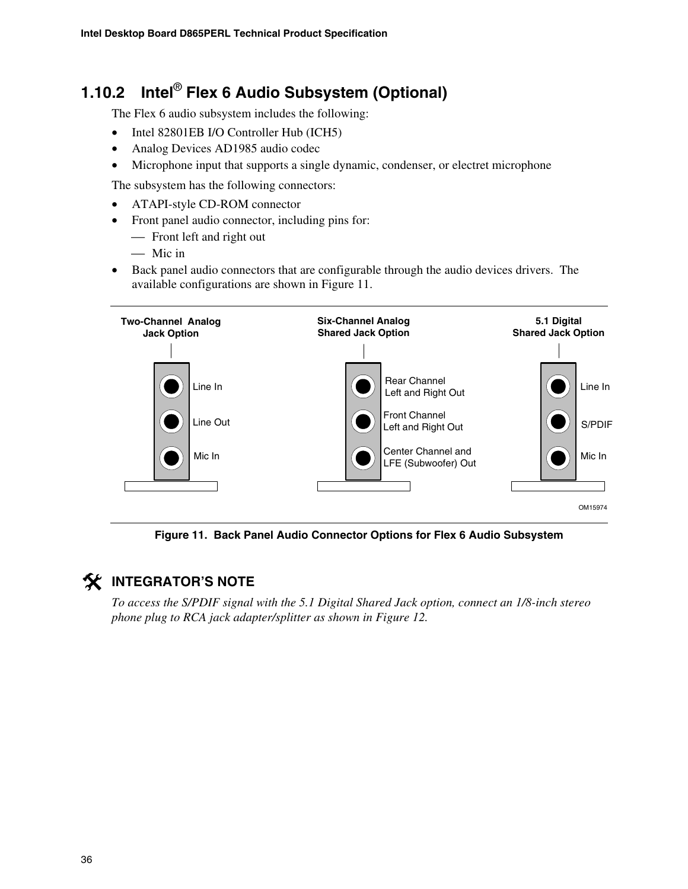## **1.10.2 Intel**® **Flex 6 Audio Subsystem (Optional)**

The Flex 6 audio subsystem includes the following:

- Intel 82801EB I/O Controller Hub (ICH5)
- Analog Devices AD1985 audio codec
- Microphone input that supports a single dynamic, condenser, or electret microphone

The subsystem has the following connectors:

- ATAPI-style CD-ROM connector
- Front panel audio connector, including pins for:
	- Front left and right out
	- Mic in
- Back panel audio connectors that are configurable through the audio devices drivers. The available configurations are shown in Figure 11.



**Figure 11. Back Panel Audio Connector Options for Flex 6 Audio Subsystem** 

## **X** INTEGRATOR'S NOTE

*To access the S/PDIF signal with the 5.1 Digital Shared Jack option, connect an 1/8-inch stereo phone plug to RCA jack adapter/splitter as shown in Figure 12.*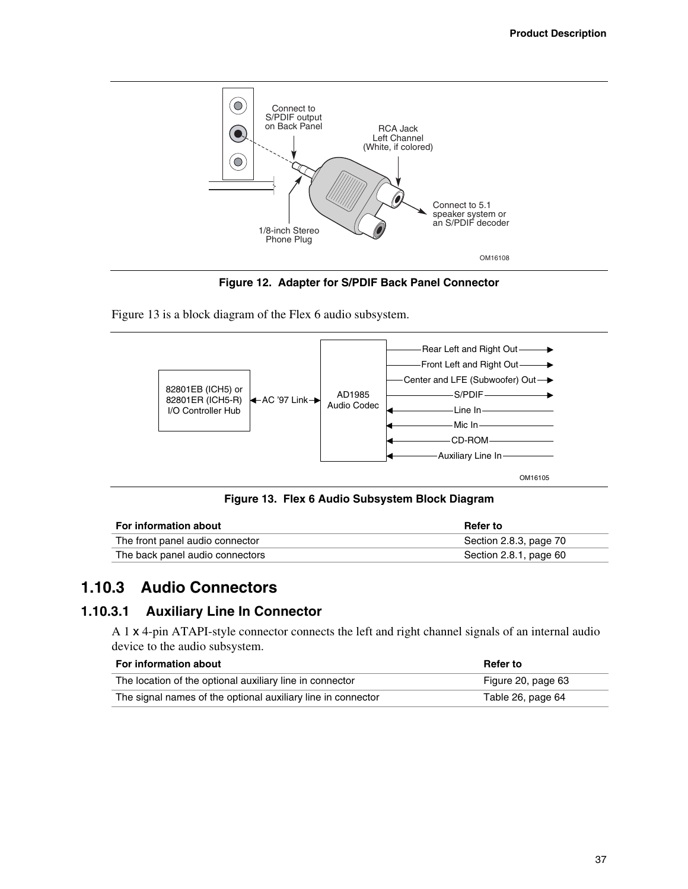

**Figure 12. Adapter for S/PDIF Back Panel Connector** 

Figure 13 is a block diagram of the Flex 6 audio subsystem.



**Figure 13. Flex 6 Audio Subsystem Block Diagram** 

| <b>For information about</b>    | Refer to               |
|---------------------------------|------------------------|
| The front panel audio connector | Section 2.8.3, page 70 |
| The back panel audio connectors | Section 2.8.1, page 60 |

## **1.10.3 Audio Connectors**

### **1.10.3.1 Auxiliary Line In Connector**

A 1 x 4-pin ATAPI-style connector connects the left and right channel signals of an internal audio device to the audio subsystem.

| <b>For information about</b>                                 | <b>Refer to</b>    |
|--------------------------------------------------------------|--------------------|
| The location of the optional auxiliary line in connector     | Figure 20, page 63 |
| The signal names of the optional auxiliary line in connector | Table 26, page 64  |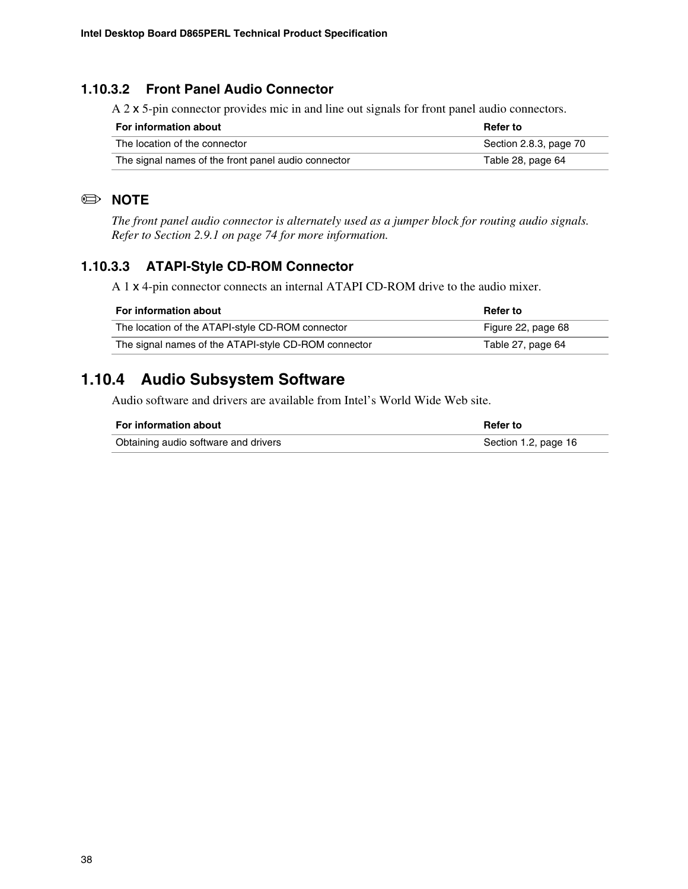### **1.10.3.2 Front Panel Audio Connector**

A 2 x 5-pin connector provides mic in and line out signals for front panel audio connectors.

| <b>For information about</b>                        | <b>Refer to</b>        |
|-----------------------------------------------------|------------------------|
| The location of the connector                       | Section 2.8.3, page 70 |
| The signal names of the front panel audio connector | Table 28, page 64      |

#### ✏ **NOTE**

*The front panel audio connector is alternately used as a jumper block for routing audio signals. Refer to Section 2.9.1 on page 74 for more information.* 

### **1.10.3.3 ATAPI-Style CD-ROM Connector**

A 1 x 4-pin connector connects an internal ATAPI CD-ROM drive to the audio mixer.

| For information about                                | <b>Refer to</b>    |
|------------------------------------------------------|--------------------|
| The location of the ATAPI-style CD-ROM connector     | Figure 22, page 68 |
| The signal names of the ATAPI-style CD-ROM connector | Table 27, page 64  |

## **1.10.4 Audio Subsystem Software**

Audio software and drivers are available from Intel's World Wide Web site.

| <b>For information about</b>         | Refer to             |
|--------------------------------------|----------------------|
| Obtaining audio software and drivers | Section 1.2, page 16 |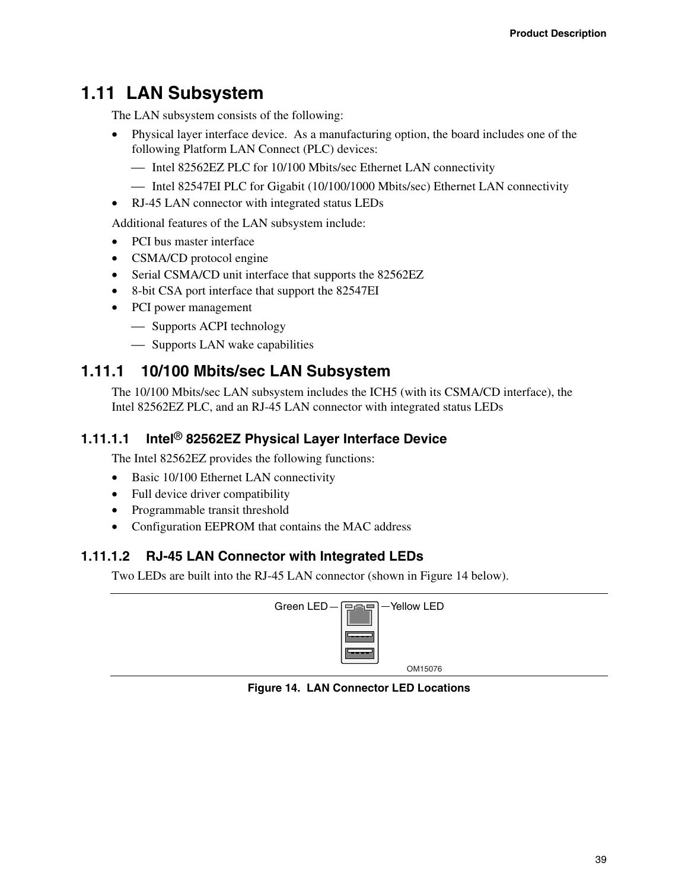# **1.11 LAN Subsystem**

The LAN subsystem consists of the following:

- Physical layer interface device. As a manufacturing option, the board includes one of the following Platform LAN Connect (PLC) devices:
	- Intel 82562EZ PLC for 10/100 Mbits/sec Ethernet LAN connectivity
	- Intel 82547EI PLC for Gigabit (10/100/1000 Mbits/sec) Ethernet LAN connectivity
- RJ-45 LAN connector with integrated status LEDs

Additional features of the LAN subsystem include:

- PCI bus master interface
- CSMA/CD protocol engine
- Serial CSMA/CD unit interface that supports the 82562EZ
- 8-bit CSA port interface that support the 82547EI
- PCI power management
	- Supports ACPI technology
	- Supports LAN wake capabilities

## **1.11.1 10/100 Mbits/sec LAN Subsystem**

The 10/100 Mbits/sec LAN subsystem includes the ICH5 (with its CSMA/CD interface), the Intel 82562EZ PLC, and an RJ-45 LAN connector with integrated status LEDs

#### **1.11.1.1 Intel**® **82562EZ Physical Layer Interface Device**

The Intel 82562EZ provides the following functions:

- Basic 10/100 Ethernet LAN connectivity
- Full device driver compatibility
- Programmable transit threshold
- Configuration EEPROM that contains the MAC address

### **1.11.1.2 RJ-45 LAN Connector with Integrated LEDs**

Two LEDs are built into the RJ-45 LAN connector (shown in Figure 14 below).



**Figure 14. LAN Connector LED Locations**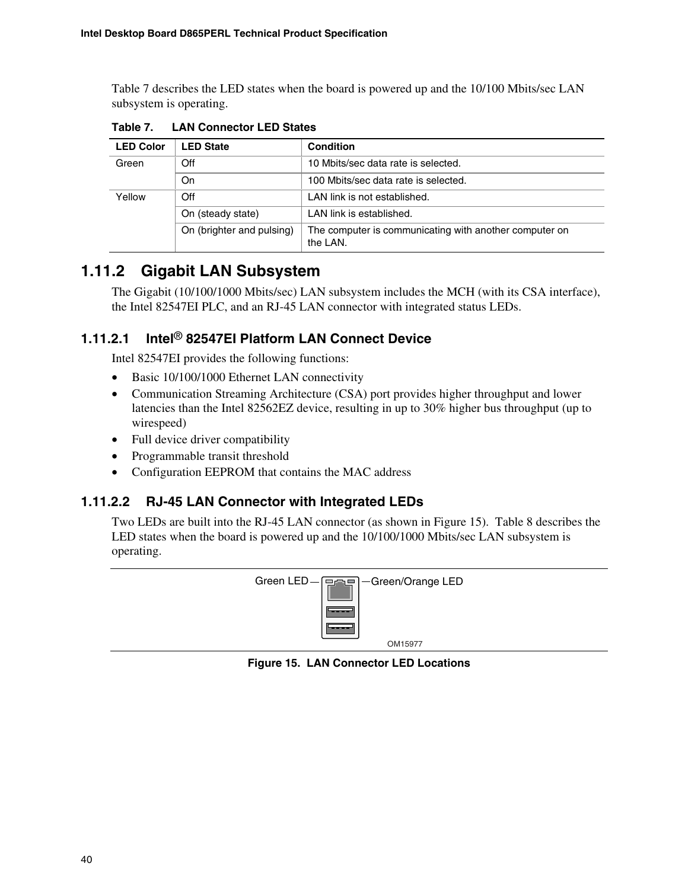Table 7 describes the LED states when the board is powered up and the 10/100 Mbits/sec LAN subsystem is operating.

| <b>LED Color</b> | <b>LED State</b>          | <b>Condition</b>                                                   |
|------------------|---------------------------|--------------------------------------------------------------------|
| Green            | Off                       | 10 Mbits/sec data rate is selected.                                |
|                  | On.                       | 100 Mbits/sec data rate is selected.                               |
| Yellow           | Off                       | LAN link is not established.                                       |
|                  | On (steady state)         | LAN link is established.                                           |
|                  | On (brighter and pulsing) | The computer is communicating with another computer on<br>the LAN. |

**Table 7. LAN Connector LED States** 

# **1.11.2 Gigabit LAN Subsystem**

The Gigabit (10/100/1000 Mbits/sec) LAN subsystem includes the MCH (with its CSA interface), the Intel 82547EI PLC, and an RJ-45 LAN connector with integrated status LEDs.

## **1.11.2.1 Intel**® **82547EI Platform LAN Connect Device**

Intel 82547EI provides the following functions:

- Basic 10/100/1000 Ethernet LAN connectivity
- Communication Streaming Architecture (CSA) port provides higher throughput and lower latencies than the Intel 82562EZ device, resulting in up to 30% higher bus throughput (up to wirespeed)
- Full device driver compatibility
- Programmable transit threshold
- Configuration EEPROM that contains the MAC address

## **1.11.2.2 RJ-45 LAN Connector with Integrated LEDs**

Two LEDs are built into the RJ-45 LAN connector (as shown in Figure 15). Table 8 describes the LED states when the board is powered up and the 10/100/1000 Mbits/sec LAN subsystem is operating.



**Figure 15. LAN Connector LED Locations**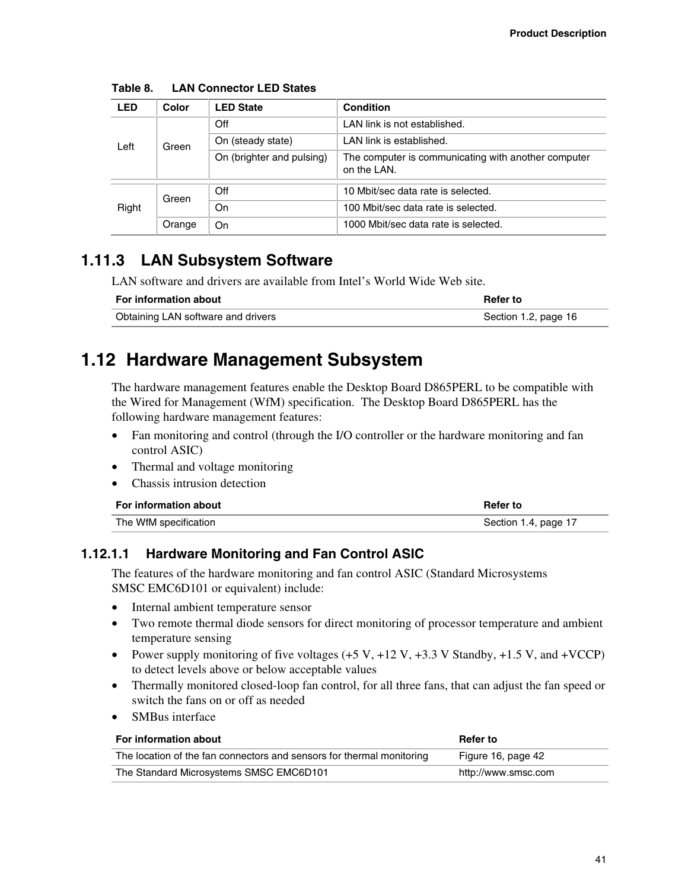| <b>LED</b>    | Color             | <b>LED State</b>                    | Condition                                                          |
|---------------|-------------------|-------------------------------------|--------------------------------------------------------------------|
|               |                   | Off                                 | LAN link is not established.                                       |
| Left<br>Green | On (steady state) | LAN link is established.            |                                                                    |
|               |                   | On (brighter and pulsing)           | The computer is communicating with another computer<br>on the LAN. |
| Green         |                   | Off                                 | 10 Mbit/sec data rate is selected.                                 |
| Right         | On                | 100 Mbit/sec data rate is selected. |                                                                    |
| Orange        |                   | On                                  | 1000 Mbit/sec data rate is selected.                               |

**Table 8. LAN Connector LED States** 

## **1.11.3 LAN Subsystem Software**

LAN software and drivers are available from Intel's World Wide Web site.

| For information about              | <b>Refer to</b>      |
|------------------------------------|----------------------|
| Obtaining LAN software and drivers | Section 1.2, page 16 |

# **1.12 Hardware Management Subsystem**

The hardware management features enable the Desktop Board D865PERL to be compatible with the Wired for Management (WfM) specification. The Desktop Board D865PERL has the following hardware management features:

- Fan monitoring and control (through the I/O controller or the hardware monitoring and fan control ASIC)
- Thermal and voltage monitoring
- Chassis intrusion detection

#### **For information about Refer to**

| TUL IIIUI IIIauun abuut | ncici lu             |
|-------------------------|----------------------|
| The WfM specification   | Section 1.4, page 17 |

### **1.12.1.1 Hardware Monitoring and Fan Control ASIC**

The features of the hardware monitoring and fan control ASIC (Standard Microsystems SMSC EMC6D101 or equivalent) include:

- Internal ambient temperature sensor
- Two remote thermal diode sensors for direct monitoring of processor temperature and ambient temperature sensing
- Power supply monitoring of five voltages  $(+5 \text{ V}, +12 \text{ V}, +3.3 \text{ V}$  Standby,  $+1.5 \text{ V}$ , and  $+VCCP$ ) to detect levels above or below acceptable values
- Thermally monitored closed-loop fan control, for all three fans, that can adjust the fan speed or switch the fans on or off as needed
- SMBus interface

| <b>For information about</b>                                          | Refer to            |
|-----------------------------------------------------------------------|---------------------|
| The location of the fan connectors and sensors for thermal monitoring | Figure 16, page 42  |
| The Standard Microsystems SMSC EMC6D101                               | http://www.smsc.com |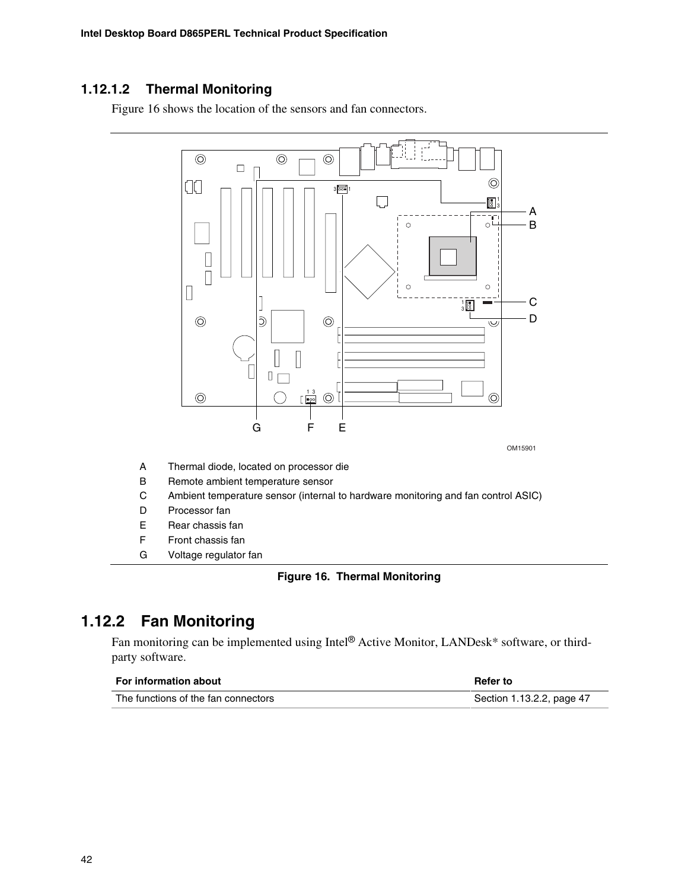## **1.12.1.2 Thermal Monitoring**

Figure 16 shows the location of the sensors and fan connectors.



- A Thermal diode, located on processor die
- B Remote ambient temperature sensor
- C Ambient temperature sensor (internal to hardware monitoring and fan control ASIC)
- D Processor fan
- E Rear chassis fan
- F Front chassis fan
- G Voltage regulator fan

#### **Figure 16. Thermal Monitoring**

## **1.12.2 Fan Monitoring**

Fan monitoring can be implemented using Intel® Active Monitor, LANDesk\* software, or thirdparty software.

| <b>For information about</b>        | <b>Refer to</b>           |
|-------------------------------------|---------------------------|
| The functions of the fan connectors | Section 1.13.2.2, page 47 |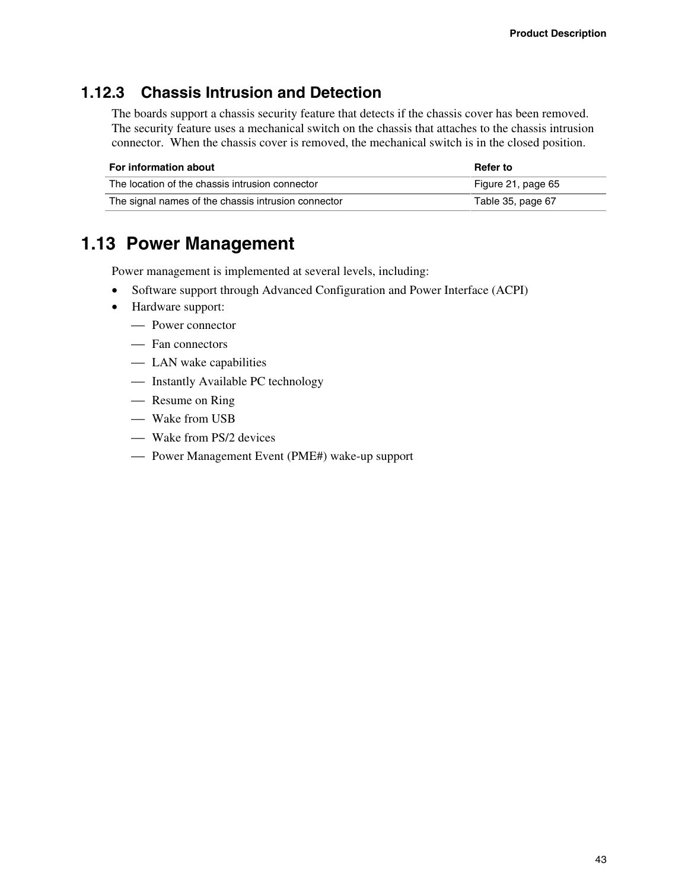## **1.12.3 Chassis Intrusion and Detection**

The boards support a chassis security feature that detects if the chassis cover has been removed. The security feature uses a mechanical switch on the chassis that attaches to the chassis intrusion connector. When the chassis cover is removed, the mechanical switch is in the closed position.

| <b>For information about</b>                        | <b>Refer to</b>    |
|-----------------------------------------------------|--------------------|
| The location of the chassis intrusion connector     | Figure 21, page 65 |
| The signal names of the chassis intrusion connector | Table 35, page 67  |

# **1.13 Power Management**

Power management is implemented at several levels, including:

- Software support through Advanced Configuration and Power Interface (ACPI)
- Hardware support:
	- Power connector
	- Fan connectors
	- LAN wake capabilities
	- Instantly Available PC technology
	- Resume on Ring
	- Wake from USB
	- Wake from PS/2 devices
	- Power Management Event (PME#) wake-up support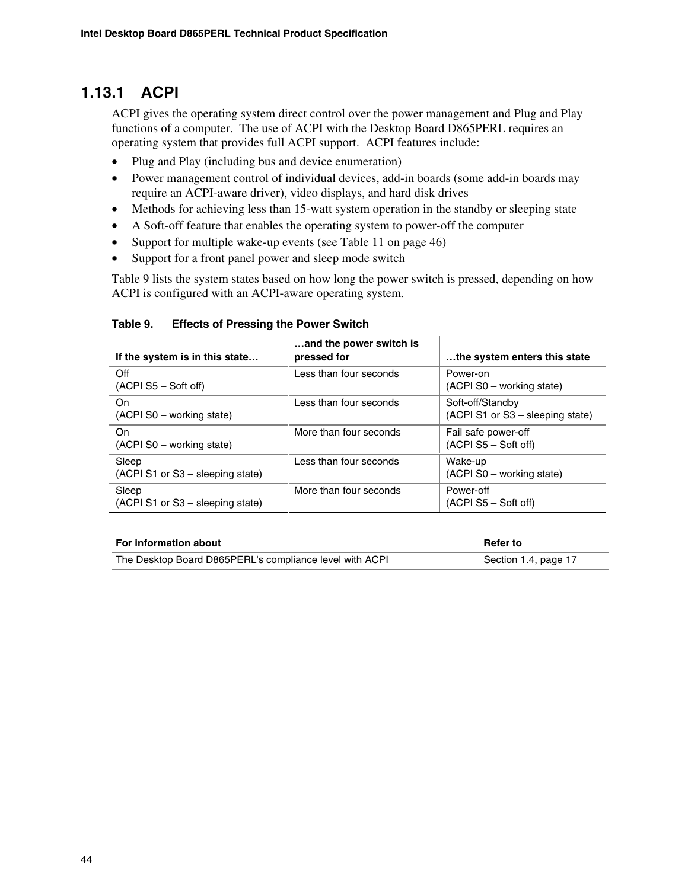## **1.13.1 ACPI**

ACPI gives the operating system direct control over the power management and Plug and Play functions of a computer. The use of ACPI with the Desktop Board D865PERL requires an operating system that provides full ACPI support. ACPI features include:

- Plug and Play (including bus and device enumeration)
- Power management control of individual devices, add-in boards (some add-in boards may require an ACPI-aware driver), video displays, and hard disk drives
- Methods for achieving less than 15-watt system operation in the standby or sleeping state
- A Soft-off feature that enables the operating system to power-off the computer
- Support for multiple wake-up events (see Table 11 on page 46)
- Support for a front panel power and sleep mode switch

Table 9 lists the system states based on how long the power switch is pressed, depending on how ACPI is configured with an ACPI-aware operating system.

| If the system is in this state            | and the power switch is.<br>pressed for | the system enters this state.                        |
|-------------------------------------------|-----------------------------------------|------------------------------------------------------|
| Off<br>$(ACPI S5 - Soft off)$             | Less than four seconds                  | Power-on<br>(ACPI S0 – working state)                |
| On<br>(ACPI S0 – working state)           | Less than four seconds                  | Soft-off/Standby<br>(ACPI S1 or S3 - sleeping state) |
| On<br>(ACPI S0 – working state)           | More than four seconds                  | Fail safe power-off<br>$(ACPI S5 - Soft off)$        |
| Sleep<br>(ACPI S1 or S3 – sleeping state) | Less than four seconds                  | Wake-up<br>(ACPI S0 – working state)                 |
| Sleep<br>(ACPI S1 or S3 - sleeping state) | More than four seconds                  | Power-off<br>$(ACPI S5 - Soft off)$                  |

#### **Table 9. Effects of Pressing the Power Switch**

| <b>For information about</b>                            | <b>Refer to</b>      |
|---------------------------------------------------------|----------------------|
| The Desktop Board D865PERL's compliance level with ACPI | Section 1.4, page 17 |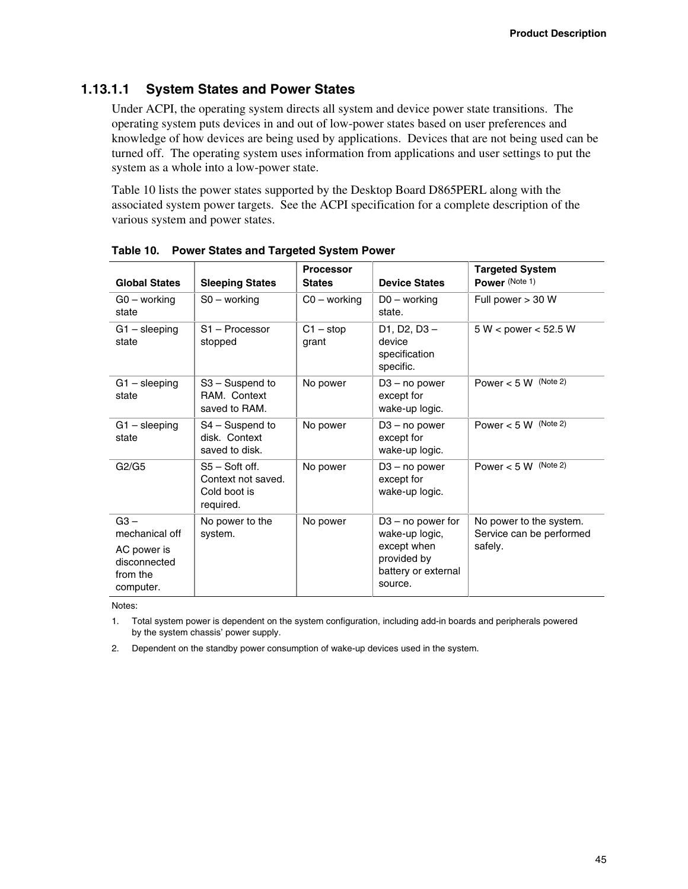### **1.13.1.1 System States and Power States**

Under ACPI, the operating system directs all system and device power state transitions. The operating system puts devices in and out of low-power states based on user preferences and knowledge of how devices are being used by applications. Devices that are not being used can be turned off. The operating system uses information from applications and user settings to put the system as a whole into a low-power state.

Table 10 lists the power states supported by the Desktop Board D865PERL along with the associated system power targets. See the ACPI specification for a complete description of the various system and power states.

| <b>Global States</b>                                                             | <b>Sleeping States</b>                                              | <b>Processor</b><br><b>States</b> | <b>Device States</b>                                                                                  | <b>Targeted System</b><br>Power (Note 1)                       |
|----------------------------------------------------------------------------------|---------------------------------------------------------------------|-----------------------------------|-------------------------------------------------------------------------------------------------------|----------------------------------------------------------------|
| $G_0$ – working<br>state                                                         | $S_0$ – working                                                     | $CO - working$                    | $D0 - working$<br>state.                                                                              | Full power > 30 W                                              |
| $G1 - s$ leeping<br>state                                                        | S1 - Processor<br>stopped                                           | $C1 - stop$<br>grant              | $D1, D2, D3 -$<br>device<br>specification<br>specific.                                                | $5 W$ < power < 52.5 W                                         |
| $G1 - s$ leeping<br>state                                                        | S3 - Suspend to<br>RAM. Context<br>saved to RAM.                    | No power                          | D3 – no power<br>except for<br>wake-up logic.                                                         | Power $< 5 W$ (Note 2)                                         |
| $G1 - s$ leeping<br>state                                                        | S4 – Suspend to<br>disk. Context<br>saved to disk.                  | No power                          | $D3 - no power$<br>except for<br>wake-up logic.                                                       | Power $< 5 W$ (Note 2)                                         |
| G2/G5                                                                            | $S5 - Soft off.$<br>Context not saved.<br>Cold boot is<br>required. | No power                          | $D3 - no power$<br>except for<br>wake-up logic.                                                       | Power $< 5 W$ (Note 2)                                         |
| $G3 -$<br>mechanical off<br>AC power is<br>disconnected<br>from the<br>computer. | No power to the<br>system.                                          | No power                          | $D3$ – no power for<br>wake-up logic,<br>except when<br>provided by<br>battery or external<br>source. | No power to the system.<br>Service can be performed<br>safely. |

**Table 10. Power States and Targeted System Power** 

Notes:

1. Total system power is dependent on the system configuration, including add-in boards and peripherals powered by the system chassis' power supply.

2. Dependent on the standby power consumption of wake-up devices used in the system.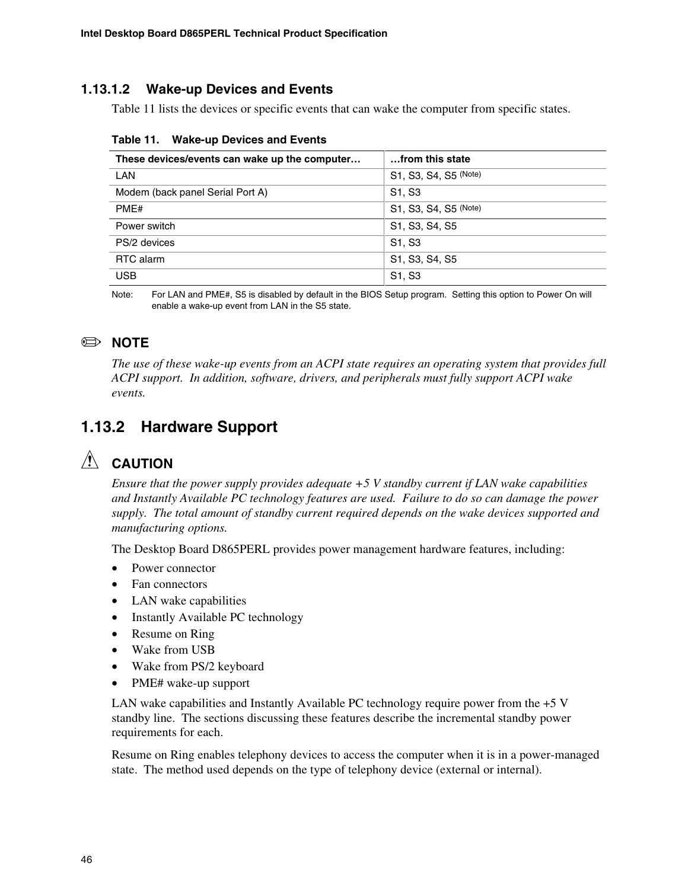### **1.13.1.2 Wake-up Devices and Events**

Table 11 lists the devices or specific events that can wake the computer from specific states.

| These devices/events can wake up the computer | from this state                 |  |
|-----------------------------------------------|---------------------------------|--|
| LAN                                           | S1, S3, S4, S5 (Note)           |  |
| Modem (back panel Serial Port A)              | S <sub>1</sub> , S <sub>3</sub> |  |
| PMF#                                          | S1, S3, S4, S5 (Note)           |  |
| Power switch                                  | S1, S3, S4, S5                  |  |
| PS/2 devices                                  | S1, S3                          |  |
| RTC alarm                                     | S1, S3, S4, S5                  |  |
| <b>USB</b>                                    | S1, S3                          |  |

**Table 11. Wake-up Devices and Events** 

Note: For LAN and PME#, S5 is disabled by default in the BIOS Setup program. Setting this option to Power On will enable a wake-up event from LAN in the S5 state.

### ✏ **NOTE**

*The use of these wake-up events from an ACPI state requires an operating system that provides full ACPI support. In addition, software, drivers, and peripherals must fully support ACPI wake events.* 

## **1.13.2 Hardware Support**

# $\hat{A}$  **CAUTION**

*Ensure that the power supply provides adequate +5 V standby current if LAN wake capabilities and Instantly Available PC technology features are used. Failure to do so can damage the power supply. The total amount of standby current required depends on the wake devices supported and manufacturing options.* 

The Desktop Board D865PERL provides power management hardware features, including:

- Power connector
- Fan connectors
- LAN wake capabilities
- Instantly Available PC technology
- Resume on Ring
- Wake from USB
- Wake from PS/2 keyboard
- PME# wake-up support

LAN wake capabilities and Instantly Available PC technology require power from the  $+5$  V standby line. The sections discussing these features describe the incremental standby power requirements for each.

Resume on Ring enables telephony devices to access the computer when it is in a power-managed state. The method used depends on the type of telephony device (external or internal).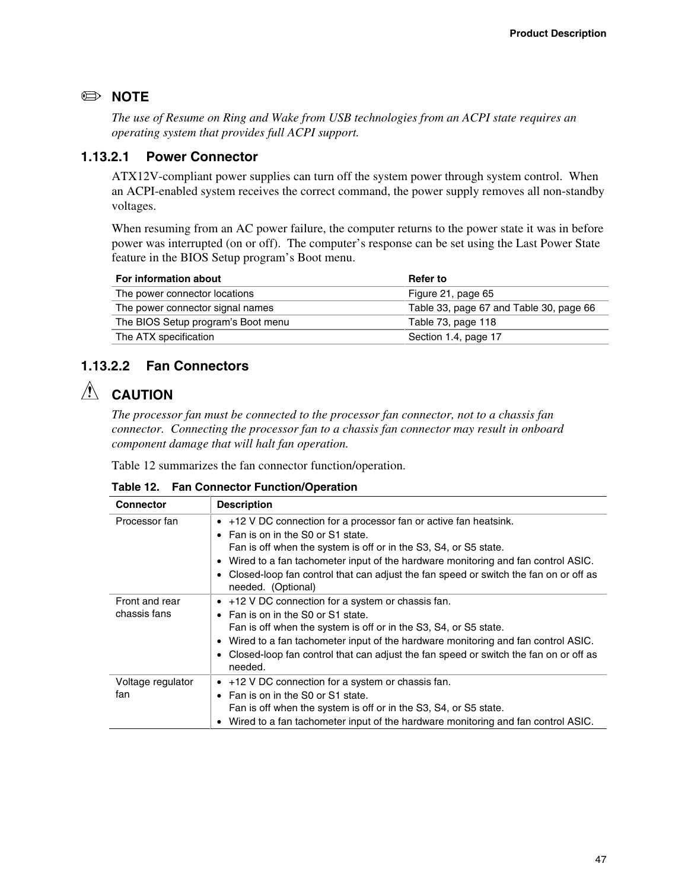### ✏ **NOTE**

*The use of Resume on Ring and Wake from USB technologies from an ACPI state requires an operating system that provides full ACPI support.* 

### **1.13.2.1 Power Connector**

ATX12V-compliant power supplies can turn off the system power through system control. When an ACPI-enabled system receives the correct command, the power supply removes all non-standby voltages.

When resuming from an AC power failure, the computer returns to the power state it was in before power was interrupted (on or off). The computer's response can be set using the Last Power State feature in the BIOS Setup program's Boot menu.

| For information about              | Refer to                                |
|------------------------------------|-----------------------------------------|
| The power connector locations      | Figure 21, page 65                      |
| The power connector signal names   | Table 33, page 67 and Table 30, page 66 |
| The BIOS Setup program's Boot menu | Table 73, page 118                      |
| The ATX specification              | Section 1.4, page 17                    |

## **1.13.2.2 Fan Connectors**

# $\hat{A}$  **CAUTION**

*The processor fan must be connected to the processor fan connector, not to a chassis fan connector. Connecting the processor fan to a chassis fan connector may result in onboard component damage that will halt fan operation.* 

Table 12 summarizes the fan connector function/operation.

| <b>Connector</b>  | <b>Description</b>                                                                                           |
|-------------------|--------------------------------------------------------------------------------------------------------------|
| Processor fan     | $\bullet$ +12 V DC connection for a processor fan or active fan heatsink.                                    |
|                   | Fan is on in the S0 or S1 state.<br>$\bullet$                                                                |
|                   | Fan is off when the system is off or in the S3, S4, or S5 state.                                             |
|                   | • Wired to a fan tachometer input of the hardware monitoring and fan control ASIC.                           |
|                   | Closed-loop fan control that can adjust the fan speed or switch the fan on or off as<br>needed. (Optional)   |
| Front and rear    | • +12 V DC connection for a system or chassis fan.                                                           |
| chassis fans      | Fan is on in the S0 or S1 state.<br>$\bullet$                                                                |
|                   | Fan is off when the system is off or in the S3, S4, or S5 state.                                             |
|                   | • Wired to a fan tachometer input of the hardware monitoring and fan control ASIC.                           |
|                   | Closed-loop fan control that can adjust the fan speed or switch the fan on or off as<br>$\bullet$<br>needed. |
| Voltage regulator | $\bullet$ +12 V DC connection for a system or chassis fan.                                                   |
| fan               | Fan is on in the S0 or S1 state.<br>$\bullet$                                                                |
|                   | Fan is off when the system is off or in the S3, S4, or S5 state.                                             |
|                   | • Wired to a fan tachometer input of the hardware monitoring and fan control ASIC.                           |

**Table 12. Fan Connector Function/Operation**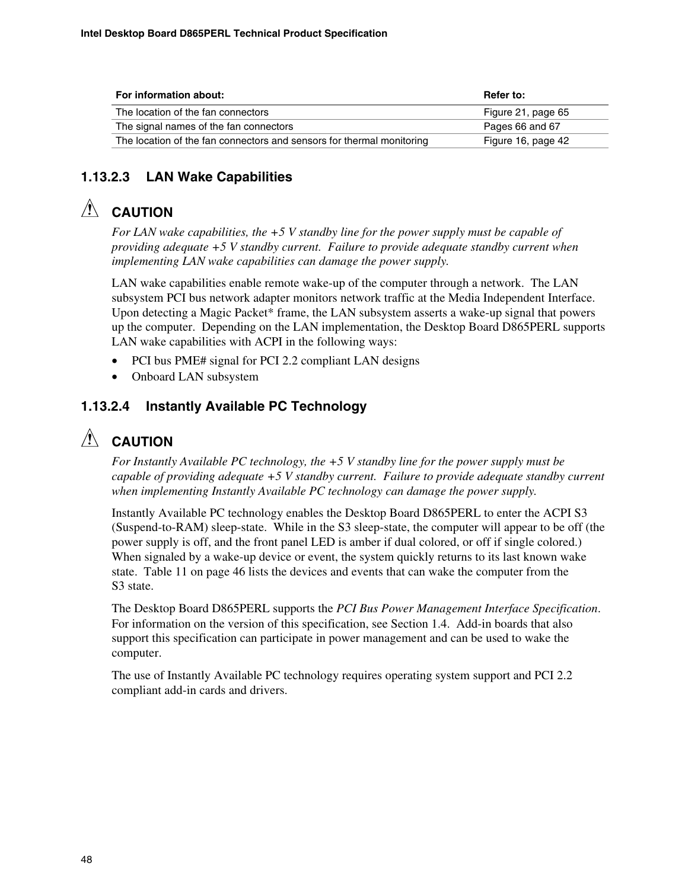| For information about:                                                | <b>Refer to:</b>   |
|-----------------------------------------------------------------------|--------------------|
| The location of the fan connectors                                    | Figure 21, page 65 |
| The signal names of the fan connectors                                | Pages 66 and 67    |
| The location of the fan connectors and sensors for thermal monitoring | Figure 16, page 42 |

## **1.13.2.3 LAN Wake Capabilities**

# $\hat{A}$  **CAUTION**

*For LAN wake capabilities, the +5 V standby line for the power supply must be capable of providing adequate +5 V standby current. Failure to provide adequate standby current when implementing LAN wake capabilities can damage the power supply.* 

LAN wake capabilities enable remote wake-up of the computer through a network. The LAN subsystem PCI bus network adapter monitors network traffic at the Media Independent Interface. Upon detecting a Magic Packet\* frame, the LAN subsystem asserts a wake-up signal that powers up the computer. Depending on the LAN implementation, the Desktop Board D865PERL supports LAN wake capabilities with ACPI in the following ways:

- PCI bus PME# signal for PCI 2.2 compliant LAN designs
- Onboard LAN subsystem

### **1.13.2.4 Instantly Available PC Technology**

# $\hat{A}$  **CAUTION**

*For Instantly Available PC technology, the +5 V standby line for the power supply must be capable of providing adequate +5 V standby current. Failure to provide adequate standby current when implementing Instantly Available PC technology can damage the power supply.* 

Instantly Available PC technology enables the Desktop Board D865PERL to enter the ACPI S3 (Suspend-to-RAM) sleep-state. While in the S3 sleep-state, the computer will appear to be off (the power supply is off, and the front panel LED is amber if dual colored, or off if single colored.) When signaled by a wake-up device or event, the system quickly returns to its last known wake state. Table 11 on page 46 lists the devices and events that can wake the computer from the S3 state.

The Desktop Board D865PERL supports the *PCI Bus Power Management Interface Specification*. For information on the version of this specification, see Section 1.4. Add-in boards that also support this specification can participate in power management and can be used to wake the computer.

The use of Instantly Available PC technology requires operating system support and PCI 2.2 compliant add-in cards and drivers.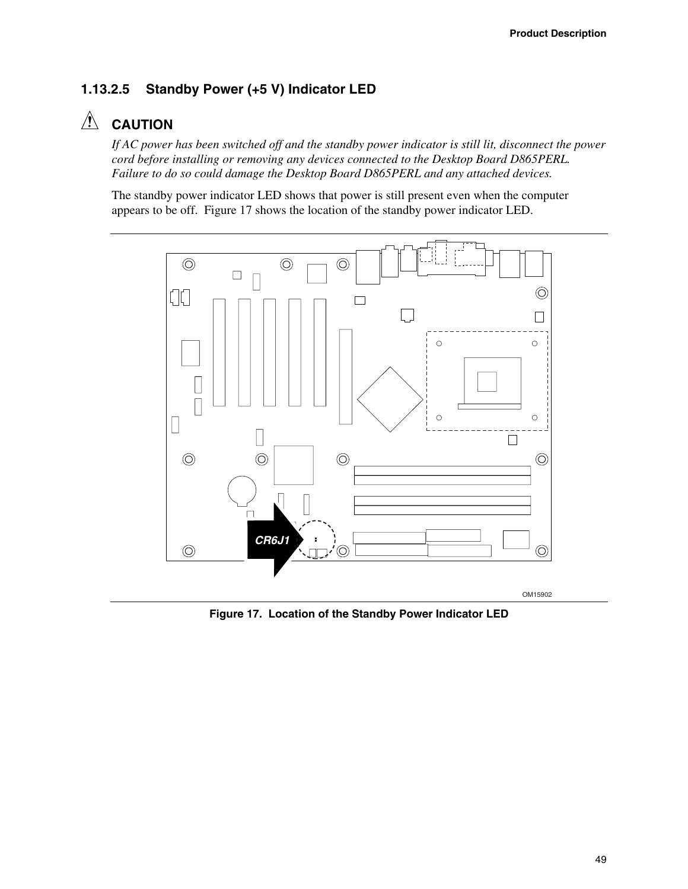## **1.13.2.5 Standby Power (+5 V) Indicator LED**

# $\hat{A}$  **CAUTION**

*If AC power has been switched off and the standby power indicator is still lit, disconnect the power cord before installing or removing any devices connected to the Desktop Board D865PERL. Failure to do so could damage the Desktop Board D865PERL and any attached devices.* 

The standby power indicator LED shows that power is still present even when the computer appears to be off. Figure 17 shows the location of the standby power indicator LED.



**Figure 17. Location of the Standby Power Indicator LED**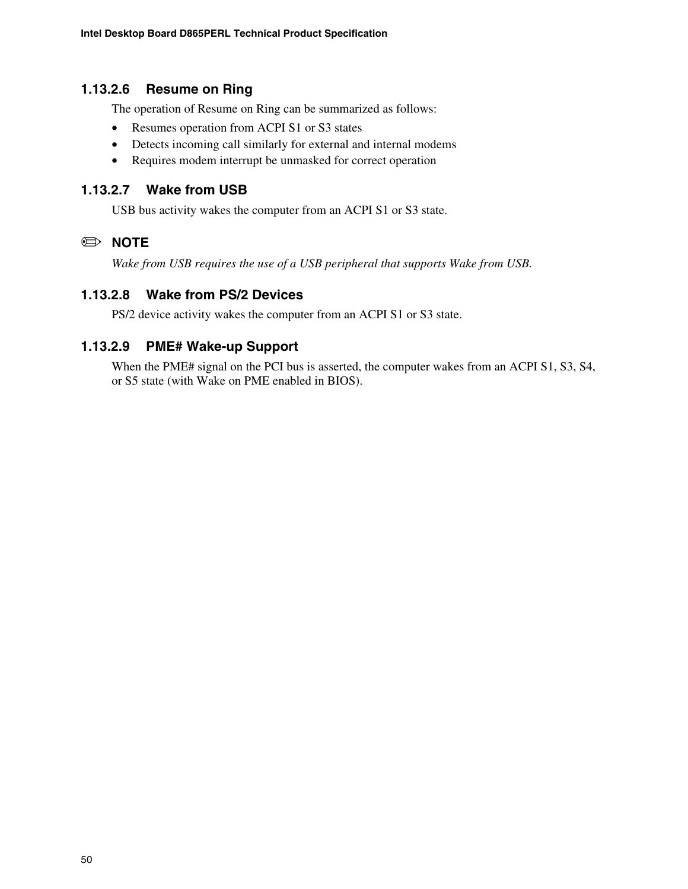### **1.13.2.6 Resume on Ring**

The operation of Resume on Ring can be summarized as follows:

- Resumes operation from ACPI S1 or S3 states
- Detects incoming call similarly for external and internal modems
- Requires modem interrupt be unmasked for correct operation

### **1.13.2.7 Wake from USB**

USB bus activity wakes the computer from an ACPI S1 or S3 state.

## ✏ **NOTE**

*Wake from USB requires the use of a USB peripheral that supports Wake from USB.* 

### **1.13.2.8 Wake from PS/2 Devices**

PS/2 device activity wakes the computer from an ACPI S1 or S3 state.

### **1.13.2.9 PME# Wake-up Support**

When the PME# signal on the PCI bus is asserted, the computer wakes from an ACPI S1, S3, S4, or S5 state (with Wake on PME enabled in BIOS).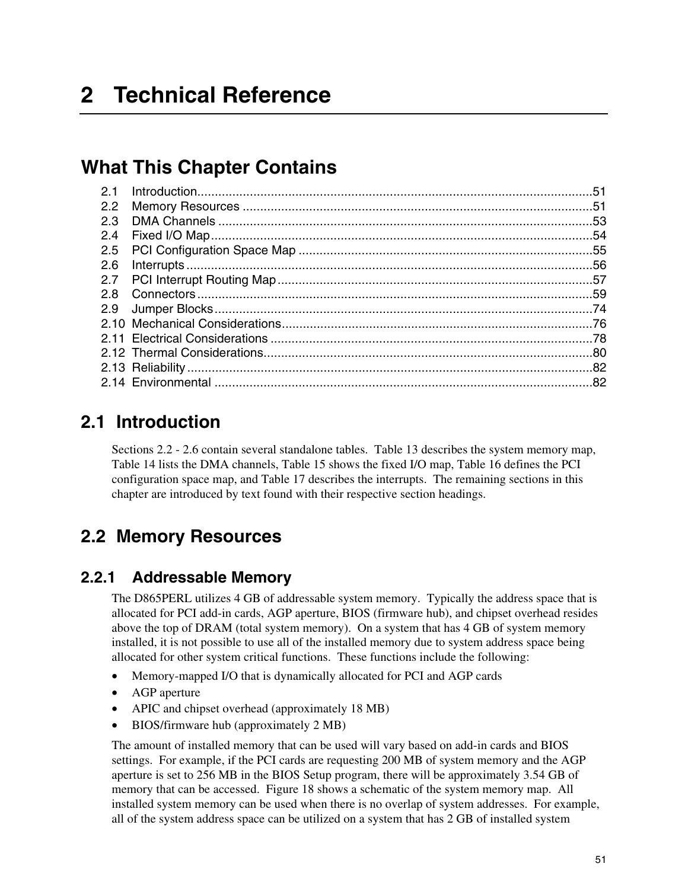# **What This Chapter Contains**

| 2.2 |  |
|-----|--|
| 2.3 |  |
| 2.4 |  |
| 2.5 |  |
| 2.6 |  |
|     |  |
|     |  |
|     |  |
|     |  |
|     |  |
|     |  |
|     |  |
|     |  |
|     |  |

# **2.1 Introduction**

Sections 2.2 - 2.6 contain several standalone tables. Table 13 describes the system memory map, Table 14 lists the DMA channels, Table 15 shows the fixed I/O map, Table 16 defines the PCI configuration space map, and Table 17 describes the interrupts. The remaining sections in this chapter are introduced by text found with their respective section headings.

# **2.2 Memory Resources**

## **2.2.1 Addressable Memory**

The D865PERL utilizes 4 GB of addressable system memory. Typically the address space that is allocated for PCI add-in cards, AGP aperture, BIOS (firmware hub), and chipset overhead resides above the top of DRAM (total system memory). On a system that has 4 GB of system memory installed, it is not possible to use all of the installed memory due to system address space being allocated for other system critical functions. These functions include the following:

- Memory-mapped I/O that is dynamically allocated for PCI and AGP cards
- AGP aperture
- APIC and chipset overhead (approximately 18 MB)
- BIOS/firmware hub (approximately 2 MB)

The amount of installed memory that can be used will vary based on add-in cards and BIOS settings. For example, if the PCI cards are requesting 200 MB of system memory and the AGP aperture is set to 256 MB in the BIOS Setup program, there will be approximately 3.54 GB of memory that can be accessed. Figure 18 shows a schematic of the system memory map. All installed system memory can be used when there is no overlap of system addresses. For example, all of the system address space can be utilized on a system that has 2 GB of installed system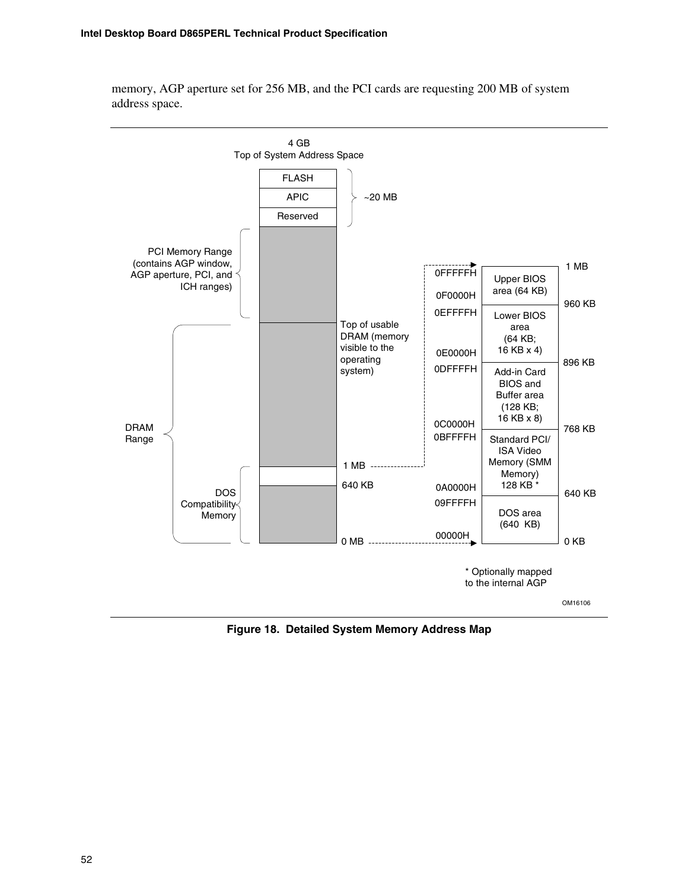

memory, AGP aperture set for 256 MB, and the PCI cards are requesting 200 MB of system address space.

**Figure 18. Detailed System Memory Address Map**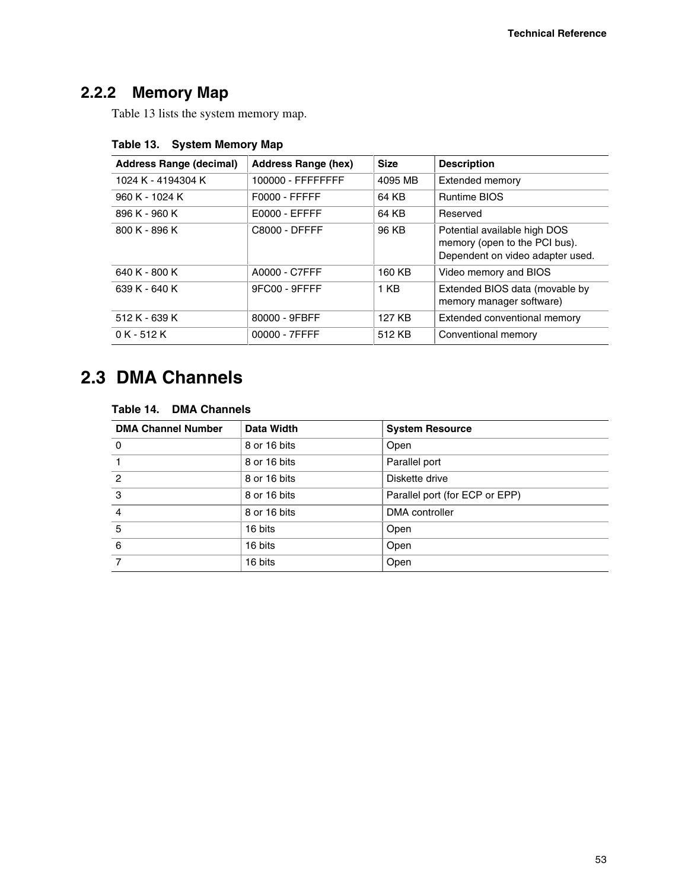# **2.2.2 Memory Map**

Table 13 lists the system memory map.

| <b>Address Range (decimal)</b> | <b>Address Range (hex)</b> | <b>Size</b> | <b>Description</b>                                                                                |
|--------------------------------|----------------------------|-------------|---------------------------------------------------------------------------------------------------|
| 1024 K - 4194304 K             | 100000 - FFFFFFFF          | 4095 MB     | Extended memory                                                                                   |
| 960 K - 1024 K                 | F0000 - FFFFF              | 64 KB       | <b>Runtime BIOS</b>                                                                               |
| 896 K - 960 K                  | $E0000 - EFFFF$            | 64 KB       | Reserved                                                                                          |
| 800 K - 896 K                  | C8000 - DFFFF              | 96 KB       | Potential available high DOS<br>memory (open to the PCI bus).<br>Dependent on video adapter used. |
| 640 K - 800 K                  | A0000 - C7FFF              | 160 KB      | Video memory and BIOS                                                                             |
| 639 K - 640 K                  | $9FCOO - 9FFFF$            | 1 KB        | Extended BIOS data (movable by<br>memory manager software)                                        |
| 512 K - 639 K                  | 80000 - 9FBFF              | 127 KB      | Extended conventional memory                                                                      |
| $0K - 512K$                    | 00000 - 7FFFF              | 512 KB      | Conventional memory                                                                               |

### **Table 13. System Memory Map**

# **2.3 DMA Channels**

## **Table 14. DMA Channels**

| <b>DMA Channel Number</b> | Data Width   | <b>System Resource</b>         |
|---------------------------|--------------|--------------------------------|
| 0                         | 8 or 16 bits | Open                           |
|                           | 8 or 16 bits | Parallel port                  |
| $\mathcal{P}$             | 8 or 16 bits | Diskette drive                 |
| 3                         | 8 or 16 bits | Parallel port (for ECP or EPP) |
| $\overline{4}$            | 8 or 16 bits | DMA controller                 |
| 5                         | 16 bits      | Open                           |
| 6                         | 16 bits      | Open                           |
|                           | 16 bits      | Open                           |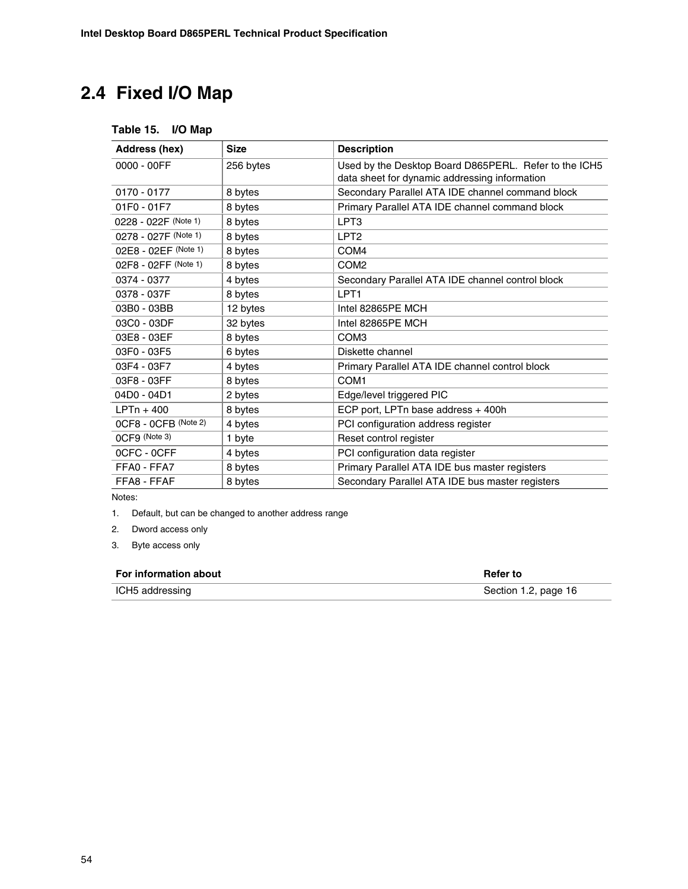# **2.4 Fixed I/O Map**

| Table 15. |  |  | I/O Map |
|-----------|--|--|---------|
|-----------|--|--|---------|

| Address (hex)        | <b>Size</b> | <b>Description</b>                                                                                     |
|----------------------|-------------|--------------------------------------------------------------------------------------------------------|
| $0000 - 00FF$        | 256 bytes   | Used by the Desktop Board D865PERL. Refer to the ICH5<br>data sheet for dynamic addressing information |
| $0170 - 0177$        | 8 bytes     | Secondary Parallel ATA IDE channel command block                                                       |
| $01F0 - 01F7$        | 8 bytes     | Primary Parallel ATA IDE channel command block                                                         |
| 0228 - 022F (Note 1) | 8 bytes     | LPT <sub>3</sub>                                                                                       |
| 0278 - 027F (Note 1) | 8 bytes     | LPT <sub>2</sub>                                                                                       |
| 02E8 - 02EF (Note 1) | 8 bytes     | COM <sub>4</sub>                                                                                       |
| 02F8 - 02FF (Note 1) | 8 bytes     | COM <sub>2</sub>                                                                                       |
| 0374 - 0377          | 4 bytes     | Secondary Parallel ATA IDE channel control block                                                       |
| 0378 - 037F          | 8 bytes     | LPT <sub>1</sub>                                                                                       |
| 03B0 - 03BB          | 12 bytes    | Intel 82865PE MCH                                                                                      |
| 03C0 - 03DF          | 32 bytes    | Intel 82865PE MCH                                                                                      |
| 03E8 - 03EF          | 8 bytes     | COM <sub>3</sub>                                                                                       |
| 03F0 - 03F5          | 6 bytes     | Diskette channel                                                                                       |
| 03F4 - 03F7          | 4 bytes     | Primary Parallel ATA IDE channel control block                                                         |
| 03F8 - 03FF          | 8 bytes     | COM <sub>1</sub>                                                                                       |
| 04D0 - 04D1          | 2 bytes     | Edge/level triggered PIC                                                                               |
| $LPTn + 400$         | 8 bytes     | ECP port, LPTn base address + 400h                                                                     |
| OCF8 - OCFB (Note 2) | 4 bytes     | PCI configuration address register                                                                     |
| OCF9 (Note 3)        | 1 byte      | Reset control register                                                                                 |
| OCFC - OCFF          | 4 bytes     | PCI configuration data register                                                                        |
| FFA0 - FFA7          | 8 bytes     | Primary Parallel ATA IDE bus master registers                                                          |
| FFA8 - FFAF          | 8 bytes     | Secondary Parallel ATA IDE bus master registers                                                        |

Notes:

1. Default, but can be changed to another address range

2. Dword access only

3. Byte access only

| <b>For information about</b> | <b>Refer to</b>      |
|------------------------------|----------------------|
| ICH5 addressing              | Section 1.2, page 16 |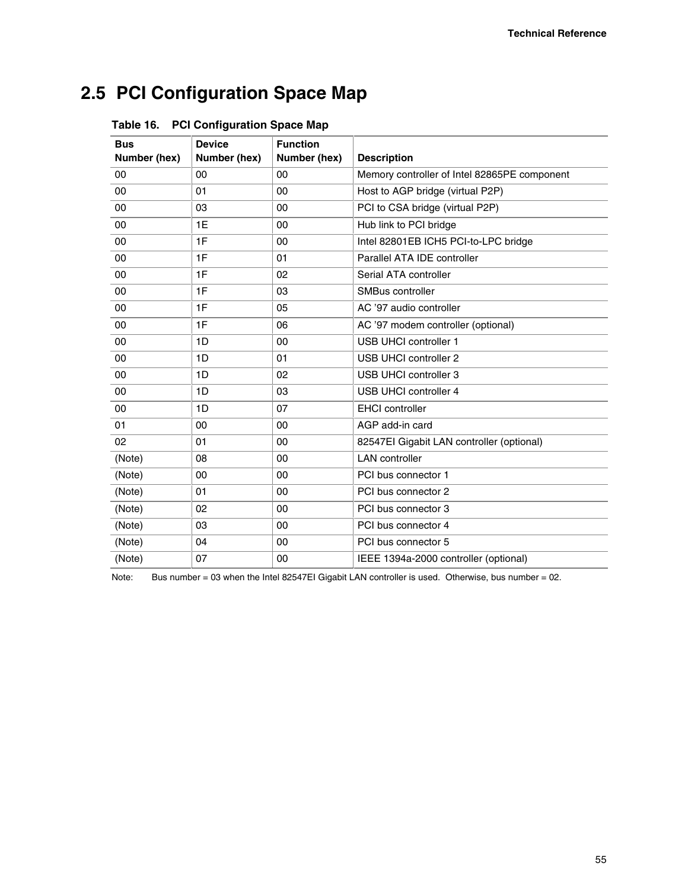# **2.5 PCI Configuration Space Map**

| <b>Bus</b><br>Number (hex) | <b>Device</b><br>Number (hex) | <b>Function</b><br>Number (hex) | <b>Description</b>                           |
|----------------------------|-------------------------------|---------------------------------|----------------------------------------------|
| 00                         | 00                            | 00                              | Memory controller of Intel 82865PE component |
| 00                         | 01                            | 00                              | Host to AGP bridge (virtual P2P)             |
| 00                         | 03                            | 00                              | PCI to CSA bridge (virtual P2P)              |
| 00                         | 1E                            | 00                              | Hub link to PCI bridge                       |
| 00                         | 1F                            | 00                              | Intel 82801EB ICH5 PCI-to-LPC bridge         |
| 00                         | 1F                            | 01                              | Parallel ATA IDE controller                  |
| 00                         | 1F                            | 02                              | Serial ATA controller                        |
| 00                         | 1F                            | 03                              | <b>SMBus controller</b>                      |
| 00                         | 1F                            | 05                              | AC '97 audio controller                      |
| 00                         | 1F                            | 06                              | AC '97 modem controller (optional)           |
| 00                         | 1D                            | 00                              | <b>USB UHCI controller 1</b>                 |
| 00                         | 1D                            | 01                              | USB UHCI controller 2                        |
| 00                         | 1D                            | 02                              | USB UHCI controller 3                        |
| 00                         | 1D                            | 03                              | USB UHCI controller 4                        |
| 00                         | 1D                            | 07                              | <b>EHCI</b> controller                       |
| 01                         | 00                            | 00                              | AGP add-in card                              |
| 02                         | 01                            | 00                              | 82547EI Gigabit LAN controller (optional)    |
| (Note)                     | 08                            | 00                              | <b>LAN</b> controller                        |
| (Note)                     | 00                            | 00                              | PCI bus connector 1                          |
| (Note)                     | 01                            | 00                              | PCI bus connector 2                          |
| (Note)                     | 02                            | 00                              | PCI bus connector 3                          |
| (Note)                     | 03                            | 00                              | PCI bus connector 4                          |
| (Note)                     | 04                            | 00                              | PCI bus connector 5                          |
| (Note)                     | 07                            | 00                              | IEEE 1394a-2000 controller (optional)        |

**Table 16. PCI Configuration Space Map** 

Note: Bus number = 03 when the Intel 82547EI Gigabit LAN controller is used. Otherwise, bus number = 02.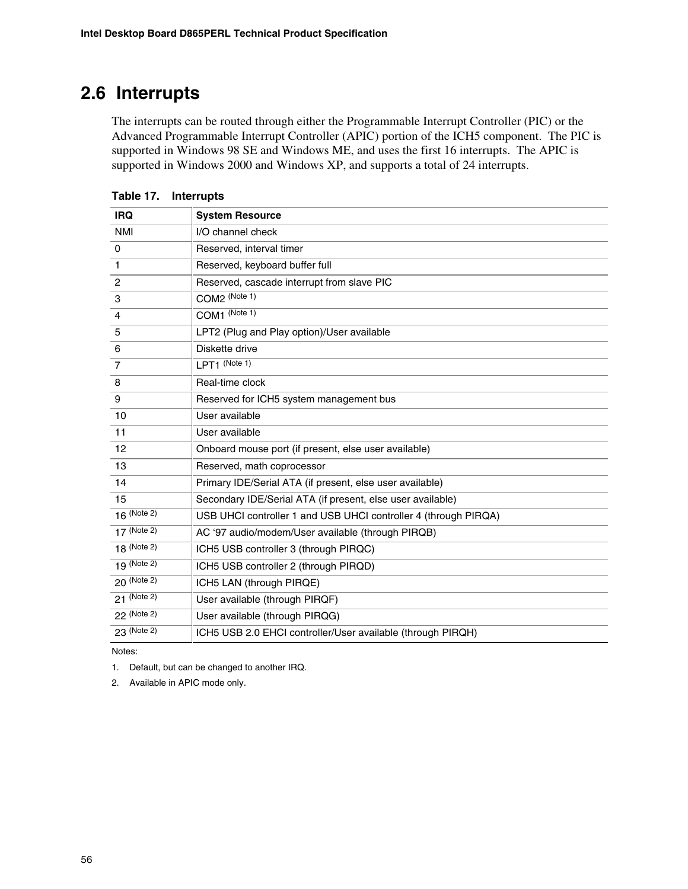# **2.6 Interrupts**

The interrupts can be routed through either the Programmable Interrupt Controller (PIC) or the Advanced Programmable Interrupt Controller (APIC) portion of the ICH5 component. The PIC is supported in Windows 98 SE and Windows ME, and uses the first 16 interrupts. The APIC is supported in Windows 2000 and Windows XP, and supports a total of 24 interrupts.

| <b>IRQ</b>     | <b>System Resource</b>                                          |
|----------------|-----------------------------------------------------------------|
| <b>NMI</b>     | I/O channel check                                               |
| 0              | Reserved, interval timer                                        |
| $\mathbf{1}$   | Reserved, keyboard buffer full                                  |
| $\overline{c}$ | Reserved, cascade interrupt from slave PIC                      |
| 3              | $COM2^{(Note 1)}$                                               |
| $\overline{4}$ | COM1 (Note 1)                                                   |
| 5              | LPT2 (Plug and Play option)/User available                      |
| 6              | Diskette drive                                                  |
| $\overline{7}$ | $LPT1$ (Note 1)                                                 |
| 8              | Real-time clock                                                 |
| 9              | Reserved for ICH5 system management bus                         |
| 10             | User available                                                  |
| 11             | User available                                                  |
| 12             | Onboard mouse port (if present, else user available)            |
| 13             | Reserved, math coprocessor                                      |
| 14             | Primary IDE/Serial ATA (if present, else user available)        |
| 15             | Secondary IDE/Serial ATA (if present, else user available)      |
| $16$ (Note 2)  | USB UHCI controller 1 and USB UHCI controller 4 (through PIRQA) |
| $17$ (Note 2)  | AC '97 audio/modem/User available (through PIRQB)               |
| $18$ (Note 2)  | ICH5 USB controller 3 (through PIRQC)                           |
| $19$ (Note 2)  | ICH5 USB controller 2 (through PIRQD)                           |
| $20$ (Note 2)  | ICH5 LAN (through PIRQE)                                        |
| $21$ (Note 2)  | User available (through PIRQF)                                  |
| 22 (Note 2)    | User available (through PIRQG)                                  |
| $23$ (Note 2)  | ICH5 USB 2.0 EHCI controller/User available (through PIRQH)     |

**Table 17. Interrupts** 

Notes:

1. Default, but can be changed to another IRQ.

2. Available in APIC mode only.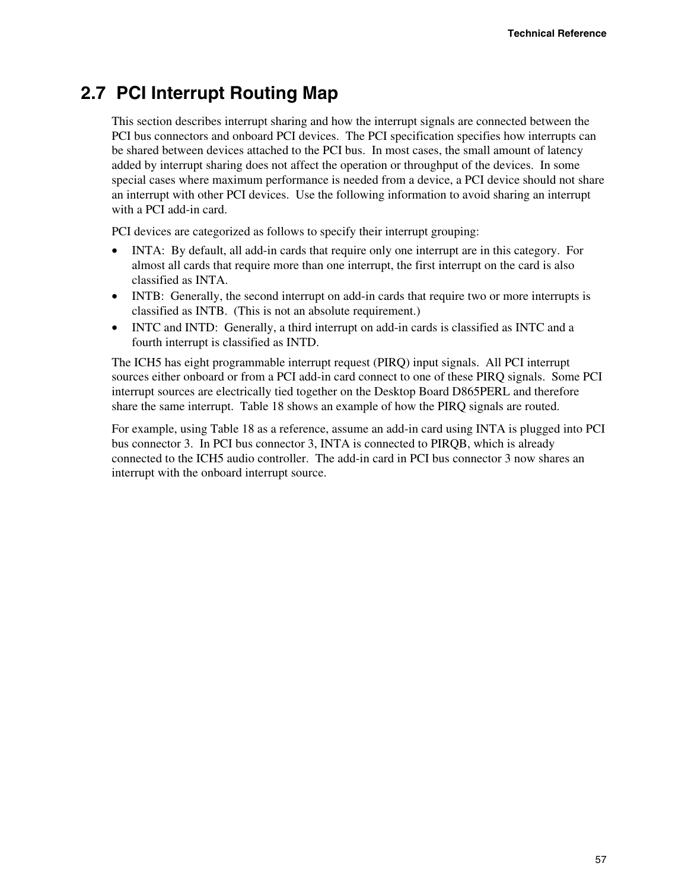# **2.7 PCI Interrupt Routing Map**

This section describes interrupt sharing and how the interrupt signals are connected between the PCI bus connectors and onboard PCI devices. The PCI specification specifies how interrupts can be shared between devices attached to the PCI bus. In most cases, the small amount of latency added by interrupt sharing does not affect the operation or throughput of the devices. In some special cases where maximum performance is needed from a device, a PCI device should not share an interrupt with other PCI devices. Use the following information to avoid sharing an interrupt with a PCI add-in card.

PCI devices are categorized as follows to specify their interrupt grouping:

- INTA: By default, all add-in cards that require only one interrupt are in this category. For almost all cards that require more than one interrupt, the first interrupt on the card is also classified as INTA.
- INTB: Generally, the second interrupt on add-in cards that require two or more interrupts is classified as INTB. (This is not an absolute requirement.)
- INTC and INTD: Generally, a third interrupt on add-in cards is classified as INTC and a fourth interrupt is classified as INTD.

The ICH5 has eight programmable interrupt request (PIRQ) input signals. All PCI interrupt sources either onboard or from a PCI add-in card connect to one of these PIRQ signals. Some PCI interrupt sources are electrically tied together on the Desktop Board D865PERL and therefore share the same interrupt. Table 18 shows an example of how the PIRQ signals are routed.

For example, using Table 18 as a reference, assume an add-in card using INTA is plugged into PCI bus connector 3. In PCI bus connector 3, INTA is connected to PIRQB, which is already connected to the ICH5 audio controller. The add-in card in PCI bus connector 3 now shares an interrupt with the onboard interrupt source.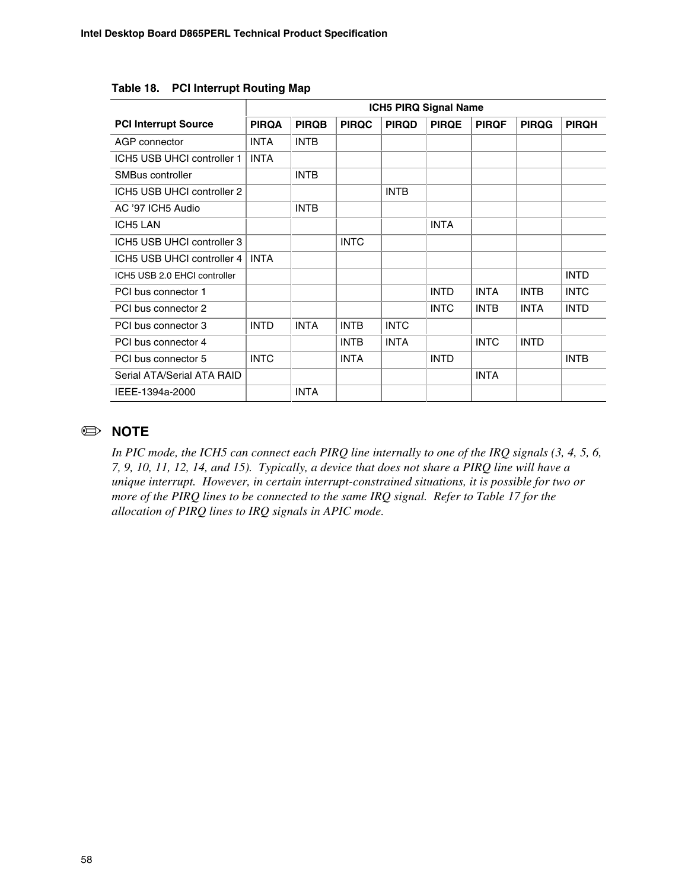|                              | <b>ICH5 PIRQ Signal Name</b> |              |              |              |              |              |              |              |
|------------------------------|------------------------------|--------------|--------------|--------------|--------------|--------------|--------------|--------------|
| <b>PCI Interrupt Source</b>  | <b>PIRQA</b>                 | <b>PIRQB</b> | <b>PIRQC</b> | <b>PIRQD</b> | <b>PIRQE</b> | <b>PIRQF</b> | <b>PIRQG</b> | <b>PIRQH</b> |
| AGP connector                | <b>INTA</b>                  | <b>INTB</b>  |              |              |              |              |              |              |
| ICH5 USB UHCI controller 1   | <b>INTA</b>                  |              |              |              |              |              |              |              |
| SMBus controller             |                              | <b>INTB</b>  |              |              |              |              |              |              |
| ICH5 USB UHCI controller 2   |                              |              |              | <b>INTB</b>  |              |              |              |              |
| AC '97 ICH5 Audio            |                              | <b>INTB</b>  |              |              |              |              |              |              |
| <b>ICH5 LAN</b>              |                              |              |              |              | <b>INTA</b>  |              |              |              |
| ICH5 USB UHCI controller 3   |                              |              | <b>INTC</b>  |              |              |              |              |              |
| ICH5 USB UHCI controller 4   | <b>INTA</b>                  |              |              |              |              |              |              |              |
| ICH5 USB 2.0 EHCI controller |                              |              |              |              |              |              |              | <b>INTD</b>  |
| PCI bus connector 1          |                              |              |              |              | <b>INTD</b>  | <b>INTA</b>  | <b>INTB</b>  | <b>INTC</b>  |
| PCI bus connector 2          |                              |              |              |              | <b>INTC</b>  | <b>INTB</b>  | <b>INTA</b>  | <b>INTD</b>  |
| PCI bus connector 3          | <b>INTD</b>                  | <b>INTA</b>  | <b>INTB</b>  | <b>INTC</b>  |              |              |              |              |
| PCI bus connector 4          |                              |              | <b>INTB</b>  | <b>INTA</b>  |              | <b>INTC</b>  | <b>INTD</b>  |              |
| PCI bus connector 5          | <b>INTC</b>                  |              | <b>INTA</b>  |              | <b>INTD</b>  |              |              | <b>INTB</b>  |
| Serial ATA/Serial ATA RAID   |                              |              |              |              |              | <b>INTA</b>  |              |              |
| IEEE-1394a-2000              |                              | <b>INTA</b>  |              |              |              |              |              |              |

#### **Table 18. PCI Interrupt Routing Map**

#### ✏ **NOTE**

*In PIC mode, the ICH5 can connect each PIRQ line internally to one of the IRQ signals (3, 4, 5, 6, 7, 9, 10, 11, 12, 14, and 15). Typically, a device that does not share a PIRQ line will have a unique interrupt. However, in certain interrupt-constrained situations, it is possible for two or more of the PIRQ lines to be connected to the same IRQ signal. Refer to Table 17 for the allocation of PIRQ lines to IRQ signals in APIC mode.*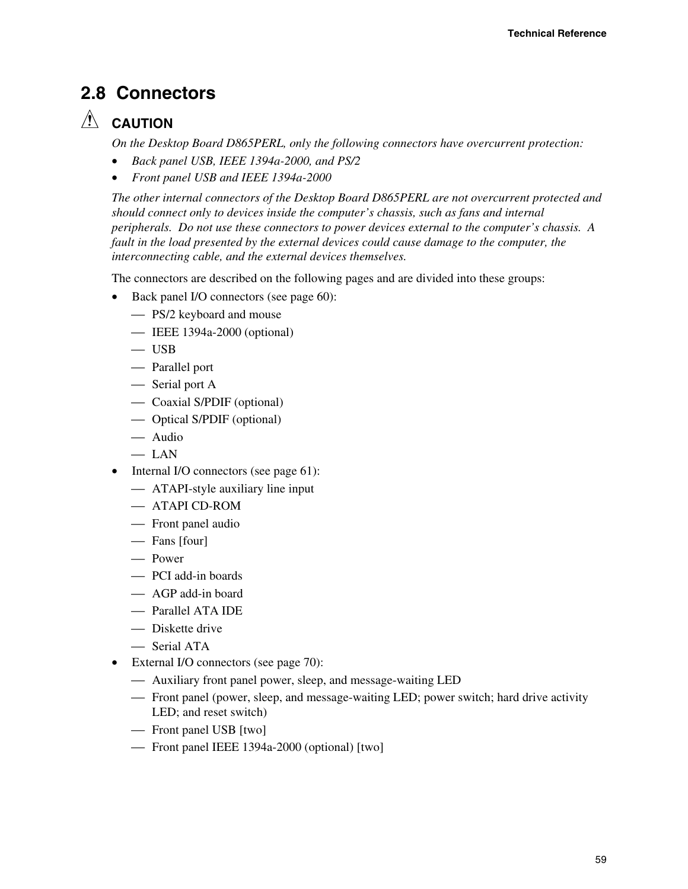# **2.8 Connectors**

# $\hat{A}$  **CAUTION**

*On the Desktop Board D865PERL, only the following connectors have overcurrent protection:* 

- *Back panel USB, IEEE 1394a-2000, and PS/2*
- *Front panel USB and IEEE 1394a-2000*

*The other internal connectors of the Desktop Board D865PERL are not overcurrent protected and should connect only to devices inside the computer's chassis, such as fans and internal peripherals. Do not use these connectors to power devices external to the computer's chassis. A fault in the load presented by the external devices could cause damage to the computer, the interconnecting cable, and the external devices themselves.* 

The connectors are described on the following pages and are divided into these groups:

- Back panel I/O connectors (see page 60):
	- PS/2 keyboard and mouse
	- IEEE 1394a-2000 (optional)
	- USB
	- Parallel port
	- Serial port A
	- Coaxial S/PDIF (optional)
	- Optical S/PDIF (optional)
	- Audio
	- $-LAN$
- Internal I/O connectors (see page 61):
	- ATAPI-style auxiliary line input
	- ATAPI CD-ROM
	- Front panel audio
	- Fans [four]
	- Power
	- PCI add-in boards
	- AGP add-in board
	- Parallel ATA IDE
	- Diskette drive
	- Serial ATA
- External I/O connectors (see page 70):
	- Auxiliary front panel power, sleep, and message-waiting LED
	- Front panel (power, sleep, and message-waiting LED; power switch; hard drive activity LED; and reset switch)
	- Front panel USB [two]
	- Front panel IEEE 1394a-2000 (optional) [two]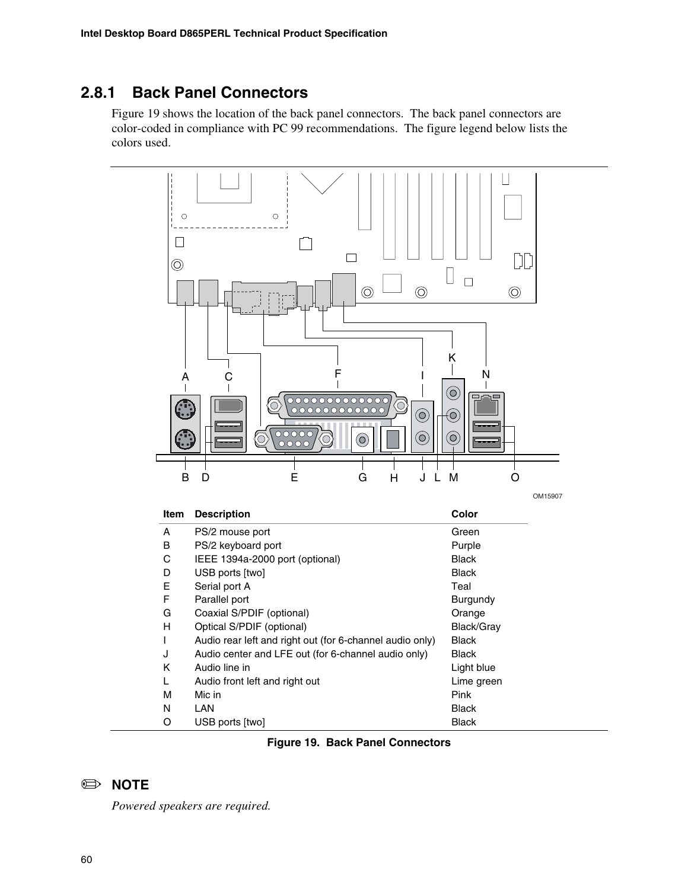### **2.8.1 Back Panel Connectors**

Figure 19 shows the location of the back panel connectors. The back panel connectors are color-coded in compliance with PC 99 recommendations. The figure legend below lists the colors used.



**Figure 19. Back Panel Connectors** 

#### ✏ **NOTE**

*Powered speakers are required.*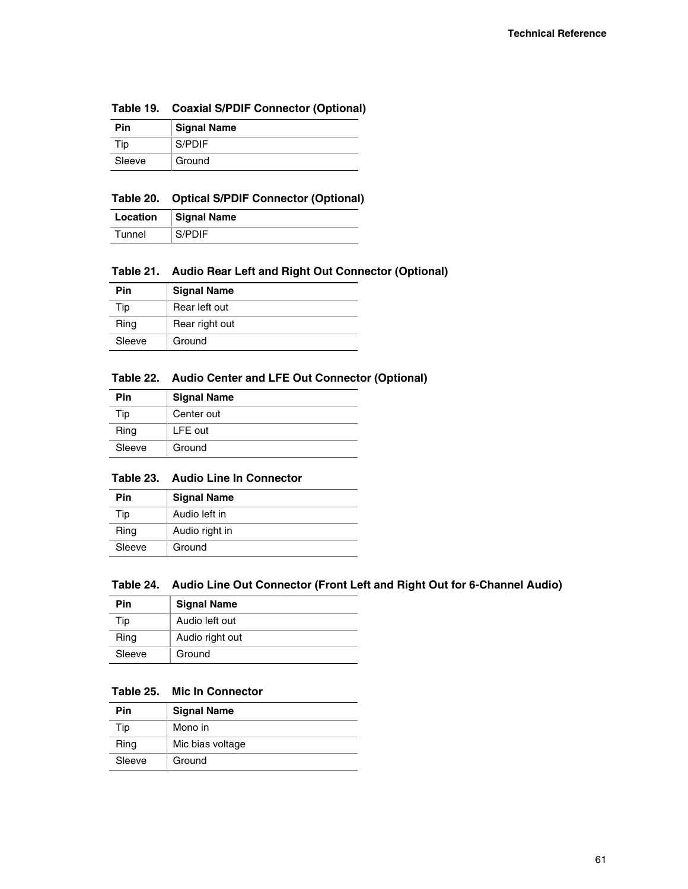| Table 19. Coaxial S/PDIF Connector (Optional) |  |
|-----------------------------------------------|--|
|-----------------------------------------------|--|

| Pin    | <b>Signal Name</b> |
|--------|--------------------|
| Tip    | S/PDIF             |
| Sleeve | Ground             |

#### **Table 20. Optical S/PDIF Connector (Optional)**

| Location | Signal Name |
|----------|-------------|
| Tunnel   | S/PDIF      |

#### **Table 21. Audio Rear Left and Right Out Connector (Optional)**

| Pin    | <b>Signal Name</b> |
|--------|--------------------|
| Tip    | Rear left out      |
| Ring   | Rear right out     |
| Sleeve | Ground             |

#### **Table 22. Audio Center and LFE Out Connector (Optional)**

| Pin    | <b>Signal Name</b> |
|--------|--------------------|
| Tip    | Center out         |
| Ring   | LFE out            |
| Sleeve | Ground             |

|        | Table 23. Audio Line In Connector |
|--------|-----------------------------------|
| Pin    | <b>Signal Name</b>                |
| Tip    | Audio left in                     |
| Ring   | Audio right in                    |
| Sleeve | Ground                            |

#### **Table 24. Audio Line Out Connector (Front Left and Right Out for 6-Channel Audio)**

| Pin    | <b>Signal Name</b> |
|--------|--------------------|
| Tip    | Audio left out     |
| Ring   | Audio right out    |
| Sleeve | Ground             |

#### **Table 25. Mic In Connector**

| Pin    | <b>Signal Name</b> |
|--------|--------------------|
| Tip    | Mono in            |
| Ring   | Mic bias voltage   |
| Sleeve | Ground             |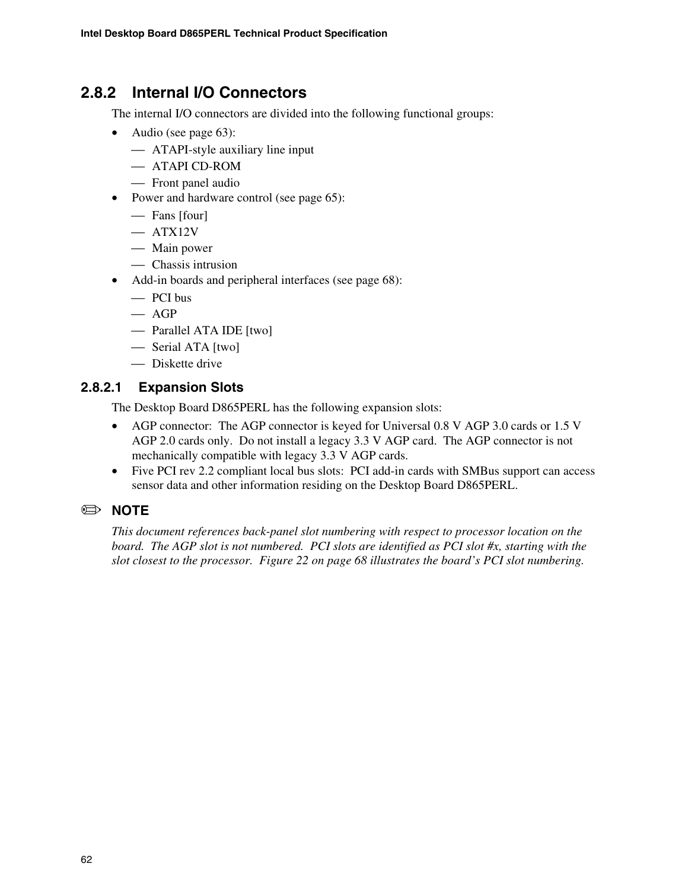## **2.8.2 Internal I/O Connectors**

The internal I/O connectors are divided into the following functional groups:

- Audio (see page 63):
	- ATAPI-style auxiliary line input
	- ATAPI CD-ROM
	- Front panel audio
- Power and hardware control (see page 65):
	- Fans [four]
	- $-$  ATX12V
	- Main power
	- Chassis intrusion
- Add-in boards and peripheral interfaces (see page 68):
	- PCI bus
	- $-$  AGP
	- Parallel ATA IDE [two]
	- Serial ATA [two]
	- Diskette drive

#### **2.8.2.1 Expansion Slots**

The Desktop Board D865PERL has the following expansion slots:

- AGP connector: The AGP connector is keyed for Universal 0.8 V AGP 3.0 cards or 1.5 V AGP 2.0 cards only. Do not install a legacy 3.3 V AGP card. The AGP connector is not mechanically compatible with legacy 3.3 V AGP cards.
- Five PCI rev 2.2 compliant local bus slots: PCI add-in cards with SMBus support can access sensor data and other information residing on the Desktop Board D865PERL.

### ✏ **NOTE**

*This document references back-panel slot numbering with respect to processor location on the board. The AGP slot is not numbered. PCI slots are identified as PCI slot #x, starting with the slot closest to the processor. Figure 22 on page 68 illustrates the board's PCI slot numbering.*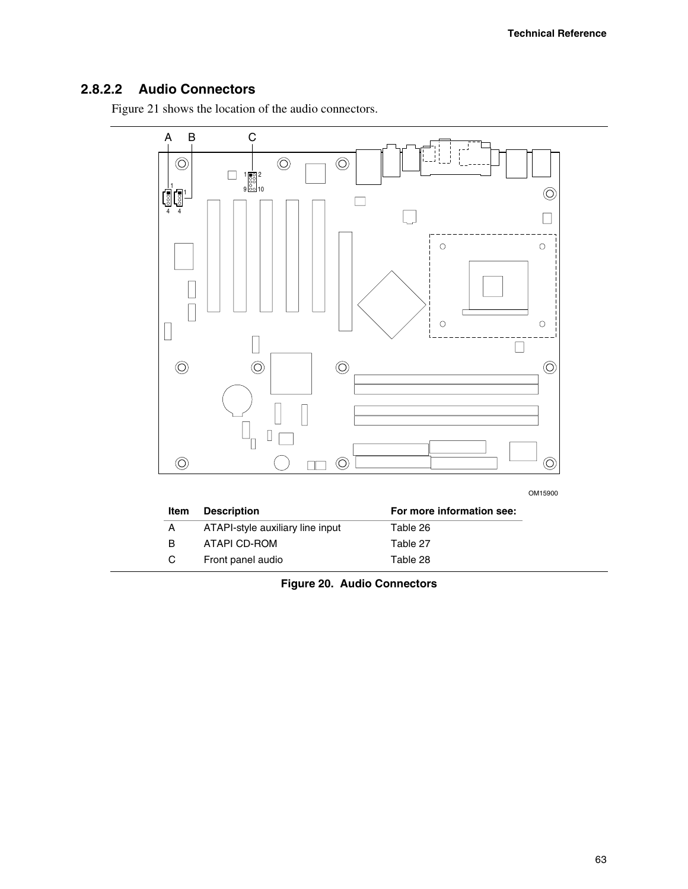## **2.8.2.2 Audio Connectors**

Figure 21 shows the location of the audio connectors.



OM15900

| Item | <b>Description</b>               | For more information see: |
|------|----------------------------------|---------------------------|
| A    | ATAPI-style auxiliary line input | Table 26                  |
| B    | ATAPI CD-ROM                     | Table 27                  |
|      | Front panel audio                | Table 28                  |

**Figure 20. Audio Connectors**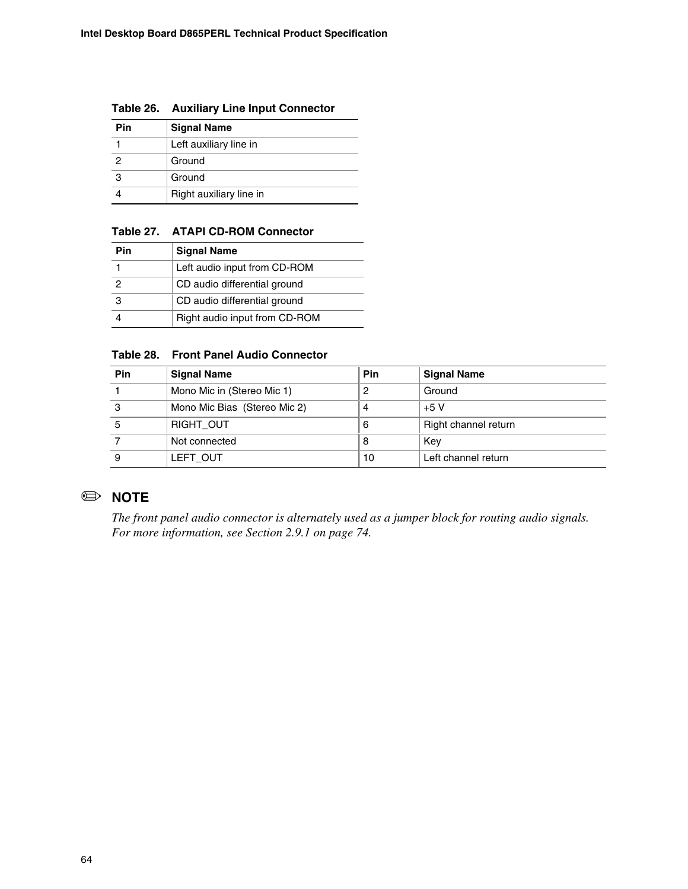| .          | $\ldots$                |
|------------|-------------------------|
| <b>Pin</b> | <b>Signal Name</b>      |
|            | Left auxiliary line in  |
|            | Ground                  |
| 3          | Ground                  |
|            | Right auxiliary line in |

#### **Table 26. Auxiliary Line Input Connector**

#### **Table 27. ATAPI CD-ROM Connector**

| Pin | <b>Signal Name</b>            |
|-----|-------------------------------|
|     | Left audio input from CD-ROM  |
|     | CD audio differential ground  |
|     | CD audio differential ground  |
|     | Right audio input from CD-ROM |

#### **Table 28. Front Panel Audio Connector**

| Pin | <b>Signal Name</b>           | Pin | <b>Signal Name</b>   |
|-----|------------------------------|-----|----------------------|
|     | Mono Mic in (Stereo Mic 1)   |     | Ground               |
|     | Mono Mic Bias (Stereo Mic 2) | 4   | $+5V$                |
| 5   | RIGHT OUT                    | 6   | Right channel return |
|     | Not connected                | 8   | Kev                  |
|     | LEFT OUT                     | 10  | Left channel return  |

#### ✏ **NOTE**

*The front panel audio connector is alternately used as a jumper block for routing audio signals. For more information, see Section 2.9.1 on page 74.*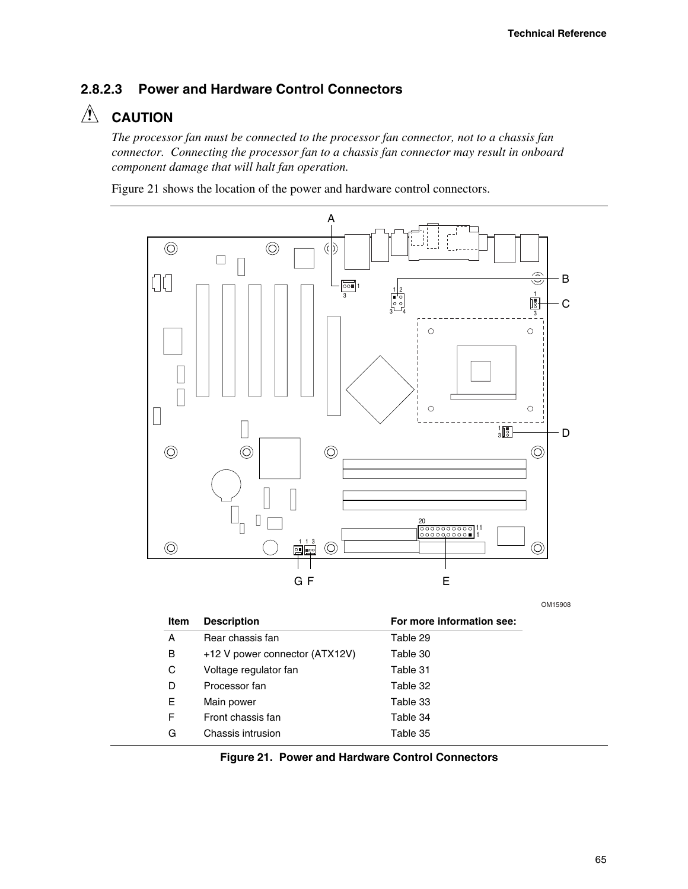## **2.8.2.3 Power and Hardware Control Connectors**

# $\hat{\mathbb{A}}$  **CAUTION**

*The processor fan must be connected to the processor fan connector, not to a chassis fan connector. Connecting the processor fan to a chassis fan connector may result in onboard component damage that will halt fan operation.* 

Figure 21 shows the location of the power and hardware control connectors.



OM15908

| Item | <b>Description</b>             | For more information see: |
|------|--------------------------------|---------------------------|
| A    | Rear chassis fan               | Table 29                  |
| B    | +12 V power connector (ATX12V) | Table 30                  |
| C    | Voltage regulator fan          | Table 31                  |
| D    | Processor fan                  | Table 32                  |
| E    | Main power                     | Table 33                  |
| F    | Front chassis fan              | Table 34                  |
| G    | Chassis intrusion              | Table 35                  |

**Figure 21. Power and Hardware Control Connectors**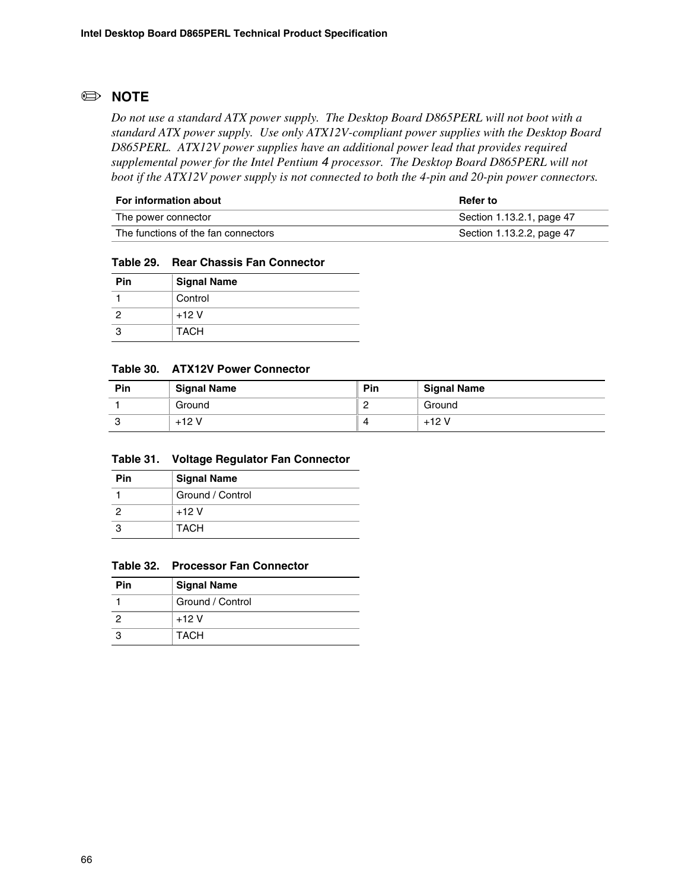#### ✏ **NOTE**

*Do not use a standard ATX power supply. The Desktop Board D865PERL will not boot with a standard ATX power supply. Use only ATX12V-compliant power supplies with the Desktop Board D865PERL. ATX12V power supplies have an additional power lead that provides required supplemental power for the Intel Pentium 4 processor. The Desktop Board D865PERL will not boot if the ATX12V power supply is not connected to both the 4-pin and 20-pin power connectors.* 

| <b>For information about</b>        | Refer to                  |
|-------------------------------------|---------------------------|
| The power connector                 | Section 1.13.2.1, page 47 |
| The functions of the fan connectors | Section 1.13.2.2, page 47 |

**Table 29. Rear Chassis Fan Connector** 

| Pin | <b>Signal Name</b> |
|-----|--------------------|
|     | Control            |
|     | $+12V$             |
|     | <b>TACH</b>        |

#### **Table 30. ATX12V Power Connector**

| Pin | <b>Signal Name</b> | Pin | <b>Signal Name</b> |
|-----|--------------------|-----|--------------------|
|     | Ground             | _   | Ground             |
|     | $+12V$             | 4   | $+12V$             |

#### **Table 31. Voltage Regulator Fan Connector**

| Pin | <b>Signal Name</b> |
|-----|--------------------|
|     | Ground / Control   |
|     | $+12V$             |
|     | <b>TACH</b>        |

#### **Table 32. Processor Fan Connector**

| Pin | <b>Signal Name</b> |
|-----|--------------------|
|     | Ground / Control   |
|     | $+12V$             |
|     | <b>TACH</b>        |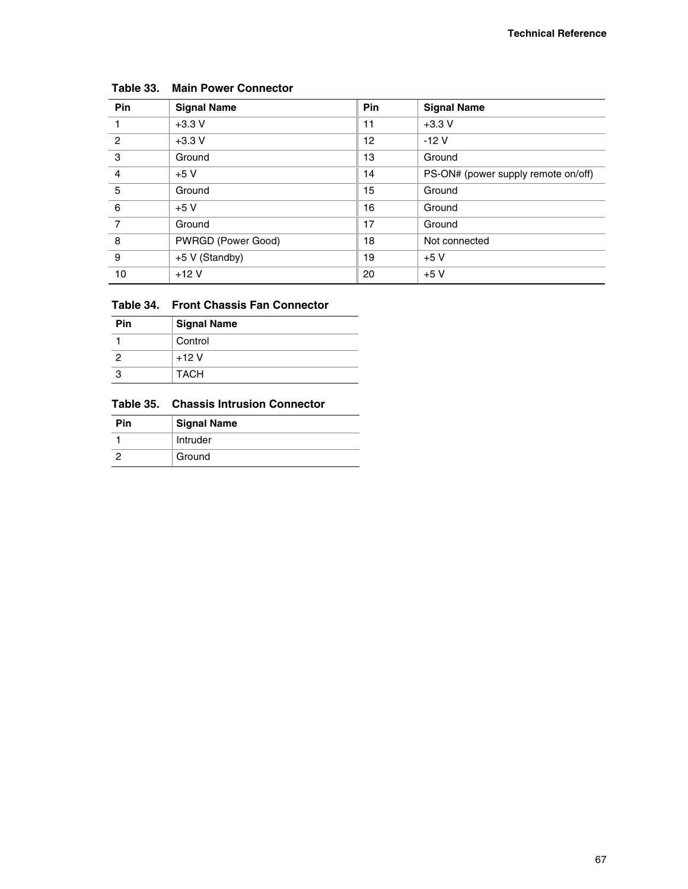| <b>Pin</b>     | <b>Signal Name</b> | Pin | <b>Signal Name</b>                  |
|----------------|--------------------|-----|-------------------------------------|
| $\mathbf{1}$   | $+3.3$ V           | 11  | $+3.3$ V                            |
| $\overline{2}$ | $+3.3$ V           | 12  | $-12V$                              |
| 3              | Ground             | 13  | Ground                              |
| $\overline{4}$ | $+5V$              | 14  | PS-ON# (power supply remote on/off) |
| 5              | Ground             | 15  | Ground                              |
| 6              | $+5V$              | 16  | Ground                              |
| $\overline{7}$ | Ground             | 17  | Ground                              |
| 8              | PWRGD (Power Good) | 18  | Not connected                       |
| 9              | +5 V (Standby)     | 19  | $+5V$                               |
| 10             | $+12V$             | 20  | $+5V$                               |

**Table 33. Main Power Connector** 

| Table 34. |  | <b>Front Chassis Fan Connector</b> |
|-----------|--|------------------------------------|
|           |  |                                    |

| Pin | <b>Signal Name</b> |
|-----|--------------------|
|     | Control            |
|     | $+12V$             |
|     | <b>TACH</b>        |

#### **Table 35. Chassis Intrusion Connector**

| Pin | <b>Signal Name</b> |
|-----|--------------------|
|     | Intruder           |
|     | Ground             |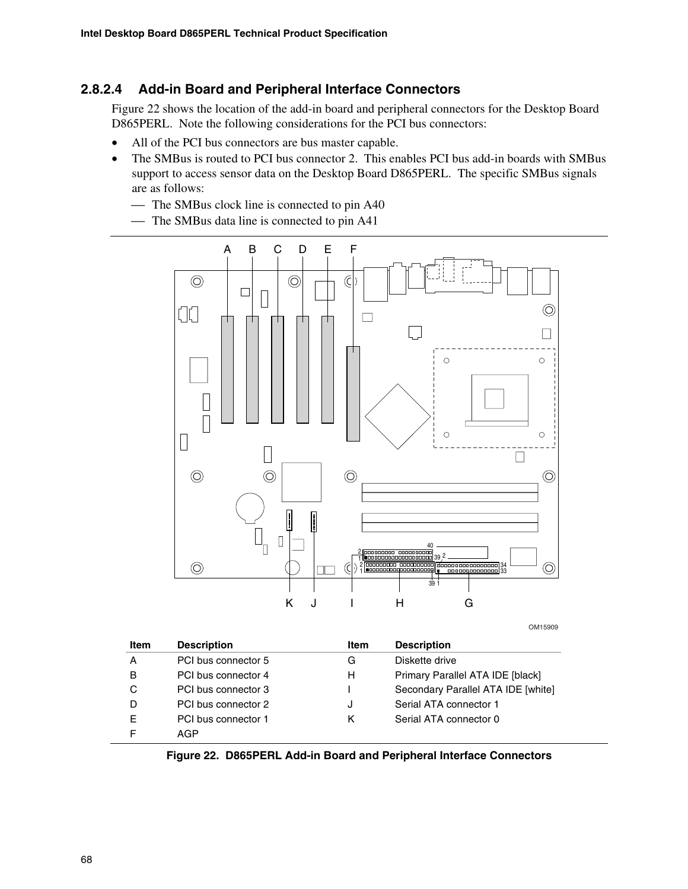#### **2.8.2.4 Add-in Board and Peripheral Interface Connectors**

Figure 22 shows the location of the add-in board and peripheral connectors for the Desktop Board D865PERL. Note the following considerations for the PCI bus connectors:

- All of the PCI bus connectors are bus master capable.
- The SMBus is routed to PCI bus connector 2. This enables PCI bus add-in boards with SMBus support to access sensor data on the Desktop Board D865PERL. The specific SMBus signals are as follows:
	- The SMBus clock line is connected to pin A40
	- The SMBus data line is connected to pin A41



OM15909

| <b>Item</b> | <b>Description</b>  | Item | <b>Description</b>                 |
|-------------|---------------------|------|------------------------------------|
| А           | PCI bus connector 5 | G    | Diskette drive                     |
| В           | PCI bus connector 4 | н    | Primary Parallel ATA IDE [black]   |
| С           | PCI bus connector 3 |      | Secondary Parallel ATA IDE [white] |
| D           | PCI bus connector 2 | J    | Serial ATA connector 1             |
| E.          | PCI bus connector 1 | κ    | Serial ATA connector 0             |
|             | AGP                 |      |                                    |

**Figure 22. D865PERL Add-in Board and Peripheral Interface Connectors**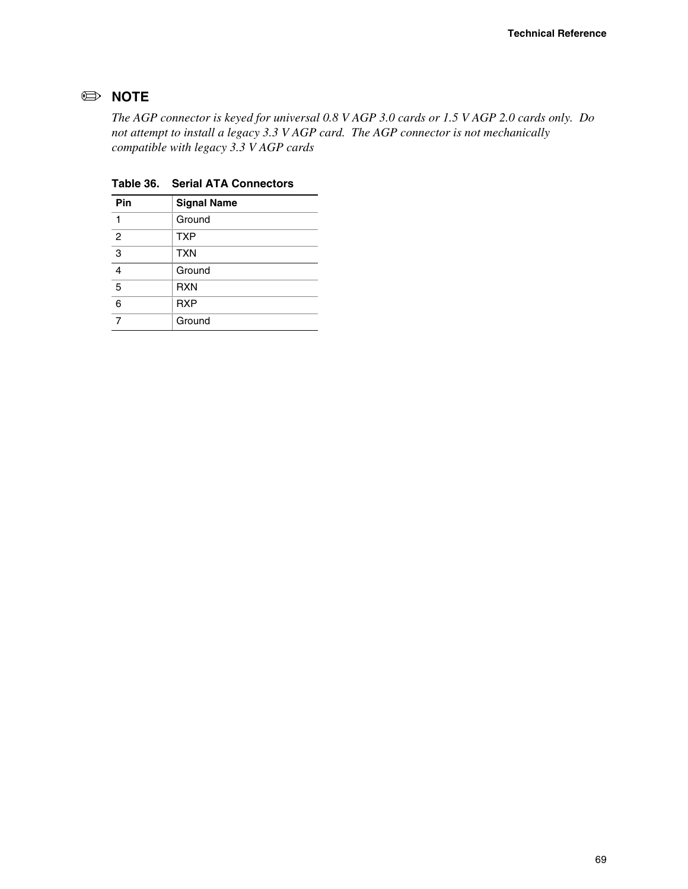## ✏ **NOTE**

*The AGP connector is keyed for universal 0.8 V AGP 3.0 cards or 1.5 V AGP 2.0 cards only. Do not attempt to install a legacy 3.3 V AGP card. The AGP connector is not mechanically compatible with legacy 3.3 V AGP cards* 

| Pin                       | <b>Signal Name</b> |
|---------------------------|--------------------|
|                           | Ground             |
| $\overline{2}$            | <b>TXP</b>         |
| $\overline{\overline{3}}$ | <b>TXN</b>         |
| $\overline{4}$            | Ground             |
| $\overline{5}$            | <b>RXN</b>         |
| 6                         | <b>RXP</b>         |
| 7                         | Ground             |

**Table 36. Serial ATA Connectors**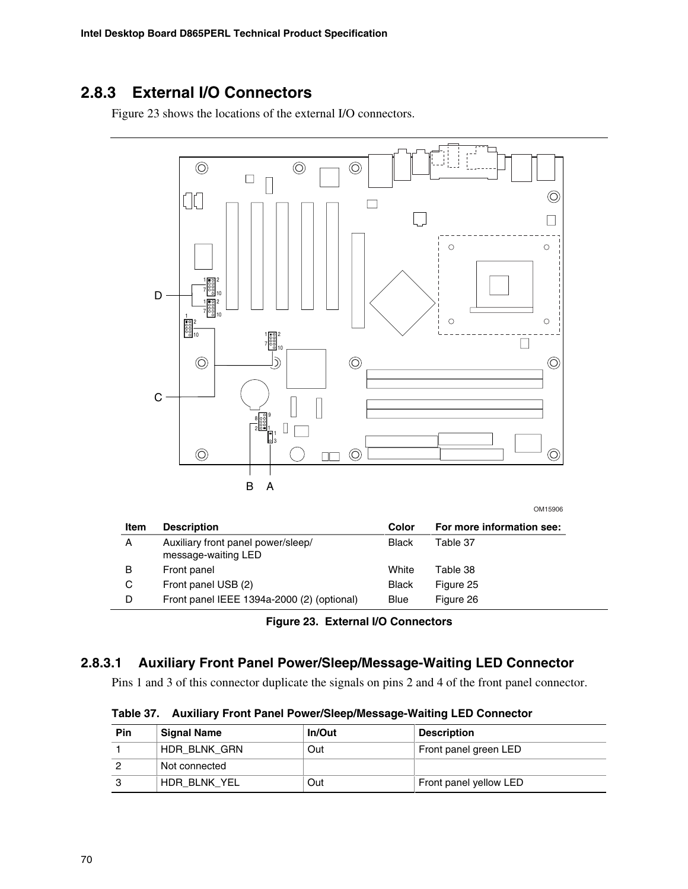## **2.8.3 External I/O Connectors**

Figure 23 shows the locations of the external I/O connectors.



| Item | <b>Description</b>                                        | Color        | For more information see: |
|------|-----------------------------------------------------------|--------------|---------------------------|
| A    | Auxiliary front panel power/sleep/<br>message-waiting LED | <b>Black</b> | Table 37                  |
| B    | Front panel                                               | White        | Table 38                  |
| C.   | Front panel USB (2)                                       | <b>Black</b> | Figure 25                 |
| D    | Front panel IEEE 1394a-2000 (2) (optional)                | Blue         | Figure 26                 |

**Figure 23. External I/O Connectors** 

### **2.8.3.1 Auxiliary Front Panel Power/Sleep/Message-Waiting LED Connector**

Pins 1 and 3 of this connector duplicate the signals on pins 2 and 4 of the front panel connector.

**Table 37. Auxiliary Front Panel Power/Sleep/Message-Waiting LED Connector** 

| Pin | <b>Signal Name</b> | In/Out | <b>Description</b>     |
|-----|--------------------|--------|------------------------|
|     | HDR BLNK GRN       | Out    | Front panel green LED  |
|     | Not connected      |        |                        |
|     | HDR BLNK YEL       | Out    | Front panel yellow LED |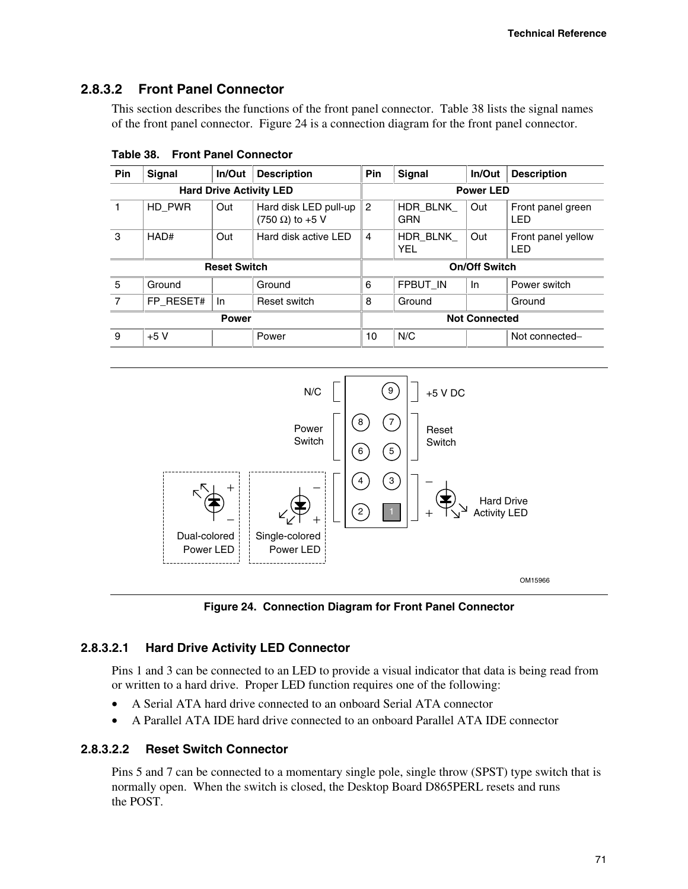#### **2.8.3.2 Front Panel Connector**

This section describes the functions of the front panel connector. Table 38 lists the signal names of the front panel connector. Figure 24 is a connection diagram for the front panel connector.

| <b>Pin</b>          | <b>Signal</b>                  | In/Out               | <b>Description</b>                              | <b>Pin</b>       | Signal                 | In/Out | <b>Description</b>        |
|---------------------|--------------------------------|----------------------|-------------------------------------------------|------------------|------------------------|--------|---------------------------|
|                     | <b>Hard Drive Activity LED</b> |                      |                                                 | <b>Power LED</b> |                        |        |                           |
|                     | HD PWR                         | Out                  | Hard disk LED pull-up<br>$(750 \Omega)$ to +5 V | $\overline{c}$   | HDR BLNK<br><b>GRN</b> | Out    | Front panel green<br>LED  |
| 3                   | HAD#                           | Out                  | Hard disk active LED                            | 4                | HDR BLNK<br>YEL        | Out    | Front panel yellow<br>LED |
| <b>Reset Switch</b> |                                |                      | <b>On/Off Switch</b>                            |                  |                        |        |                           |
| 5                   | Ground                         |                      | Ground                                          | 6                | FPBUT_IN               | In     | Power switch              |
| $\overline{7}$      | FP RESET#                      | In                   | Reset switch                                    | 8                | Ground                 |        | Ground                    |
| <b>Power</b>        |                                | <b>Not Connected</b> |                                                 |                  |                        |        |                           |
| 9                   | $+5V$                          |                      | Power                                           | 10               | N/C                    |        | Not connected-            |

**Table 38. Front Panel Connector** 



**Figure 24. Connection Diagram for Front Panel Connector** 

#### **2.8.3.2.1 Hard Drive Activity LED Connector**

Pins 1 and 3 can be connected to an LED to provide a visual indicator that data is being read from or written to a hard drive. Proper LED function requires one of the following:

- A Serial ATA hard drive connected to an onboard Serial ATA connector
- A Parallel ATA IDE hard drive connected to an onboard Parallel ATA IDE connector

#### **2.8.3.2.2 Reset Switch Connector**

Pins 5 and 7 can be connected to a momentary single pole, single throw (SPST) type switch that is normally open. When the switch is closed, the Desktop Board D865PERL resets and runs the POST.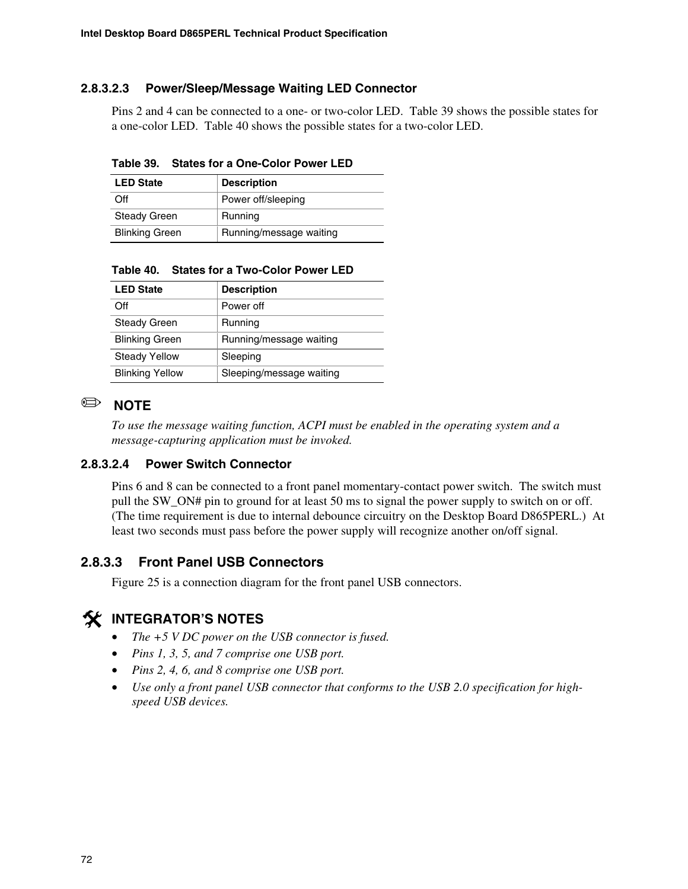#### **2.8.3.2.3 Power/Sleep/Message Waiting LED Connector**

Pins 2 and 4 can be connected to a one- or two-color LED. Table 39 shows the possible states for a one-color LED. Table 40 shows the possible states for a two-color LED.

| Table 39. States for a Une-Color Power LED |                         |  |  |  |
|--------------------------------------------|-------------------------|--|--|--|
| <b>LED State</b>                           | <b>Description</b>      |  |  |  |
| Off                                        | Power off/sleeping      |  |  |  |
| Steady Green                               | Running                 |  |  |  |
| <b>Blinking Green</b>                      | Running/message waiting |  |  |  |

**Table 39. States for a One-Color Power LED** 

| <b>LED State</b>       | <b>Description</b>       |
|------------------------|--------------------------|
| Off                    | Power off                |
| Steady Green           | Running                  |
| <b>Blinking Green</b>  | Running/message waiting  |
| <b>Steady Yellow</b>   | Sleeping                 |
| <b>Blinking Yellow</b> | Sleeping/message waiting |

✏ **NOTE** 

*To use the message waiting function, ACPI must be enabled in the operating system and a message-capturing application must be invoked.* 

#### **2.8.3.2.4 Power Switch Connector**

Pins 6 and 8 can be connected to a front panel momentary-contact power switch. The switch must pull the SW\_ON# pin to ground for at least 50 ms to signal the power supply to switch on or off. (The time requirement is due to internal debounce circuitry on the Desktop Board D865PERL.) At least two seconds must pass before the power supply will recognize another on/off signal.

#### **2.8.3.3 Front Panel USB Connectors**

Figure 25 is a connection diagram for the front panel USB connectors.

## *K* INTEGRATOR'S NOTES

- *The +5 V DC power on the USB connector is fused.*
- *Pins 1, 3, 5, and 7 comprise one USB port.*
- *Pins 2, 4, 6, and 8 comprise one USB port.*
- *Use only a front panel USB connector that conforms to the USB 2.0 specification for highspeed USB devices.*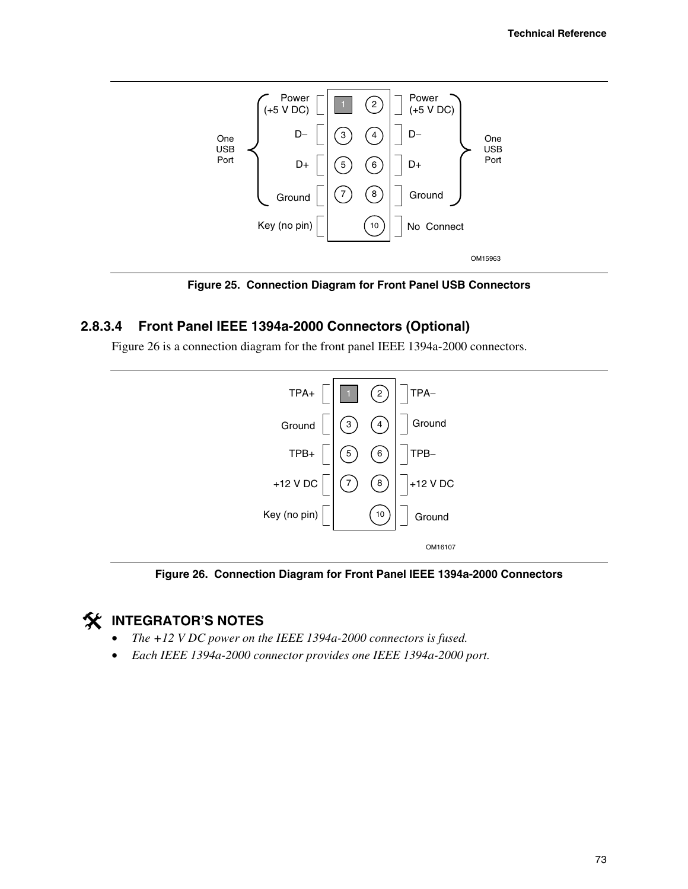

**Figure 25. Connection Diagram for Front Panel USB Connectors** 

#### **2.8.3.4 Front Panel IEEE 1394a-2000 Connectors (Optional)**

Figure 26 is a connection diagram for the front panel IEEE 1394a-2000 connectors.



**Figure 26. Connection Diagram for Front Panel IEEE 1394a-2000 Connectors** 

## **X** INTEGRATOR'S NOTES

- *The +12 V DC power on the IEEE 1394a-2000 connectors is fused.*
- *Each IEEE 1394a-2000 connector provides one IEEE 1394a-2000 port.*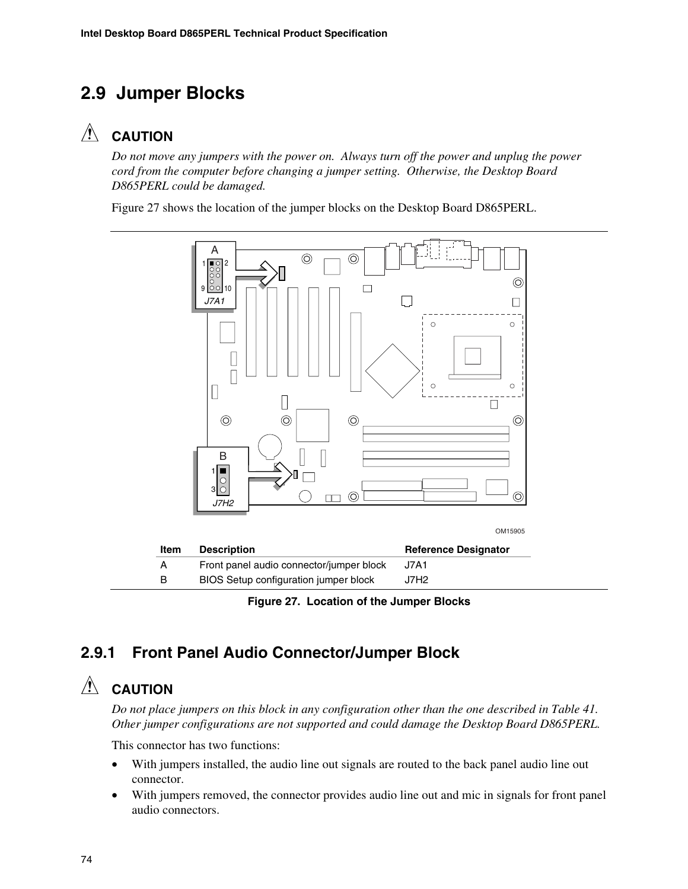# **2.9 Jumper Blocks**

# $\hat{A}$  **CAUTION**

*Do not move any jumpers with the power on. Always turn off the power and unplug the power cord from the computer before changing a jumper setting. Otherwise, the Desktop Board D865PERL could be damaged.* 

Figure 27 shows the location of the jumper blocks on the Desktop Board D865PERL.



**Figure 27. Location of the Jumper Blocks** 

#### **2.9.1 Front Panel Audio Connector/Jumper Block**

# **CAUTION**

*Do not place jumpers on this block in any configuration other than the one described in Table 41. Other jumper configurations are not supported and could damage the Desktop Board D865PERL.* 

This connector has two functions:

- With jumpers installed, the audio line out signals are routed to the back panel audio line out connector.
- With jumpers removed, the connector provides audio line out and mic in signals for front panel audio connectors.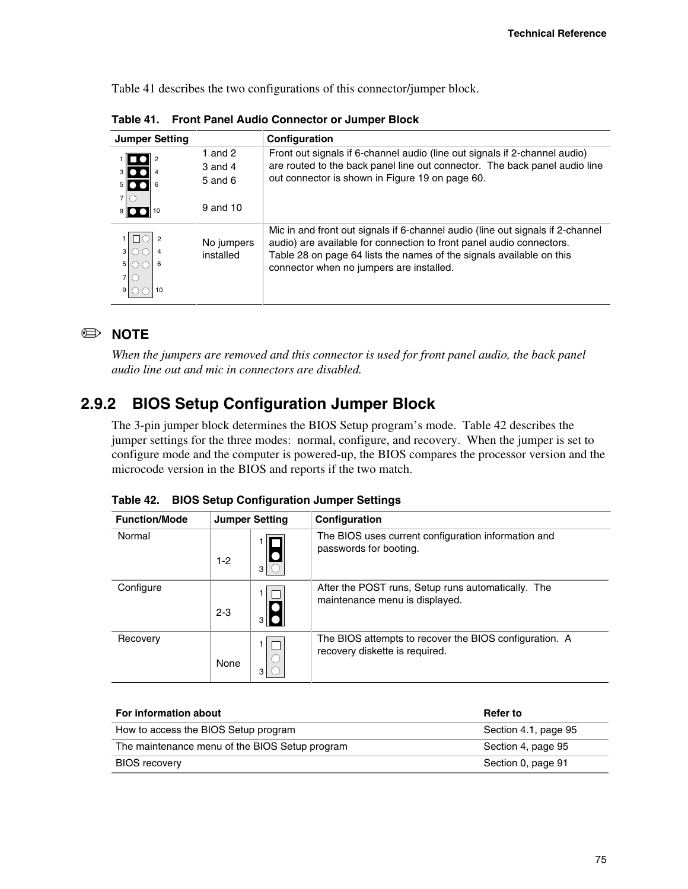Table 41 describes the two configurations of this connector/jumper block.

| <b>Jumper Setting</b> |             | Configuration                                                                                                                                          |
|-----------------------|-------------|--------------------------------------------------------------------------------------------------------------------------------------------------------|
|                       | 1 and $2$   | Front out signals if 6-channel audio (line out signals if 2-channel audio)                                                                             |
|                       | $3$ and $4$ | are routed to the back panel line out connector. The back panel audio line                                                                             |
|                       | $5$ and $6$ | out connector is shown in Figure 19 on page 60.                                                                                                        |
| 7   O                 |             |                                                                                                                                                        |
|                       | 9 and 10    |                                                                                                                                                        |
|                       |             |                                                                                                                                                        |
| UO.                   | No jumpers  | Mic in and front out signals if 6-channel audio (line out signals if 2-channel<br>audio) are available for connection to front panel audio connectors. |
| $3$ O                 | installed   | Table 28 on page 64 lists the names of the signals available on this                                                                                   |
| $5$ $\circ$           |             | connector when no jumpers are installed.                                                                                                               |
| 70                    |             |                                                                                                                                                        |
|                       |             |                                                                                                                                                        |
|                       |             |                                                                                                                                                        |

**Table 41. Front Panel Audio Connector or Jumper Block** 

#### ✏ **NOTE**

When the jumpers are removed and this connector is used for front panel audio, the back panel *audio line out and mic in connectors are disabled.* 

#### **2.9.2 BIOS Setup Configuration Jumper Block**

The 3-pin jumper block determines the BIOS Setup program's mode. Table 42 describes the jumper settings for the three modes: normal, configure, and recovery. When the jumper is set to configure mode and the computer is powered-up, the BIOS compares the processor version and the microcode version in the BIOS and reports if the two match.

| <b>Function/Mode</b> |         | <b>Jumper Setting</b> | Configuration                                                                            |
|----------------------|---------|-----------------------|------------------------------------------------------------------------------------------|
| Normal               | $1 - 2$ | 3                     | The BIOS uses current configuration information and<br>passwords for booting.            |
| Configure            | $2 - 3$ |                       | After the POST runs, Setup runs automatically. The<br>maintenance menu is displayed.     |
| Recovery             | None    | 3                     | The BIOS attempts to recover the BIOS configuration. A<br>recovery diskette is required. |

|  | Table 42. BIOS Setup Configuration Jumper Settings |
|--|----------------------------------------------------|
|  |                                                    |

| For information about                          | <b>Refer to</b>      |
|------------------------------------------------|----------------------|
| How to access the BIOS Setup program           | Section 4.1, page 95 |
| The maintenance menu of the BIOS Setup program | Section 4, page 95   |
| <b>BIOS recovery</b>                           | Section 0, page 91   |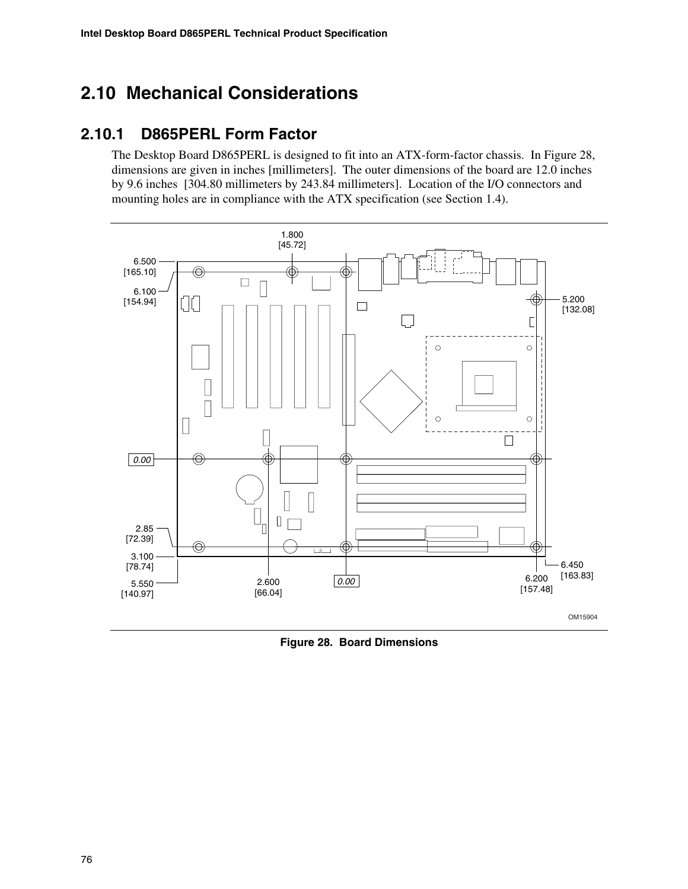# **2.10 Mechanical Considerations**

#### **2.10.1 D865PERL Form Factor**

The Desktop Board D865PERL is designed to fit into an ATX-form-factor chassis. In Figure 28, dimensions are given in inches [millimeters]. The outer dimensions of the board are 12.0 inches by 9.6 inches [304.80 millimeters by 243.84 millimeters]. Location of the I/O connectors and mounting holes are in compliance with the ATX specification (see Section 1.4).



**Figure 28. Board Dimensions**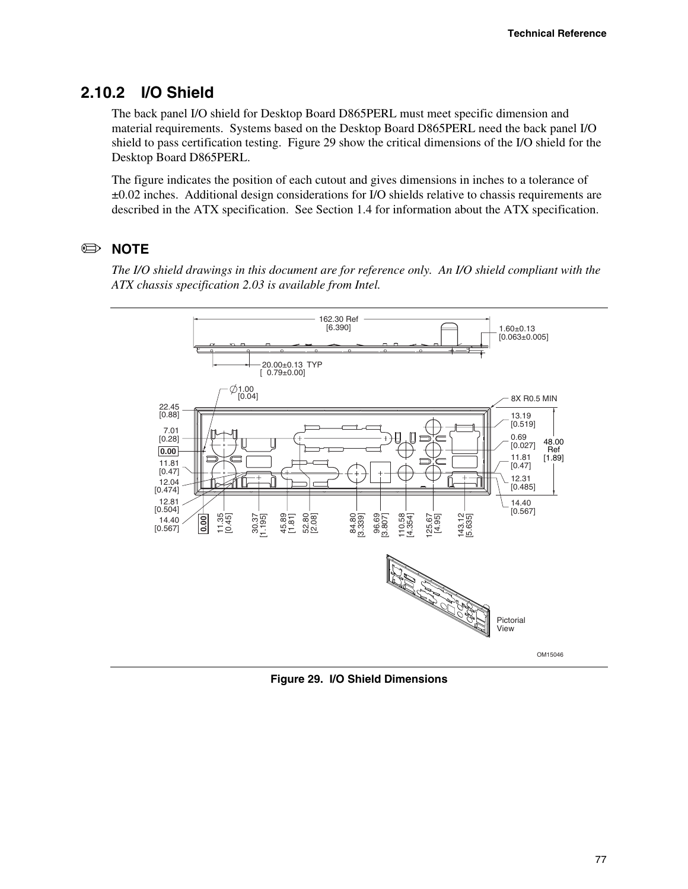#### **2.10.2 I/O Shield**

The back panel I/O shield for Desktop Board D865PERL must meet specific dimension and material requirements. Systems based on the Desktop Board D865PERL need the back panel I/O shield to pass certification testing. Figure 29 show the critical dimensions of the I/O shield for the Desktop Board D865PERL.

The figure indicates the position of each cutout and gives dimensions in inches to a tolerance of ±0.02 inches. Additional design considerations for I/O shields relative to chassis requirements are described in the ATX specification. See Section 1.4 for information about the ATX specification.

#### ✏ **NOTE**

*The I/O shield drawings in this document are for reference only. An I/O shield compliant with the ATX chassis specification 2.03 is available from Intel.* 



**Figure 29. I/O Shield Dimensions**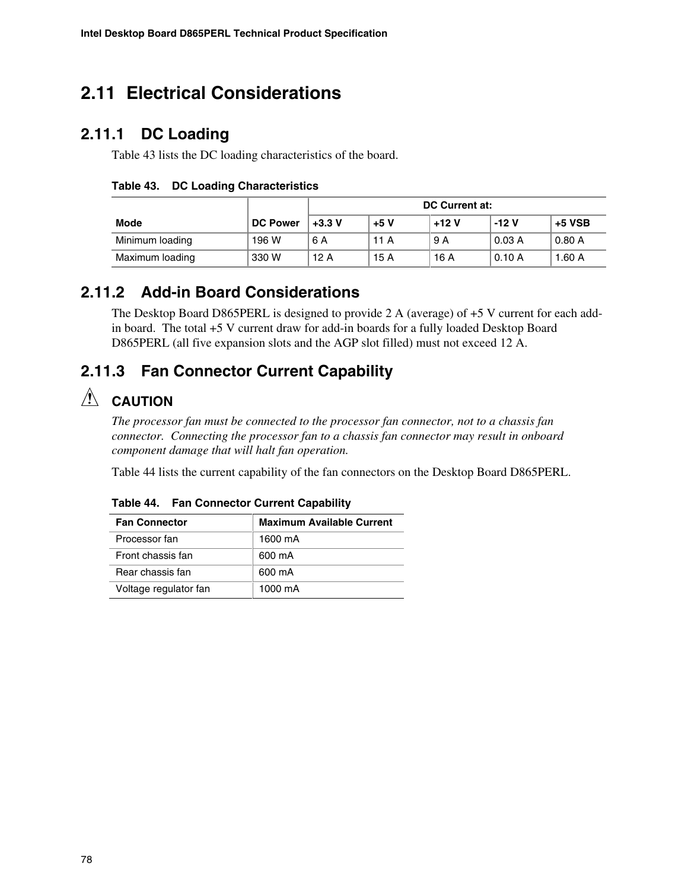# **2.11 Electrical Considerations**

## **2.11.1 DC Loading**

Table 43 lists the DC loading characteristics of the board.

|  | Table 43. DC Loading Characteristics |
|--|--------------------------------------|
|--|--------------------------------------|

|                 |                 | <b>DC Current at:</b> |      |        |        |          |
|-----------------|-----------------|-----------------------|------|--------|--------|----------|
| Mode            | <b>DC Power</b> | $+3.3$ V              | +5 V | $+12V$ | $-12V$ | $+5$ VSB |
| Minimum loading | 196 W           | 6 A                   | 11 A | 9 A    | 0.03A  | 0.80A    |
| Maximum loading | 330 W           | 12A                   | 15 A | 16 A   | 0.10A  | 1.60A    |

#### **2.11.2 Add-in Board Considerations**

The Desktop Board D865PERL is designed to provide 2 A (average) of +5 V current for each addin board. The total +5 V current draw for add-in boards for a fully loaded Desktop Board D865PERL (all five expansion slots and the AGP slot filled) must not exceed 12 A.

## **2.11.3 Fan Connector Current Capability**

# $\hat{\mathbb{A}}$  **CAUTION**

*The processor fan must be connected to the processor fan connector, not to a chassis fan connector. Connecting the processor fan to a chassis fan connector may result in onboard component damage that will halt fan operation.* 

Table 44 lists the current capability of the fan connectors on the Desktop Board D865PERL.

| <b>Fan Connector</b>  | <b>Maximum Available Current</b> |
|-----------------------|----------------------------------|
| Processor fan         | 1600 mA                          |
| Front chassis fan     | 600 mA                           |
| Rear chassis fan      | 600 mA                           |
| Voltage regulator fan | 1000 mA                          |

|  | Table 44. Fan Connector Current Capability |  |  |
|--|--------------------------------------------|--|--|
|--|--------------------------------------------|--|--|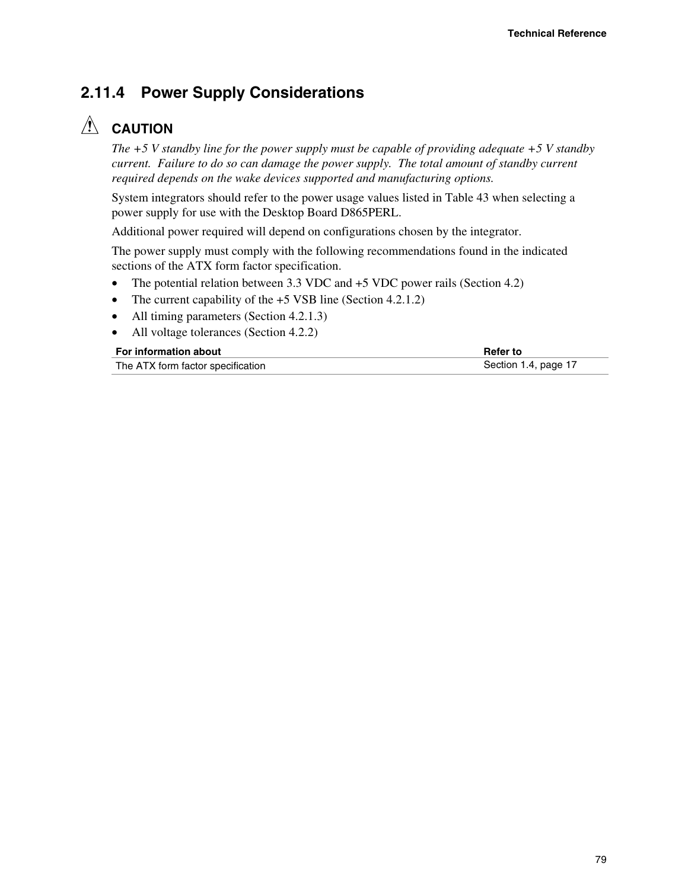## **2.11.4 Power Supply Considerations**

# $\hat{A}$  **CAUTION**

*The +5 V standby line for the power supply must be capable of providing adequate +5 V standby current. Failure to do so can damage the power supply. The total amount of standby current required depends on the wake devices supported and manufacturing options.* 

System integrators should refer to the power usage values listed in Table 43 when selecting a power supply for use with the Desktop Board D865PERL.

Additional power required will depend on configurations chosen by the integrator.

The power supply must comply with the following recommendations found in the indicated sections of the ATX form factor specification.

- The potential relation between 3.3 VDC and  $+5$  VDC power rails (Section 4.2)
- The current capability of the +5 VSB line (Section 4.2.1.2)
- All timing parameters (Section 4.2.1.3)
- All voltage tolerances (Section 4.2.2)

#### **For information about Refer to**

|                                   | .                    |
|-----------------------------------|----------------------|
| The ATX form factor specification | Section 1.4, page 17 |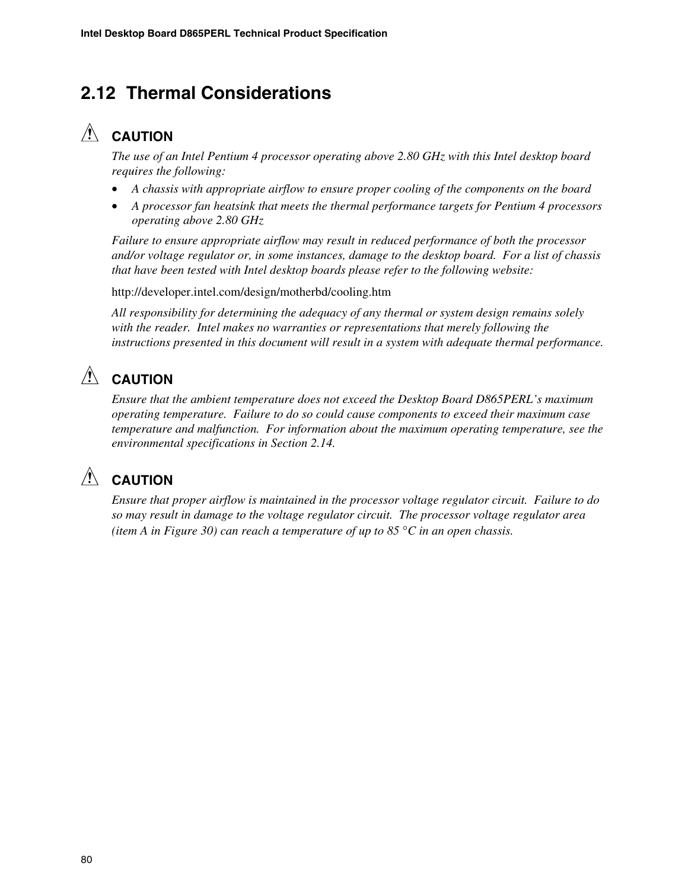# **2.12 Thermal Considerations**

# $\hat{A}$  **CAUTION**

*The use of an Intel Pentium 4 processor operating above 2.80 GHz with this Intel desktop board requires the following:* 

- *A chassis with appropriate airflow to ensure proper cooling of the components on the board*
- *A processor fan heatsink that meets the thermal performance targets for Pentium 4 processors operating above 2.80 GHz*

*Failure to ensure appropriate airflow may result in reduced performance of both the processor and/or voltage regulator or, in some instances, damage to the desktop board. For a list of chassis that have been tested with Intel desktop boards please refer to the following website:* 

<http://developer.intel.com/design/motherbd/cooling.htm>

*All responsibility for determining the adequacy of any thermal or system design remains solely with the reader. Intel makes no warranties or representations that merely following the instructions presented in this document will result in a system with adequate thermal performance.*

# $\hat{A}$  **CAUTION**

*Ensure that the ambient temperature does not exceed the Desktop Board D865PERL's maximum operating temperature. Failure to do so could cause components to exceed their maximum case temperature and malfunction. For information about the maximum operating temperature, see the environmental specifications in Section 2.14.* 

# $\hat{A}$  **CAUTION**

*Ensure that proper airflow is maintained in the processor voltage regulator circuit. Failure to do so may result in damage to the voltage regulator circuit. The processor voltage regulator area (item A in Figure 30) can reach a temperature of up to 85* °*C in an open chassis.*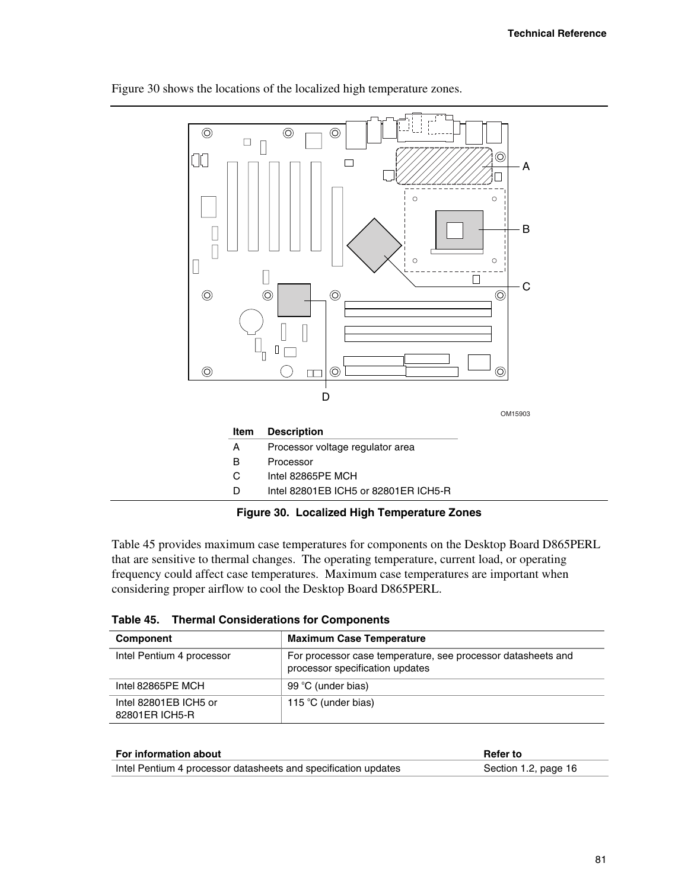

Figure 30 shows the locations of the localized high temperature zones.

**Figure 30. Localized High Temperature Zones** 

Table 45 provides maximum case temperatures for components on the Desktop Board D865PERL that are sensitive to thermal changes. The operating temperature, current load, or operating frequency could affect case temperatures. Maximum case temperatures are important when considering proper airflow to cool the Desktop Board D865PERL.

| Table 45. |  |  | <b>Thermal Considerations for Components</b> |
|-----------|--|--|----------------------------------------------|
|-----------|--|--|----------------------------------------------|

| Component                               | <b>Maximum Case Temperature</b>                                                                 |
|-----------------------------------------|-------------------------------------------------------------------------------------------------|
| Intel Pentium 4 processor               | For processor case temperature, see processor datasheets and<br>processor specification updates |
| Intel 82865PE MCH                       | 99 °C (under bias)                                                                              |
| Intel 82801EB ICH5 or<br>82801ER ICH5-R | 115 °C (under bias)                                                                             |

| <b>For information about</b>                                   | <b>Refer to</b>      |
|----------------------------------------------------------------|----------------------|
| Intel Pentium 4 processor datasheets and specification updates | Section 1.2, page 16 |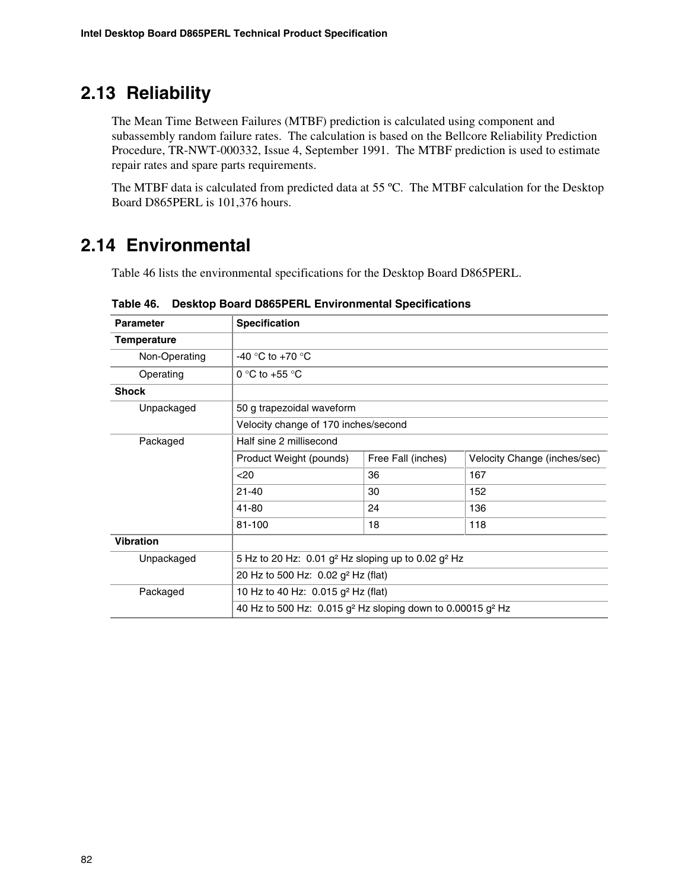## **2.13 Reliability**

The Mean Time Between Failures (MTBF) prediction is calculated using component and subassembly random failure rates. The calculation is based on the Bellcore Reliability Prediction Procedure, TR-NWT-000332, Issue 4, September 1991. The MTBF prediction is used to estimate repair rates and spare parts requirements.

The MTBF data is calculated from predicted data at 55 ºC. The MTBF calculation for the Desktop Board D865PERL is 101,376 hours.

# **2.14 Environmental**

Table 46 lists the environmental specifications for the Desktop Board D865PERL.

| <b>Parameter</b>   | <b>Specification</b>                                                                                                                   |                    |                              |
|--------------------|----------------------------------------------------------------------------------------------------------------------------------------|--------------------|------------------------------|
| <b>Temperature</b> |                                                                                                                                        |                    |                              |
| Non-Operating      | -40 °C to +70 °C                                                                                                                       |                    |                              |
| Operating          | 0 °C to +55 °C                                                                                                                         |                    |                              |
| <b>Shock</b>       |                                                                                                                                        |                    |                              |
| Unpackaged         | 50 g trapezoidal waveform<br>Velocity change of 170 inches/second                                                                      |                    |                              |
|                    |                                                                                                                                        |                    |                              |
| Packaged           | Half sine 2 millisecond                                                                                                                |                    |                              |
|                    | Product Weight (pounds)                                                                                                                | Free Fall (inches) | Velocity Change (inches/sec) |
|                    | $20$                                                                                                                                   | 36                 | 167                          |
|                    | $21 - 40$                                                                                                                              | 30                 | 152                          |
|                    | 41-80                                                                                                                                  | 24                 | 136                          |
|                    | 81-100                                                                                                                                 | 18                 | 118                          |
| <b>Vibration</b>   |                                                                                                                                        |                    |                              |
| Unpackaged         | 5 Hz to 20 Hz: 0.01 $g2$ Hz sloping up to 0.02 $g2$ Hz                                                                                 |                    |                              |
|                    | 20 Hz to 500 Hz: 0.02 g <sup>2</sup> Hz (flat)                                                                                         |                    |                              |
| Packaged           | 10 Hz to 40 Hz: $0.015$ g <sup>2</sup> Hz (flat)<br>40 Hz to 500 Hz: 0.015 g <sup>2</sup> Hz sloping down to 0.00015 g <sup>2</sup> Hz |                    |                              |
|                    |                                                                                                                                        |                    |                              |

**Table 46. Desktop Board D865PERL Environmental Specifications**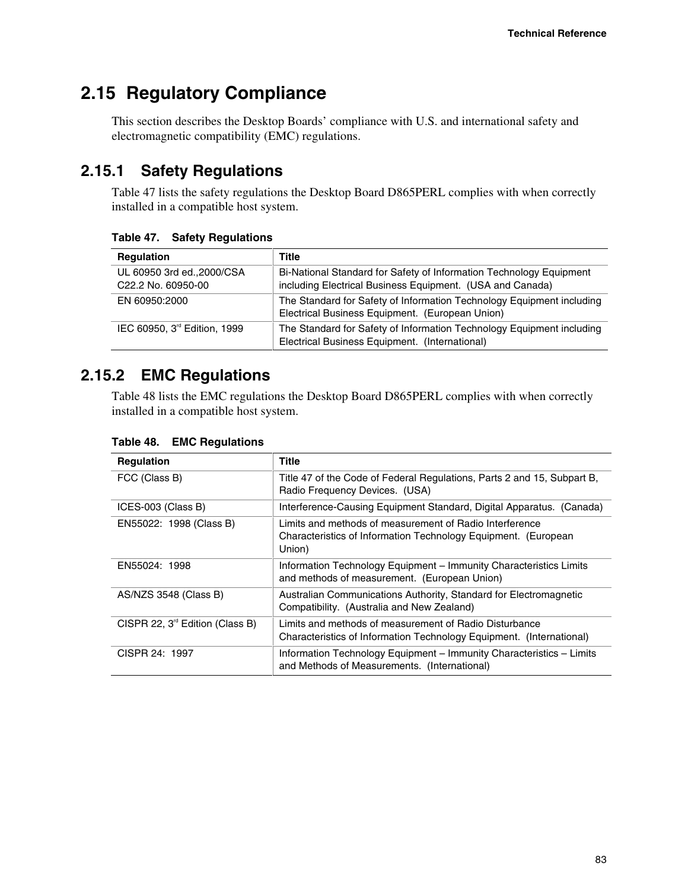# **2.15 Regulatory Compliance**

This section describes the Desktop Boards' compliance with U.S. and international safety and electromagnetic compatibility (EMC) regulations.

## **2.15.1 Safety Regulations**

Table 47 lists the safety regulations the Desktop Board D865PERL complies with when correctly installed in a compatible host system.

| Table 47. | <b>Safety Regulations</b> |
|-----------|---------------------------|
|-----------|---------------------------|

| Regulation                                       | Title                                                                                                                            |
|--------------------------------------------------|----------------------------------------------------------------------------------------------------------------------------------|
| UL 60950 3rd ed., 2000/CSA<br>C22.2 No. 60950-00 | Bi-National Standard for Safety of Information Technology Equipment<br>including Electrical Business Equipment. (USA and Canada) |
| EN 60950:2000                                    | The Standard for Safety of Information Technology Equipment including<br>Electrical Business Equipment. (European Union)         |
| IEC 60950, 3rd Edition, 1999                     | The Standard for Safety of Information Technology Equipment including<br>Electrical Business Equipment. (International)          |

## **2.15.2 EMC Regulations**

Table 48 lists the EMC regulations the Desktop Board D865PERL complies with when correctly installed in a compatible host system.

| <b>Regulation</b>                           | <b>Title</b>                                                                                                                        |
|---------------------------------------------|-------------------------------------------------------------------------------------------------------------------------------------|
| FCC (Class B)                               | Title 47 of the Code of Federal Regulations, Parts 2 and 15, Subpart B,<br>Radio Frequency Devices. (USA)                           |
| ICES-003 (Class B)                          | Interference-Causing Equipment Standard, Digital Apparatus. (Canada)                                                                |
| EN55022: 1998 (Class B)                     | Limits and methods of measurement of Radio Interference<br>Characteristics of Information Technology Equipment. (European<br>Union) |
| EN55024: 1998                               | Information Technology Equipment - Immunity Characteristics Limits<br>and methods of measurement. (European Union)                  |
| AS/NZS 3548 (Class B)                       | Australian Communications Authority, Standard for Electromagnetic<br>Compatibility. (Australia and New Zealand)                     |
| CISPR 22, 3 <sup>rd</sup> Edition (Class B) | Limits and methods of measurement of Radio Disturbance<br>Characteristics of Information Technology Equipment. (International)      |
| CISPR 24: 1997                              | Information Technology Equipment - Immunity Characteristics - Limits<br>and Methods of Measurements. (International)                |

#### **Table 48. EMC Regulations**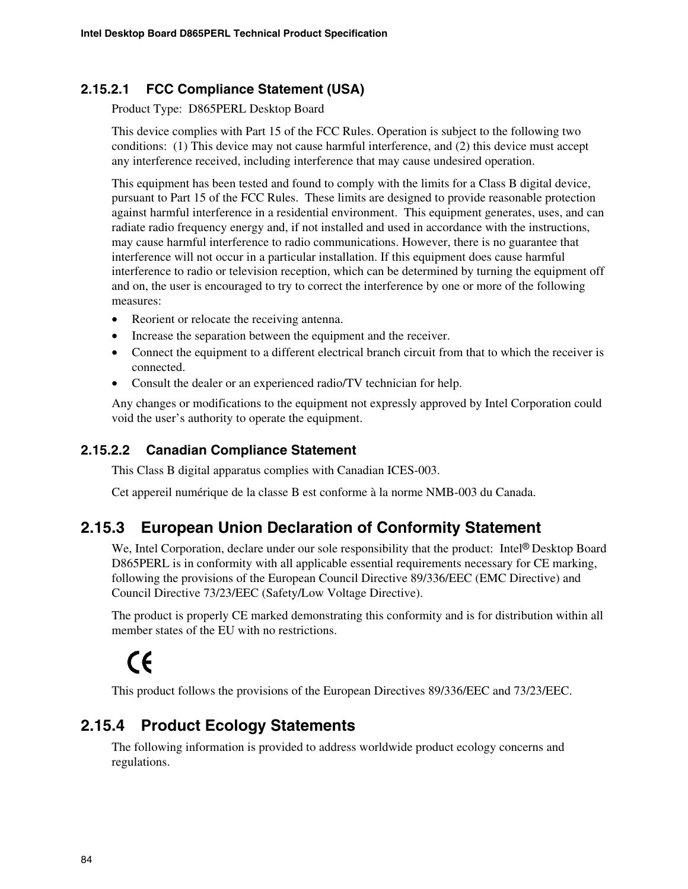#### **2.15.2.1 FCC Compliance Statement (USA)**

Product Type: D865PERL Desktop Board

This device complies with Part 15 of the FCC Rules. Operation is subject to the following two conditions: (1) This device may not cause harmful interference, and (2) this device must accept any interference received, including interference that may cause undesired operation.

This equipment has been tested and found to comply with the limits for a Class B digital device, pursuant to Part 15 of the FCC Rules. These limits are designed to provide reasonable protection against harmful interference in a residential environment. This equipment generates, uses, and can radiate radio frequency energy and, if not installed and used in accordance with the instructions, may cause harmful interference to radio communications. However, there is no guarantee that interference will not occur in a particular installation. If this equipment does cause harmful interference to radio or television reception, which can be determined by turning the equipment off and on, the user is encouraged to try to correct the interference by one or more of the following measures:

- Reorient or relocate the receiving antenna.
- Increase the separation between the equipment and the receiver.
- Connect the equipment to a different electrical branch circuit from that to which the receiver is connected.
- Consult the dealer or an experienced radio/TV technician for help.

Any changes or modifications to the equipment not expressly approved by Intel Corporation could void the user's authority to operate the equipment.

#### **2.15.2.2 Canadian Compliance Statement**

This Class B digital apparatus complies with Canadian ICES-003.

Cet appereil numérique de la classe B est conforme à la norme NMB-003 du Canada.

#### **2.15.3 European Union Declaration of Conformity Statement**

We, Intel Corporation, declare under our sole responsibility that the product: Intel<sup>®</sup> Desktop Board D865PERL is in conformity with all applicable essential requirements necessary for CE marking, following the provisions of the European Council Directive 89/336/EEC (EMC Directive) and Council Directive 73/23/EEC (Safety/Low Voltage Directive).

The product is properly CE marked demonstrating this conformity and is for distribution within all member states of the EU with no restrictions.

# $\epsilon$

This product follows the provisions of the European Directives 89/336/EEC and 73/23/EEC.

#### **2.15.4 Product Ecology Statements**

The following information is provided to address worldwide product ecology concerns and regulations.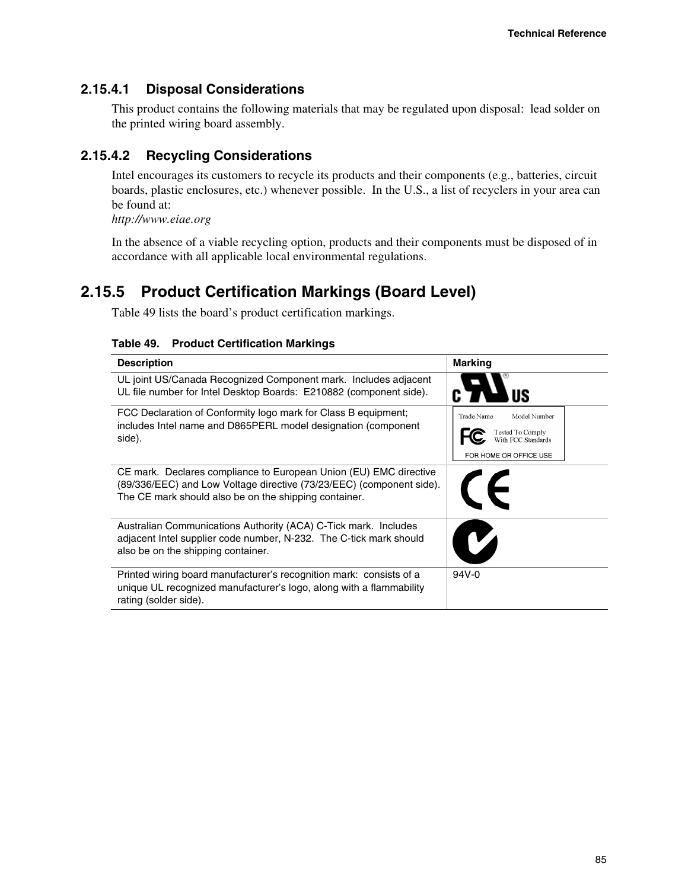#### **2.15.4.1 Disposal Considerations**

This product contains the following materials that may be regulated upon disposal: lead solder on the printed wiring board assembly.

#### **2.15.4.2 Recycling Considerations**

Intel encourages its customers to recycle its products and their components (e.g., batteries, circuit boards, plastic enclosures, etc.) whenever possible. In the U.S., a list of recyclers in your area can be found at:

*<http://www.eiae.org>* 

In the absence of a viable recycling option, products and their components must be disposed of in accordance with all applicable local environmental regulations.

## **2.15.5 Product Certification Markings (Board Level)**

Table 49 lists the board's product certification markings.

| Table 49. |  | <b>Product Certification Markings</b> |  |
|-----------|--|---------------------------------------|--|
|-----------|--|---------------------------------------|--|

| <b>Description</b>                                                                                                                                                                                 | <b>Marking</b>                                                                                 |
|----------------------------------------------------------------------------------------------------------------------------------------------------------------------------------------------------|------------------------------------------------------------------------------------------------|
| UL joint US/Canada Recognized Component mark. Includes adjacent<br>UL file number for Intel Desktop Boards: E210882 (component side).                                                              |                                                                                                |
| FCC Declaration of Conformity logo mark for Class B equipment;<br>includes Intel name and D865PERL model designation (component<br>side).                                                          | Model Number<br>Trade Name<br>Tested To Comply<br>With FCC Standards<br>FOR HOME OR OFFICE USE |
| CE mark. Declares compliance to European Union (EU) EMC directive<br>(89/336/EEC) and Low Voltage directive (73/23/EEC) (component side).<br>The CE mark should also be on the shipping container. |                                                                                                |
| Australian Communications Authority (ACA) C-Tick mark. Includes<br>adjacent Intel supplier code number, N-232. The C-tick mark should<br>also be on the shipping container.                        |                                                                                                |
| Printed wiring board manufacturer's recognition mark: consists of a<br>unique UL recognized manufacturer's logo, along with a flammability<br>rating (solder side).                                | $94V - 0$                                                                                      |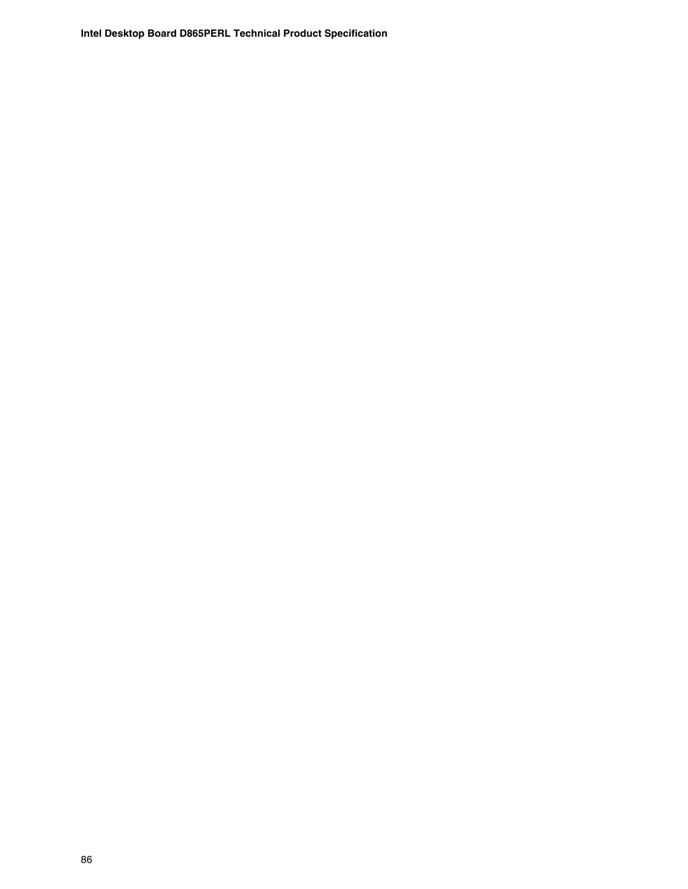**Intel Desktop Board D865PERL Technical Product Specification**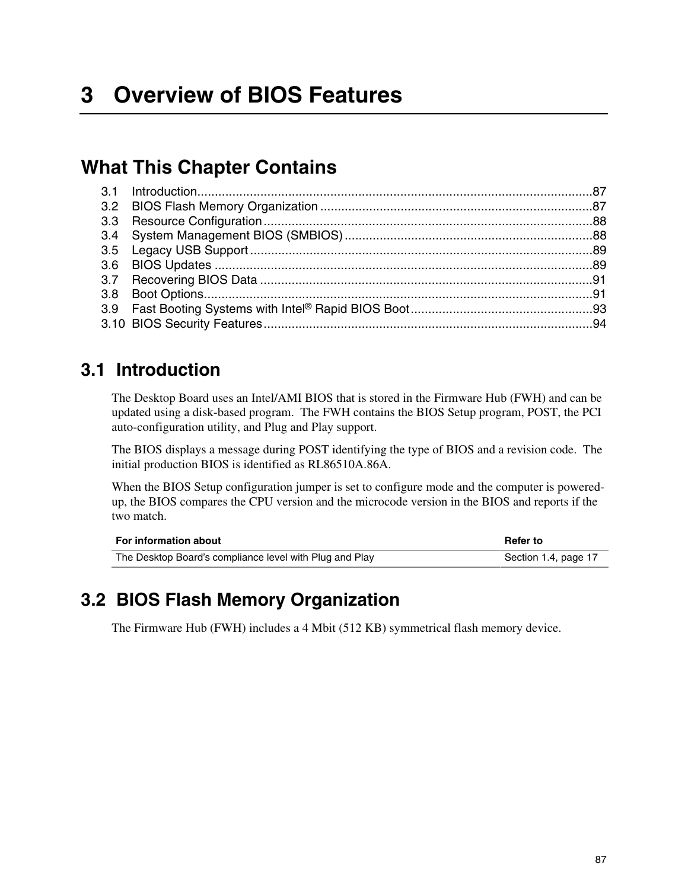# **3 Overview of BIOS Features**

# **What This Chapter Contains**

# **3.1 Introduction**

The Desktop Board uses an Intel/AMI BIOS that is stored in the Firmware Hub (FWH) and can be updated using a disk-based program. The FWH contains the BIOS Setup program, POST, the PCI auto-configuration utility, and Plug and Play support.

The BIOS displays a message during POST identifying the type of BIOS and a revision code. The initial production BIOS is identified as RL86510A.86A.

When the BIOS Setup configuration jumper is set to configure mode and the computer is poweredup, the BIOS compares the CPU version and the microcode version in the BIOS and reports if the two match.

| For information about                                   | <b>Refer to</b>      |
|---------------------------------------------------------|----------------------|
| The Desktop Board's compliance level with Plug and Play | Section 1.4, page 17 |

# **3.2 BIOS Flash Memory Organization**

The Firmware Hub (FWH) includes a 4 Mbit (512 KB) symmetrical flash memory device.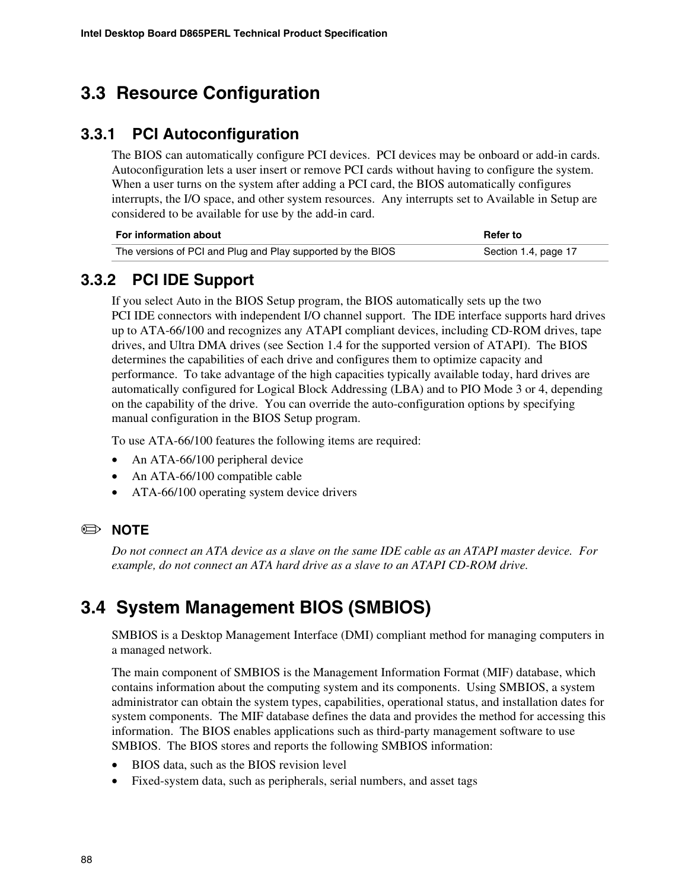# **3.3 Resource Configuration**

## **3.3.1 PCI Autoconfiguration**

The BIOS can automatically configure PCI devices. PCI devices may be onboard or add-in cards. Autoconfiguration lets a user insert or remove PCI cards without having to configure the system. When a user turns on the system after adding a PCI card, the BIOS automatically configures interrupts, the I/O space, and other system resources. Any interrupts set to Available in Setup are considered to be available for use by the add-in card.

| <b>For information about</b>                                | <b>Refer to</b>      |
|-------------------------------------------------------------|----------------------|
| The versions of PCI and Plug and Play supported by the BIOS | Section 1.4, page 17 |

## **3.3.2 PCI IDE Support**

If you select Auto in the BIOS Setup program, the BIOS automatically sets up the two PCI IDE connectors with independent I/O channel support. The IDE interface supports hard drives up to ATA-66/100 and recognizes any ATAPI compliant devices, including CD-ROM drives, tape drives, and Ultra DMA drives (see Section 1.4 for the supported version of ATAPI). The BIOS determines the capabilities of each drive and configures them to optimize capacity and performance. To take advantage of the high capacities typically available today, hard drives are automatically configured for Logical Block Addressing (LBA) and to PIO Mode 3 or 4, depending on the capability of the drive. You can override the auto-configuration options by specifying manual configuration in the BIOS Setup program.

To use ATA-66/100 features the following items are required:

- An ATA-66/100 peripheral device
- An ATA-66/100 compatible cable
- ATA-66/100 operating system device drivers

#### ✏ **NOTE**

*Do not connect an ATA device as a slave on the same IDE cable as an ATAPI master device. For example, do not connect an ATA hard drive as a slave to an ATAPI CD-ROM drive.* 

# **3.4 System Management BIOS (SMBIOS)**

SMBIOS is a Desktop Management Interface (DMI) compliant method for managing computers in a managed network.

The main component of SMBIOS is the Management Information Format (MIF) database, which contains information about the computing system and its components. Using SMBIOS, a system administrator can obtain the system types, capabilities, operational status, and installation dates for system components. The MIF database defines the data and provides the method for accessing this information. The BIOS enables applications such as third-party management software to use SMBIOS. The BIOS stores and reports the following SMBIOS information:

- BIOS data, such as the BIOS revision level
- Fixed-system data, such as peripherals, serial numbers, and asset tags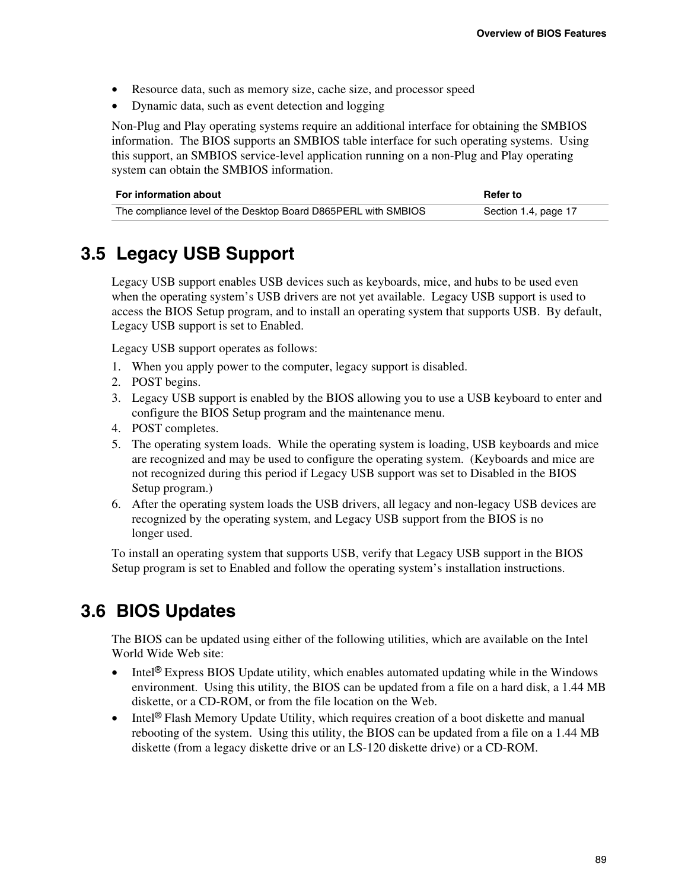- Resource data, such as memory size, cache size, and processor speed
- Dynamic data, such as event detection and logging

Non-Plug and Play operating systems require an additional interface for obtaining the SMBIOS information. The BIOS supports an SMBIOS table interface for such operating systems. Using this support, an SMBIOS service-level application running on a non-Plug and Play operating system can obtain the SMBIOS information.

| For information about                                          | <b>Refer to</b>      |
|----------------------------------------------------------------|----------------------|
| The compliance level of the Desktop Board D865PERL with SMBIOS | Section 1.4, page 17 |

# **3.5 Legacy USB Support**

Legacy USB support enables USB devices such as keyboards, mice, and hubs to be used even when the operating system's USB drivers are not yet available. Legacy USB support is used to access the BIOS Setup program, and to install an operating system that supports USB. By default, Legacy USB support is set to Enabled.

Legacy USB support operates as follows:

- 1. When you apply power to the computer, legacy support is disabled.
- 2. POST begins.
- 3. Legacy USB support is enabled by the BIOS allowing you to use a USB keyboard to enter and configure the BIOS Setup program and the maintenance menu.
- 4. POST completes.
- 5. The operating system loads. While the operating system is loading, USB keyboards and mice are recognized and may be used to configure the operating system. (Keyboards and mice are not recognized during this period if Legacy USB support was set to Disabled in the BIOS Setup program.)
- 6. After the operating system loads the USB drivers, all legacy and non-legacy USB devices are recognized by the operating system, and Legacy USB support from the BIOS is no longer used.

To install an operating system that supports USB, verify that Legacy USB support in the BIOS Setup program is set to Enabled and follow the operating system's installation instructions.

# **3.6 BIOS Updates**

The BIOS can be updated using either of the following utilities, which are available on the Intel World Wide Web site:

- Intel<sup>®</sup> Express BIOS Update utility, which enables automated updating while in the Windows environment. Using this utility, the BIOS can be updated from a file on a hard disk, a 1.44 MB diskette, or a CD-ROM, or from the file location on the Web.
- Intel<sup>®</sup> Flash Memory Update Utility, which requires creation of a boot diskette and manual rebooting of the system. Using this utility, the BIOS can be updated from a file on a 1.44 MB diskette (from a legacy diskette drive or an LS-120 diskette drive) or a CD-ROM.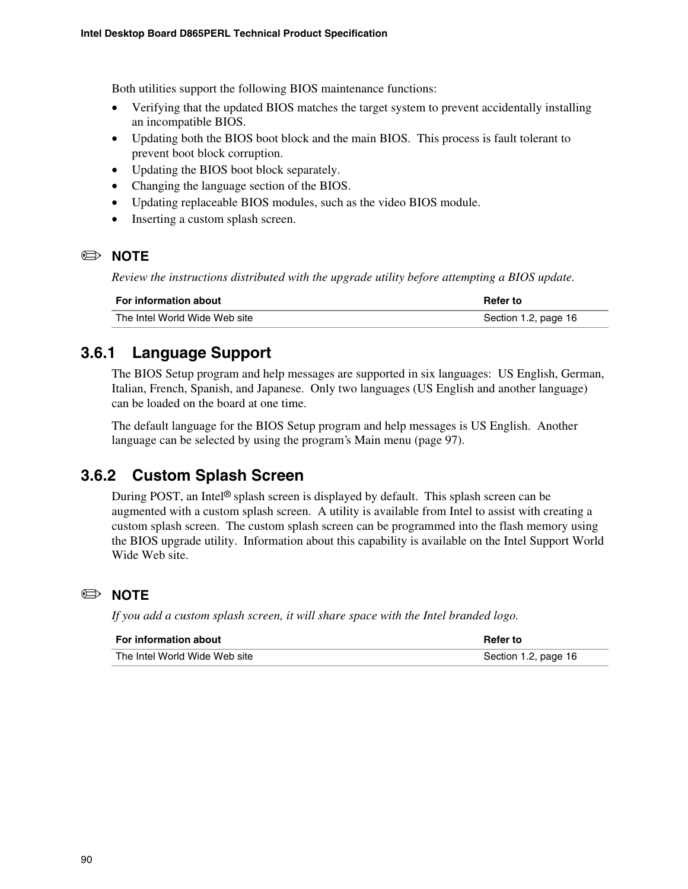Both utilities support the following BIOS maintenance functions:

- Verifying that the updated BIOS matches the target system to prevent accidentally installing an incompatible BIOS.
- Updating both the BIOS boot block and the main BIOS. This process is fault tolerant to prevent boot block corruption.
- Updating the BIOS boot block separately.
- Changing the language section of the BIOS.
- Updating replaceable BIOS modules, such as the video BIOS module.
- Inserting a custom splash screen.

#### ✏ **NOTE**

*Review the instructions distributed with the upgrade utility before attempting a BIOS update.* 

| <b>For information about</b>  | <b>Refer to</b>      |
|-------------------------------|----------------------|
| The Intel World Wide Web site | Section 1.2, page 16 |

## **3.6.1 Language Support**

The BIOS Setup program and help messages are supported in six languages: US English, German, Italian, French, Spanish, and Japanese. Only two languages (US English and another language) can be loaded on the board at one time.

The default language for the BIOS Setup program and help messages is US English. Another language can be selected by using the program's Main menu (page 97).

#### **3.6.2 Custom Splash Screen**

During POST, an Intel® splash screen is displayed by default. This splash screen can be augmented with a custom splash screen. A utility is available from Intel to assist with creating a custom splash screen. The custom splash screen can be programmed into the flash memory using the BIOS upgrade utility. Information about this capability is available on the Intel Support World Wide Web site.

#### ✏ **NOTE**

*If you add a custom splash screen, it will share space with the Intel branded logo.* 

| <b>For information about</b>  | <b>Refer to</b>      |
|-------------------------------|----------------------|
| The Intel World Wide Web site | Section 1.2, page 16 |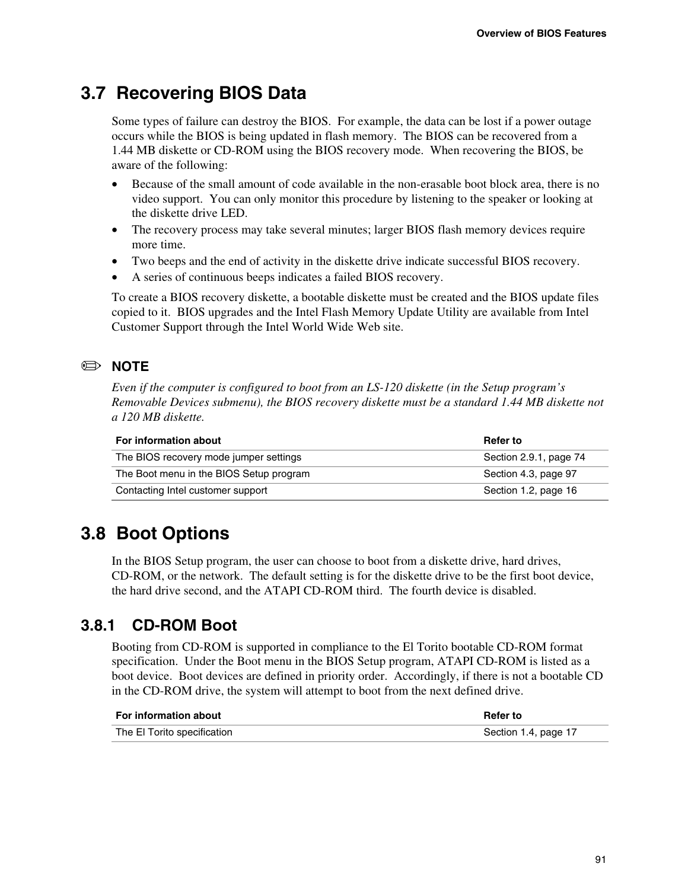# **3.7 Recovering BIOS Data**

Some types of failure can destroy the BIOS. For example, the data can be lost if a power outage occurs while the BIOS is being updated in flash memory. The BIOS can be recovered from a 1.44 MB diskette or CD-ROM using the BIOS recovery mode. When recovering the BIOS, be aware of the following:

- Because of the small amount of code available in the non-erasable boot block area, there is no video support. You can only monitor this procedure by listening to the speaker or looking at the diskette drive LED.
- The recovery process may take several minutes; larger BIOS flash memory devices require more time.
- Two beeps and the end of activity in the diskette drive indicate successful BIOS recovery.
- A series of continuous beeps indicates a failed BIOS recovery.

To create a BIOS recovery diskette, a bootable diskette must be created and the BIOS update files copied to it. BIOS upgrades and the Intel Flash Memory Update Utility are available from Intel Customer Support through the Intel World Wide Web site.

#### ✏ **NOTE**

*Even if the computer is configured to boot from an LS-120 diskette (in the Setup program's Removable Devices submenu), the BIOS recovery diskette must be a standard 1.44 MB diskette not a 120 MB diskette.* 

| For information about                   | <b>Refer to</b>        |
|-----------------------------------------|------------------------|
| The BIOS recovery mode jumper settings  | Section 2.9.1, page 74 |
| The Boot menu in the BIOS Setup program | Section 4.3, page 97   |
| Contacting Intel customer support       | Section 1.2, page 16   |

# **3.8 Boot Options**

In the BIOS Setup program, the user can choose to boot from a diskette drive, hard drives, CD-ROM, or the network. The default setting is for the diskette drive to be the first boot device, the hard drive second, and the ATAPI CD-ROM third. The fourth device is disabled.

## **3.8.1 CD-ROM Boot**

Booting from CD-ROM is supported in compliance to the El Torito bootable CD-ROM format specification. Under the Boot menu in the BIOS Setup program, ATAPI CD-ROM is listed as a boot device. Boot devices are defined in priority order. Accordingly, if there is not a bootable CD in the CD-ROM drive, the system will attempt to boot from the next defined drive.

| <b>For information about</b> | Refer to             |
|------------------------------|----------------------|
| The El Torito specification  | Section 1.4, page 17 |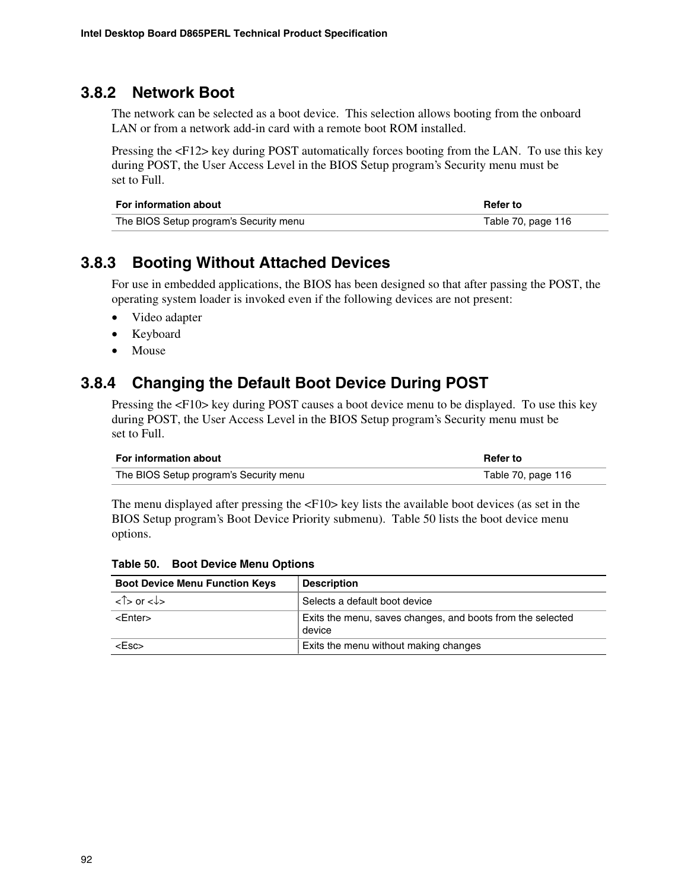#### **3.8.2 Network Boot**

The network can be selected as a boot device. This selection allows booting from the onboard LAN or from a network add-in card with a remote boot ROM installed.

Pressing the <F12> key during POST automatically forces booting from the LAN. To use this key during POST, the User Access Level in the BIOS Setup program's Security menu must be set to Full.

| <b>For information about</b>           | <b>Refer to</b>    |
|----------------------------------------|--------------------|
| The BIOS Setup program's Security menu | Table 70, page 116 |

#### **3.8.3 Booting Without Attached Devices**

For use in embedded applications, the BIOS has been designed so that after passing the POST, the operating system loader is invoked even if the following devices are not present:

- Video adapter
- Keyboard
- Mouse

## **3.8.4 Changing the Default Boot Device During POST**

Pressing the <F10> key during POST causes a boot device menu to be displayed. To use this key during POST, the User Access Level in the BIOS Setup program's Security menu must be set to Full.

| For information about                  | <b>Refer to</b>    |
|----------------------------------------|--------------------|
| The BIOS Setup program's Security menu | Table 70, page 116 |

The menu displayed after pressing the <F10> key lists the available boot devices (as set in the BIOS Setup program's Boot Device Priority submenu). Table 50 lists the boot device menu options.

|  |  | Table 50. Boot Device Menu Options |
|--|--|------------------------------------|
|--|--|------------------------------------|

| <b>Boot Device Menu Function Keys</b> | <b>Description</b>                                                   |
|---------------------------------------|----------------------------------------------------------------------|
| $<$ $\uparrow$ or $<\downarrow$ >     | Selects a default boot device                                        |
| <enter></enter>                       | Exits the menu, saves changes, and boots from the selected<br>device |
| $<$ Esc $>$                           | Exits the menu without making changes                                |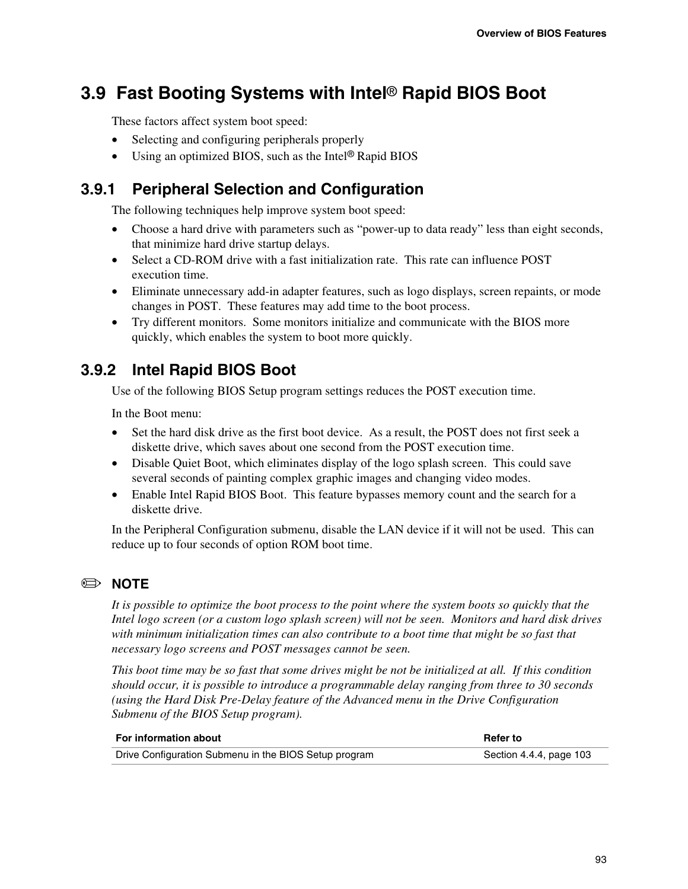# **3.9 Fast Booting Systems with Intel**® **Rapid BIOS Boot**

These factors affect system boot speed:

- Selecting and configuring peripherals properly
- Using an optimized BIOS, such as the Intel<sup>®</sup> Rapid BIOS

## **3.9.1 Peripheral Selection and Configuration**

The following techniques help improve system boot speed:

- Choose a hard drive with parameters such as "power-up to data ready" less than eight seconds, that minimize hard drive startup delays.
- Select a CD-ROM drive with a fast initialization rate. This rate can influence POST execution time.
- Eliminate unnecessary add-in adapter features, such as logo displays, screen repaints, or mode changes in POST. These features may add time to the boot process.
- Try different monitors. Some monitors initialize and communicate with the BIOS more quickly, which enables the system to boot more quickly.

## **3.9.2 Intel Rapid BIOS Boot**

Use of the following BIOS Setup program settings reduces the POST execution time.

In the Boot menu:

- Set the hard disk drive as the first boot device. As a result, the POST does not first seek a diskette drive, which saves about one second from the POST execution time.
- Disable Quiet Boot, which eliminates display of the logo splash screen. This could save several seconds of painting complex graphic images and changing video modes.
- Enable Intel Rapid BIOS Boot. This feature bypasses memory count and the search for a diskette drive.

In the Peripheral Configuration submenu, disable the LAN device if it will not be used. This can reduce up to four seconds of option ROM boot time.

#### ✏ **NOTE**

*It is possible to optimize the boot process to the point where the system boots so quickly that the Intel logo screen (or a custom logo splash screen) will not be seen. Monitors and hard disk drives with minimum initialization times can also contribute to a boot time that might be so fast that necessary logo screens and POST messages cannot be seen.* 

*This boot time may be so fast that some drives might be not be initialized at all. If this condition should occur, it is possible to introduce a programmable delay ranging from three to 30 seconds (using the Hard Disk Pre-Delay feature of the Advanced menu in the Drive Configuration Submenu of the BIOS Setup program).* 

| For information about                                 | Refer to                |
|-------------------------------------------------------|-------------------------|
| Drive Configuration Submenu in the BIOS Setup program | Section 4.4.4, page 103 |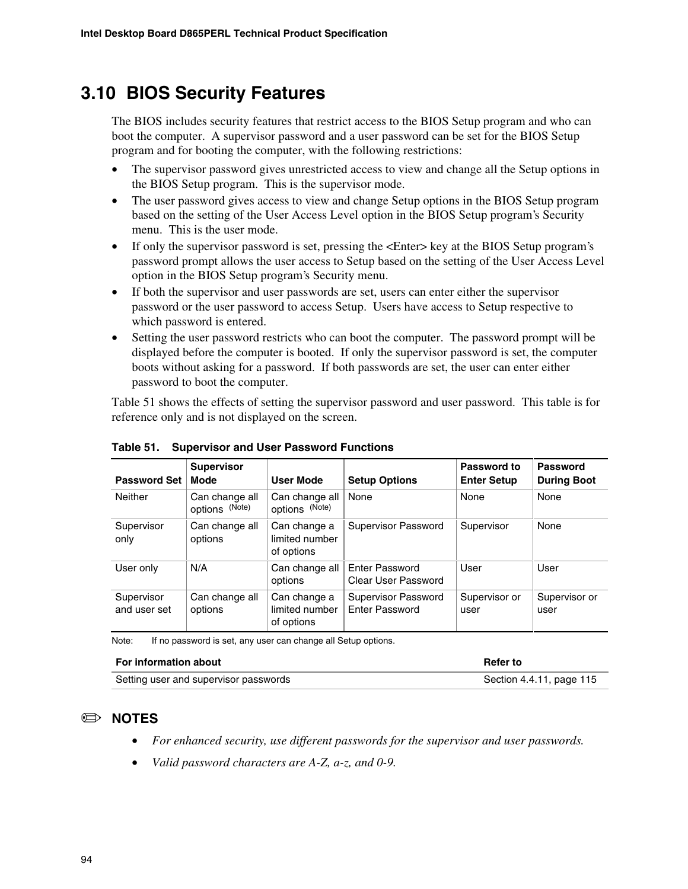# **3.10 BIOS Security Features**

The BIOS includes security features that restrict access to the BIOS Setup program and who can boot the computer. A supervisor password and a user password can be set for the BIOS Setup program and for booting the computer, with the following restrictions:

- The supervisor password gives unrestricted access to view and change all the Setup options in the BIOS Setup program. This is the supervisor mode.
- The user password gives access to view and change Setup options in the BIOS Setup program based on the setting of the User Access Level option in the BIOS Setup program's Security menu. This is the user mode.
- If only the supervisor password is set, pressing the  $\leq$  Enter $\geq$  key at the BIOS Setup program's password prompt allows the user access to Setup based on the setting of the User Access Level option in the BIOS Setup program's Security menu.
- If both the supervisor and user passwords are set, users can enter either the supervisor password or the user password to access Setup. Users have access to Setup respective to which password is entered.
- Setting the user password restricts who can boot the computer. The password prompt will be displayed before the computer is booted. If only the supervisor password is set, the computer boots without asking for a password. If both passwords are set, the user can enter either password to boot the computer.

Table 51 shows the effects of setting the supervisor password and user password. This table is for reference only and is not displayed on the screen.

| <b>Password Set</b>        | <b>Supervisor</b><br>Mode        | User Mode                                    | <b>Setup Options</b>                         | Password to<br><b>Enter Setup</b> | Password<br><b>During Boot</b> |
|----------------------------|----------------------------------|----------------------------------------------|----------------------------------------------|-----------------------------------|--------------------------------|
| Neither                    | Can change all<br>options (Note) | Can change all<br>options (Note)             | None                                         | None                              | None                           |
| Supervisor<br>only         | Can change all<br>options        | Can change a<br>limited number<br>of options | Supervisor Password                          | Supervisor                        | None                           |
| User only                  | N/A                              | Can change all<br>options                    | <b>Enter Password</b><br>Clear User Password | User                              | User                           |
| Supervisor<br>and user set | Can change all<br>options        | Can change a<br>limited number<br>of options | Supervisor Password<br><b>Enter Password</b> | Supervisor or<br>user             | Supervisor or<br>user          |

**Table 51. Supervisor and User Password Functions** 

Note: If no password is set, any user can change all Setup options.

| For information about                 | <b>Refer to</b>          |
|---------------------------------------|--------------------------|
| Setting user and supervisor passwords | Section 4.4.11, page 115 |

#### ✏ **NOTES**

- *For enhanced security, use different passwords for the supervisor and user passwords.*
- *Valid password characters are A-Z, a-z, and 0-9.*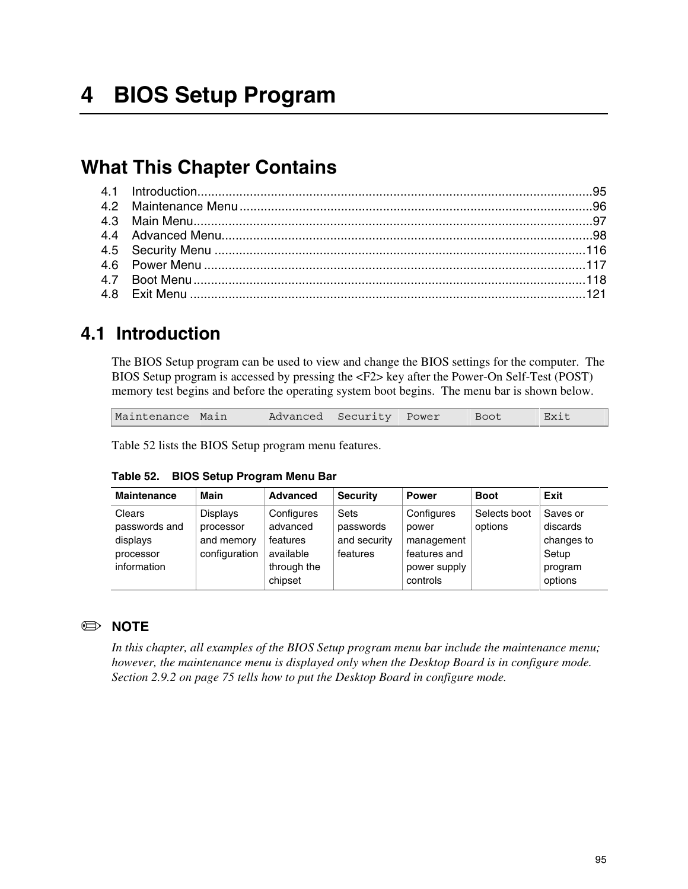# **What This Chapter Contains**

# **4.1 Introduction**

The BIOS Setup program can be used to view and change the BIOS settings for the computer. The BIOS Setup program is accessed by pressing the <F2> key after the Power-On Self-Test (POST) memory test begins and before the operating system boot begins. The menu bar is shown below.

| Maintenance Main |  | Advanced Security Power | Boot | Exit |
|------------------|--|-------------------------|------|------|
|                  |  |                         |      |      |

Table 52 lists the BIOS Setup program menu features.

|  | Table 52. BIOS Setup Program Menu Bar |  |  |
|--|---------------------------------------|--|--|
|--|---------------------------------------|--|--|

| <b>Maintenance</b>                                              | Main                                                 | Advanced                                                                  | <b>Security</b>                               | <b>Power</b>                                                                  | <b>Boot</b>             | Exit                                                              |
|-----------------------------------------------------------------|------------------------------------------------------|---------------------------------------------------------------------------|-----------------------------------------------|-------------------------------------------------------------------------------|-------------------------|-------------------------------------------------------------------|
| Clears<br>passwords and<br>displays<br>processor<br>information | Displays<br>processor<br>and memory<br>configuration | Configures<br>advanced<br>features<br>available<br>through the<br>chipset | Sets<br>passwords<br>and security<br>features | Configures<br>power<br>management<br>features and<br>power supply<br>controls | Selects boot<br>options | Saves or<br>discards<br>changes to<br>Setup<br>program<br>options |

#### ✏ **NOTE**

*In this chapter, all examples of the BIOS Setup program menu bar include the maintenance menu; however, the maintenance menu is displayed only when the Desktop Board is in configure mode. Section 2.9.2 on page 75 tells how to put the Desktop Board in configure mode.*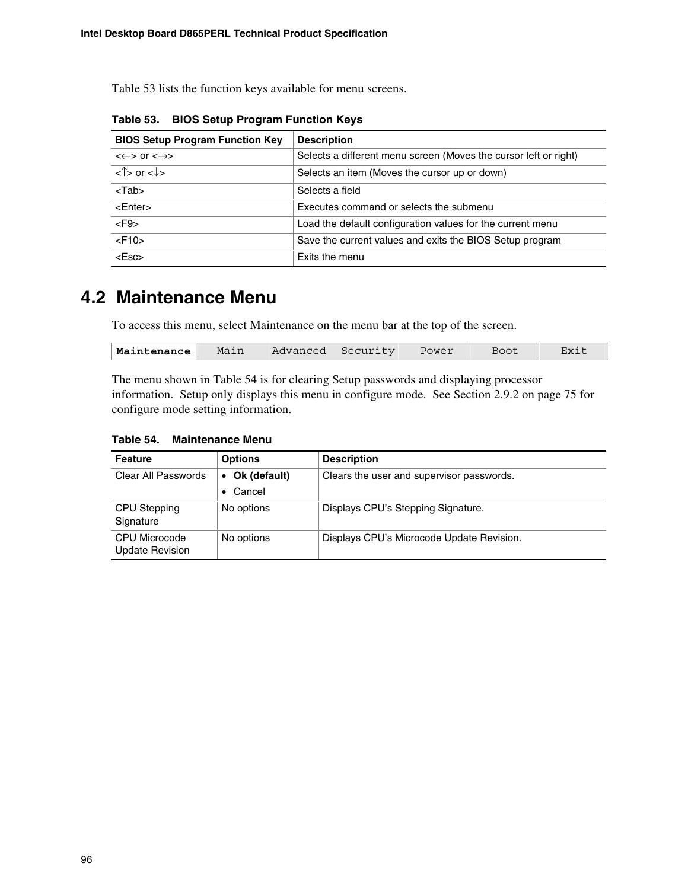Table 53 lists the function keys available for menu screens.

| <b>BIOS Setup Program Function Key</b> | <b>Description</b>                                               |
|----------------------------------------|------------------------------------------------------------------|
| $\leftarrow$ or $\leftarrow$ >         | Selects a different menu screen (Moves the cursor left or right) |
| $<$ $\uparrow$ > or $<\downarrow$ >    | Selects an item (Moves the cursor up or down)                    |
| $7ab>$                                 | Selects a field                                                  |
| $<$ Enter $>$                          | Executes command or selects the submenu                          |
| $<$ F9 $>$                             | Load the default configuration values for the current menu       |
| $\overline{\text{F10}}$                | Save the current values and exits the BIOS Setup program         |
| $\overline{\leq$ Esc>                  | Exits the menu                                                   |

**Table 53. BIOS Setup Program Function Keys** 

## **4.2 Maintenance Menu**

To access this menu, select Maintenance on the menu bar at the top of the screen.

The menu shown in Table 54 is for clearing Setup passwords and displaying processor information. Setup only displays this menu in configure mode. See Section 2.9.2 on page 75 for configure mode setting information.

|  | Table 54. | <b>Maintenance Menu</b> |
|--|-----------|-------------------------|
|--|-----------|-------------------------|

| Feature                                 | <b>Options</b>            | <b>Description</b>                        |
|-----------------------------------------|---------------------------|-------------------------------------------|
| Clear All Passwords                     | Ok (default)<br>$\bullet$ | Clears the user and supervisor passwords. |
|                                         | Cancel                    |                                           |
| CPU Stepping<br>Signature               | No options                | Displays CPU's Stepping Signature.        |
| CPU Microcode<br><b>Update Revision</b> | No options                | Displays CPU's Microcode Update Revision. |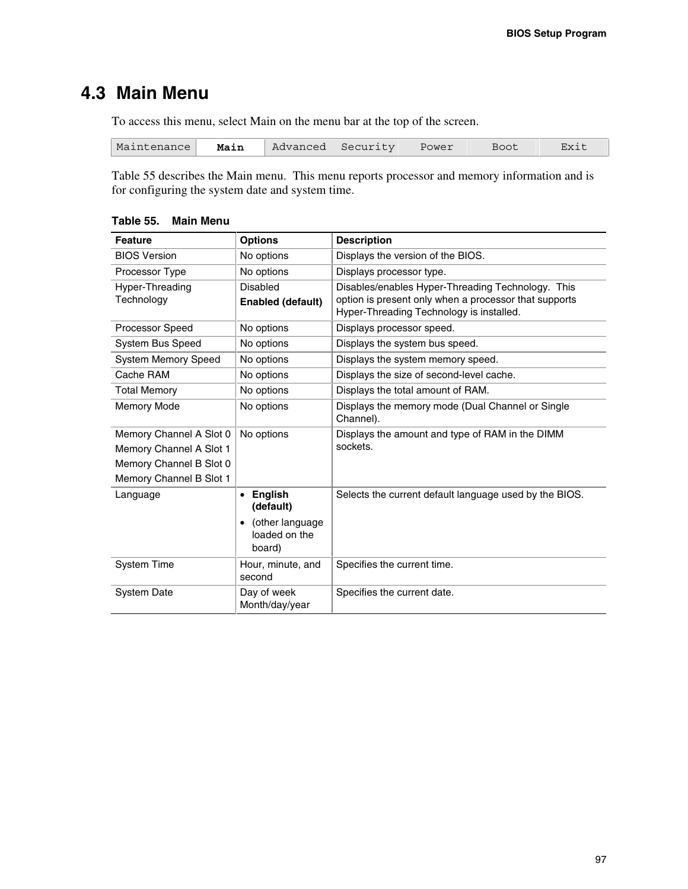# **4.3 Main Menu**

To access this menu, select Main on the menu bar at the top of the screen.

| Maintenance   Main   Advanced Security |  |  |  | Power | Boot | Exit |
|----------------------------------------|--|--|--|-------|------|------|
|----------------------------------------|--|--|--|-------|------|------|

Table 55 describes the Main menu. This menu reports processor and memory information and is for configuring the system date and system time.

| <b>Feature</b>                | <b>Options</b>                              | <b>Description</b>                                                                                                                                     |
|-------------------------------|---------------------------------------------|--------------------------------------------------------------------------------------------------------------------------------------------------------|
| <b>BIOS Version</b>           | No options                                  | Displays the version of the BIOS.                                                                                                                      |
| Processor Type                | No options                                  | Displays processor type.                                                                                                                               |
| Hyper-Threading<br>Technology | <b>Disabled</b><br><b>Enabled (default)</b> | Disables/enables Hyper-Threading Technology. This<br>option is present only when a processor that supports<br>Hyper-Threading Technology is installed. |
| Processor Speed               | No options                                  | Displays processor speed.                                                                                                                              |
| System Bus Speed              | No options                                  | Displays the system bus speed.                                                                                                                         |
| <b>System Memory Speed</b>    | No options                                  | Displays the system memory speed.                                                                                                                      |
| Cache RAM                     | No options                                  | Displays the size of second-level cache.                                                                                                               |
| <b>Total Memory</b>           | No options                                  | Displays the total amount of RAM.                                                                                                                      |
| <b>Memory Mode</b>            | No options                                  | Displays the memory mode (Dual Channel or Single<br>Channel).                                                                                          |
| Memory Channel A Slot 0       | No options                                  | Displays the amount and type of RAM in the DIMM<br>sockets.                                                                                            |
| Memory Channel A Slot 1       |                                             |                                                                                                                                                        |
| Memory Channel B Slot 0       |                                             |                                                                                                                                                        |
| Memory Channel B Slot 1       |                                             |                                                                                                                                                        |
| Language                      | • English<br>(default)                      | Selects the current default language used by the BIOS.                                                                                                 |
|                               | (other language)<br>loaded on the<br>board) |                                                                                                                                                        |
| System Time                   | Hour, minute, and<br>second                 | Specifies the current time.                                                                                                                            |
| <b>System Date</b>            | Day of week<br>Month/day/year               | Specifies the current date.                                                                                                                            |

**Table 55. Main Menu**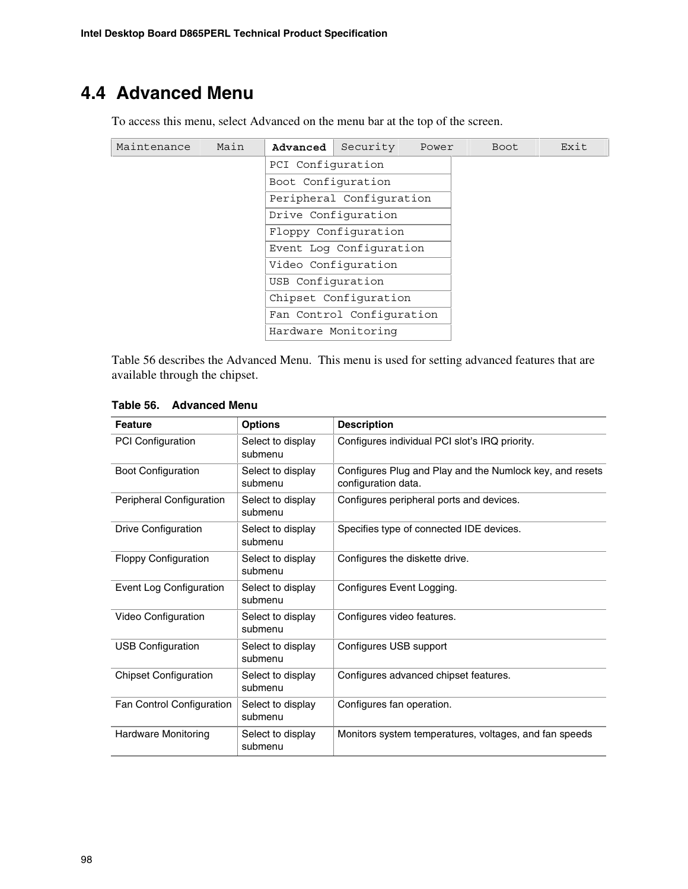# **4.4 Advanced Menu**

To access this menu, select Advanced on the menu bar at the top of the screen.

| Maintenance | Main | Advanced                  | Security                 | Power |  | Boot | Exit |
|-------------|------|---------------------------|--------------------------|-------|--|------|------|
|             |      | PCI Configuration         |                          |       |  |      |      |
|             |      | Boot Configuration        |                          |       |  |      |      |
|             |      |                           | Peripheral Configuration |       |  |      |      |
|             |      | Drive Configuration       |                          |       |  |      |      |
|             |      | Floppy Configuration      |                          |       |  |      |      |
|             |      | Event Log Configuration   |                          |       |  |      |      |
|             |      | Video Configuration       |                          |       |  |      |      |
|             |      | USB Configuration         |                          |       |  |      |      |
|             |      | Chipset Configuration     |                          |       |  |      |      |
|             |      | Fan Control Configuration |                          |       |  |      |      |
|             |      | Hardware Monitoring       |                          |       |  |      |      |

Table 56 describes the Advanced Menu. This menu is used for setting advanced features that are available through the chipset.

| <b>Feature</b>               | <b>Options</b>               | <b>Description</b>                                                              |
|------------------------------|------------------------------|---------------------------------------------------------------------------------|
| <b>PCI Configuration</b>     | Select to display<br>submenu | Configures individual PCI slot's IRQ priority.                                  |
| <b>Boot Configuration</b>    | Select to display<br>submenu | Configures Plug and Play and the Numlock key, and resets<br>configuration data. |
| Peripheral Configuration     | Select to display<br>submenu | Configures peripheral ports and devices.                                        |
| <b>Drive Configuration</b>   | Select to display<br>submenu | Specifies type of connected IDE devices.                                        |
| <b>Floppy Configuration</b>  | Select to display<br>submenu | Configures the diskette drive.                                                  |
| Event Log Configuration      | Select to display<br>submenu | Configures Event Logging.                                                       |
| Video Configuration          | Select to display<br>submenu | Configures video features.                                                      |
| <b>USB Configuration</b>     | Select to display<br>submenu | Configures USB support                                                          |
| <b>Chipset Configuration</b> | Select to display<br>submenu | Configures advanced chipset features.                                           |
| Fan Control Configuration    | Select to display<br>submenu | Configures fan operation.                                                       |
| <b>Hardware Monitoring</b>   | Select to display<br>submenu | Monitors system temperatures, voltages, and fan speeds                          |

#### **Table 56. Advanced Menu**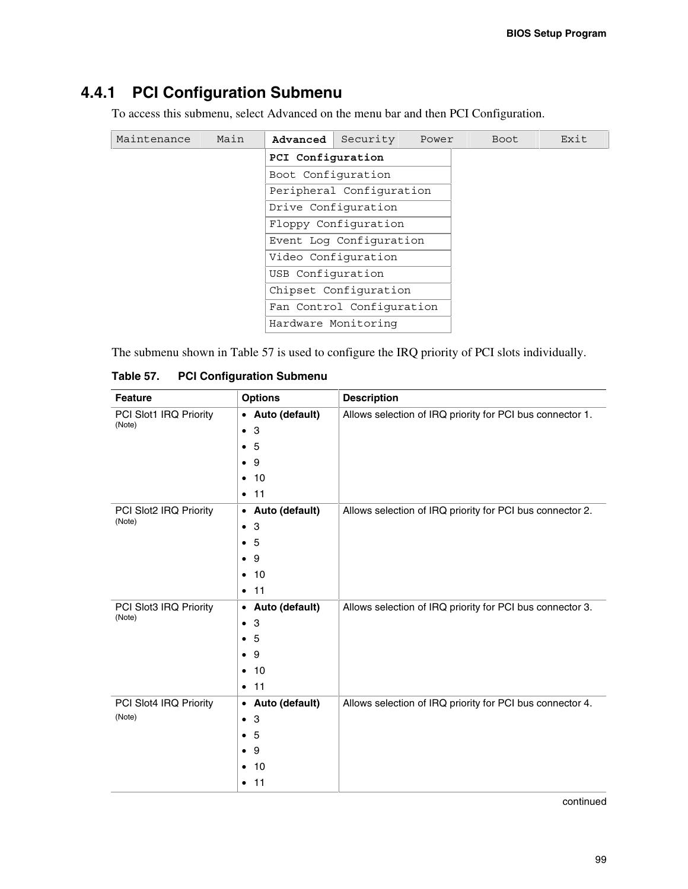# **4.4.1 PCI Configuration Submenu**

To access this submenu, select Advanced on the menu bar and then PCI Configuration.

| Maintenance | Main | Advanced                  | Security                 | Power |  | Boot | Exit |
|-------------|------|---------------------------|--------------------------|-------|--|------|------|
|             |      |                           | PCI Configuration        |       |  |      |      |
|             |      |                           | Boot Configuration       |       |  |      |      |
|             |      |                           | Peripheral Configuration |       |  |      |      |
|             |      |                           | Drive Configuration      |       |  |      |      |
|             |      |                           | Floppy Configuration     |       |  |      |      |
|             |      | Event Log Configuration   |                          |       |  |      |      |
|             |      | Video Configuration       |                          |       |  |      |      |
|             |      |                           | USB Configuration        |       |  |      |      |
|             |      | Chipset Configuration     |                          |       |  |      |      |
|             |      | Fan Control Configuration |                          |       |  |      |      |
|             |      | Hardware Monitoring       |                          |       |  |      |      |

The submenu shown in Table 57 is used to configure the IRQ priority of PCI slots individually.

| <b>Feature</b>                   | <b>Options</b>   | <b>Description</b>                                        |
|----------------------------------|------------------|-----------------------------------------------------------|
| PCI Slot1 IRQ Priority           | • Auto (default) | Allows selection of IRQ priority for PCI bus connector 1. |
| (Note)                           | $\bullet$ 3      |                                                           |
|                                  | • 5              |                                                           |
|                                  | •9               |                                                           |
|                                  | • 10             |                                                           |
|                                  | • 11             |                                                           |
| PCI Slot2 IRQ Priority           | • Auto (default) | Allows selection of IRQ priority for PCI bus connector 2. |
| (Note)                           | 3<br>$\bullet$   |                                                           |
|                                  | 5<br>٠           |                                                           |
|                                  | - 9<br>$\bullet$ |                                                           |
|                                  | • 10             |                                                           |
|                                  | • 11             |                                                           |
| PCI Slot3 IRQ Priority<br>(Note) | • Auto (default) | Allows selection of IRQ priority for PCI bus connector 3. |
|                                  | -3<br>$\bullet$  |                                                           |
|                                  | • 5              |                                                           |
|                                  | •9               |                                                           |
|                                  | • 10             |                                                           |
|                                  | • 11             |                                                           |
| PCI Slot4 IRQ Priority           | • Auto (default) | Allows selection of IRQ priority for PCI bus connector 4. |
| (Note)                           | 3<br>$\bullet$   |                                                           |
|                                  | 5<br>$\bullet$   |                                                           |
|                                  | 9<br>$\bullet$   |                                                           |
|                                  | • 10             |                                                           |
|                                  | 11<br>٠          |                                                           |

**Table 57. PCI Configuration Submenu** 

continued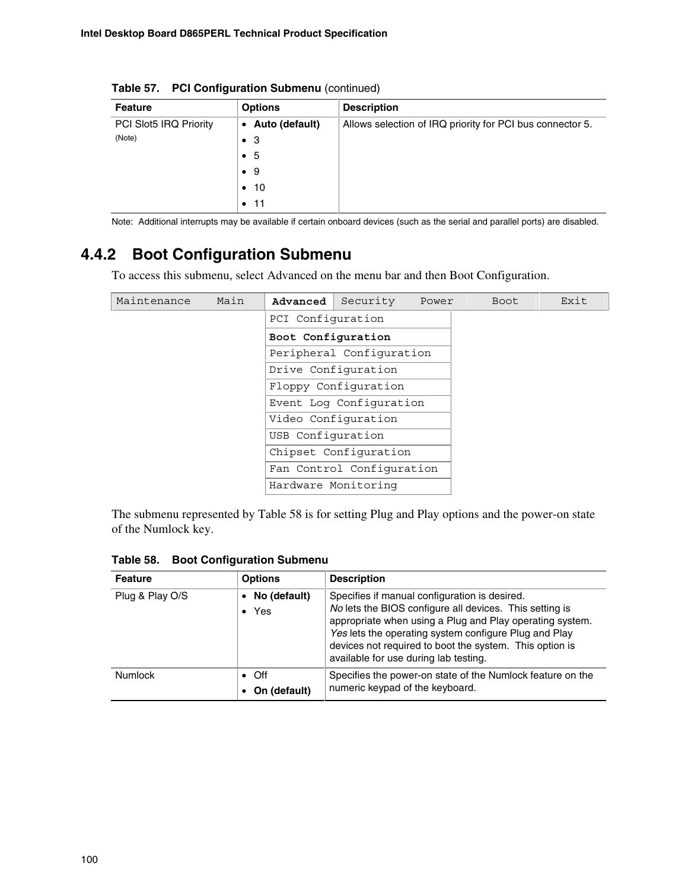| <b>Feature</b>         | <b>Options</b>   | <b>Description</b>                                        |
|------------------------|------------------|-----------------------------------------------------------|
| PCI Slot5 IRQ Priority | • Auto (default) | Allows selection of IRQ priority for PCI bus connector 5. |
| (Note)                 | $\bullet$ 3      |                                                           |
|                        | $\bullet$ 5      |                                                           |
|                        | $\bullet$ 9      |                                                           |
|                        | $\bullet$ 10     |                                                           |
|                        | $\bullet$ 11     |                                                           |

**Table 57. PCI Configuration Submenu** (continued)

Note: Additional interrupts may be available if certain onboard devices (such as the serial and parallel ports) are disabled.

## **4.4.2 Boot Configuration Submenu**

To access this submenu, select Advanced on the menu bar and then Boot Configuration.

| Maintenance | Main | Advanced            | Security                  | Power | Boot | Exit |
|-------------|------|---------------------|---------------------------|-------|------|------|
|             |      |                     | PCI Configuration         |       |      |      |
|             |      | Boot Configuration  |                           |       |      |      |
|             |      |                     | Peripheral Configuration  |       |      |      |
|             |      |                     | Drive Configuration       |       |      |      |
|             |      |                     | Floppy Configuration      |       |      |      |
|             |      |                     | Event Log Configuration   |       |      |      |
|             |      |                     | Video Configuration       |       |      |      |
|             |      |                     | USB Configuration         |       |      |      |
|             |      |                     | Chipset Configuration     |       |      |      |
|             |      |                     | Fan Control Configuration |       |      |      |
|             |      | Hardware Monitoring |                           |       |      |      |

The submenu represented by Table 58 is for setting Plug and Play options and the power-on state of the Numlock key.

**Table 58. Boot Configuration Submenu** 

| <b>Feature</b>  | <b>Options</b>                  | <b>Description</b>                                                                                                                                                                                                                                                                                                                |
|-----------------|---------------------------------|-----------------------------------------------------------------------------------------------------------------------------------------------------------------------------------------------------------------------------------------------------------------------------------------------------------------------------------|
| Plug & Play O/S | • No (default)<br>$\bullet$ Yes | Specifies if manual configuration is desired.<br>No lets the BIOS configure all devices. This setting is<br>appropriate when using a Plug and Play operating system.<br>Yes lets the operating system configure Plug and Play<br>devices not required to boot the system. This option is<br>available for use during lab testing. |
| <b>Numlock</b>  | $\bullet$ Off<br>On (default)   | Specifies the power-on state of the Numlock feature on the<br>numeric keypad of the keyboard.                                                                                                                                                                                                                                     |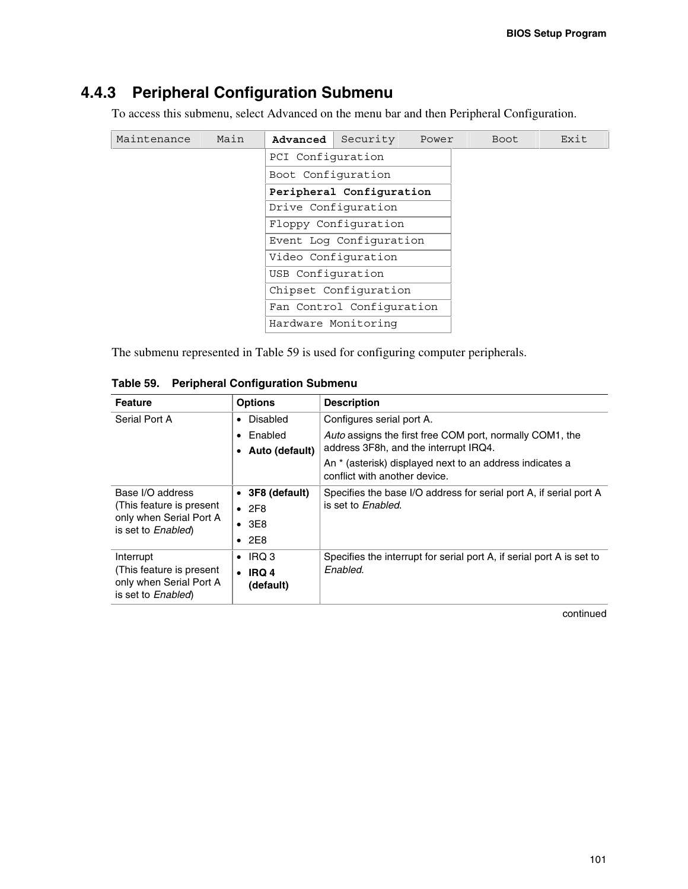## **4.4.3 Peripheral Configuration Submenu**

To access this submenu, select Advanced on the menu bar and then Peripheral Configuration.

| Maintenance | Main | Advanced                  | Security                 | Power |  | Boot | Exit |
|-------------|------|---------------------------|--------------------------|-------|--|------|------|
|             |      |                           | PCI Configuration        |       |  |      |      |
|             |      | Boot Configuration        |                          |       |  |      |      |
|             |      |                           | Peripheral Configuration |       |  |      |      |
|             |      |                           | Drive Configuration      |       |  |      |      |
|             |      | Floppy Configuration      |                          |       |  |      |      |
|             |      | Event Log Configuration   |                          |       |  |      |      |
|             |      | Video Configuration       |                          |       |  |      |      |
|             |      |                           | USB Configuration        |       |  |      |      |
|             |      | Chipset Configuration     |                          |       |  |      |      |
|             |      | Fan Control Configuration |                          |       |  |      |      |
|             |      | Hardware Monitoring       |                          |       |  |      |      |

The submenu represented in Table 59 is used for configuring computer peripherals.

| <b>Feature</b>                                                                    | <b>Options</b>                  | <b>Description</b>                                                                        |
|-----------------------------------------------------------------------------------|---------------------------------|-------------------------------------------------------------------------------------------|
| Serial Port A                                                                     | Disabled<br>$\bullet$           | Configures serial port A.                                                                 |
|                                                                                   | $\bullet$ Enabled               | Auto assigns the first free COM port, normally COM1, the                                  |
|                                                                                   | • Auto (default)                | address 3F8h, and the interrupt IRQ4.                                                     |
|                                                                                   |                                 | An * (asterisk) displayed next to an address indicates a<br>conflict with another device. |
| Base I/O address                                                                  | • 3F8 (default)                 | Specifies the base I/O address for serial port A, if serial port A                        |
| (This feature is present)                                                         | $\bullet$ 2F8                   | is set to Enabled.                                                                        |
| only when Serial Port A<br>is set to <i>Enabled</i> )                             | $\bullet$ 3E8                   |                                                                                           |
|                                                                                   | $\cdot$ 2E8                     |                                                                                           |
| Interrupt                                                                         | IRQ 3<br>$\bullet$              | Specifies the interrupt for serial port A, if serial port A is set to                     |
| (This feature is present<br>only when Serial Port A<br>is set to <i>Enabled</i> ) | IRQ 4<br>$\bullet$<br>(default) | Enabled.                                                                                  |

**Table 59. Peripheral Configuration Submenu** 

continued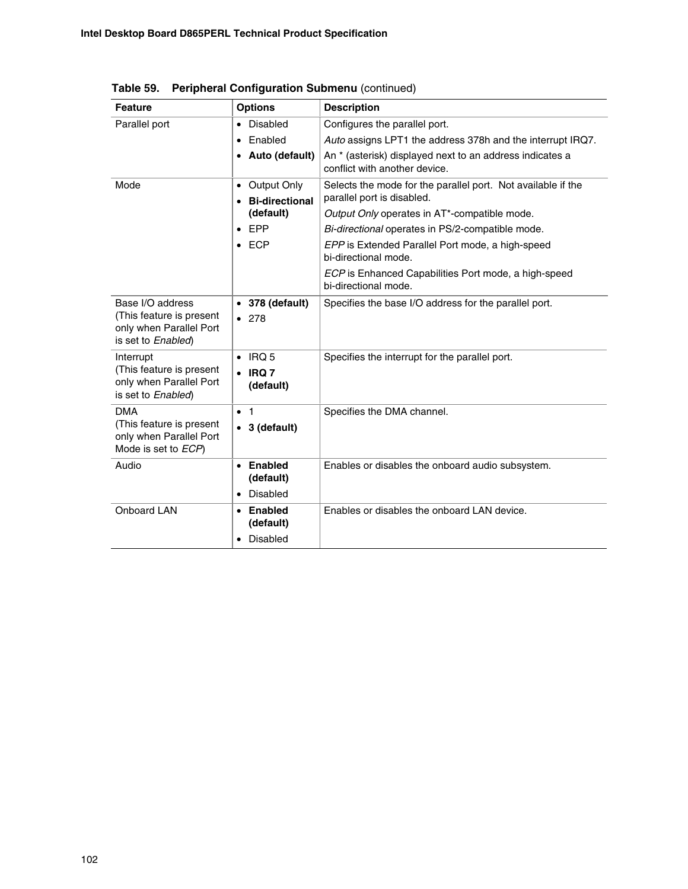| <b>Feature</b>                                                             | <b>Options</b>                                    | <b>Description</b>                                                                         |
|----------------------------------------------------------------------------|---------------------------------------------------|--------------------------------------------------------------------------------------------|
| Parallel port                                                              | Disabled<br>$\bullet$                             | Configures the parallel port.                                                              |
|                                                                            | Enabled<br>$\bullet$                              | Auto assigns LPT1 the address 378h and the interrupt IRQ7.                                 |
|                                                                            | Auto (default)<br>$\bullet$                       | An * (asterisk) displayed next to an address indicates a<br>conflict with another device.  |
| Mode                                                                       | Output Only<br>$\bullet$<br><b>Bi-directional</b> | Selects the mode for the parallel port. Not available if the<br>parallel port is disabled. |
|                                                                            | (default)                                         | Output Only operates in AT*-compatible mode.                                               |
|                                                                            | $\bullet$ EPP                                     | Bi-directional operates in PS/2-compatible mode.                                           |
|                                                                            | $\bullet$ ECP                                     | EPP is Extended Parallel Port mode, a high-speed<br>bi-directional mode.                   |
|                                                                            |                                                   | ECP is Enhanced Capabilities Port mode, a high-speed<br>bi-directional mode.               |
| Base I/O address                                                           | 378 (default)<br>$\bullet$                        | Specifies the base I/O address for the parallel port.                                      |
| (This feature is present<br>only when Parallel Port<br>is set to Enabled)  | • 278                                             |                                                                                            |
| Interrupt                                                                  | IRQ 5<br>$\bullet$                                | Specifies the interrupt for the parallel port.                                             |
| (This feature is present<br>only when Parallel Port<br>is set to Enabled)  | IRQ 7<br>(default)                                |                                                                                            |
| <b>DMA</b>                                                                 | $\bullet$ 1                                       | Specifies the DMA channel.                                                                 |
| (This feature is present<br>only when Parallel Port<br>Mode is set to ECP) | 3 (default)<br>$\bullet$                          |                                                                                            |
| Audio                                                                      | <b>Enabled</b><br>$\bullet$<br>(default)          | Enables or disables the onboard audio subsystem.                                           |
|                                                                            | Disabled<br>$\bullet$                             |                                                                                            |
| Onboard LAN                                                                | • Enabled<br>(default)                            | Enables or disables the onboard LAN device.                                                |
|                                                                            | Disabled                                          |                                                                                            |

**Table 59. Peripheral Configuration Submenu** (continued)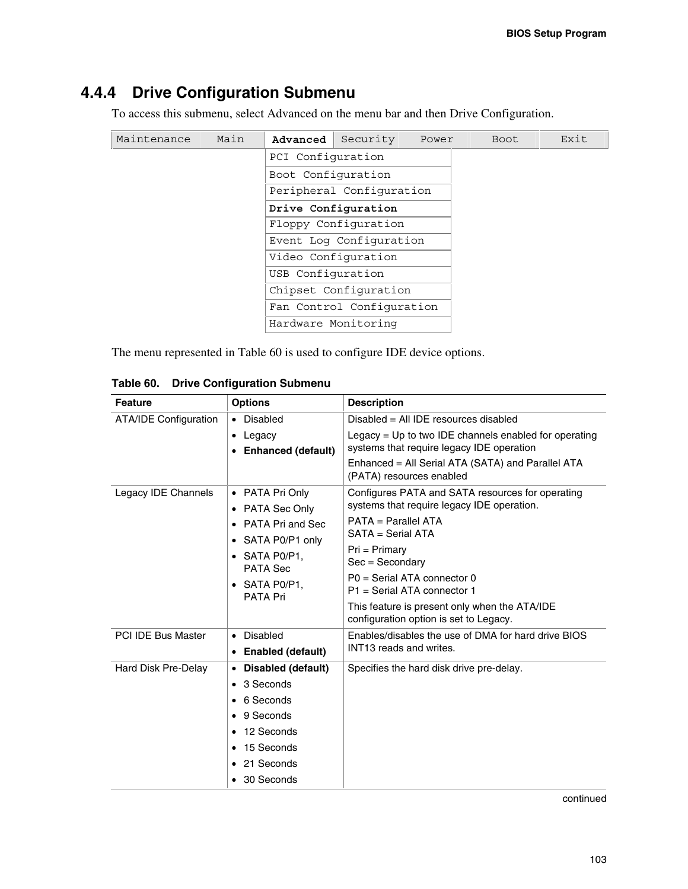# **4.4.4 Drive Configuration Submenu**

To access this submenu, select Advanced on the menu bar and then Drive Configuration.

| Maintenance | Main                 | Advanced                  | Security                 | Power |  | Boot | Exit |
|-------------|----------------------|---------------------------|--------------------------|-------|--|------|------|
|             |                      | PCI Configuration         |                          |       |  |      |      |
|             |                      | Boot Configuration        |                          |       |  |      |      |
|             |                      |                           | Peripheral Configuration |       |  |      |      |
|             | Drive Configuration  |                           |                          |       |  |      |      |
|             | Floppy Configuration |                           |                          |       |  |      |      |
|             |                      | Event Log Configuration   |                          |       |  |      |      |
|             |                      | Video Configuration       |                          |       |  |      |      |
|             |                      | USB Configuration         |                          |       |  |      |      |
|             |                      | Chipset Configuration     |                          |       |  |      |      |
|             |                      | Fan Control Configuration |                          |       |  |      |      |
|             |                      | Hardware Monitoring       |                          |       |  |      |      |

The menu represented in Table 60 is used to configure IDE device options.

| <b>Feature</b>               | <b>Options</b>                              | <b>Description</b>                                                            |
|------------------------------|---------------------------------------------|-------------------------------------------------------------------------------|
| <b>ATA/IDE Configuration</b> | • Disabled                                  | Disabled = All IDE resources disabled                                         |
|                              | Legacy<br>٠                                 | Legacy $=$ Up to two IDE channels enabled for operating                       |
|                              | <b>Enhanced (default)</b>                   | systems that require legacy IDE operation                                     |
|                              |                                             | Enhanced = All Serial ATA (SATA) and Parallel ATA<br>(PATA) resources enabled |
| Legacy IDE Channels          | • PATA Pri Only                             | Configures PATA and SATA resources for operating                              |
|                              | PATA Sec Only<br>٠                          | systems that require legacy IDE operation.                                    |
|                              | PATA Pri and Sec                            | $PATA = Parallel ATA$<br>$SATA = Serial ATA$                                  |
|                              | SATA P0/P1 only<br>٠                        | $Pri = Primary$                                                               |
|                              | SATA P0/P1.<br>$\bullet$<br><b>PATA Sec</b> | $Sec = Secondary$                                                             |
|                              | SATA P0/P1.<br>٠<br>PATA Pri                | P0 = Serial ATA connector 0                                                   |
|                              |                                             | $P1 =$ Serial ATA connector 1                                                 |
|                              |                                             | This feature is present only when the ATA/IDE                                 |
|                              |                                             | configuration option is set to Legacy.                                        |
| <b>PCI IDE Bus Master</b>    | Disabled<br>$\bullet$                       | Enables/disables the use of DMA for hard drive BIOS                           |
|                              | <b>Enabled (default)</b><br>$\bullet$       | INT13 reads and writes.                                                       |
| Hard Disk Pre-Delay          | Disabled (default)<br>$\bullet$             | Specifies the hard disk drive pre-delay.                                      |
|                              | 3 Seconds<br>$\bullet$                      |                                                                               |
|                              | 6 Seconds<br>٠                              |                                                                               |
|                              | 9 Seconds                                   |                                                                               |
|                              | 12 Seconds                                  |                                                                               |
|                              | 15 Seconds                                  |                                                                               |
|                              | 21 Seconds                                  |                                                                               |
|                              | 30 Seconds                                  |                                                                               |

**Table 60. Drive Configuration Submenu** 

continued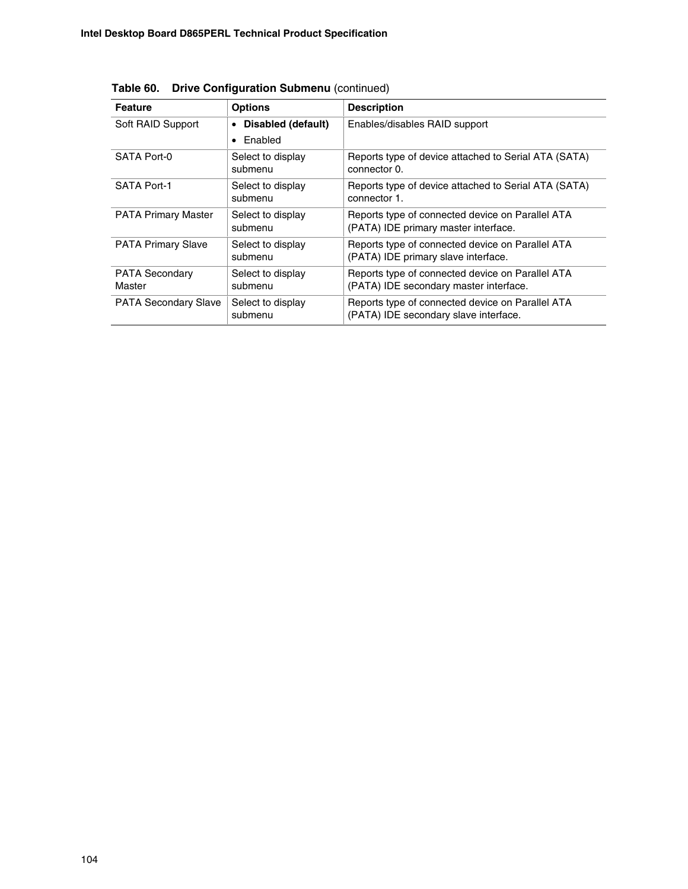| <b>Feature</b>                  | <b>Options</b>               | <b>Description</b>                                                                         |
|---------------------------------|------------------------------|--------------------------------------------------------------------------------------------|
| Soft RAID Support               | Disabled (default)           | Enables/disables RAID support                                                              |
|                                 | $\bullet$ Enabled            |                                                                                            |
| SATA Port-0                     | Select to display<br>submenu | Reports type of device attached to Serial ATA (SATA)<br>connector 0.                       |
| SATA Port-1                     | Select to display<br>submenu | Reports type of device attached to Serial ATA (SATA)<br>connector 1.                       |
| <b>PATA Primary Master</b>      | Select to display<br>submenu | Reports type of connected device on Parallel ATA<br>(PATA) IDE primary master interface.   |
| <b>PATA Primary Slave</b>       | Select to display<br>submenu | Reports type of connected device on Parallel ATA<br>(PATA) IDE primary slave interface.    |
| <b>PATA Secondary</b><br>Master | Select to display<br>submenu | Reports type of connected device on Parallel ATA<br>(PATA) IDE secondary master interface. |
| <b>PATA Secondary Slave</b>     | Select to display<br>submenu | Reports type of connected device on Parallel ATA<br>(PATA) IDE secondary slave interface.  |

**Table 60. Drive Configuration Submenu** (continued)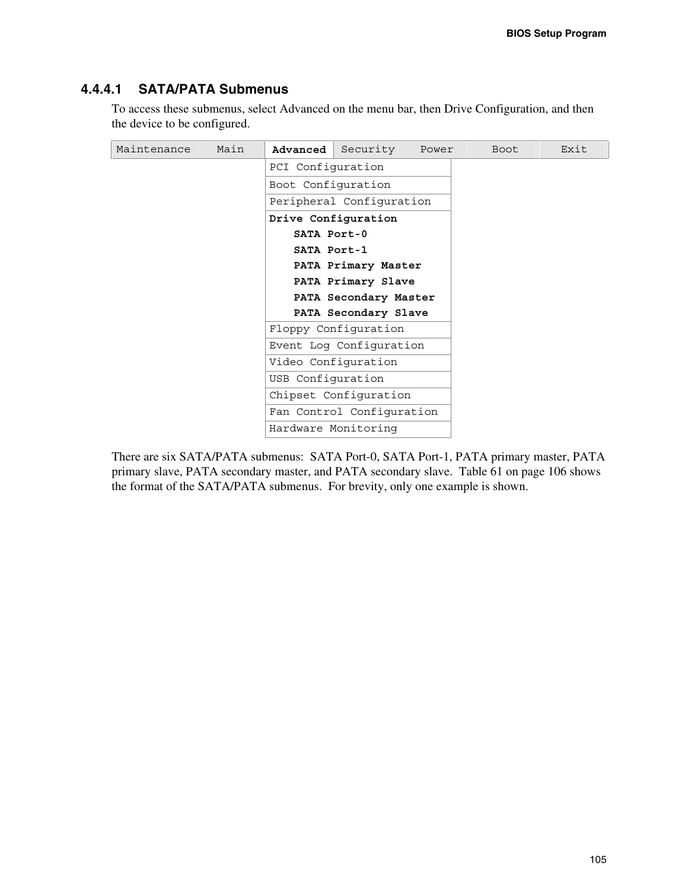#### **4.4.4.1 SATA/PATA Submenus**

To access these submenus, select Advanced on the menu bar, then Drive Configuration, and then the device to be configured.

| Maintenance | Main | Advanced            | Security Power            |  | Boot | Exit |
|-------------|------|---------------------|---------------------------|--|------|------|
|             |      | PCI Configuration   |                           |  |      |      |
|             |      | Boot Configuration  |                           |  |      |      |
|             |      |                     | Peripheral Configuration  |  |      |      |
|             |      | Drive Configuration |                           |  |      |      |
|             |      | SATA Port-0         |                           |  |      |      |
|             |      | SATA Port-1         |                           |  |      |      |
|             |      |                     | PATA Primary Master       |  |      |      |
|             |      |                     | PATA Primary Slave        |  |      |      |
|             |      |                     | PATA Secondary Master     |  |      |      |
|             |      |                     | PATA Secondary Slave      |  |      |      |
|             |      |                     | Floppy Configuration      |  |      |      |
|             |      |                     | Event Log Configuration   |  |      |      |
|             |      | Video Configuration |                           |  |      |      |
|             |      | USB Configuration   |                           |  |      |      |
|             |      |                     | Chipset Configuration     |  |      |      |
|             |      |                     | Fan Control Configuration |  |      |      |
|             |      | Hardware Monitoring |                           |  |      |      |

There are six SATA/PATA submenus: SATA Port-0, SATA Port-1, PATA primary master, PATA primary slave, PATA secondary master, and PATA secondary slave. Table 61 on page 106 shows the format of the SATA/PATA submenus. For brevity, only one example is shown.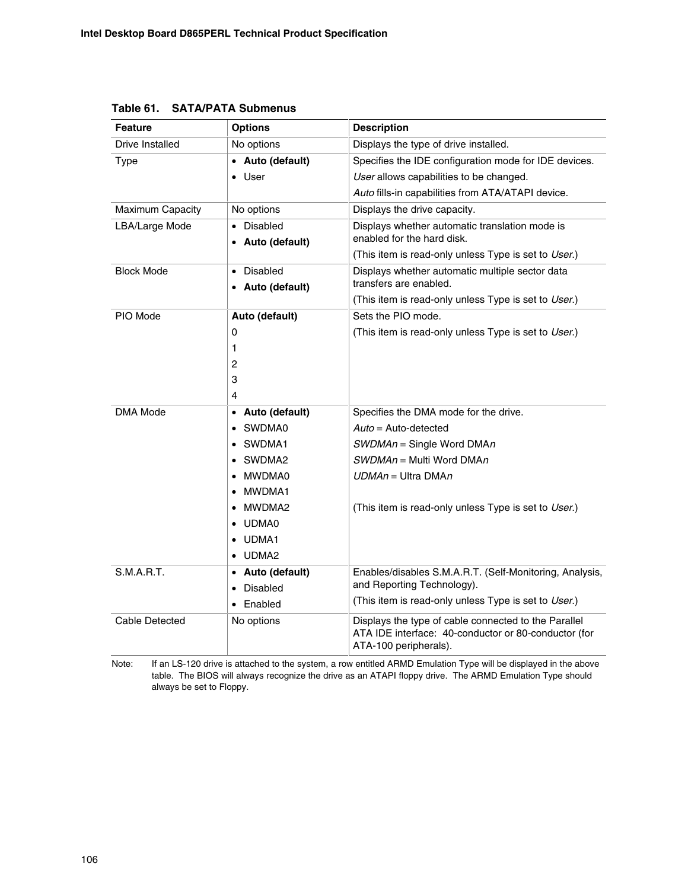| <b>Feature</b>        | <b>Options</b>              | <b>Description</b>                                                                                                                    |
|-----------------------|-----------------------------|---------------------------------------------------------------------------------------------------------------------------------------|
| Drive Installed       | No options                  | Displays the type of drive installed.                                                                                                 |
| <b>Type</b>           | • Auto (default)            | Specifies the IDE configuration mode for IDE devices.                                                                                 |
|                       | • User                      | User allows capabilities to be changed.                                                                                               |
|                       |                             | Auto fills-in capabilities from ATA/ATAPI device.                                                                                     |
| Maximum Capacity      | No options                  | Displays the drive capacity.                                                                                                          |
| LBA/Large Mode        | Disabled                    | Displays whether automatic translation mode is                                                                                        |
|                       | Auto (default)              | enabled for the hard disk.                                                                                                            |
|                       |                             | (This item is read-only unless Type is set to User.)                                                                                  |
| <b>Block Mode</b>     | • Disabled                  | Displays whether automatic multiple sector data                                                                                       |
|                       | Auto (default)              | transfers are enabled.                                                                                                                |
|                       |                             | (This item is read-only unless Type is set to User.)                                                                                  |
| PIO Mode              | Auto (default)              | Sets the PIO mode.                                                                                                                    |
|                       | 0                           | (This item is read-only unless Type is set to User.)                                                                                  |
|                       | 1                           |                                                                                                                                       |
|                       | 2                           |                                                                                                                                       |
|                       | 3                           |                                                                                                                                       |
|                       | 4                           |                                                                                                                                       |
| <b>DMA Mode</b>       | Auto (default)<br>$\bullet$ | Specifies the DMA mode for the drive.                                                                                                 |
|                       | SWDMA0                      | $Auto = Auto-detected$                                                                                                                |
|                       | SWDMA1                      | SWDMAn = Single Word DMAn                                                                                                             |
|                       | SWDMA <sub>2</sub>          | SWDMAn = Multi Word DMAn                                                                                                              |
|                       | MWDMA0                      | $UDMAn = Ultra DMAn$                                                                                                                  |
|                       | MWDMA1                      |                                                                                                                                       |
|                       | MWDMA2                      | (This item is read-only unless Type is set to User.)                                                                                  |
|                       | UDMA0                       |                                                                                                                                       |
|                       | UDMA1                       |                                                                                                                                       |
|                       | UDMA2                       |                                                                                                                                       |
| <b>S.M.A.R.T.</b>     | • Auto (default)            | Enables/disables S.M.A.R.T. (Self-Monitoring, Analysis,                                                                               |
|                       | Disabled<br>٠               | and Reporting Technology).                                                                                                            |
|                       | Enabled                     | (This item is read-only unless Type is set to User.)                                                                                  |
| <b>Cable Detected</b> | No options                  | Displays the type of cable connected to the Parallel<br>ATA IDE interface: 40-conductor or 80-conductor (for<br>ATA-100 peripherals). |

**Table 61. SATA/PATA Submenus** 

Note: If an LS-120 drive is attached to the system, a row entitled ARMD Emulation Type will be displayed in the above table. The BIOS will always recognize the drive as an ATAPI floppy drive. The ARMD Emulation Type should always be set to Floppy.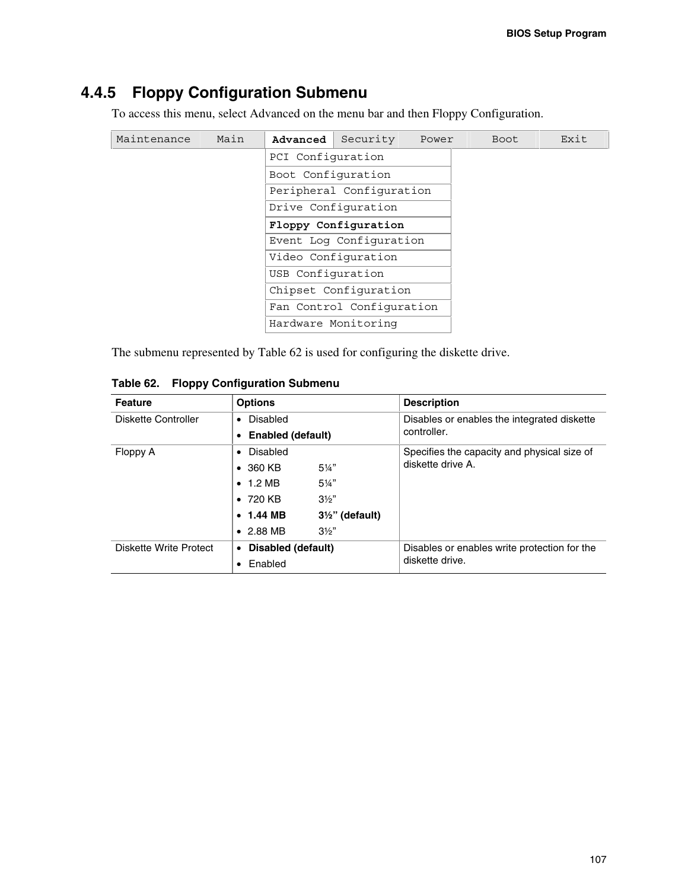# **4.4.5 Floppy Configuration Submenu**

To access this menu, select Advanced on the menu bar and then Floppy Configuration.

| Maintenance | Main | Advanced                  | Security            | Power |  | Boot | Exit |
|-------------|------|---------------------------|---------------------|-------|--|------|------|
|             |      | PCI Configuration         |                     |       |  |      |      |
|             |      | Boot Configuration        |                     |       |  |      |      |
|             |      | Peripheral Configuration  |                     |       |  |      |      |
|             |      |                           | Drive Configuration |       |  |      |      |
|             |      | Floppy Configuration      |                     |       |  |      |      |
|             |      | Event Log Configuration   |                     |       |  |      |      |
|             |      | Video Configuration       |                     |       |  |      |      |
|             |      |                           | USB Configuration   |       |  |      |      |
|             |      | Chipset Configuration     |                     |       |  |      |      |
|             |      | Fan Control Configuration |                     |       |  |      |      |
|             |      | Hardware Monitoring       |                     |       |  |      |      |

The submenu represented by Table 62 is used for configuring the diskette drive.

| <b>Feature</b>         | <b>Options</b>                                      |                            | <b>Description</b>                           |
|------------------------|-----------------------------------------------------|----------------------------|----------------------------------------------|
| Diskette Controller    | • Disabled<br><b>Enabled (default)</b><br>$\bullet$ |                            | Disables or enables the integrated diskette  |
|                        |                                                     |                            | controller.                                  |
| Floppy A               | Disabled<br>$\bullet$                               |                            | Specifies the capacity and physical size of  |
|                        | $\bullet$ 360 KB                                    | $5\frac{1}{4}$             | diskette drive A.                            |
|                        | $\bullet$ 1.2 MB                                    | $5\frac{1}{4}$             |                                              |
|                        | $\bullet$ 720 KB                                    | $3\frac{1}{2}$             |                                              |
|                        | $\bullet$ 1.44 MB                                   | $3\frac{1}{2}$ " (default) |                                              |
|                        | $\bullet$ 2.88 MB                                   | $3\frac{1}{2}$             |                                              |
| Diskette Write Protect | Disabled (default)<br>٠                             |                            | Disables or enables write protection for the |
|                        | Enabled<br>$\bullet$                                |                            | diskette drive.                              |

**Table 62. Floppy Configuration Submenu**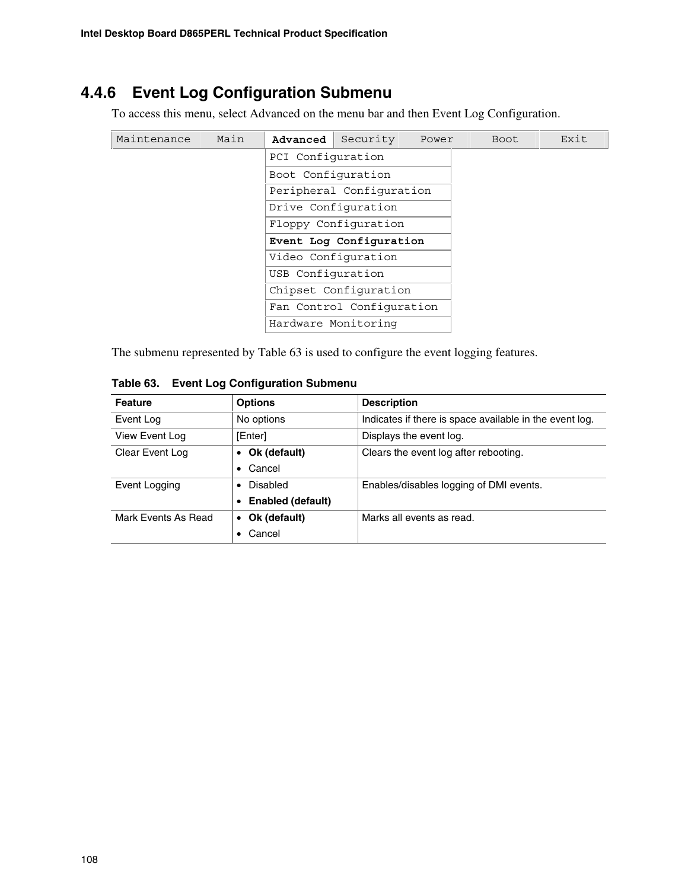# **4.4.6 Event Log Configuration Submenu**

To access this menu, select Advanced on the menu bar and then Event Log Configuration.

| Maintenance | Main | Advanced                | Security                  | Power | Boot | Exit |
|-------------|------|-------------------------|---------------------------|-------|------|------|
|             |      | PCI Configuration       |                           |       |      |      |
|             |      | Boot Configuration      |                           |       |      |      |
|             |      |                         | Peripheral Configuration  |       |      |      |
|             |      | Drive Configuration     |                           |       |      |      |
|             |      | Floppy Configuration    |                           |       |      |      |
|             |      | Event Log Configuration |                           |       |      |      |
|             |      | Video Configuration     |                           |       |      |      |
|             |      | USB Configuration       |                           |       |      |      |
|             |      |                         | Chipset Configuration     |       |      |      |
|             |      |                         | Fan Control Configuration |       |      |      |
|             |      | Hardware Monitoring     |                           |       |      |      |

The submenu represented by Table 63 is used to configure the event logging features.

| <b>Feature</b>      | <b>Options</b>            | <b>Description</b>                                      |  |  |
|---------------------|---------------------------|---------------------------------------------------------|--|--|
| Event Log           | No options                | Indicates if there is space available in the event log. |  |  |
| View Event Log      | [Enter]                   | Displays the event log.                                 |  |  |
| Clear Event Log     | Ok (default)<br>$\bullet$ | Clears the event log after rebooting.                   |  |  |
|                     | $\bullet$ Cancel          |                                                         |  |  |
| Event Logging       | Disabled<br>$\bullet$     | Enables/disables logging of DMI events.                 |  |  |
|                     | <b>Enabled (default)</b>  |                                                         |  |  |
| Mark Events As Read | Ok (default)<br>$\bullet$ | Marks all events as read.                               |  |  |
|                     | Cancel                    |                                                         |  |  |

**Table 63. Event Log Configuration Submenu**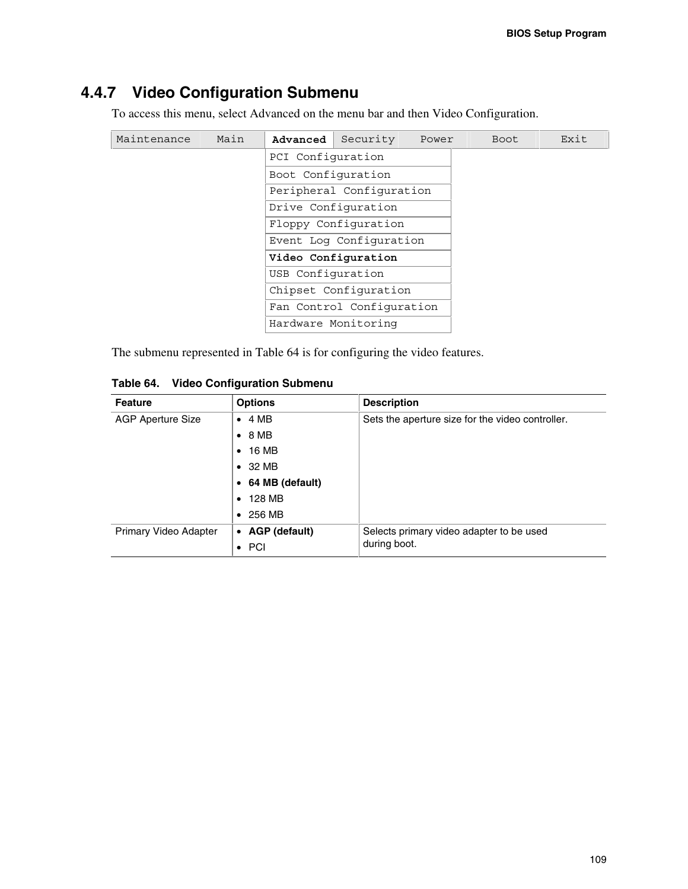# **4.4.7 Video Configuration Submenu**

To access this menu, select Advanced on the menu bar and then Video Configuration.

| Maintenance | Main | Advanced                  | Security            | Power |  | Boot | Exit |
|-------------|------|---------------------------|---------------------|-------|--|------|------|
|             |      |                           | PCI Configuration   |       |  |      |      |
|             |      | Boot Configuration        |                     |       |  |      |      |
|             |      | Peripheral Configuration  |                     |       |  |      |      |
|             |      |                           | Drive Configuration |       |  |      |      |
|             |      | Floppy Configuration      |                     |       |  |      |      |
|             |      | Event Log Configuration   |                     |       |  |      |      |
|             |      | Video Configuration       |                     |       |  |      |      |
|             |      | USB Configuration         |                     |       |  |      |      |
|             |      | Chipset Configuration     |                     |       |  |      |      |
|             |      | Fan Control Configuration |                     |       |  |      |      |
|             |      |                           | Hardware Monitoring |       |  |      |      |

The submenu represented in Table 64 is for configuring the video features.

| Table 64. |  | <b>Video Configuration Submenu</b> |  |
|-----------|--|------------------------------------|--|
|-----------|--|------------------------------------|--|

| <b>Feature</b>           | <b>Options</b>                    | <b>Description</b>                               |
|--------------------------|-----------------------------------|--------------------------------------------------|
| <b>AGP Aperture Size</b> | $\bullet$ 4 MB                    | Sets the aperture size for the video controller. |
|                          | $\bullet$ 8 MB                    |                                                  |
|                          | $\bullet$ 16 MB                   |                                                  |
|                          | $\bullet$ 32 MB                   |                                                  |
|                          | • 64 MB (default)                 |                                                  |
|                          | $\bullet$ 128 MB                  |                                                  |
|                          | $\bullet$ 256 MB                  |                                                  |
| Primary Video Adapter    | <b>AGP</b> (default)<br>$\bullet$ | Selects primary video adapter to be used         |
|                          | $\bullet$ PCI                     | during boot.                                     |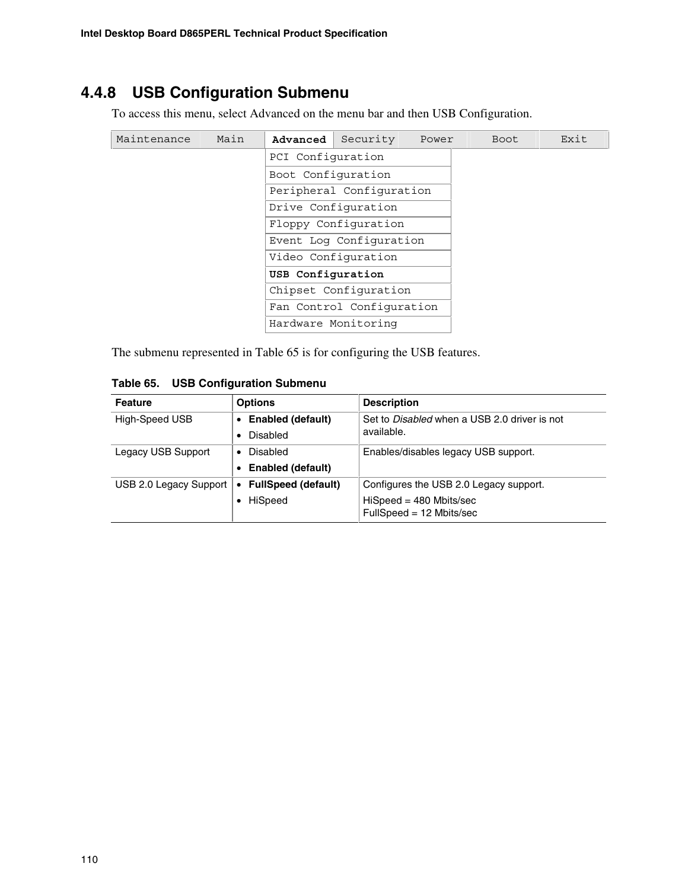# **4.4.8 USB Configuration Submenu**

To access this menu, select Advanced on the menu bar and then USB Configuration.

| Maintenance              | Main              | Advanced             | Security                  | Power | Boot | Exit |
|--------------------------|-------------------|----------------------|---------------------------|-------|------|------|
|                          | PCI Configuration |                      |                           |       |      |      |
|                          |                   | Boot Configuration   |                           |       |      |      |
| Peripheral Configuration |                   |                      |                           |       |      |      |
|                          |                   | Drive Configuration  |                           |       |      |      |
|                          |                   | Floppy Configuration |                           |       |      |      |
|                          |                   |                      | Event Log Configuration   |       |      |      |
|                          |                   | Video Configuration  |                           |       |      |      |
|                          |                   | USB Configuration    |                           |       |      |      |
|                          |                   |                      | Chipset Configuration     |       |      |      |
|                          |                   |                      | Fan Control Configuration |       |      |      |
|                          |                   | Hardware Monitoring  |                           |       |      |      |

The submenu represented in Table 65 is for configuring the USB features.

|  |  | Table 65. USB Configuration Submenu |  |
|--|--|-------------------------------------|--|
|--|--|-------------------------------------|--|

| <b>Feature</b>         | <b>Options</b>                                                 | <b>Description</b>                                                                                |
|------------------------|----------------------------------------------------------------|---------------------------------------------------------------------------------------------------|
| <b>High-Speed USB</b>  | <b>Enabled (default)</b><br>Disabled                           | Set to <i>Disabled</i> when a USB 2.0 driver is not<br>available.                                 |
| Legacy USB Support     | Disabled<br>$\bullet$<br><b>Enabled (default)</b><br>$\bullet$ | Enables/disables legacy USB support.                                                              |
| USB 2.0 Legacy Support | <b>FullSpeed (default)</b><br>$\bullet$<br>HiSpeed             | Configures the USB 2.0 Legacy support.<br>$HiSpeed = 480$ Mbits/sec<br>$FullSpeed = 12 Mbits/sec$ |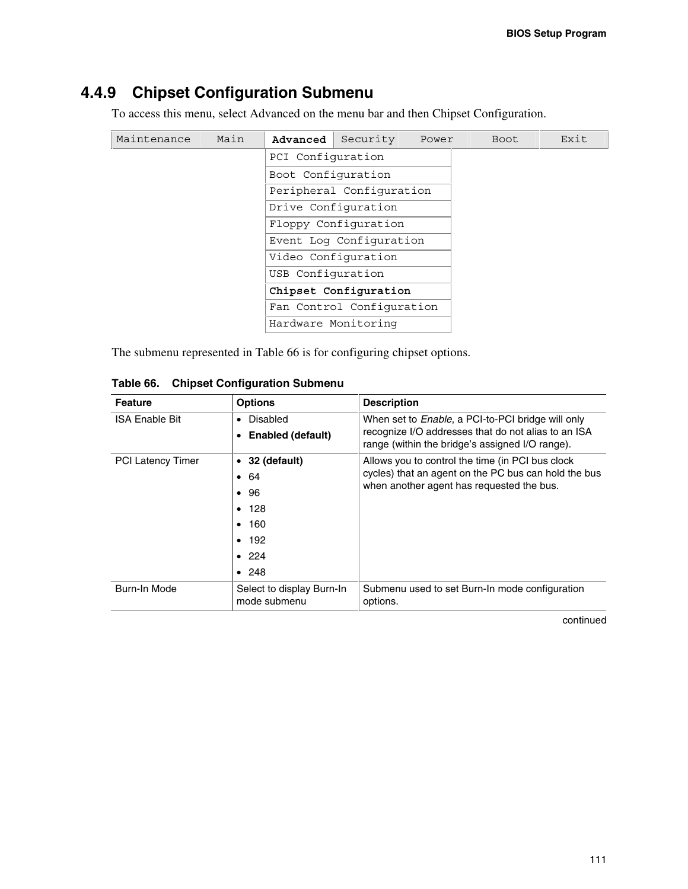# **4.4.9 Chipset Configuration Submenu**

To access this menu, select Advanced on the menu bar and then Chipset Configuration.

| Maintenance | Main | Advanced                 | Security                  | Power |  | Boot | Exit |
|-------------|------|--------------------------|---------------------------|-------|--|------|------|
|             |      | PCI Configuration        |                           |       |  |      |      |
|             |      | Boot Configuration       |                           |       |  |      |      |
|             |      | Peripheral Configuration |                           |       |  |      |      |
|             |      |                          | Drive Configuration       |       |  |      |      |
|             |      | Floppy Configuration     |                           |       |  |      |      |
|             |      |                          | Event Log Configuration   |       |  |      |      |
|             |      | Video Configuration      |                           |       |  |      |      |
|             |      |                          | USB Configuration         |       |  |      |      |
|             |      | Chipset Configuration    |                           |       |  |      |      |
|             |      |                          | Fan Control Configuration |       |  |      |      |
|             |      | Hardware Monitoring      |                           |       |  |      |      |

The submenu represented in Table 66 is for configuring chipset options.

| <b>Feature</b>           | <b>Options</b>                            | <b>Description</b>                                                                                     |  |  |  |
|--------------------------|-------------------------------------------|--------------------------------------------------------------------------------------------------------|--|--|--|
| <b>ISA Enable Bit</b>    | Disabled<br>٠                             | When set to <i>Enable</i> , a PCI-to-PCI bridge will only                                              |  |  |  |
|                          | <b>Enabled (default)</b><br>٠             | recognize I/O addresses that do not alias to an ISA<br>range (within the bridge's assigned I/O range). |  |  |  |
| <b>PCI Latency Timer</b> | $\bullet$ 32 (default)                    | Allows you to control the time (in PCI bus clock                                                       |  |  |  |
|                          | • 64                                      | cycles) that an agent on the PC bus can hold the bus                                                   |  |  |  |
|                          | •96                                       | when another agent has requested the bus.                                                              |  |  |  |
|                          | • 128                                     |                                                                                                        |  |  |  |
|                          | • 160                                     |                                                                                                        |  |  |  |
|                          | • 192                                     |                                                                                                        |  |  |  |
|                          | .224                                      |                                                                                                        |  |  |  |
|                          | • 248                                     |                                                                                                        |  |  |  |
| Burn-In Mode             | Select to display Burn-In<br>mode submenu | Submenu used to set Burn-In mode configuration<br>options.                                             |  |  |  |

**Table 66. Chipset Configuration Submenu**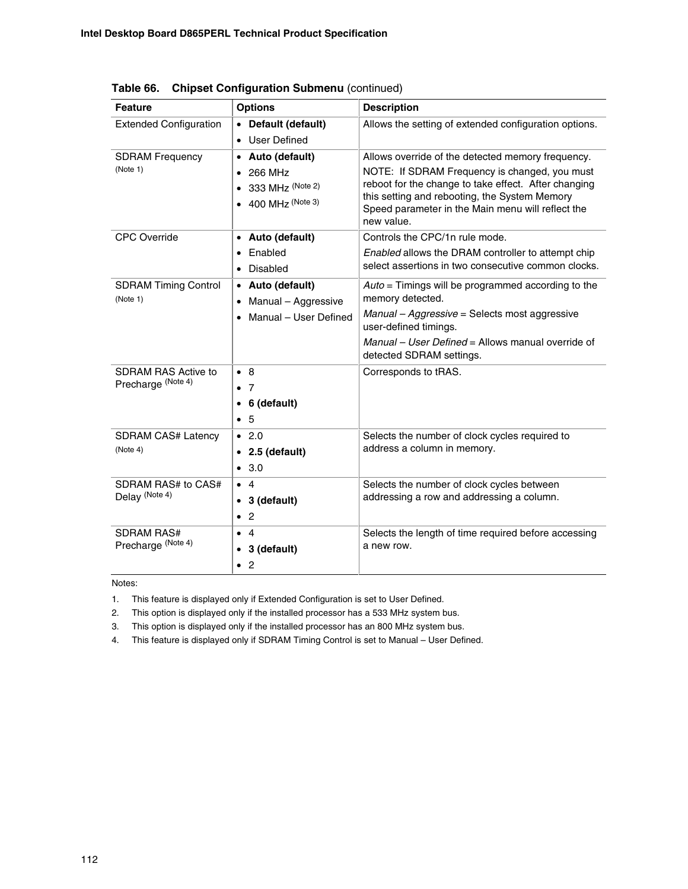| <b>Feature</b>                            | <b>Options</b>                                                                                                          | <b>Description</b>                                                                                                                                                                                                                                                             |
|-------------------------------------------|-------------------------------------------------------------------------------------------------------------------------|--------------------------------------------------------------------------------------------------------------------------------------------------------------------------------------------------------------------------------------------------------------------------------|
| <b>Extended Configuration</b>             | Default (default)<br>User Defined<br>$\bullet$                                                                          | Allows the setting of extended configuration options.                                                                                                                                                                                                                          |
| <b>SDRAM Frequency</b><br>(Note 1)        | Auto (default)<br>$\bullet$<br>266 MHz<br>$\bullet$<br>333 MHz (Note 2)<br>$\bullet$<br>400 MHz $(Mote 3)$<br>$\bullet$ | Allows override of the detected memory frequency.<br>NOTE: If SDRAM Frequency is changed, you must<br>reboot for the change to take effect. After changing<br>this setting and rebooting, the System Memory<br>Speed parameter in the Main menu will reflect the<br>new value. |
| <b>CPC Override</b>                       | • Auto (default)                                                                                                        | Controls the CPC/1n rule mode.                                                                                                                                                                                                                                                 |
|                                           | Enabled<br>$\bullet$<br>Disabled<br>$\bullet$                                                                           | Enabled allows the DRAM controller to attempt chip<br>select assertions in two consecutive common clocks.                                                                                                                                                                      |
| <b>SDRAM Timing Control</b><br>(Note 1)   | Auto (default)<br>$\bullet$<br>Manual - Aggressive<br>$\bullet$<br>Manual - User Defined                                | Auto = Timings will be programmed according to the<br>memory detected.<br>$Manual - Aggressive = Selects most aggressive$<br>user-defined timings.<br>Manual – User Defined = Allows manual override of<br>detected SDRAM settings.                                            |
| SDRAM RAS Active to<br>Precharge (Note 4) | • 8<br>$\overline{7}$<br>$\bullet$<br>6 (default)<br>$\bullet$<br>-5<br>$\bullet$                                       | Corresponds to tRAS.                                                                                                                                                                                                                                                           |
| <b>SDRAM CAS# Latency</b><br>(Note 4)     | • 2.0<br>2.5 (default)<br>$\bullet$<br>3.0<br>$\bullet$                                                                 | Selects the number of clock cycles required to<br>address a column in memory.                                                                                                                                                                                                  |
| SDRAM RAS# to CAS#<br>Delay (Note 4)      | $\bullet$ 4<br>3 (default)<br>$\bullet$<br>$\overline{2}$<br>$\bullet$                                                  | Selects the number of clock cycles between<br>addressing a row and addressing a column.                                                                                                                                                                                        |
| <b>SDRAM RAS#</b><br>Precharge (Note 4)   | $\bullet$ 4<br>3 (default)<br>$\overline{2}$<br>$\bullet$                                                               | Selects the length of time required before accessing<br>a new row.                                                                                                                                                                                                             |

**Table 66. Chipset Configuration Submenu** (continued)

Notes:

1. This feature is displayed only if Extended Configuration is set to User Defined.

2. This option is displayed only if the installed processor has a 533 MHz system bus.

3. This option is displayed only if the installed processor has an 800 MHz system bus.

4. This feature is displayed only if SDRAM Timing Control is set to Manual – User Defined.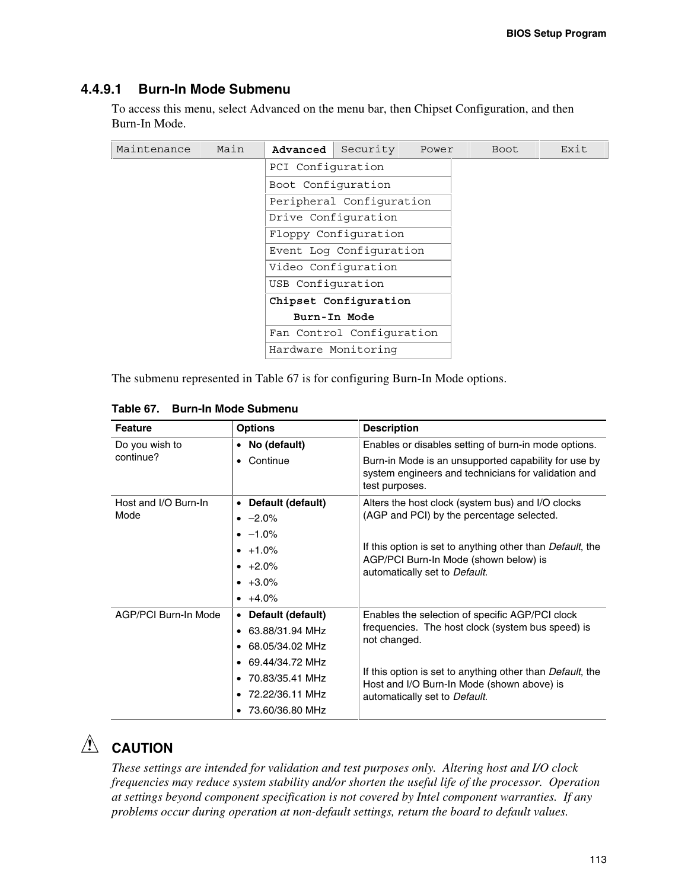#### **4.4.9.1 Burn-In Mode Submenu**

To access this menu, select Advanced on the menu bar, then Chipset Configuration, and then Burn-In Mode.

| Maintenance | Main | Advanced            | Security                  | Power |  | Boot | Exit |
|-------------|------|---------------------|---------------------------|-------|--|------|------|
|             |      | PCI Configuration   |                           |       |  |      |      |
|             |      |                     | Boot Configuration        |       |  |      |      |
|             |      |                     | Peripheral Configuration  |       |  |      |      |
|             |      |                     | Drive Configuration       |       |  |      |      |
|             |      |                     | Floppy Configuration      |       |  |      |      |
|             |      |                     | Event Log Configuration   |       |  |      |      |
|             |      | Video Configuration |                           |       |  |      |      |
|             |      | USB Configuration   |                           |       |  |      |      |
|             |      |                     | Chipset Configuration     |       |  |      |      |
|             |      |                     | Burn-In Mode              |       |  |      |      |
|             |      |                     | Fan Control Configuration |       |  |      |      |
|             |      | Hardware Monitoring |                           |       |  |      |      |

The submenu represented in Table 67 is for configuring Burn-In Mode options.

| <b>Feature</b>       | <b>Options</b>                 | <b>Description</b>                                                                                                            |
|----------------------|--------------------------------|-------------------------------------------------------------------------------------------------------------------------------|
| Do you wish to       | • No (default)                 | Enables or disables setting of burn-in mode options.                                                                          |
| continue?            | Continue<br>$\bullet$          | Burn-in Mode is an unsupported capability for use by<br>system engineers and technicians for validation and<br>test purposes. |
| Host and I/O Burn-In | • Default (default)            | Alters the host clock (system bus) and I/O clocks                                                                             |
| Mode                 | $-2.0\%$                       | (AGP and PCI) by the percentage selected.                                                                                     |
|                      | $-1.0\%$                       |                                                                                                                               |
|                      | $\bullet$ +1.0%                | If this option is set to anything other than <i>Default</i> , the                                                             |
|                      | $+2.0\%$                       | AGP/PCI Burn-In Mode (shown below) is<br>automatically set to Default.                                                        |
|                      | $\bullet$ +3.0%                |                                                                                                                               |
|                      | $+4.0\%$                       |                                                                                                                               |
| AGP/PCI Burn-In Mode | Default (default)<br>$\bullet$ | Enables the selection of specific AGP/PCI clock                                                                               |
|                      | 63.88/31.94 MHz<br>$\bullet$   | frequencies. The host clock (system bus speed) is                                                                             |
|                      | 68.05/34.02 MHz<br>$\bullet$   | not changed.                                                                                                                  |
|                      | 69.44/34.72 MHz<br>$\bullet$   |                                                                                                                               |
|                      | 70.83/35.41 MHz<br>$\bullet$   | If this option is set to anything other than Default, the<br>Host and I/O Burn-In Mode (shown above) is                       |
|                      | 72.22/36.11 MHz<br>٠           | automatically set to Default.                                                                                                 |
|                      | 73.60/36.80 MHz<br>$\bullet$   |                                                                                                                               |

**Table 67. Burn-In Mode Submenu** 

# $\hat{\mathbb{A}}$  **CAUTION**

*These settings are intended for validation and test purposes only. Altering host and I/O clock frequencies may reduce system stability and/or shorten the useful life of the processor. Operation at settings beyond component specification is not covered by Intel component warranties. If any problems occur during operation at non-default settings, return the board to default values.*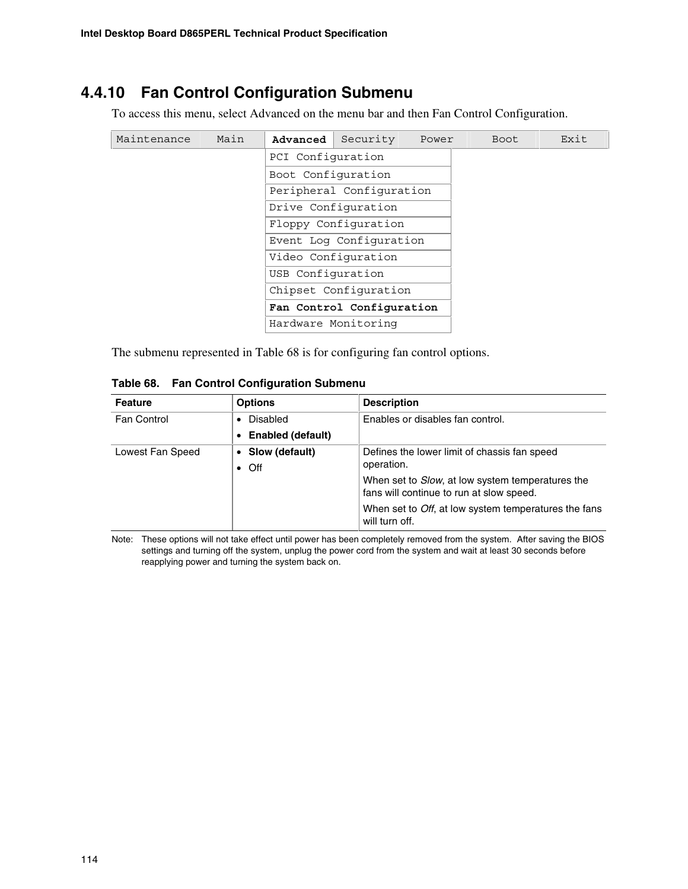### **4.4.10 Fan Control Configuration Submenu**

To access this menu, select Advanced on the menu bar and then Fan Control Configuration.

| Maintenance | Main | Advanced                | Security                  | Power | Boot | Exit |
|-------------|------|-------------------------|---------------------------|-------|------|------|
|             |      | PCI Configuration       |                           |       |      |      |
|             |      | Boot Configuration      |                           |       |      |      |
|             |      |                         | Peripheral Configuration  |       |      |      |
|             |      |                         | Drive Configuration       |       |      |      |
|             |      | Floppy Configuration    |                           |       |      |      |
|             |      | Event Log Configuration |                           |       |      |      |
|             |      | Video Configuration     |                           |       |      |      |
|             |      | USB Configuration       |                           |       |      |      |
|             |      |                         | Chipset Configuration     |       |      |      |
|             |      |                         | Fan Control Configuration |       |      |      |
|             |      | Hardware Monitoring     |                           |       |      |      |

The submenu represented in Table 68 is for configuring fan control options.

| Table 68. |  | <b>Fan Control Configuration Submenu</b> |  |
|-----------|--|------------------------------------------|--|
|-----------|--|------------------------------------------|--|

| <b>Feature</b>   | <b>Options</b>                    | <b>Description</b>                                                                           |
|------------------|-----------------------------------|----------------------------------------------------------------------------------------------|
| Fan Control      | Disabled<br>$\bullet$             | Enables or disables fan control.                                                             |
|                  | <b>Enabled (default)</b>          |                                                                                              |
| Lowest Fan Speed | • Slow (default)<br>$\bullet$ Off | Defines the lower limit of chassis fan speed<br>operation.                                   |
|                  |                                   | When set to Slow, at low system temperatures the<br>fans will continue to run at slow speed. |
|                  |                                   | When set to Off, at low system temperatures the fans<br>will turn off.                       |

Note: These options will not take effect until power has been completely removed from the system. After saving the BIOS settings and turning off the system, unplug the power cord from the system and wait at least 30 seconds before reapplying power and turning the system back on.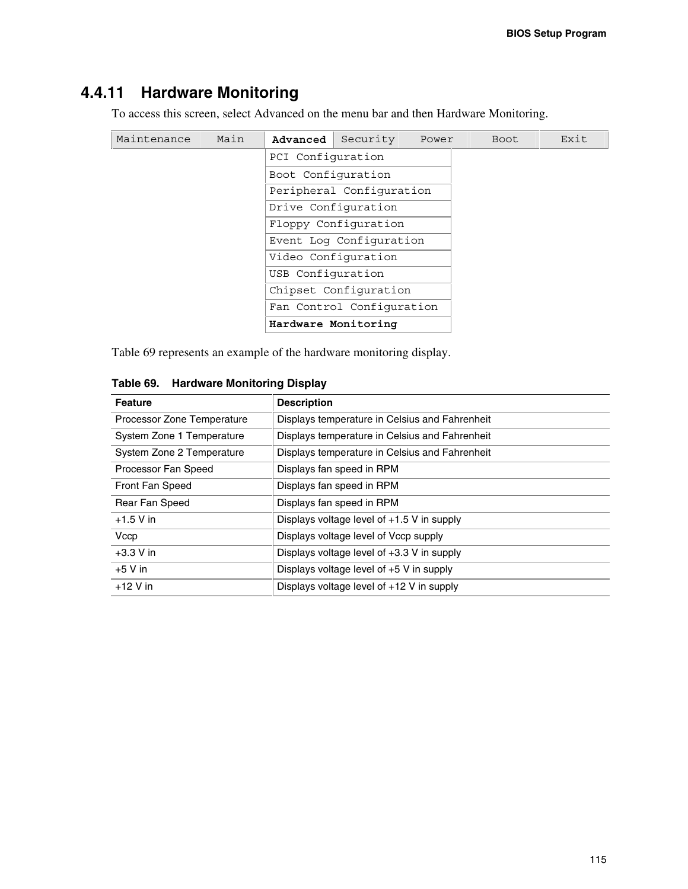# **4.4.11 Hardware Monitoring**

To access this screen, select Advanced on the menu bar and then Hardware Monitoring.

| Maintenance | Main | Advanced                  | Security          | Power |  | Boot | Exit |
|-------------|------|---------------------------|-------------------|-------|--|------|------|
|             |      |                           | PCI Configuration |       |  |      |      |
|             |      | Boot Configuration        |                   |       |  |      |      |
|             |      | Peripheral Configuration  |                   |       |  |      |      |
|             |      | Drive Configuration       |                   |       |  |      |      |
|             |      | Floppy Configuration      |                   |       |  |      |      |
|             |      | Event Log Configuration   |                   |       |  |      |      |
|             |      | Video Configuration       |                   |       |  |      |      |
|             |      | USB Configuration         |                   |       |  |      |      |
|             |      | Chipset Configuration     |                   |       |  |      |      |
|             |      | Fan Control Configuration |                   |       |  |      |      |
|             |      | Hardware Monitoring       |                   |       |  |      |      |

Table 69 represents an example of the hardware monitoring display.

#### **Table 69. Hardware Monitoring Display**

| <b>Feature</b>             | <b>Description</b>                             |
|----------------------------|------------------------------------------------|
| Processor Zone Temperature | Displays temperature in Celsius and Fahrenheit |
| System Zone 1 Temperature  | Displays temperature in Celsius and Fahrenheit |
| System Zone 2 Temperature  | Displays temperature in Celsius and Fahrenheit |
| Processor Fan Speed        | Displays fan speed in RPM                      |
| <b>Front Fan Speed</b>     | Displays fan speed in RPM                      |
| Rear Fan Speed             | Displays fan speed in RPM                      |
| $+1.5$ V in                | Displays voltage level of $+1.5$ V in supply   |
| Vccp                       | Displays voltage level of Vccp supply          |
| $+3.3$ V in                | Displays voltage level of +3.3 V in supply     |
| $+5$ V in                  | Displays voltage level of $+5$ V in supply     |
| $+12$ V in                 | Displays voltage level of $+12$ V in supply    |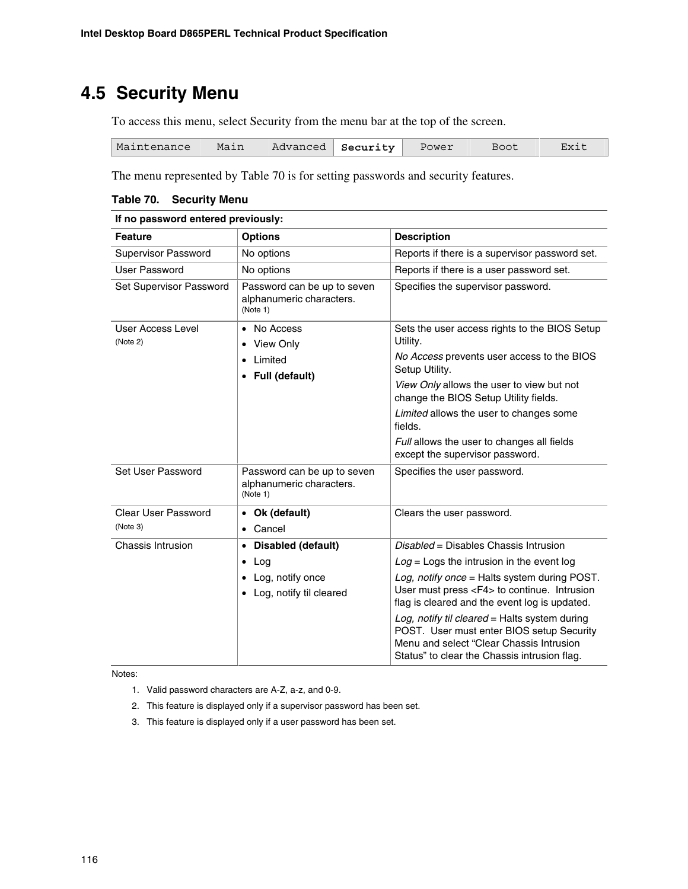# **4.5 Security Menu**

To access this menu, select Security from the menu bar at the top of the screen.

| Maintenance | Main | Advanced   Security |  | Power | Boot | Exit |
|-------------|------|---------------------|--|-------|------|------|
|-------------|------|---------------------|--|-------|------|------|

The menu represented by Table 70 is for setting passwords and security features.

| If no password entered previously: |                                                                     |                                                                                                                                                                                        |  |  |  |  |
|------------------------------------|---------------------------------------------------------------------|----------------------------------------------------------------------------------------------------------------------------------------------------------------------------------------|--|--|--|--|
| <b>Feature</b>                     | <b>Options</b>                                                      | <b>Description</b>                                                                                                                                                                     |  |  |  |  |
| <b>Supervisor Password</b>         | No options                                                          | Reports if there is a supervisor password set.                                                                                                                                         |  |  |  |  |
| <b>User Password</b>               | No options                                                          | Reports if there is a user password set.                                                                                                                                               |  |  |  |  |
| Set Supervisor Password            | Password can be up to seven<br>alphanumeric characters.<br>(Note 1) | Specifies the supervisor password.                                                                                                                                                     |  |  |  |  |
| User Access Level<br>(Note 2)      | • No Access<br><b>View Only</b>                                     | Sets the user access rights to the BIOS Setup<br>Utility.                                                                                                                              |  |  |  |  |
|                                    | Limited<br>$\bullet$<br>• Full (default)                            | No Access prevents user access to the BIOS<br>Setup Utility.                                                                                                                           |  |  |  |  |
|                                    |                                                                     | View Only allows the user to view but not<br>change the BIOS Setup Utility fields.                                                                                                     |  |  |  |  |
|                                    |                                                                     | Limited allows the user to changes some<br>fields.                                                                                                                                     |  |  |  |  |
|                                    |                                                                     | Full allows the user to changes all fields<br>except the supervisor password.                                                                                                          |  |  |  |  |
| Set User Password                  | Password can be up to seven<br>alphanumeric characters.<br>(Note 1) | Specifies the user password.                                                                                                                                                           |  |  |  |  |
| Clear User Password                | • Ok (default)                                                      | Clears the user password.                                                                                                                                                              |  |  |  |  |
| (Note 3)                           | • Cancel                                                            |                                                                                                                                                                                        |  |  |  |  |
| Chassis Intrusion                  | Disabled (default)<br>$\bullet$                                     | Disabled = Disables Chassis Intrusion                                                                                                                                                  |  |  |  |  |
|                                    | $\bullet$ Log                                                       | $Log = Logs$ the intrusion in the event log                                                                                                                                            |  |  |  |  |
|                                    | • Log, notify once<br>• Log, notify til cleared                     | Log, notify once = Halts system during POST.<br>User must press <f4> to continue. Intrusion<br/>flag is cleared and the event log is updated.</f4>                                     |  |  |  |  |
|                                    |                                                                     | Log, notify til cleared = Halts system during<br>POST. User must enter BIOS setup Security<br>Menu and select "Clear Chassis Intrusion<br>Status" to clear the Chassis intrusion flag. |  |  |  |  |

**Table 70. Security Menu** 

Notes:

1. Valid password characters are A-Z, a-z, and 0-9.

- 2. This feature is displayed only if a supervisor password has been set.
- 3. This feature is displayed only if a user password has been set.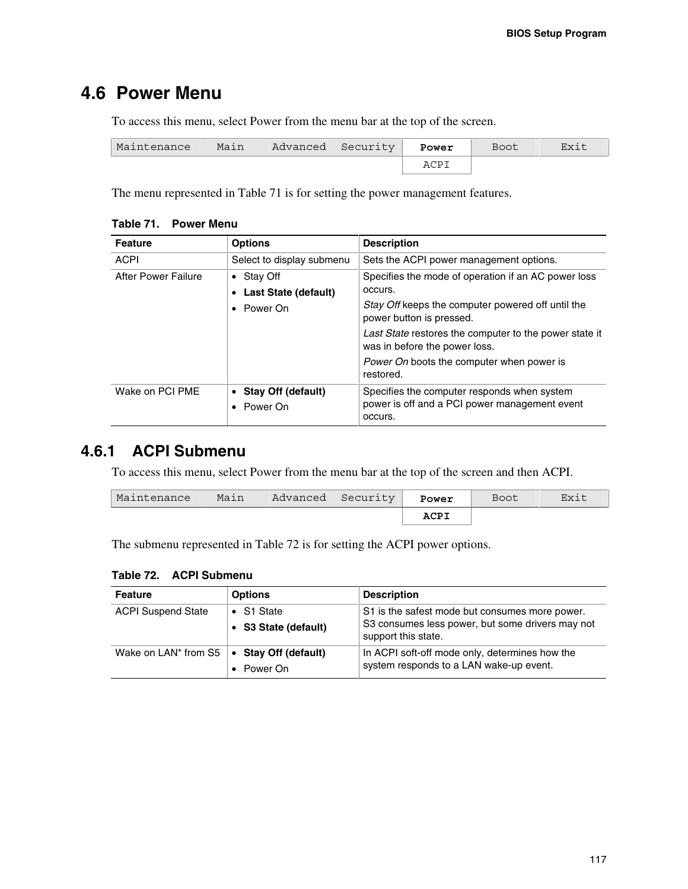### **4.6 Power Menu**

To access this menu, select Power from the menu bar at the top of the screen.

| Maintenance | Main | Advanced Security   Power |      | Boot | Exit |
|-------------|------|---------------------------|------|------|------|
|             |      |                           | ACPI |      |      |

The menu represented in Table 71 is for setting the power management features.

| <b>Feature</b>      | <b>Options</b>                                    | <b>Description</b>                                                                                                                                                                                                                                                                                          |
|---------------------|---------------------------------------------------|-------------------------------------------------------------------------------------------------------------------------------------------------------------------------------------------------------------------------------------------------------------------------------------------------------------|
| <b>ACPI</b>         | Select to display submenu                         | Sets the ACPI power management options.                                                                                                                                                                                                                                                                     |
| After Power Failure | Stay Off<br>٠<br>Last State (default)<br>Power On | Specifies the mode of operation if an AC power loss<br>occurs.<br>Stay Off keeps the computer powered off until the<br>power button is pressed.<br>Last State restores the computer to the power state it<br>was in before the power loss.<br><i>Power On</i> boots the computer when power is<br>restored. |
| Wake on PCI PME     | <b>Stay Off (default)</b><br>٠<br>Power On        | Specifies the computer responds when system<br>power is off and a PCI power management event<br>occurs.                                                                                                                                                                                                     |

**Table 71. Power Menu** 

### **4.6.1 ACPI Submenu**

To access this menu, select Power from the menu bar at the top of the screen and then ACPI.

| Maintenance | Main | Advanced Security | Power | Boot | Exit |
|-------------|------|-------------------|-------|------|------|
|             |      |                   | ACPI  |      |      |

The submenu represented in Table 72 is for setting the ACPI power options.

| Table 72. | <b>ACPI Submenu</b> |
|-----------|---------------------|
|-----------|---------------------|

| <b>Feature</b>            | <b>Options</b>                                     | <b>Description</b>                                                                                                        |  |  |  |  |
|---------------------------|----------------------------------------------------|---------------------------------------------------------------------------------------------------------------------------|--|--|--|--|
| <b>ACPI Suspend State</b> | • S1 State<br>S3 State (default)                   | S1 is the safest mode but consumes more power.<br>S3 consumes less power, but some drivers may not<br>support this state. |  |  |  |  |
| Wake on LAN* from S5      | <b>Stay Off (default)</b><br>$\bullet$<br>Power On | In ACPI soft-off mode only, determines how the<br>system responds to a LAN wake-up event.                                 |  |  |  |  |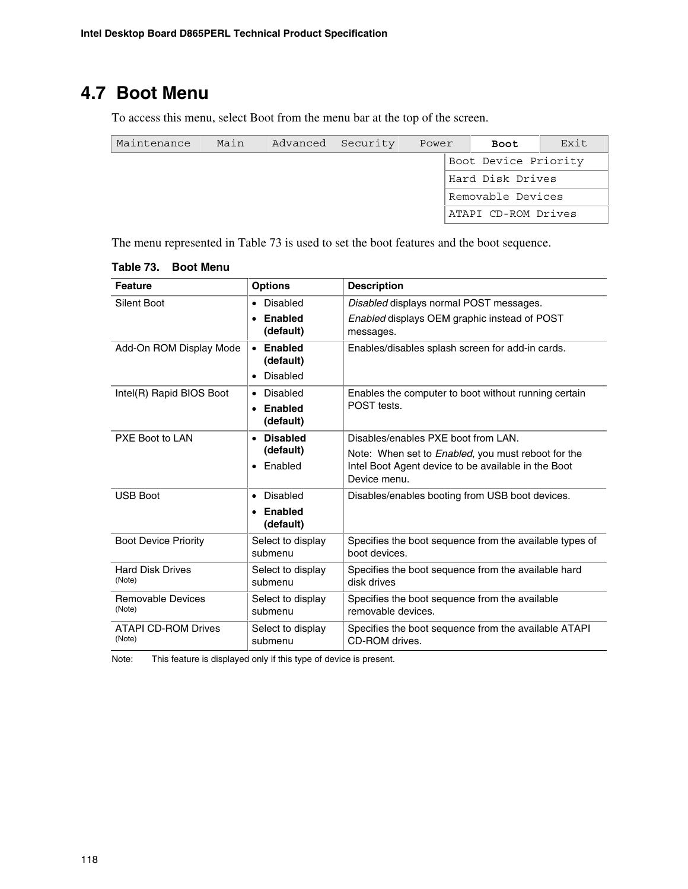# **4.7 Boot Menu**

To access this menu, select Boot from the menu bar at the top of the screen.

| Maintenance | Main | Advanced Security | Power |                      | Boot                | Exit |
|-------------|------|-------------------|-------|----------------------|---------------------|------|
|             |      |                   |       | Boot Device Priority |                     |      |
|             |      |                   |       | Hard Disk Drives     |                     |      |
|             |      |                   |       | Removable Devices    |                     |      |
|             |      |                   |       |                      | ATAPI CD-ROM Drives |      |

The menu represented in Table 73 is used to set the boot features and the boot sequence.

| <b>Feature</b>                       | <b>Options</b>                           | <b>Description</b>                                                       |  |  |
|--------------------------------------|------------------------------------------|--------------------------------------------------------------------------|--|--|
| Silent Boot                          | Disabled<br>$\bullet$                    | Disabled displays normal POST messages.                                  |  |  |
|                                      | <b>Enabled</b><br>$\bullet$              | Enabled displays OEM graphic instead of POST                             |  |  |
|                                      | (default)                                | messages.                                                                |  |  |
| Add-On ROM Display Mode              | <b>Enabled</b><br>$\bullet$<br>(default) | Enables/disables splash screen for add-in cards.                         |  |  |
|                                      | Disabled<br>$\bullet$                    |                                                                          |  |  |
| Intel(R) Rapid BIOS Boot             | Disabled<br>$\bullet$                    | Enables the computer to boot without running certain                     |  |  |
|                                      | <b>Enabled</b><br>$\bullet$<br>(default) | POST tests.                                                              |  |  |
| PXE Boot to LAN                      | <b>Disabled</b><br>$\bullet$             | Disables/enables PXE boot from LAN.                                      |  |  |
|                                      | (default)                                | Note: When set to Enabled, you must reboot for the                       |  |  |
|                                      | Enabled<br>$\bullet$                     | Intel Boot Agent device to be available in the Boot<br>Device menu.      |  |  |
| <b>USB Boot</b>                      | Disabled<br>$\bullet$                    | Disables/enables booting from USB boot devices.                          |  |  |
|                                      | Enabled<br>$\bullet$<br>(default)        |                                                                          |  |  |
| <b>Boot Device Priority</b>          | Select to display<br>submenu             | Specifies the boot sequence from the available types of<br>boot devices. |  |  |
| <b>Hard Disk Drives</b><br>(Note)    | Select to display<br>submenu             | Specifies the boot sequence from the available hard<br>disk drives       |  |  |
| <b>Removable Devices</b><br>(Note)   | Select to display<br>submenu             | Specifies the boot sequence from the available<br>removable devices.     |  |  |
| <b>ATAPI CD-ROM Drives</b><br>(Note) | Select to display<br>submenu             | Specifies the boot sequence from the available ATAPI<br>CD-ROM drives.   |  |  |

#### **Table 73. Boot Menu**

Note: This feature is displayed only if this type of device is present.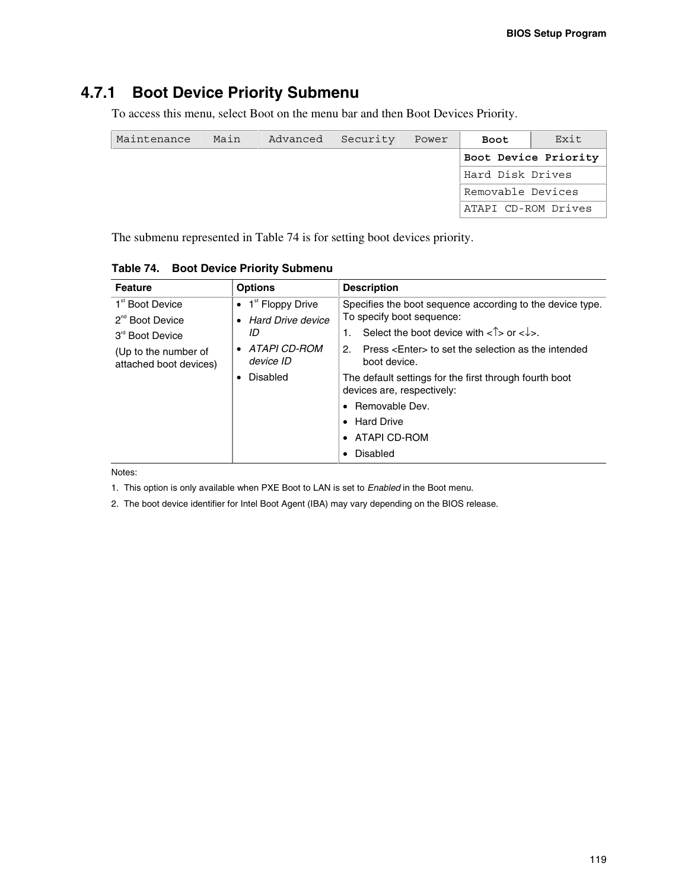### **4.7.1 Boot Device Priority Submenu**

To access this menu, select Boot on the menu bar and then Boot Devices Priority.

| Maintenance | Main | Advanced Security | Power | Boot                 | Exit |
|-------------|------|-------------------|-------|----------------------|------|
|             |      |                   |       | Boot Device Priority |      |
|             |      |                   |       | Hard Disk Drives     |      |
|             |      |                   |       | Removable Devices    |      |
|             |      |                   |       | ATAPI CD-ROM Drives  |      |

The submenu represented in Table 74 is for setting boot devices priority.

| <b>Feature</b>                                 | <b>Options</b>                          | <b>Description</b>                                                                             |
|------------------------------------------------|-----------------------------------------|------------------------------------------------------------------------------------------------|
| 1 <sup>st</sup> Boot Device                    | $\bullet$ 1 <sup>st</sup> Floppy Drive  | Specifies the boot sequence according to the device type.                                      |
| $2nd$ Boot Device                              | <b>Hard Drive device</b>                | To specify boot sequence:                                                                      |
| 3 <sup>rd</sup> Boot Device                    | ID                                      | Select the boot device with $\langle \uparrow \rangle$ or $\langle \downarrow \rangle$ .<br>1. |
| (Up to the number of<br>attached boot devices) | • ATAPI CD-ROM<br>device ID<br>Disabled | Press <enter> to set the selection as the intended<br/>2.<br/>boot device.</enter>             |
|                                                |                                         | The default settings for the first through fourth boot<br>devices are, respectively:           |
|                                                |                                         | $\bullet$ Removable Dev.                                                                       |
|                                                |                                         | <b>Hard Drive</b>                                                                              |
|                                                |                                         | • ATAPI CD-ROM                                                                                 |
|                                                |                                         | Disabled                                                                                       |

**Table 74. Boot Device Priority Submenu** 

Notes:

1. This option is only available when PXE Boot to LAN is set to *Enabled* in the Boot menu.

2. The boot device identifier for Intel Boot Agent (IBA) may vary depending on the BIOS release.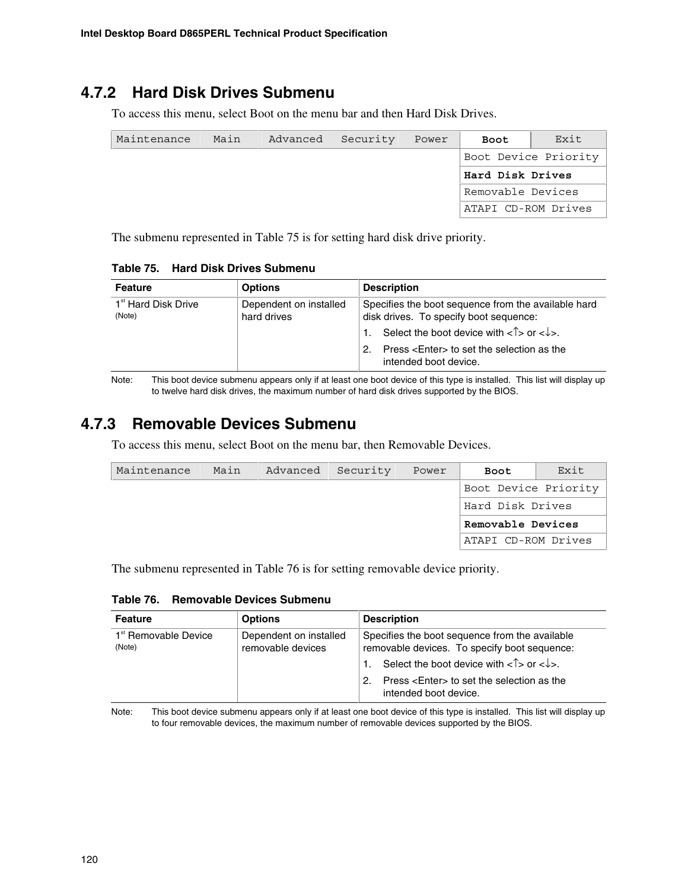#### **4.7.2 Hard Disk Drives Submenu**

To access this menu, select Boot on the menu bar and then Hard Disk Drives.

| Maintenance | Main | Advanced Security | Power | Boot                 | Exit |
|-------------|------|-------------------|-------|----------------------|------|
|             |      |                   |       | Boot Device Priority |      |
|             |      |                   |       | Hard Disk Drives     |      |
|             |      |                   |       | Removable Devices    |      |
|             |      |                   |       | ATAPI CD-ROM Drives  |      |
|             |      |                   |       |                      |      |

The submenu represented in Table 75 is for setting hard disk drive priority.

**Table 75. Hard Disk Drives Submenu** 

| <b>Feature</b>                            | <b>Options</b>                        | <b>Description</b>                                                                                                                                                                                                                                                              |
|-------------------------------------------|---------------------------------------|---------------------------------------------------------------------------------------------------------------------------------------------------------------------------------------------------------------------------------------------------------------------------------|
| 1 <sup>st</sup> Hard Disk Drive<br>(Note) | Dependent on installed<br>hard drives | Specifies the boot sequence from the available hard<br>disk drives. To specify boot sequence:<br>Select the boot device with $\langle \uparrow \rangle$ or $\langle \downarrow \rangle$ .<br>Press <enter> to set the selection as the<br/>2.<br/>intended boot device.</enter> |

Note: This boot device submenu appears only if at least one boot device of this type is installed. This list will display up to twelve hard disk drives, the maximum number of hard disk drives supported by the BIOS.

### **4.7.3 Removable Devices Submenu**

To access this menu, select Boot on the menu bar, then Removable Devices.

| Maintenance | Main | Advanced Security | Power | Boot                 | Exit |
|-------------|------|-------------------|-------|----------------------|------|
|             |      |                   |       | Boot Device Priority |      |
|             |      |                   |       | Hard Disk Drives     |      |
|             |      |                   |       | Removable Devices    |      |
|             |      |                   |       | ATAPI CD-ROM Drives  |      |

The submenu represented in Table 76 is for setting removable device priority.

**Table 76. Removable Devices Submenu** 

| <b>Feature</b>                             | <b>Options</b>                              | <b>Description</b>                                                                                                                                                                                                                                                                     |
|--------------------------------------------|---------------------------------------------|----------------------------------------------------------------------------------------------------------------------------------------------------------------------------------------------------------------------------------------------------------------------------------------|
| 1 <sup>st</sup> Removable Device<br>(Note) | Dependent on installed<br>removable devices | Specifies the boot sequence from the available<br>removable devices. To specify boot sequence:<br>Select the boot device with $\langle \uparrow \rangle$ or $\langle \downarrow \rangle$ .<br>1.<br>Press <enter> to set the selection as the<br/>2.<br/>intended boot device.</enter> |

Note: This boot device submenu appears only if at least one boot device of this type is installed. This list will display up to four removable devices, the maximum number of removable devices supported by the BIOS.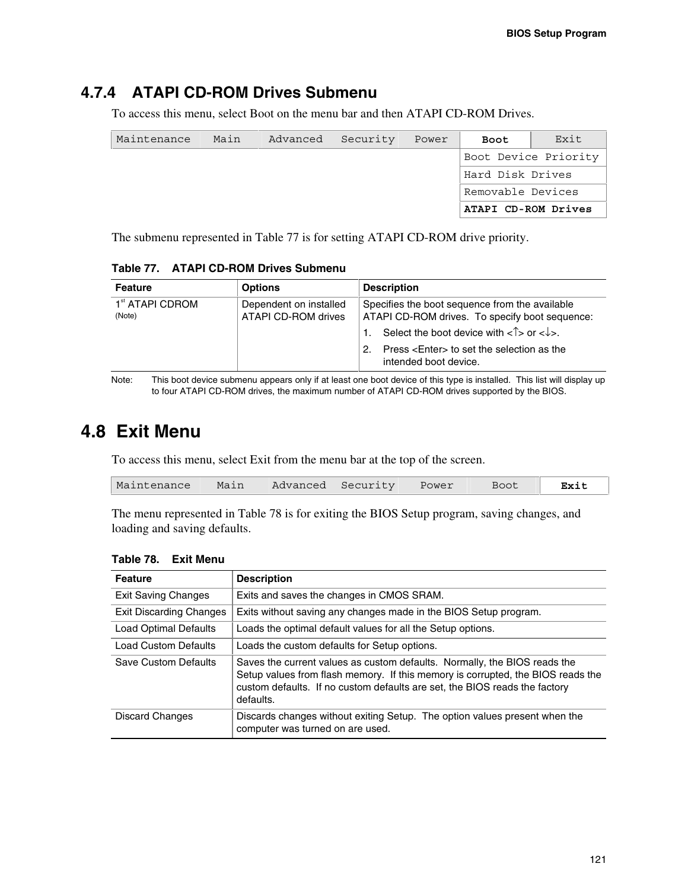#### **4.7.4 ATAPI CD-ROM Drives Submenu**

To access this menu, select Boot on the menu bar and then ATAPI CD-ROM Drives.

| Maintenance | Main | Advanced Security | Power | Boot                | Exit                 |
|-------------|------|-------------------|-------|---------------------|----------------------|
|             |      |                   |       |                     | Boot Device Priority |
|             |      |                   |       | Hard Disk Drives    |                      |
|             |      |                   |       | Removable Devices   |                      |
|             |      |                   |       | ATAPI CD-ROM Drives |                      |

The submenu represented in Table 77 is for setting ATAPI CD-ROM drive priority.

**Table 77. ATAPI CD-ROM Drives Submenu** 

| <b>Feature</b>                        | <b>Options</b>                                | <b>Description</b>                                                                                                                                                                                                                                                                 |
|---------------------------------------|-----------------------------------------------|------------------------------------------------------------------------------------------------------------------------------------------------------------------------------------------------------------------------------------------------------------------------------------|
| 1 <sup>st</sup> ATAPI CDROM<br>(Note) | Dependent on installed<br>ATAPI CD-ROM drives | Specifies the boot sequence from the available<br>ATAPI CD-ROM drives. To specify boot sequence:<br>Select the boot device with $\langle \uparrow \rangle$ or $\langle \downarrow \rangle$ .<br>Press <enter> to set the selection as the<br/>2.<br/>intended boot device.</enter> |

Note: This boot device submenu appears only if at least one boot device of this type is installed. This list will display up to four ATAPI CD-ROM drives, the maximum number of ATAPI CD-ROM drives supported by the BIOS.

### **4.8 Exit Menu**

To access this menu, select Exit from the menu bar at the top of the screen.

| Maintenance | Main | Advanced Security |  | Power | Boot | Exit |
|-------------|------|-------------------|--|-------|------|------|
|-------------|------|-------------------|--|-------|------|------|

The menu represented in Table 78 is for exiting the BIOS Setup program, saving changes, and loading and saving defaults.

| <b>Feature</b>                 | <b>Description</b>                                                                                                                                                                                                                                      |
|--------------------------------|---------------------------------------------------------------------------------------------------------------------------------------------------------------------------------------------------------------------------------------------------------|
| <b>Exit Saving Changes</b>     | Exits and saves the changes in CMOS SRAM.                                                                                                                                                                                                               |
| <b>Exit Discarding Changes</b> | Exits without saving any changes made in the BIOS Setup program.                                                                                                                                                                                        |
| <b>Load Optimal Defaults</b>   | Loads the optimal default values for all the Setup options.                                                                                                                                                                                             |
| Load Custom Defaults           | Loads the custom defaults for Setup options.                                                                                                                                                                                                            |
| Save Custom Defaults           | Saves the current values as custom defaults. Normally, the BIOS reads the<br>Setup values from flash memory. If this memory is corrupted, the BIOS reads the<br>custom defaults. If no custom defaults are set, the BIOS reads the factory<br>defaults. |
| <b>Discard Changes</b>         | Discards changes without exiting Setup. The option values present when the<br>computer was turned on are used.                                                                                                                                          |

**Table 78. Exit Menu**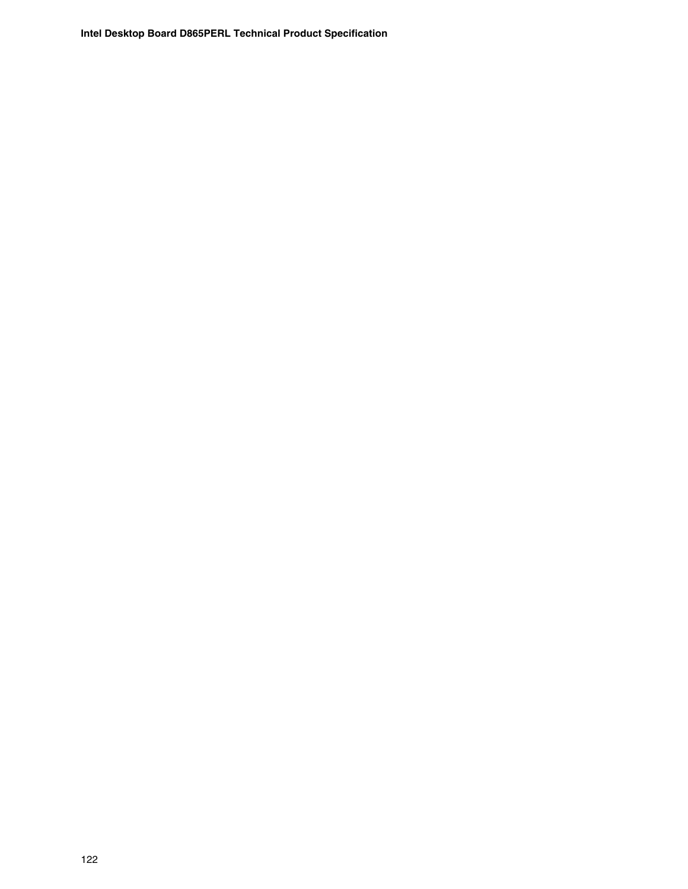**Intel Desktop Board D865PERL Technical Product Specification**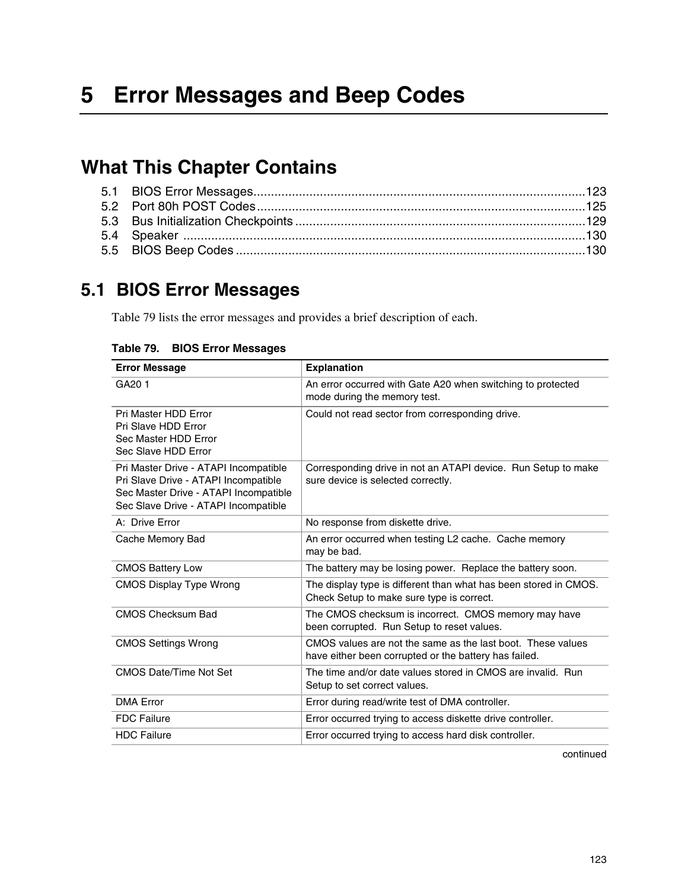# **5 Error Messages and Beep Codes**

# **What This Chapter Contains**

# **5.1 BIOS Error Messages**

Table 79 lists the error messages and provides a brief description of each.

| <b>Error Message</b>                                                                                                                                           | <b>Explanation</b>                                                                                                   |
|----------------------------------------------------------------------------------------------------------------------------------------------------------------|----------------------------------------------------------------------------------------------------------------------|
| GA <sub>20</sub> 1                                                                                                                                             | An error occurred with Gate A20 when switching to protected<br>mode during the memory test.                          |
| Pri Master HDD Error<br>Pri Slave HDD Error<br>Sec Master HDD Error<br>Sec Slave HDD Frror                                                                     | Could not read sector from corresponding drive.                                                                      |
| Pri Master Drive - ATAPI Incompatible<br>Pri Slave Drive - ATAPI Incompatible<br>Sec Master Drive - ATAPI Incompatible<br>Sec Slave Drive - ATAPI Incompatible | Corresponding drive in not an ATAPI device. Run Setup to make<br>sure device is selected correctly.                  |
| A: Drive Error                                                                                                                                                 | No response from diskette drive.                                                                                     |
| Cache Memory Bad                                                                                                                                               | An error occurred when testing L2 cache. Cache memory<br>may be bad.                                                 |
| <b>CMOS Battery Low</b>                                                                                                                                        | The battery may be losing power. Replace the battery soon.                                                           |
| <b>CMOS Display Type Wrong</b>                                                                                                                                 | The display type is different than what has been stored in CMOS.<br>Check Setup to make sure type is correct.        |
| <b>CMOS Checksum Bad</b>                                                                                                                                       | The CMOS checksum is incorrect. CMOS memory may have<br>been corrupted. Run Setup to reset values.                   |
| <b>CMOS Settings Wrong</b>                                                                                                                                     | CMOS values are not the same as the last boot. These values<br>have either been corrupted or the battery has failed. |
| <b>CMOS Date/Time Not Set</b>                                                                                                                                  | The time and/or date values stored in CMOS are invalid. Run<br>Setup to set correct values.                          |
| <b>DMA Error</b>                                                                                                                                               | Error during read/write test of DMA controller.                                                                      |
| <b>FDC Failure</b>                                                                                                                                             | Error occurred trying to access diskette drive controller.                                                           |
| <b>HDC Failure</b>                                                                                                                                             | Error occurred trying to access hard disk controller.                                                                |

#### **Table 79. BIOS Error Messages**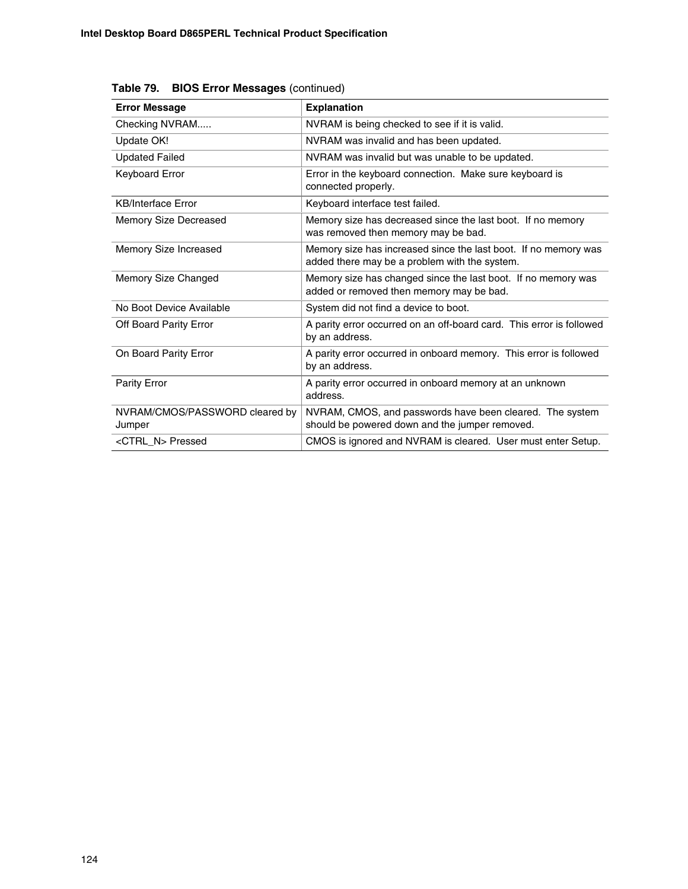| <b>Error Message</b>                     | <b>Explanation</b>                                                                                               |
|------------------------------------------|------------------------------------------------------------------------------------------------------------------|
| Checking NVRAM                           | NVRAM is being checked to see if it is valid.                                                                    |
| Update OK!                               | NVRAM was invalid and has been updated.                                                                          |
| <b>Updated Failed</b>                    | NVRAM was invalid but was unable to be updated.                                                                  |
| Keyboard Error                           | Error in the keyboard connection. Make sure keyboard is<br>connected properly.                                   |
| <b>KB/Interface Error</b>                | Keyboard interface test failed.                                                                                  |
| Memory Size Decreased                    | Memory size has decreased since the last boot. If no memory<br>was removed then memory may be bad.               |
| Memory Size Increased                    | Memory size has increased since the last boot. If no memory was<br>added there may be a problem with the system. |
| Memory Size Changed                      | Memory size has changed since the last boot. If no memory was<br>added or removed then memory may be bad.        |
| No Boot Device Available                 | System did not find a device to boot.                                                                            |
| Off Board Parity Error                   | A parity error occurred on an off-board card. This error is followed<br>by an address.                           |
| On Board Parity Error                    | A parity error occurred in onboard memory. This error is followed<br>by an address.                              |
| Parity Error                             | A parity error occurred in onboard memory at an unknown<br>address.                                              |
| NVRAM/CMOS/PASSWORD cleared by<br>Jumper | NVRAM, CMOS, and passwords have been cleared. The system<br>should be powered down and the jumper removed.       |
| <ctrl n=""> Pressed</ctrl>               | CMOS is ignored and NVRAM is cleared. User must enter Setup.                                                     |

**Table 79. BIOS Error Messages** (continued)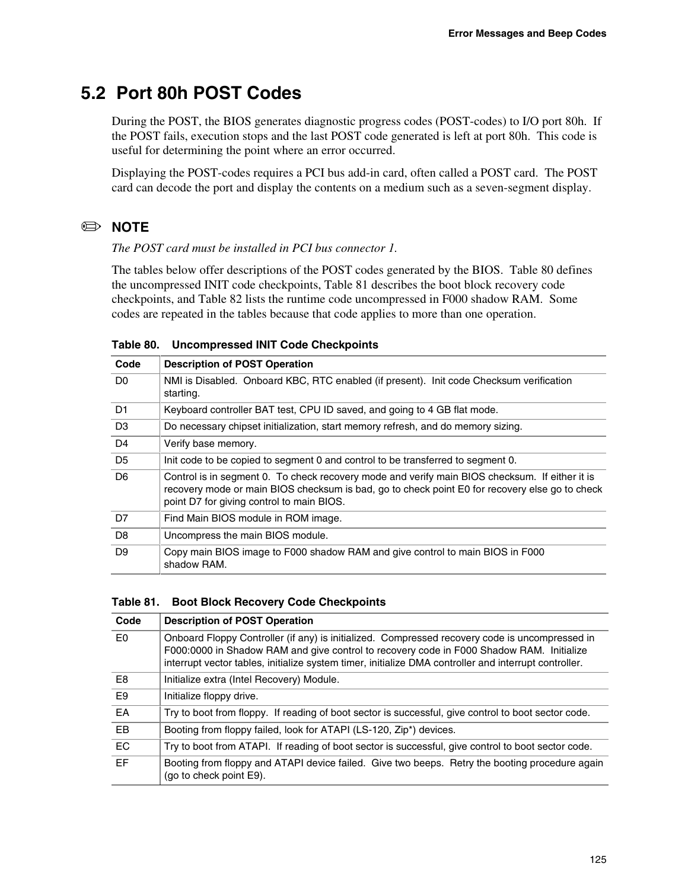# **5.2 Port 80h POST Codes**

During the POST, the BIOS generates diagnostic progress codes (POST-codes) to I/O port 80h. If the POST fails, execution stops and the last POST code generated is left at port 80h. This code is useful for determining the point where an error occurred.

Displaying the POST-codes requires a PCI bus add-in card, often called a POST card. The POST card can decode the port and display the contents on a medium such as a seven-segment display.

#### ✏ **NOTE**

#### *The POST card must be installed in PCI bus connector 1.*

The tables below offer descriptions of the POST codes generated by the BIOS. Table 80 defines the uncompressed INIT code checkpoints, Table 81 describes the boot block recovery code checkpoints, and Table 82 lists the runtime code uncompressed in F000 shadow RAM. Some codes are repeated in the tables because that code applies to more than one operation.

| Code           | <b>Description of POST Operation</b>                                                                                                                                                                                                          |
|----------------|-----------------------------------------------------------------------------------------------------------------------------------------------------------------------------------------------------------------------------------------------|
| D <sub>0</sub> | NMI is Disabled. Onboard KBC, RTC enabled (if present). Init code Checksum verification<br>starting.                                                                                                                                          |
| D1             | Keyboard controller BAT test, CPU ID saved, and going to 4 GB flat mode.                                                                                                                                                                      |
| D <sub>3</sub> | Do necessary chipset initialization, start memory refresh, and do memory sizing.                                                                                                                                                              |
| D <sub>4</sub> | Verify base memory.                                                                                                                                                                                                                           |
| D <sub>5</sub> | Init code to be copied to segment 0 and control to be transferred to segment 0.                                                                                                                                                               |
| D <sub>6</sub> | Control is in segment 0. To check recovery mode and verify main BIOS checksum. If either it is<br>recovery mode or main BIOS checksum is bad, go to check point E0 for recovery else go to check<br>point D7 for giving control to main BIOS. |
| D7             | Find Main BIOS module in ROM image.                                                                                                                                                                                                           |
| D <sub>8</sub> | Uncompress the main BIOS module.                                                                                                                                                                                                              |
| D <sub>9</sub> | Copy main BIOS image to F000 shadow RAM and give control to main BIOS in F000<br>shadow RAM.                                                                                                                                                  |

|  | Table 80. Uncompressed INIT Code Checkpoints |
|--|----------------------------------------------|
|--|----------------------------------------------|

#### **Table 81. Boot Block Recovery Code Checkpoints**

| Code           | <b>Description of POST Operation</b>                                                                                                                                                                                                                                                                |
|----------------|-----------------------------------------------------------------------------------------------------------------------------------------------------------------------------------------------------------------------------------------------------------------------------------------------------|
| E <sub>0</sub> | Onboard Floppy Controller (if any) is initialized. Compressed recovery code is uncompressed in<br>F000:0000 in Shadow RAM and give control to recovery code in F000 Shadow RAM. Initialize<br>interrupt vector tables, initialize system timer, initialize DMA controller and interrupt controller. |
| E8             | Initialize extra (Intel Recovery) Module.                                                                                                                                                                                                                                                           |
| E9             | Initialize floppy drive.                                                                                                                                                                                                                                                                            |
| EA             | Try to boot from floppy. If reading of boot sector is successful, give control to boot sector code.                                                                                                                                                                                                 |
| EB.            | Booting from floppy failed, look for ATAPI (LS-120, Zip*) devices.                                                                                                                                                                                                                                  |
| EC.            | Try to boot from ATAPI. If reading of boot sector is successful, give control to boot sector code.                                                                                                                                                                                                  |
| EF.            | Booting from floppy and ATAPI device failed. Give two beeps. Retry the booting procedure again<br>(go to check point E9).                                                                                                                                                                           |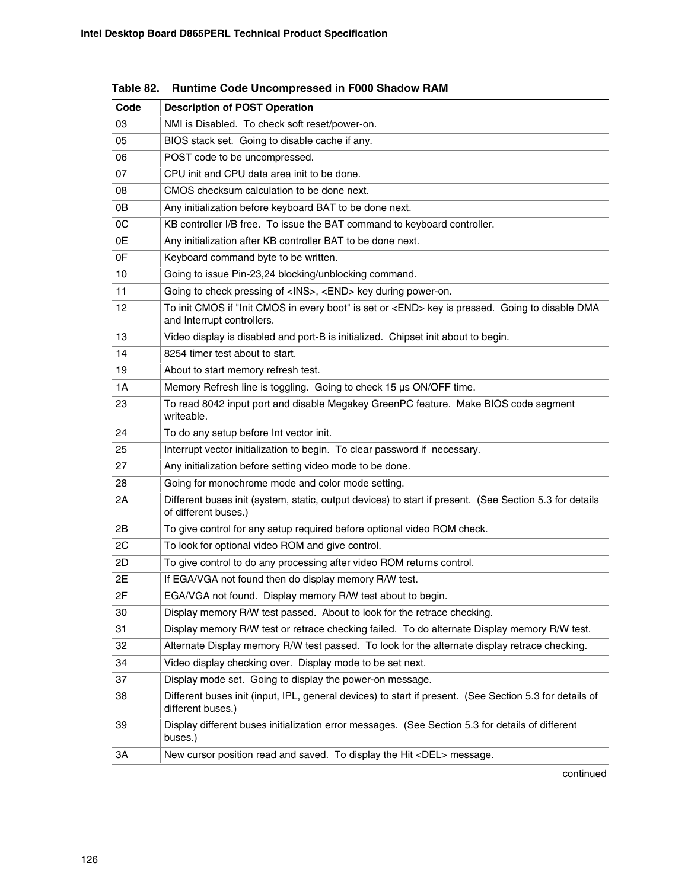| Code           | <b>Description of POST Operation</b>                                                                                                |
|----------------|-------------------------------------------------------------------------------------------------------------------------------------|
| 03             | NMI is Disabled. To check soft reset/power-on.                                                                                      |
| 05             | BIOS stack set. Going to disable cache if any.                                                                                      |
| 06             | POST code to be uncompressed.                                                                                                       |
| 07             | CPU init and CPU data area init to be done.                                                                                         |
| 08             | CMOS checksum calculation to be done next.                                                                                          |
| 0В             | Any initialization before keyboard BAT to be done next.                                                                             |
| <sub>0</sub> C | KB controller I/B free. To issue the BAT command to keyboard controller.                                                            |
| 0E             | Any initialization after KB controller BAT to be done next.                                                                         |
| 0F             | Keyboard command byte to be written.                                                                                                |
| 10             | Going to issue Pin-23,24 blocking/unblocking command.                                                                               |
| 11             | Going to check pressing of <ins>, <end> key during power-on.</end></ins>                                                            |
| 12             | To init CMOS if "Init CMOS in every boot" is set or <end> key is pressed. Going to disable DMA<br/>and Interrupt controllers.</end> |
| 13             | Video display is disabled and port-B is initialized. Chipset init about to begin.                                                   |
| 14             | 8254 timer test about to start.                                                                                                     |
| 19             | About to start memory refresh test.                                                                                                 |
| 1А             | Memory Refresh line is toggling. Going to check 15 µs ON/OFF time.                                                                  |
| 23             | To read 8042 input port and disable Megakey GreenPC feature. Make BIOS code segment<br>writeable.                                   |
| 24             | To do any setup before Int vector init.                                                                                             |
| 25             | Interrupt vector initialization to begin. To clear password if necessary.                                                           |
| 27             | Any initialization before setting video mode to be done.                                                                            |
| 28             | Going for monochrome mode and color mode setting.                                                                                   |
| 2A             | Different buses init (system, static, output devices) to start if present. (See Section 5.3 for details<br>of different buses.)     |
| 2B             | To give control for any setup required before optional video ROM check.                                                             |
| 2C             | To look for optional video ROM and give control.                                                                                    |
| 2D.            | To give control to do any processing after video ROM returns control.                                                               |
| 2E             | If EGA/VGA not found then do display memory R/W test.                                                                               |
| 2F             | EGA/VGA not found. Display memory R/W test about to begin.                                                                          |
| 30             | Display memory R/W test passed. About to look for the retrace checking.                                                             |
| 31             | Display memory R/W test or retrace checking failed. To do alternate Display memory R/W test.                                        |
| 32             | Alternate Display memory R/W test passed. To look for the alternate display retrace checking.                                       |
| 34             | Video display checking over. Display mode to be set next.                                                                           |
| 37             | Display mode set. Going to display the power-on message.                                                                            |
| 38             | Different buses init (input, IPL, general devices) to start if present. (See Section 5.3 for details of<br>different buses.)        |
| 39             | Display different buses initialization error messages. (See Section 5.3 for details of different<br>buses.)                         |
| ЗA             | New cursor position read and saved. To display the Hit <del> message.</del>                                                         |

**Table 82. Runtime Code Uncompressed in F000 Shadow RAM**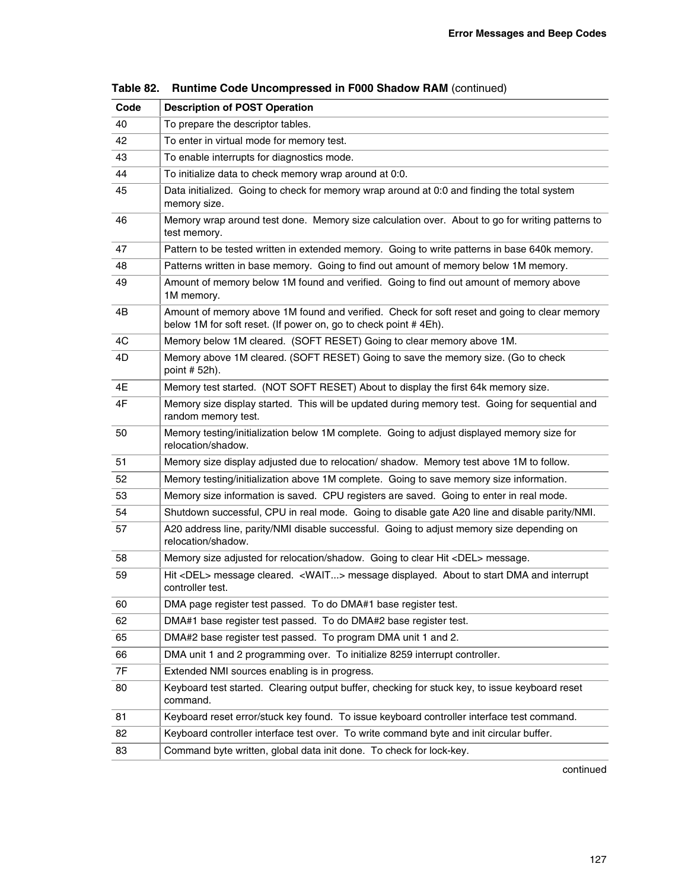| Code | <b>Description of POST Operation</b>                                                                                                                            |
|------|-----------------------------------------------------------------------------------------------------------------------------------------------------------------|
| 40   | To prepare the descriptor tables.                                                                                                                               |
| 42   | To enter in virtual mode for memory test.                                                                                                                       |
| 43   | To enable interrupts for diagnostics mode.                                                                                                                      |
| 44   | To initialize data to check memory wrap around at 0:0.                                                                                                          |
| 45   | Data initialized. Going to check for memory wrap around at 0:0 and finding the total system<br>memory size.                                                     |
| 46   | Memory wrap around test done. Memory size calculation over. About to go for writing patterns to<br>test memory.                                                 |
| 47   | Pattern to be tested written in extended memory. Going to write patterns in base 640k memory.                                                                   |
| 48   | Patterns written in base memory. Going to find out amount of memory below 1M memory.                                                                            |
| 49   | Amount of memory below 1M found and verified. Going to find out amount of memory above<br>1M memory.                                                            |
| 4B   | Amount of memory above 1M found and verified. Check for soft reset and going to clear memory<br>below 1M for soft reset. (If power on, go to check point #4Eh). |
| 4C   | Memory below 1M cleared. (SOFT RESET) Going to clear memory above 1M.                                                                                           |
| 4D   | Memory above 1M cleared. (SOFT RESET) Going to save the memory size. (Go to check<br>point # 52h).                                                              |
| 4E   | Memory test started. (NOT SOFT RESET) About to display the first 64k memory size.                                                                               |
| 4F   | Memory size display started. This will be updated during memory test. Going for sequential and<br>random memory test.                                           |
| 50   | Memory testing/initialization below 1M complete. Going to adjust displayed memory size for<br>relocation/shadow.                                                |
| 51   | Memory size display adjusted due to relocation/ shadow. Memory test above 1M to follow.                                                                         |
| 52   | Memory testing/initialization above 1M complete. Going to save memory size information.                                                                         |
| 53   | Memory size information is saved. CPU registers are saved. Going to enter in real mode.                                                                         |
| 54   | Shutdown successful, CPU in real mode. Going to disable gate A20 line and disable parity/NMI.                                                                   |
| 57   | A20 address line, parity/NMI disable successful. Going to adjust memory size depending on<br>relocation/shadow.                                                 |
| 58   | Memory size adjusted for relocation/shadow. Going to clear Hit <del> message.</del>                                                                             |
| 59   | Hit <del> message cleared. <wait> message displayed. About to start DMA and interrupt<br/>controller test.</wait></del>                                         |
| 60   | DMA page register test passed. To do DMA#1 base register test.                                                                                                  |
| 62   | DMA#1 base register test passed. To do DMA#2 base register test.                                                                                                |
| 65   | DMA#2 base register test passed. To program DMA unit 1 and 2.                                                                                                   |
| 66   | DMA unit 1 and 2 programming over. To initialize 8259 interrupt controller.                                                                                     |
| 7F   | Extended NMI sources enabling is in progress.                                                                                                                   |
| 80   | Keyboard test started. Clearing output buffer, checking for stuck key, to issue keyboard reset<br>command.                                                      |
| 81   | Keyboard reset error/stuck key found. To issue keyboard controller interface test command.                                                                      |
| 82   | Keyboard controller interface test over. To write command byte and init circular buffer.                                                                        |
| 83   | Command byte written, global data init done. To check for lock-key.                                                                                             |

**Table 82. Runtime Code Uncompressed in F000 Shadow RAM** (continued)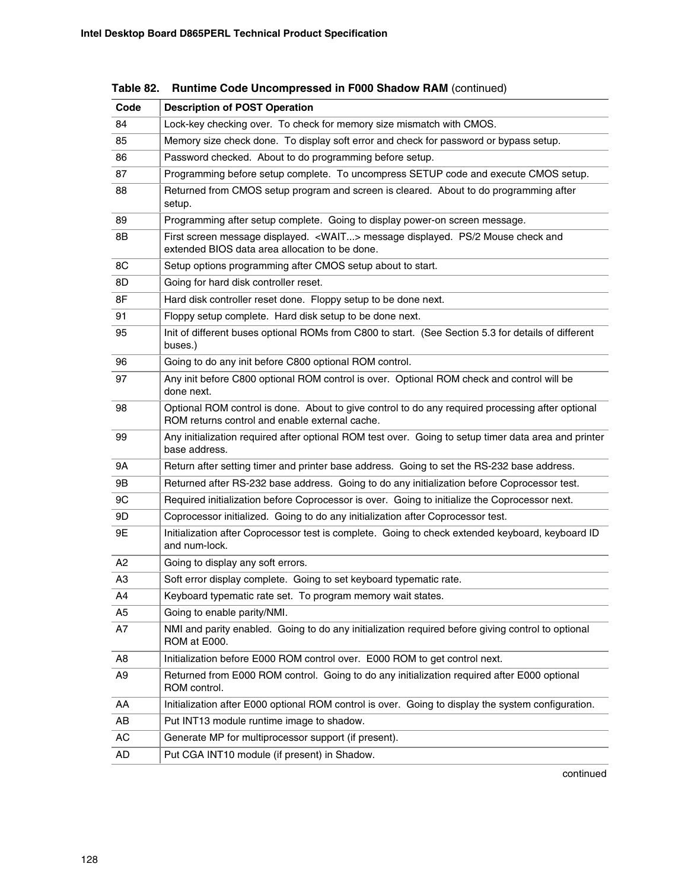| Code           | <b>Description of POST Operation</b>                                                                                                               |
|----------------|----------------------------------------------------------------------------------------------------------------------------------------------------|
| 84             | Lock-key checking over. To check for memory size mismatch with CMOS.                                                                               |
| 85             | Memory size check done. To display soft error and check for password or bypass setup.                                                              |
| 86             | Password checked. About to do programming before setup.                                                                                            |
| 87             | Programming before setup complete. To uncompress SETUP code and execute CMOS setup.                                                                |
| 88             | Returned from CMOS setup program and screen is cleared. About to do programming after<br>setup.                                                    |
| 89             | Programming after setup complete. Going to display power-on screen message.                                                                        |
| 8Β             | First screen message displayed. < WAIT> message displayed. PS/2 Mouse check and<br>extended BIOS data area allocation to be done.                  |
| 8C             | Setup options programming after CMOS setup about to start.                                                                                         |
| 8D             | Going for hard disk controller reset.                                                                                                              |
| 8F             | Hard disk controller reset done. Floppy setup to be done next.                                                                                     |
| 91             | Floppy setup complete. Hard disk setup to be done next.                                                                                            |
| 95             | Init of different buses optional ROMs from C800 to start. (See Section 5.3 for details of different<br>buses.)                                     |
| 96             | Going to do any init before C800 optional ROM control.                                                                                             |
| 97             | Any init before C800 optional ROM control is over. Optional ROM check and control will be<br>done next.                                            |
| 98             | Optional ROM control is done. About to give control to do any required processing after optional<br>ROM returns control and enable external cache. |
| 99             | Any initialization required after optional ROM test over. Going to setup timer data area and printer<br>base address.                              |
| 9A             | Return after setting timer and printer base address. Going to set the RS-232 base address.                                                         |
| 9Β             | Returned after RS-232 base address. Going to do any initialization before Coprocessor test.                                                        |
| 9C             | Required initialization before Coprocessor is over. Going to initialize the Coprocessor next.                                                      |
| 9D.            | Coprocessor initialized. Going to do any initialization after Coprocessor test.                                                                    |
| 9E             | Initialization after Coprocessor test is complete. Going to check extended keyboard, keyboard ID<br>and num-lock.                                  |
| A2             | Going to display any soft errors.                                                                                                                  |
| A3             | Soft error display complete. Going to set keyboard typematic rate.                                                                                 |
| A4             | Keyboard typematic rate set. To program memory wait states.                                                                                        |
| A5             | Going to enable parity/NMI.                                                                                                                        |
| A7             | NMI and parity enabled. Going to do any initialization required before giving control to optional<br>ROM at E000.                                  |
| A8             | Initialization before E000 ROM control over. E000 ROM to get control next.                                                                         |
| A <sub>9</sub> | Returned from E000 ROM control. Going to do any initialization required after E000 optional<br>ROM control.                                        |
| AA             | Initialization after E000 optional ROM control is over. Going to display the system configuration.                                                 |
| AB             | Put INT13 module runtime image to shadow.                                                                                                          |
| $\sf AC$       | Generate MP for multiprocessor support (if present).                                                                                               |
| AD             | Put CGA INT10 module (if present) in Shadow.                                                                                                       |

**Table 82. Runtime Code Uncompressed in F000 Shadow RAM** (continued)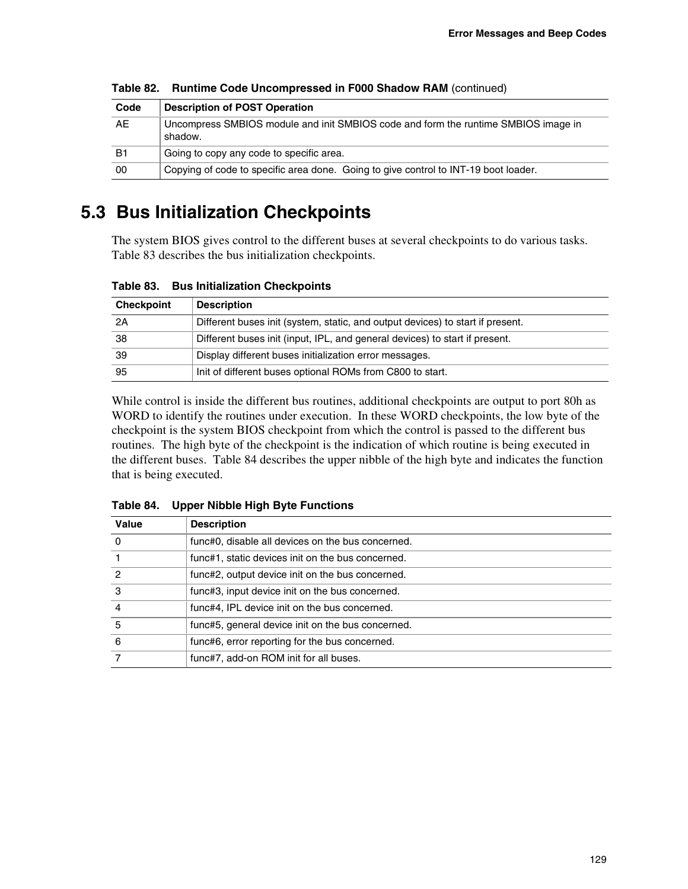| Code | <b>Description of POST Operation</b>                                                          |
|------|-----------------------------------------------------------------------------------------------|
| AE.  | Uncompress SMBIOS module and init SMBIOS code and form the runtime SMBIOS image in<br>shadow. |
| B1   | Going to copy any code to specific area.                                                      |
| 00   | Copying of code to specific area done. Going to give control to INT-19 boot loader.           |

**Table 82. Runtime Code Uncompressed in F000 Shadow RAM** (continued)

# **5.3 Bus Initialization Checkpoints**

The system BIOS gives control to the different buses at several checkpoints to do various tasks. Table 83 describes the bus initialization checkpoints.

**Table 83. Bus Initialization Checkpoints** 

| <b>Checkpoint</b> | <b>Description</b>                                                             |
|-------------------|--------------------------------------------------------------------------------|
| 2Α                | Different buses init (system, static, and output devices) to start if present. |
| 38                | Different buses init (input, IPL, and general devices) to start if present.    |
| 39                | Display different buses initialization error messages.                         |
| 95                | Init of different buses optional ROMs from C800 to start.                      |

While control is inside the different bus routines, additional checkpoints are output to port 80h as WORD to identify the routines under execution. In these WORD checkpoints, the low byte of the checkpoint is the system BIOS checkpoint from which the control is passed to the different bus routines. The high byte of the checkpoint is the indication of which routine is being executed in the different buses. Table 84 describes the upper nibble of the high byte and indicates the function that is being executed.

| Value    | <b>Description</b>                                |
|----------|---------------------------------------------------|
| $\Omega$ | func#0, disable all devices on the bus concerned. |
|          | func#1, static devices init on the bus concerned. |
| 2        | func#2, output device init on the bus concerned.  |
| 3        | func#3, input device init on the bus concerned.   |
| 4        | func#4, IPL device init on the bus concerned.     |
| 5        | func#5, general device init on the bus concerned. |
| 6        | func#6, error reporting for the bus concerned.    |
|          | func#7, add-on ROM init for all buses.            |

**Table 84. Upper Nibble High Byte Functions**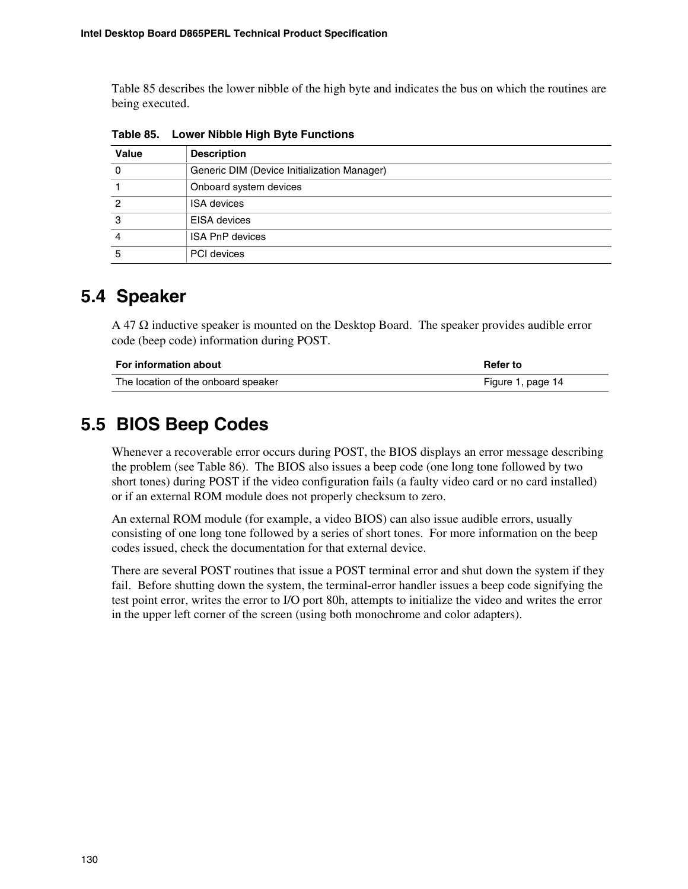Table 85 describes the lower nibble of the high byte and indicates the bus on which the routines are being executed.

| Value | <b>Description</b>                          |
|-------|---------------------------------------------|
|       | Generic DIM (Device Initialization Manager) |
|       | Onboard system devices                      |
| 2     | <b>ISA</b> devices                          |
| 3     | EISA devices                                |
| 4     | <b>ISA PnP devices</b>                      |
| 5     | <b>PCI</b> devices                          |

**Table 85. Lower Nibble High Byte Functions** 

### **5.4 Speaker**

A 47  $\Omega$  inductive speaker is mounted on the Desktop Board. The speaker provides audible error code (beep code) information during POST.

| <b>For information about</b>        | <b>Refer to</b>   |
|-------------------------------------|-------------------|
| The location of the onboard speaker | Figure 1, page 14 |

# **5.5 BIOS Beep Codes**

Whenever a recoverable error occurs during POST, the BIOS displays an error message describing the problem (see Table 86). The BIOS also issues a beep code (one long tone followed by two short tones) during POST if the video configuration fails (a faulty video card or no card installed) or if an external ROM module does not properly checksum to zero.

An external ROM module (for example, a video BIOS) can also issue audible errors, usually consisting of one long tone followed by a series of short tones. For more information on the beep codes issued, check the documentation for that external device.

There are several POST routines that issue a POST terminal error and shut down the system if they fail. Before shutting down the system, the terminal-error handler issues a beep code signifying the test point error, writes the error to I/O port 80h, attempts to initialize the video and writes the error in the upper left corner of the screen (using both monochrome and color adapters).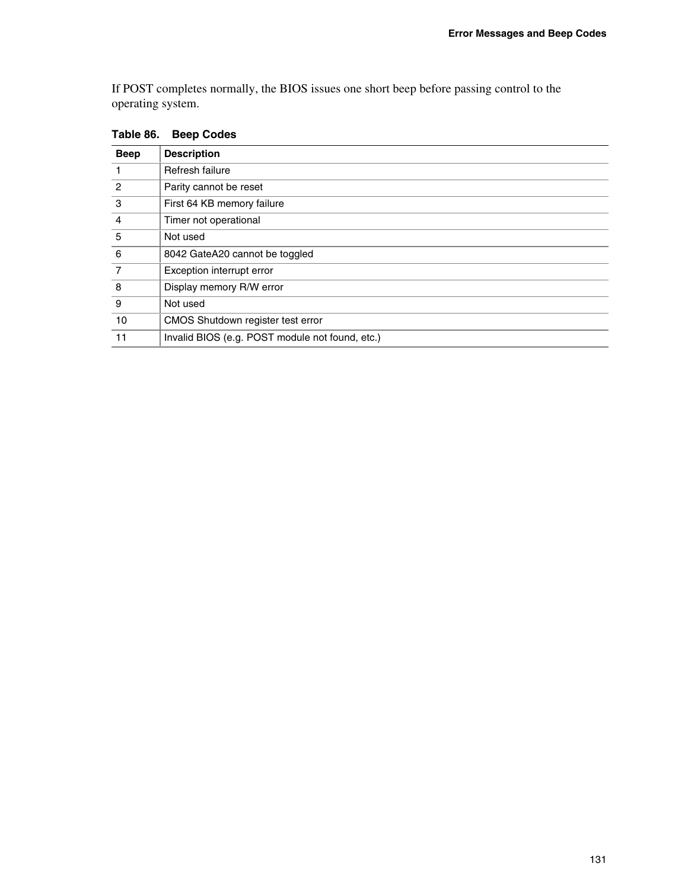If POST completes normally, the BIOS issues one short beep before passing control to the operating system.

| <b>Beep</b>    | <b>Description</b>                              |
|----------------|-------------------------------------------------|
|                |                                                 |
|                | Refresh failure                                 |
| $\mathcal{P}$  | Parity cannot be reset                          |
| 3              | First 64 KB memory failure                      |
| $\overline{4}$ | Timer not operational                           |
| 5              | Not used                                        |
| 6              | 8042 GateA20 cannot be toggled                  |
| $\overline{7}$ | Exception interrupt error                       |
| 8              | Display memory R/W error                        |
| 9              | Not used                                        |
| 10             | CMOS Shutdown register test error               |
| 11             | Invalid BIOS (e.g. POST module not found, etc.) |

**Table 86. Beep Codes**